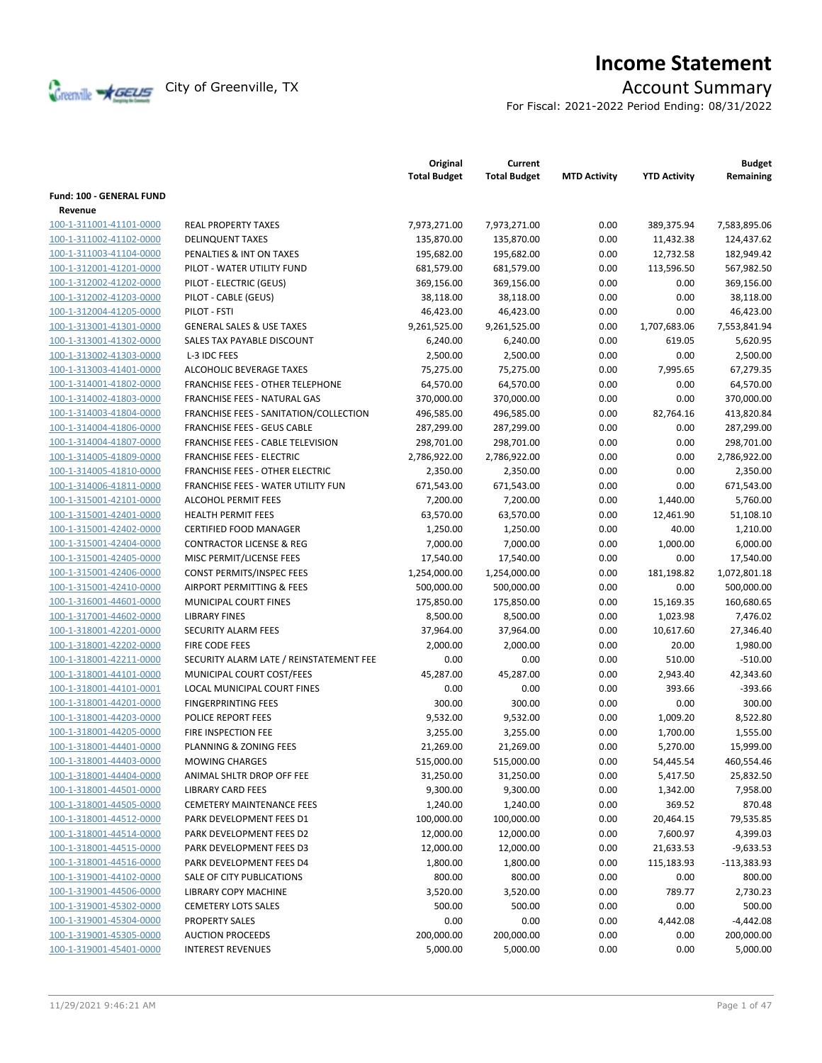

# **Income Statement**

For Fiscal: 2021-2022 Period Ending: 08/31/2022

|                                 |                                         | Original<br><b>Total Budget</b> | Current<br><b>Total Budget</b> | <b>MTD Activity</b> | <b>YTD Activity</b> | <b>Budget</b><br>Remaining |
|---------------------------------|-----------------------------------------|---------------------------------|--------------------------------|---------------------|---------------------|----------------------------|
| <b>Fund: 100 - GENERAL FUND</b> |                                         |                                 |                                |                     |                     |                            |
| Revenue                         |                                         |                                 |                                |                     |                     |                            |
| 100-1-311001-41101-0000         | <b>REAL PROPERTY TAXES</b>              | 7,973,271.00                    | 7,973,271.00                   | 0.00                | 389,375.94          | 7,583,895.06               |
| 100-1-311002-41102-0000         | <b>DELINQUENT TAXES</b>                 | 135,870.00                      | 135,870.00                     | 0.00                | 11,432.38           | 124,437.62                 |
| 100-1-311003-41104-0000         | PENALTIES & INT ON TAXES                | 195,682.00                      | 195,682.00                     | 0.00                | 12,732.58           | 182,949.42                 |
| 100-1-312001-41201-0000         | PILOT - WATER UTILITY FUND              | 681,579.00                      | 681,579.00                     | 0.00                | 113,596.50          | 567,982.50                 |
| 100-1-312002-41202-0000         | PILOT - ELECTRIC (GEUS)                 | 369,156.00                      | 369,156.00                     | 0.00                | 0.00                | 369,156.00                 |
| 100-1-312002-41203-0000         | PILOT - CABLE (GEUS)                    | 38,118.00                       | 38,118.00                      | 0.00                | 0.00                | 38,118.00                  |
| 100-1-312004-41205-0000         | PILOT - FSTI                            | 46,423.00                       | 46,423.00                      | 0.00                | 0.00                | 46,423.00                  |
| 100-1-313001-41301-0000         | <b>GENERAL SALES &amp; USE TAXES</b>    | 9,261,525.00                    | 9,261,525.00                   | 0.00                | 1,707,683.06        | 7,553,841.94               |
| 100-1-313001-41302-0000         | SALES TAX PAYABLE DISCOUNT              | 6,240.00                        | 6,240.00                       | 0.00                | 619.05              | 5,620.95                   |
| 100-1-313002-41303-0000         | L-3 IDC FEES                            | 2,500.00                        | 2,500.00                       | 0.00                | 0.00                | 2,500.00                   |
| 100-1-313003-41401-0000         | ALCOHOLIC BEVERAGE TAXES                |                                 | 75,275.00                      | 0.00                | 7,995.65            | 67,279.35                  |
|                                 | <b>FRANCHISE FEES - OTHER TELEPHONE</b> | 75,275.00                       |                                | 0.00                | 0.00                | 64,570.00                  |
| 100-1-314001-41802-0000         |                                         | 64,570.00                       | 64,570.00                      |                     |                     |                            |
| 100-1-314002-41803-0000         | FRANCHISE FEES - NATURAL GAS            | 370,000.00                      | 370,000.00                     | 0.00                | 0.00                | 370,000.00                 |
| 100-1-314003-41804-0000         | FRANCHISE FEES - SANITATION/COLLECTION  | 496,585.00                      | 496,585.00                     | 0.00                | 82,764.16           | 413,820.84                 |
| 100-1-314004-41806-0000         | <b>FRANCHISE FEES - GEUS CABLE</b>      | 287,299.00                      | 287,299.00                     | 0.00                | 0.00                | 287,299.00                 |
| 100-1-314004-41807-0000         | FRANCHISE FEES - CABLE TELEVISION       | 298,701.00                      | 298,701.00                     | 0.00                | 0.00                | 298,701.00                 |
| 100-1-314005-41809-0000         | <b>FRANCHISE FEES - ELECTRIC</b>        | 2,786,922.00                    | 2,786,922.00                   | 0.00                | 0.00                | 2,786,922.00               |
| 100-1-314005-41810-0000         | <b>FRANCHISE FEES - OTHER ELECTRIC</b>  | 2,350.00                        | 2,350.00                       | 0.00                | 0.00                | 2,350.00                   |
| 100-1-314006-41811-0000         | FRANCHISE FEES - WATER UTILITY FUN      | 671,543.00                      | 671,543.00                     | 0.00                | 0.00                | 671,543.00                 |
| 100-1-315001-42101-0000         | ALCOHOL PERMIT FEES                     | 7,200.00                        | 7,200.00                       | 0.00                | 1,440.00            | 5,760.00                   |
| 100-1-315001-42401-0000         | <b>HEALTH PERMIT FEES</b>               | 63,570.00                       | 63,570.00                      | 0.00                | 12,461.90           | 51,108.10                  |
| 100-1-315001-42402-0000         | <b>CERTIFIED FOOD MANAGER</b>           | 1,250.00                        | 1,250.00                       | 0.00                | 40.00               | 1,210.00                   |
| 100-1-315001-42404-0000         | <b>CONTRACTOR LICENSE &amp; REG</b>     | 7,000.00                        | 7,000.00                       | 0.00                | 1,000.00            | 6,000.00                   |
| 100-1-315001-42405-0000         | MISC PERMIT/LICENSE FEES                | 17,540.00                       | 17,540.00                      | 0.00                | 0.00                | 17,540.00                  |
| 100-1-315001-42406-0000         | CONST PERMITS/INSPEC FEES               | 1,254,000.00                    | 1,254,000.00                   | 0.00                | 181,198.82          | 1,072,801.18               |
| 100-1-315001-42410-0000         | AIRPORT PERMITTING & FEES               | 500,000.00                      | 500,000.00                     | 0.00                | 0.00                | 500,000.00                 |
| 100-1-316001-44601-0000         | MUNICIPAL COURT FINES                   | 175,850.00                      | 175,850.00                     | 0.00                | 15,169.35           | 160,680.65                 |
| 100-1-317001-44602-0000         | <b>LIBRARY FINES</b>                    | 8,500.00                        | 8,500.00                       | 0.00                | 1,023.98            | 7,476.02                   |
| 100-1-318001-42201-0000         | <b>SECURITY ALARM FEES</b>              | 37,964.00                       | 37,964.00                      | 0.00                | 10,617.60           | 27,346.40                  |
| 100-1-318001-42202-0000         | <b>FIRE CODE FEES</b>                   | 2,000.00                        | 2,000.00                       | 0.00                | 20.00               | 1,980.00                   |
| 100-1-318001-42211-0000         | SECURITY ALARM LATE / REINSTATEMENT FEE | 0.00                            | 0.00                           | 0.00                | 510.00              | $-510.00$                  |
| 100-1-318001-44101-0000         | MUNICIPAL COURT COST/FEES               | 45,287.00                       | 45,287.00                      | 0.00                | 2,943.40            | 42,343.60                  |
| 100-1-318001-44101-0001         | <b>LOCAL MUNICIPAL COURT FINES</b>      | 0.00                            | 0.00                           | 0.00                | 393.66              | $-393.66$                  |
| 100-1-318001-44201-0000         | <b>FINGERPRINTING FEES</b>              | 300.00                          | 300.00                         | 0.00                | 0.00                | 300.00                     |
| 100-1-318001-44203-0000         | <b>POLICE REPORT FEES</b>               | 9,532.00                        | 9,532.00                       | 0.00                | 1,009.20            | 8,522.80                   |
| 100-1-318001-44205-0000         | FIRE INSPECTION FEE                     | 3,255.00                        | 3,255.00                       | 0.00                | 1,700.00            | 1,555.00                   |
| 100-1-318001-44401-0000         | PLANNING & ZONING FEES                  | 21,269.00                       | 21,269.00                      | 0.00                | 5,270.00            | 15,999.00                  |
| 100-1-318001-44403-0000         | <b>MOWING CHARGES</b>                   | 515,000.00                      | 515,000.00                     | 0.00                | 54,445.54           | 460,554.46                 |
| 100-1-318001-44404-0000         | ANIMAL SHLTR DROP OFF FEE               | 31,250.00                       | 31,250.00                      | 0.00                | 5,417.50            | 25,832.50                  |
| 100-1-318001-44501-0000         | <b>LIBRARY CARD FEES</b>                | 9,300.00                        | 9,300.00                       | 0.00                | 1,342.00            | 7,958.00                   |
| 100-1-318001-44505-0000         | <b>CEMETERY MAINTENANCE FEES</b>        | 1,240.00                        | 1,240.00                       | 0.00                | 369.52              | 870.48                     |
| 100-1-318001-44512-0000         | PARK DEVELOPMENT FEES D1                | 100,000.00                      | 100,000.00                     | 0.00                | 20,464.15           | 79,535.85                  |
| 100-1-318001-44514-0000         | PARK DEVELOPMENT FEES D2                | 12,000.00                       | 12,000.00                      | 0.00                | 7,600.97            | 4,399.03                   |
| 100-1-318001-44515-0000         | PARK DEVELOPMENT FEES D3                | 12,000.00                       | 12,000.00                      | 0.00                | 21,633.53           | $-9,633.53$                |
| 100-1-318001-44516-0000         | PARK DEVELOPMENT FEES D4                | 1,800.00                        | 1,800.00                       | 0.00                | 115,183.93          | $-113,383.93$              |
| 100-1-319001-44102-0000         | SALE OF CITY PUBLICATIONS               | 800.00                          | 800.00                         | 0.00                | 0.00                | 800.00                     |
| 100-1-319001-44506-0000         | <b>LIBRARY COPY MACHINE</b>             | 3,520.00                        | 3,520.00                       | 0.00                | 789.77              | 2,730.23                   |
| 100-1-319001-45302-0000         | <b>CEMETERY LOTS SALES</b>              | 500.00                          | 500.00                         | 0.00                | 0.00                | 500.00                     |
| 100-1-319001-45304-0000         | PROPERTY SALES                          | 0.00                            | 0.00                           | 0.00                | 4,442.08            | $-4,442.08$                |
| 100-1-319001-45305-0000         | <b>AUCTION PROCEEDS</b>                 | 200,000.00                      | 200,000.00                     | 0.00                | 0.00                | 200,000.00                 |
| 100-1-319001-45401-0000         | <b>INTEREST REVENUES</b>                | 5,000.00                        | 5,000.00                       | 0.00                | 0.00                | 5,000.00                   |
|                                 |                                         |                                 |                                |                     |                     |                            |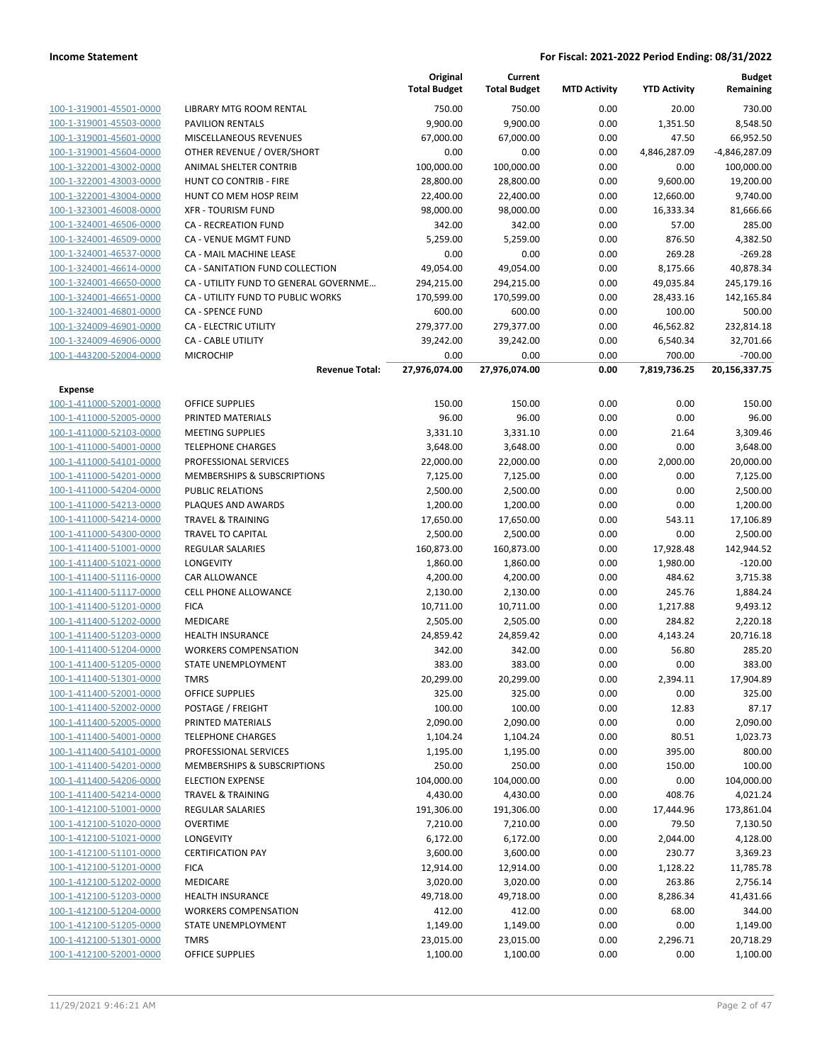|                                                    |                                       | Original<br><b>Total Budget</b> | Current<br><b>Total Budget</b> | <b>MTD Activity</b> | <b>YTD Activity</b> | <b>Budget</b><br>Remaining |
|----------------------------------------------------|---------------------------------------|---------------------------------|--------------------------------|---------------------|---------------------|----------------------------|
| 100-1-319001-45501-0000                            | LIBRARY MTG ROOM RENTAL               | 750.00                          | 750.00                         | 0.00                | 20.00               | 730.00                     |
| 100-1-319001-45503-0000                            | <b>PAVILION RENTALS</b>               | 9,900.00                        | 9,900.00                       | 0.00                | 1,351.50            | 8,548.50                   |
| 100-1-319001-45601-0000                            | MISCELLANEOUS REVENUES                | 67,000.00                       | 67,000.00                      | 0.00                | 47.50               | 66,952.50                  |
| 100-1-319001-45604-0000                            | OTHER REVENUE / OVER/SHORT            | 0.00                            | 0.00                           | 0.00                | 4,846,287.09        | -4,846,287.09              |
| 100-1-322001-43002-0000                            | ANIMAL SHELTER CONTRIB                | 100,000.00                      | 100,000.00                     | 0.00                | 0.00                | 100,000.00                 |
| 100-1-322001-43003-0000                            | HUNT CO CONTRIB - FIRE                | 28,800.00                       | 28,800.00                      | 0.00                | 9,600.00            | 19,200.00                  |
| 100-1-322001-43004-0000                            | HUNT CO MEM HOSP REIM                 | 22,400.00                       | 22,400.00                      | 0.00                | 12,660.00           | 9,740.00                   |
| 100-1-323001-46008-0000                            | <b>XFR - TOURISM FUND</b>             | 98,000.00                       | 98,000.00                      | 0.00                | 16,333.34           | 81,666.66                  |
| 100-1-324001-46506-0000                            | CA - RECREATION FUND                  | 342.00                          | 342.00                         | 0.00                | 57.00               | 285.00                     |
| 100-1-324001-46509-0000                            | CA - VENUE MGMT FUND                  | 5,259.00                        | 5,259.00                       | 0.00                | 876.50              | 4,382.50                   |
| 100-1-324001-46537-0000                            | CA - MAIL MACHINE LEASE               | 0.00                            | 0.00                           | 0.00                | 269.28              | $-269.28$                  |
| 100-1-324001-46614-0000                            | CA - SANITATION FUND COLLECTION       | 49,054.00                       | 49,054.00                      | 0.00                | 8,175.66            | 40,878.34                  |
| 100-1-324001-46650-0000                            | CA - UTILITY FUND TO GENERAL GOVERNME | 294,215.00                      | 294,215.00                     | 0.00                | 49,035.84           | 245,179.16                 |
| 100-1-324001-46651-0000                            | CA - UTILITY FUND TO PUBLIC WORKS     | 170,599.00                      | 170,599.00                     | 0.00                | 28,433.16           | 142,165.84                 |
| 100-1-324001-46801-0000                            | CA - SPENCE FUND                      | 600.00                          | 600.00                         | 0.00                | 100.00              | 500.00                     |
| 100-1-324009-46901-0000                            | CA - ELECTRIC UTILITY                 | 279,377.00                      | 279,377.00                     | 0.00                | 46,562.82           | 232,814.18                 |
| 100-1-324009-46906-0000                            | <b>CA - CABLE UTILITY</b>             | 39,242.00                       | 39,242.00                      | 0.00                | 6,540.34            | 32,701.66                  |
| 100-1-443200-52004-0000                            | <b>MICROCHIP</b>                      | 0.00                            | 0.00                           | 0.00                | 700.00              | $-700.00$                  |
|                                                    | <b>Revenue Total:</b>                 | 27,976,074.00                   | 27,976,074.00                  | 0.00                | 7,819,736.25        | 20,156,337.75              |
| Expense                                            |                                       |                                 |                                |                     |                     |                            |
| 100-1-411000-52001-0000                            | <b>OFFICE SUPPLIES</b>                | 150.00                          | 150.00                         | 0.00                | 0.00                | 150.00                     |
| 100-1-411000-52005-0000                            | PRINTED MATERIALS                     | 96.00                           | 96.00                          | 0.00                | 0.00                | 96.00                      |
| 100-1-411000-52103-0000                            | <b>MEETING SUPPLIES</b>               | 3,331.10                        | 3,331.10                       | 0.00                | 21.64               | 3,309.46                   |
| 100-1-411000-54001-0000                            | <b>TELEPHONE CHARGES</b>              | 3,648.00                        | 3,648.00                       | 0.00                | 0.00                | 3,648.00                   |
| 100-1-411000-54101-0000                            | PROFESSIONAL SERVICES                 | 22,000.00                       | 22,000.00                      | 0.00                | 2,000.00            | 20,000.00                  |
| 100-1-411000-54201-0000                            | MEMBERSHIPS & SUBSCRIPTIONS           | 7,125.00                        | 7,125.00                       | 0.00                | 0.00                | 7,125.00                   |
| 100-1-411000-54204-0000                            | <b>PUBLIC RELATIONS</b>               | 2,500.00                        | 2,500.00                       | 0.00                | 0.00                | 2,500.00                   |
| 100-1-411000-54213-0000                            | PLAQUES AND AWARDS                    | 1,200.00                        | 1,200.00                       | 0.00                | 0.00                | 1,200.00                   |
| 100-1-411000-54214-0000                            | <b>TRAVEL &amp; TRAINING</b>          | 17,650.00                       | 17,650.00                      | 0.00                | 543.11              | 17,106.89                  |
| 100-1-411000-54300-0000                            | <b>TRAVEL TO CAPITAL</b>              | 2,500.00                        | 2,500.00                       | 0.00                | 0.00                | 2,500.00                   |
| 100-1-411400-51001-0000                            | <b>REGULAR SALARIES</b>               | 160,873.00                      | 160,873.00                     | 0.00                | 17,928.48           | 142,944.52                 |
| 100-1-411400-51021-0000                            | LONGEVITY                             | 1,860.00                        | 1,860.00                       | 0.00                | 1,980.00            | $-120.00$                  |
| 100-1-411400-51116-0000                            | CAR ALLOWANCE                         | 4,200.00                        | 4,200.00                       | 0.00                | 484.62              | 3,715.38                   |
| 100-1-411400-51117-0000                            | CELL PHONE ALLOWANCE                  | 2,130.00                        | 2,130.00                       | 0.00                | 245.76              | 1,884.24                   |
| 100-1-411400-51201-0000                            | <b>FICA</b>                           | 10,711.00                       | 10,711.00                      | 0.00                | 1,217.88            | 9,493.12                   |
| 100-1-411400-51202-0000                            | <b>MEDICARE</b>                       | 2,505.00                        | 2,505.00                       | 0.00                | 284.82              | 2,220.18                   |
| 100-1-411400-51203-0000                            | <b>HEALTH INSURANCE</b>               | 24,859.42                       | 24,859.42                      | 0.00                | 4,143.24            | 20,716.18                  |
| 100-1-411400-51204-0000                            | <b>WORKERS COMPENSATION</b>           | 342.00                          | 342.00                         | 0.00                | 56.80               | 285.20                     |
| 100-1-411400-51205-0000<br>100-1-411400-51301-0000 | STATE UNEMPLOYMENT                    | 383.00                          | 383.00                         | 0.00                | 0.00                | 383.00                     |
|                                                    | <b>TMRS</b><br>OFFICE SUPPLIES        | 20,299.00                       | 20,299.00                      | 0.00                | 2,394.11            | 17,904.89                  |
| 100-1-411400-52001-0000<br>100-1-411400-52002-0000 | POSTAGE / FREIGHT                     | 325.00                          | 325.00                         | 0.00                | 0.00                | 325.00<br>87.17            |
| 100-1-411400-52005-0000                            | PRINTED MATERIALS                     | 100.00<br>2,090.00              | 100.00<br>2,090.00             | 0.00<br>0.00        | 12.83<br>0.00       | 2,090.00                   |
| 100-1-411400-54001-0000                            | <b>TELEPHONE CHARGES</b>              | 1,104.24                        | 1,104.24                       | 0.00                | 80.51               | 1,023.73                   |
| 100-1-411400-54101-0000                            | PROFESSIONAL SERVICES                 | 1,195.00                        | 1,195.00                       | 0.00                | 395.00              | 800.00                     |
| 100-1-411400-54201-0000                            | MEMBERSHIPS & SUBSCRIPTIONS           | 250.00                          | 250.00                         | 0.00                | 150.00              | 100.00                     |
| 100-1-411400-54206-0000                            | <b>ELECTION EXPENSE</b>               | 104,000.00                      | 104,000.00                     | 0.00                | 0.00                | 104,000.00                 |
| 100-1-411400-54214-0000                            | <b>TRAVEL &amp; TRAINING</b>          | 4,430.00                        | 4,430.00                       | 0.00                | 408.76              | 4,021.24                   |
| 100-1-412100-51001-0000                            | <b>REGULAR SALARIES</b>               | 191,306.00                      | 191,306.00                     | 0.00                | 17,444.96           | 173,861.04                 |
| 100-1-412100-51020-0000                            | <b>OVERTIME</b>                       | 7,210.00                        | 7,210.00                       | 0.00                | 79.50               | 7,130.50                   |
| 100-1-412100-51021-0000                            | LONGEVITY                             | 6,172.00                        | 6,172.00                       | 0.00                | 2,044.00            | 4,128.00                   |
| 100-1-412100-51101-0000                            | <b>CERTIFICATION PAY</b>              | 3,600.00                        | 3,600.00                       | 0.00                | 230.77              | 3,369.23                   |
| 100-1-412100-51201-0000                            | <b>FICA</b>                           | 12,914.00                       | 12,914.00                      | 0.00                | 1,128.22            | 11,785.78                  |
| 100-1-412100-51202-0000                            | MEDICARE                              | 3,020.00                        | 3,020.00                       | 0.00                | 263.86              | 2,756.14                   |
| 100-1-412100-51203-0000                            | <b>HEALTH INSURANCE</b>               | 49,718.00                       | 49,718.00                      | 0.00                | 8,286.34            | 41,431.66                  |
| 100-1-412100-51204-0000                            | <b>WORKERS COMPENSATION</b>           | 412.00                          | 412.00                         | 0.00                | 68.00               | 344.00                     |
| 100-1-412100-51205-0000                            | STATE UNEMPLOYMENT                    | 1,149.00                        | 1,149.00                       | 0.00                | 0.00                | 1,149.00                   |
| 100-1-412100-51301-0000                            | <b>TMRS</b>                           | 23,015.00                       | 23,015.00                      | 0.00                | 2,296.71            | 20,718.29                  |
| 100-1-412100-52001-0000                            | <b>OFFICE SUPPLIES</b>                | 1,100.00                        | 1,100.00                       | 0.00                | 0.00                | 1,100.00                   |
|                                                    |                                       |                                 |                                |                     |                     |                            |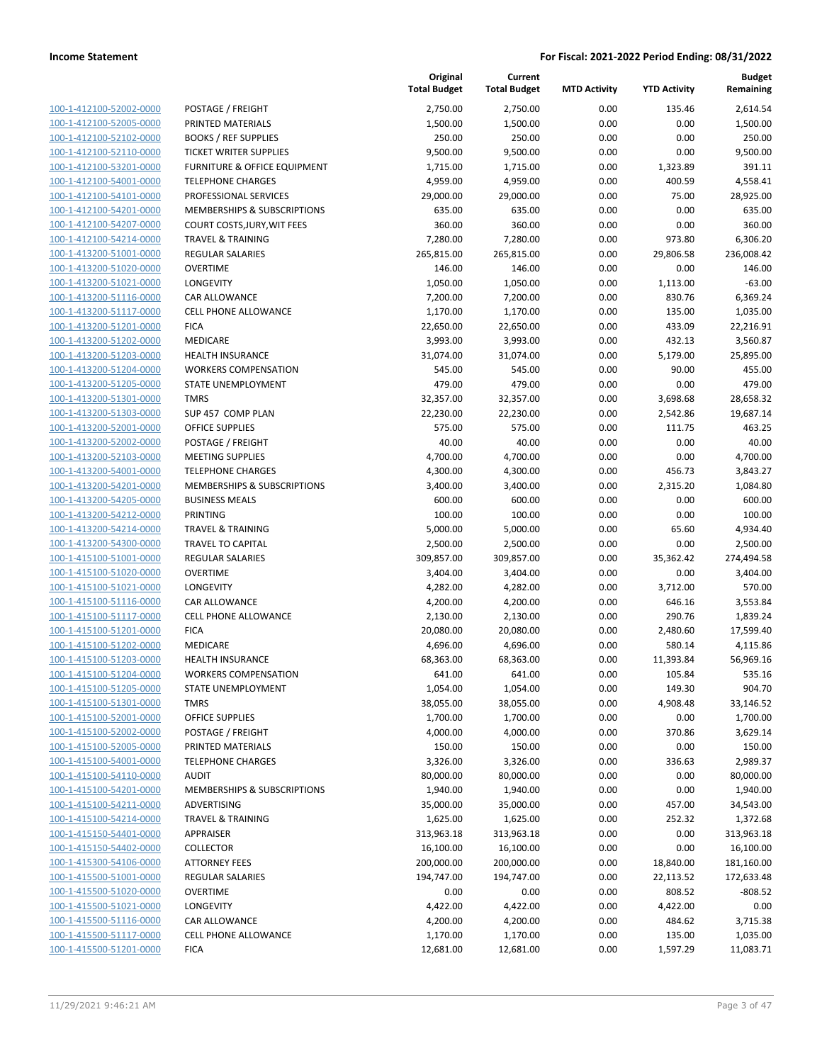|                                                    |                                                          | Original<br><b>Total Budget</b> | Current<br><b>Total Budget</b> | <b>MTD Activity</b> | <b>YTD Activity</b> | <b>Budget</b><br>Remaining |
|----------------------------------------------------|----------------------------------------------------------|---------------------------------|--------------------------------|---------------------|---------------------|----------------------------|
| 100-1-412100-52002-0000                            | POSTAGE / FREIGHT                                        | 2,750.00                        | 2,750.00                       | 0.00                | 135.46              | 2,614.54                   |
| 100-1-412100-52005-0000                            | PRINTED MATERIALS                                        | 1,500.00                        | 1,500.00                       | 0.00                | 0.00                | 1,500.00                   |
| 100-1-412100-52102-0000                            | <b>BOOKS / REF SUPPLIES</b>                              | 250.00                          | 250.00                         | 0.00                | 0.00                | 250.00                     |
| 100-1-412100-52110-0000                            | <b>TICKET WRITER SUPPLIES</b>                            | 9,500.00                        | 9,500.00                       | 0.00                | 0.00                | 9,500.00                   |
| 100-1-412100-53201-0000                            | <b>FURNITURE &amp; OFFICE EQUIPMENT</b>                  | 1,715.00                        | 1,715.00                       | 0.00                | 1,323.89            | 391.11                     |
| 100-1-412100-54001-0000                            | <b>TELEPHONE CHARGES</b>                                 | 4,959.00                        | 4,959.00                       | 0.00                | 400.59              | 4,558.41                   |
| 100-1-412100-54101-0000                            | PROFESSIONAL SERVICES                                    | 29,000.00                       | 29,000.00                      | 0.00                | 75.00               | 28,925.00                  |
| 100-1-412100-54201-0000                            | MEMBERSHIPS & SUBSCRIPTIONS                              | 635.00                          | 635.00                         | 0.00                | 0.00                | 635.00                     |
| 100-1-412100-54207-0000                            | COURT COSTS, JURY, WIT FEES                              | 360.00                          | 360.00                         | 0.00                | 0.00                | 360.00                     |
| 100-1-412100-54214-0000                            | <b>TRAVEL &amp; TRAINING</b>                             | 7,280.00                        | 7,280.00                       | 0.00                | 973.80              | 6,306.20                   |
| 100-1-413200-51001-0000                            | REGULAR SALARIES                                         | 265,815.00                      | 265,815.00                     | 0.00                | 29,806.58           | 236,008.42                 |
| 100-1-413200-51020-0000                            | <b>OVERTIME</b>                                          | 146.00                          | 146.00                         | 0.00                | 0.00                | 146.00                     |
| 100-1-413200-51021-0000                            | LONGEVITY                                                | 1,050.00                        | 1,050.00                       | 0.00                | 1,113.00            | $-63.00$                   |
| 100-1-413200-51116-0000                            | CAR ALLOWANCE                                            | 7,200.00                        | 7,200.00                       | 0.00                | 830.76              | 6,369.24                   |
| 100-1-413200-51117-0000                            | CELL PHONE ALLOWANCE                                     | 1,170.00                        | 1,170.00                       | 0.00                | 135.00              | 1,035.00                   |
| 100-1-413200-51201-0000                            | <b>FICA</b>                                              | 22,650.00                       | 22,650.00                      | 0.00                | 433.09              | 22,216.91                  |
| 100-1-413200-51202-0000                            | <b>MEDICARE</b>                                          | 3,993.00                        | 3,993.00                       | 0.00                | 432.13              | 3,560.87                   |
| 100-1-413200-51203-0000                            | <b>HEALTH INSURANCE</b>                                  | 31,074.00                       | 31,074.00                      | 0.00                | 5,179.00            | 25,895.00                  |
| 100-1-413200-51204-0000                            | <b>WORKERS COMPENSATION</b>                              | 545.00                          | 545.00                         | 0.00                | 90.00               | 455.00                     |
| 100-1-413200-51205-0000                            | STATE UNEMPLOYMENT                                       | 479.00                          | 479.00                         | 0.00                | 0.00                | 479.00                     |
| 100-1-413200-51301-0000                            | <b>TMRS</b>                                              | 32,357.00                       | 32,357.00                      | 0.00                | 3,698.68            | 28,658.32                  |
| 100-1-413200-51303-0000                            | SUP 457 COMP PLAN                                        | 22,230.00                       | 22,230.00                      | 0.00                | 2,542.86            | 19,687.14                  |
| 100-1-413200-52001-0000                            | <b>OFFICE SUPPLIES</b>                                   | 575.00                          | 575.00                         | 0.00                | 111.75              | 463.25                     |
| 100-1-413200-52002-0000                            | POSTAGE / FREIGHT                                        | 40.00                           | 40.00                          | 0.00                | 0.00                | 40.00                      |
| 100-1-413200-52103-0000                            | <b>MEETING SUPPLIES</b>                                  | 4,700.00                        | 4,700.00                       | 0.00                | 0.00                | 4,700.00                   |
| 100-1-413200-54001-0000                            | <b>TELEPHONE CHARGES</b>                                 | 4,300.00                        | 4,300.00                       | 0.00                | 456.73              | 3,843.27                   |
| 100-1-413200-54201-0000                            | MEMBERSHIPS & SUBSCRIPTIONS                              | 3,400.00                        | 3,400.00                       | 0.00                | 2,315.20            | 1,084.80                   |
| 100-1-413200-54205-0000                            | <b>BUSINESS MEALS</b>                                    | 600.00                          | 600.00                         | 0.00                | 0.00                | 600.00                     |
| 100-1-413200-54212-0000<br>100-1-413200-54214-0000 | <b>PRINTING</b>                                          | 100.00<br>5,000.00              | 100.00<br>5,000.00             | 0.00<br>0.00        | 0.00<br>65.60       | 100.00                     |
| 100-1-413200-54300-0000                            | <b>TRAVEL &amp; TRAINING</b><br><b>TRAVEL TO CAPITAL</b> | 2,500.00                        | 2,500.00                       | 0.00                | 0.00                | 4,934.40<br>2,500.00       |
| 100-1-415100-51001-0000                            | <b>REGULAR SALARIES</b>                                  | 309,857.00                      | 309,857.00                     | 0.00                | 35,362.42           | 274,494.58                 |
| 100-1-415100-51020-0000                            | <b>OVERTIME</b>                                          | 3,404.00                        | 3,404.00                       | 0.00                | 0.00                | 3,404.00                   |
| 100-1-415100-51021-0000                            | <b>LONGEVITY</b>                                         | 4,282.00                        | 4,282.00                       | 0.00                | 3,712.00            | 570.00                     |
| 100-1-415100-51116-0000                            | CAR ALLOWANCE                                            | 4,200.00                        | 4,200.00                       | 0.00                | 646.16              | 3,553.84                   |
| 100-1-415100-51117-0000                            | <b>CELL PHONE ALLOWANCE</b>                              | 2,130.00                        | 2,130.00                       | 0.00                | 290.76              | 1,839.24                   |
| 100-1-415100-51201-0000                            | <b>FICA</b>                                              | 20,080.00                       | 20,080.00                      | 0.00                | 2,480.60            | 17,599.40                  |
| 100-1-415100-51202-0000                            | MEDICARE                                                 | 4,696.00                        | 4,696.00                       | 0.00                | 580.14              | 4,115.86                   |
| 100-1-415100-51203-0000                            | <b>HEALTH INSURANCE</b>                                  | 68,363.00                       | 68,363.00                      | 0.00                | 11,393.84           | 56,969.16                  |
| 100-1-415100-51204-0000                            | <b>WORKERS COMPENSATION</b>                              | 641.00                          | 641.00                         | 0.00                | 105.84              | 535.16                     |
| 100-1-415100-51205-0000                            | STATE UNEMPLOYMENT                                       | 1,054.00                        | 1,054.00                       | 0.00                | 149.30              | 904.70                     |
| 100-1-415100-51301-0000                            | <b>TMRS</b>                                              | 38,055.00                       | 38,055.00                      | 0.00                | 4,908.48            | 33,146.52                  |
| 100-1-415100-52001-0000                            | <b>OFFICE SUPPLIES</b>                                   | 1,700.00                        | 1,700.00                       | 0.00                | 0.00                | 1,700.00                   |
| 100-1-415100-52002-0000                            | POSTAGE / FREIGHT                                        | 4,000.00                        | 4,000.00                       | 0.00                | 370.86              | 3,629.14                   |
| 100-1-415100-52005-0000                            | PRINTED MATERIALS                                        | 150.00                          | 150.00                         | 0.00                | 0.00                | 150.00                     |
| 100-1-415100-54001-0000                            | <b>TELEPHONE CHARGES</b>                                 | 3,326.00                        | 3,326.00                       | 0.00                | 336.63              | 2,989.37                   |
| 100-1-415100-54110-0000                            | <b>AUDIT</b>                                             | 80,000.00                       | 80,000.00                      | 0.00                | 0.00                | 80,000.00                  |
| 100-1-415100-54201-0000                            | MEMBERSHIPS & SUBSCRIPTIONS                              | 1,940.00                        | 1,940.00                       | 0.00                | 0.00                | 1,940.00                   |
| 100-1-415100-54211-0000                            | ADVERTISING                                              | 35,000.00                       | 35,000.00                      | 0.00                | 457.00              | 34,543.00                  |
| 100-1-415100-54214-0000                            | <b>TRAVEL &amp; TRAINING</b>                             | 1,625.00                        | 1,625.00                       | 0.00                | 252.32              | 1,372.68                   |
| 100-1-415150-54401-0000                            | APPRAISER                                                | 313,963.18                      | 313,963.18                     | 0.00                | 0.00                | 313,963.18                 |
| 100-1-415150-54402-0000                            | COLLECTOR                                                | 16,100.00                       | 16,100.00                      | 0.00                | 0.00                | 16,100.00                  |
| 100-1-415300-54106-0000                            | <b>ATTORNEY FEES</b>                                     | 200,000.00                      | 200,000.00                     | 0.00                | 18,840.00           | 181,160.00                 |
| 100-1-415500-51001-0000                            | <b>REGULAR SALARIES</b>                                  | 194,747.00                      | 194,747.00                     | 0.00                | 22,113.52           | 172,633.48                 |
| 100-1-415500-51020-0000                            | <b>OVERTIME</b>                                          | 0.00                            | 0.00                           | 0.00                | 808.52              | $-808.52$                  |
| 100-1-415500-51021-0000                            | LONGEVITY                                                | 4,422.00                        | 4,422.00                       | 0.00                | 4,422.00            | 0.00                       |
| 100-1-415500-51116-0000                            | CAR ALLOWANCE                                            | 4,200.00                        | 4,200.00                       | 0.00                | 484.62              | 3,715.38                   |
| 100-1-415500-51117-0000                            | <b>CELL PHONE ALLOWANCE</b>                              | 1,170.00                        | 1,170.00                       | 0.00                | 135.00              | 1,035.00                   |
| 100-1-415500-51201-0000                            | <b>FICA</b>                                              | 12,681.00                       | 12,681.00                      | 0.00                | 1,597.29            | 11,083.71                  |
|                                                    |                                                          |                                 |                                |                     |                     |                            |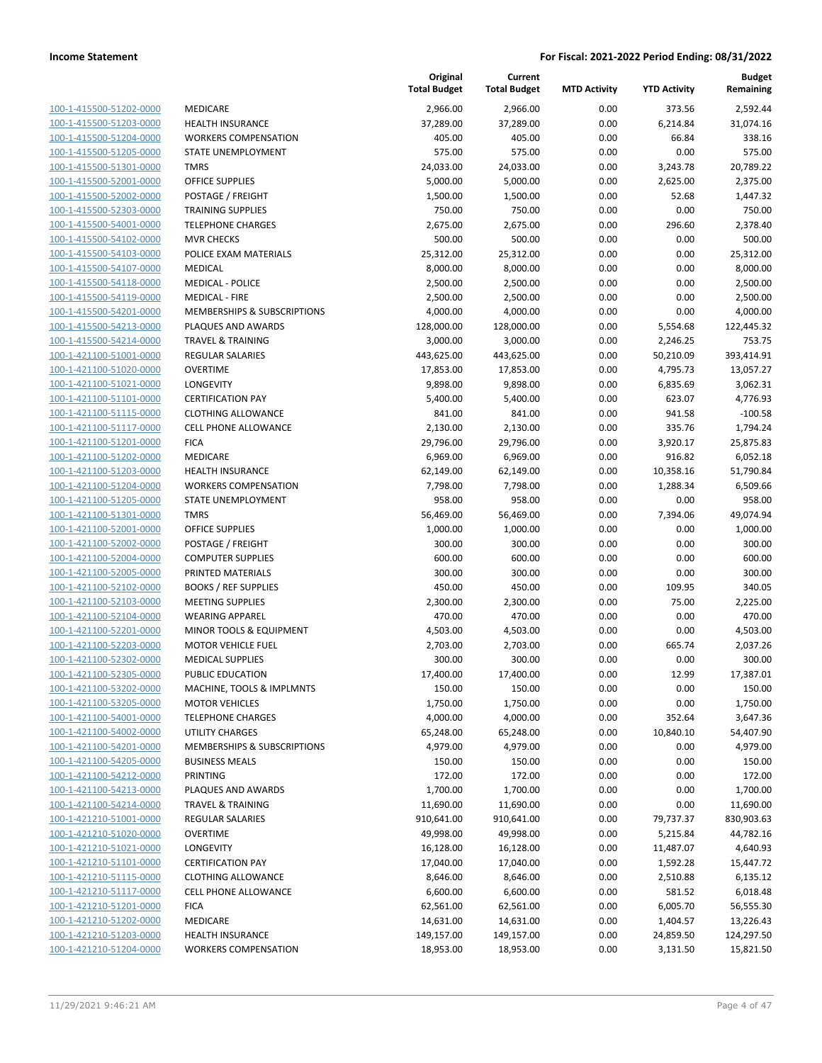| 100-1-415500-51202-0000         |
|---------------------------------|
| 100-1-415500-51203-0000         |
| 100-1-415500-51204-0000         |
| 100-1-415500-51205-0000         |
| 100-1-415500-51301-0000         |
| 100-1-415500-52001-0000         |
| 100-1-415500-52002-0000         |
| 100-1-415500-52303-0000         |
| 100-1-415500-54001-0000         |
| 100-1-415500-54102-0000         |
| 100-1-415500-54103-0000         |
| 100-1-415500-54107-0000         |
|                                 |
| 100-1-415500-54118-0000         |
| 100-1-415500-54119-0000         |
| 100-1-415500-54201-0000         |
| 100-1-415500-54213-0000         |
| 100-1-415500-54214-0000         |
| 100-1-421100-51001-0000         |
| 100-1-421100-51020-0000         |
| 100-1-421100-51021-0000         |
| 1-421100-51101-0000<br>100-     |
| 100-1-421100-51115-0000         |
| 100-1-421100-51117-0000         |
| 100-1-421100-51201-0000         |
|                                 |
| 100-1-421100-51202-0000         |
| 100-1-421100-51203-0000         |
| 100-1-421100-51204-0000         |
| 100-1-421100-51205-0000         |
| 100-1-421100-51301-0000         |
| 100-1-421100-52001-0000         |
| 1-421100-52002-0000<br>100-     |
| 100-1-421100-52004-0000         |
| 100-1-421100-52005-0000         |
| 100-1-421100-52102-0000         |
| 100-1-421100-52103-0000         |
| 100-1-421100-52104-0000         |
| 100-1-421100-52201-0000         |
| 100-1-421100-52203-0000         |
|                                 |
| 100-1-421100-52302-0000         |
| 100-1-421100-52305-0000         |
| -421100-53202-0000<br>$100 - 1$ |
| <u>100-1-421100-53205-0000</u>  |
| 100-1-421100-54001-0000         |
| <u>100-1-421100-54002-0000</u>  |
| 100-1-421100-54201-0000         |
| 100-1-421100-54205-0000         |
| 100-1-421100-54212-0000         |
| 100-1-421100-54213-0000         |
| <u>100-1-421100-54214-0000</u>  |
| 100-1-421210-51001-0000         |
| 100-1-421210-51020-0000         |
|                                 |
| 100-1-421210-51021-0000         |
| 100-1-421210-51101-0000         |
| <u>100-1-421210-51115-0000</u>  |
| 100-1-421210-51117-0000         |
| 100-1-421210-51201-0000         |
| 100-1-421210-51202-0000         |
| <u>100-1-421210-51203-0000</u>  |
| 100-1-421210-51204-0000         |
|                                 |

|                         |                              | Original<br><b>Total Budget</b> | Current<br><b>Total Budget</b> | <b>MTD Activity</b> | <b>YTD Activity</b> | <b>Budget</b><br>Remaining |
|-------------------------|------------------------------|---------------------------------|--------------------------------|---------------------|---------------------|----------------------------|
| 100-1-415500-51202-0000 | MEDICARE                     | 2,966.00                        | 2,966.00                       | 0.00                | 373.56              | 2,592.44                   |
| 100-1-415500-51203-0000 | <b>HEALTH INSURANCE</b>      | 37,289.00                       | 37,289.00                      | 0.00                | 6,214.84            | 31,074.16                  |
| 100-1-415500-51204-0000 | <b>WORKERS COMPENSATION</b>  | 405.00                          | 405.00                         | 0.00                | 66.84               | 338.16                     |
| 100-1-415500-51205-0000 | STATE UNEMPLOYMENT           | 575.00                          | 575.00                         | 0.00                | 0.00                | 575.00                     |
| 100-1-415500-51301-0000 | <b>TMRS</b>                  | 24,033.00                       | 24,033.00                      | 0.00                | 3,243.78            | 20,789.22                  |
| 100-1-415500-52001-0000 | <b>OFFICE SUPPLIES</b>       | 5,000.00                        | 5,000.00                       | 0.00                | 2,625.00            | 2,375.00                   |
| 100-1-415500-52002-0000 | POSTAGE / FREIGHT            | 1,500.00                        | 1,500.00                       | 0.00                | 52.68               | 1,447.32                   |
| 100-1-415500-52303-0000 | <b>TRAINING SUPPLIES</b>     | 750.00                          | 750.00                         | 0.00                | 0.00                | 750.00                     |
| 100-1-415500-54001-0000 | <b>TELEPHONE CHARGES</b>     | 2,675.00                        | 2,675.00                       | 0.00                | 296.60              | 2,378.40                   |
| 100-1-415500-54102-0000 | <b>MVR CHECKS</b>            | 500.00                          | 500.00                         | 0.00                | 0.00                | 500.00                     |
| 100-1-415500-54103-0000 | POLICE EXAM MATERIALS        | 25,312.00                       | 25,312.00                      | 0.00                | 0.00                | 25,312.00                  |
| 100-1-415500-54107-0000 | MEDICAL                      | 8,000.00                        | 8,000.00                       | 0.00                | 0.00                | 8,000.00                   |
| 100-1-415500-54118-0000 | <b>MEDICAL - POLICE</b>      | 2,500.00                        | 2,500.00                       | 0.00                | 0.00                | 2,500.00                   |
| 100-1-415500-54119-0000 | <b>MEDICAL - FIRE</b>        | 2,500.00                        | 2,500.00                       | 0.00                | 0.00                | 2,500.00                   |
| 100-1-415500-54201-0000 | MEMBERSHIPS & SUBSCRIPTIONS  | 4,000.00                        | 4,000.00                       | 0.00                | 0.00                | 4,000.00                   |
| 100-1-415500-54213-0000 | PLAQUES AND AWARDS           | 128,000.00                      | 128,000.00                     | 0.00                | 5,554.68            | 122,445.32                 |
| 100-1-415500-54214-0000 | <b>TRAVEL &amp; TRAINING</b> | 3,000.00                        | 3,000.00                       | 0.00                | 2,246.25            | 753.75                     |
| 100-1-421100-51001-0000 | <b>REGULAR SALARIES</b>      | 443,625.00                      | 443,625.00                     | 0.00                | 50,210.09           | 393,414.91                 |
| 100-1-421100-51020-0000 | <b>OVERTIME</b>              | 17,853.00                       | 17,853.00                      | 0.00                | 4,795.73            | 13,057.27                  |
| 100-1-421100-51021-0000 | LONGEVITY                    | 9,898.00                        | 9,898.00                       | 0.00                | 6,835.69            | 3,062.31                   |
| 100-1-421100-51101-0000 | <b>CERTIFICATION PAY</b>     | 5,400.00                        | 5,400.00                       | 0.00                | 623.07              | 4,776.93                   |
| 100-1-421100-51115-0000 | <b>CLOTHING ALLOWANCE</b>    | 841.00                          | 841.00                         | 0.00                | 941.58              | $-100.58$                  |
| 100-1-421100-51117-0000 | <b>CELL PHONE ALLOWANCE</b>  | 2,130.00                        | 2,130.00                       | 0.00                | 335.76              | 1,794.24                   |
| 100-1-421100-51201-0000 | <b>FICA</b>                  | 29,796.00                       | 29,796.00                      | 0.00                | 3,920.17            | 25,875.83                  |
| 100-1-421100-51202-0000 | MEDICARE                     | 6,969.00                        | 6,969.00                       | 0.00                | 916.82              | 6,052.18                   |
| 100-1-421100-51203-0000 | <b>HEALTH INSURANCE</b>      | 62,149.00                       | 62,149.00                      | 0.00                | 10,358.16           | 51,790.84                  |
| 100-1-421100-51204-0000 | <b>WORKERS COMPENSATION</b>  | 7,798.00                        | 7,798.00                       | 0.00                | 1,288.34            | 6,509.66                   |
| 100-1-421100-51205-0000 | STATE UNEMPLOYMENT           | 958.00                          | 958.00                         | 0.00                | 0.00                | 958.00                     |
| 100-1-421100-51301-0000 | <b>TMRS</b>                  | 56,469.00                       | 56,469.00                      | 0.00                | 7,394.06            | 49,074.94                  |
| 100-1-421100-52001-0000 | <b>OFFICE SUPPLIES</b>       | 1,000.00                        | 1,000.00                       | 0.00                | 0.00                | 1,000.00                   |
| 100-1-421100-52002-0000 | POSTAGE / FREIGHT            | 300.00                          | 300.00                         | 0.00                | 0.00                | 300.00                     |
| 100-1-421100-52004-0000 | <b>COMPUTER SUPPLIES</b>     | 600.00                          | 600.00                         | 0.00                | 0.00                | 600.00                     |
| 100-1-421100-52005-0000 | PRINTED MATERIALS            | 300.00                          | 300.00                         | 0.00                | 0.00                | 300.00                     |
| 100-1-421100-52102-0000 | <b>BOOKS / REF SUPPLIES</b>  | 450.00                          | 450.00                         | 0.00                | 109.95              | 340.05                     |
| 100-1-421100-52103-0000 | <b>MEETING SUPPLIES</b>      | 2,300.00                        | 2,300.00                       | 0.00                | 75.00               | 2,225.00                   |
| 100-1-421100-52104-0000 | <b>WEARING APPAREL</b>       | 470.00                          | 470.00                         | 0.00                | 0.00                | 470.00                     |
| 100-1-421100-52201-0000 | MINOR TOOLS & EQUIPMENT      | 4,503.00                        | 4,503.00                       | 0.00                | 0.00                | 4,503.00                   |
| 100-1-421100-52203-0000 | <b>MOTOR VEHICLE FUEL</b>    | 2,703.00                        | 2,703.00                       | 0.00                | 665.74              | 2,037.26                   |
| 100-1-421100-52302-0000 | <b>MEDICAL SUPPLIES</b>      | 300.00                          | 300.00                         | 0.00                | 0.00                | 300.00                     |
| 100-1-421100-52305-0000 | PUBLIC EDUCATION             | 17,400.00                       | 17,400.00                      | 0.00                | 12.99               | 17,387.01                  |
| 100-1-421100-53202-0000 | MACHINE, TOOLS & IMPLMNTS    | 150.00                          | 150.00                         | 0.00                | 0.00                | 150.00                     |
| 100-1-421100-53205-0000 | <b>MOTOR VEHICLES</b>        | 1,750.00                        | 1,750.00                       | 0.00                | 0.00                | 1,750.00                   |
| 100-1-421100-54001-0000 | <b>TELEPHONE CHARGES</b>     | 4,000.00                        | 4,000.00                       | 0.00                | 352.64              | 3,647.36                   |
| 100-1-421100-54002-0000 | <b>UTILITY CHARGES</b>       | 65,248.00                       | 65,248.00                      | 0.00                | 10,840.10           | 54,407.90                  |
| 100-1-421100-54201-0000 | MEMBERSHIPS & SUBSCRIPTIONS  | 4,979.00                        | 4,979.00                       | 0.00                | 0.00                | 4,979.00                   |
| 100-1-421100-54205-0000 | <b>BUSINESS MEALS</b>        | 150.00                          | 150.00                         | 0.00                | 0.00                | 150.00                     |
| 100-1-421100-54212-0000 | PRINTING                     | 172.00                          | 172.00                         | 0.00                | 0.00                | 172.00                     |
| 100-1-421100-54213-0000 | PLAQUES AND AWARDS           | 1,700.00                        | 1,700.00                       | 0.00                | 0.00                | 1,700.00                   |
| 100-1-421100-54214-0000 | <b>TRAVEL &amp; TRAINING</b> | 11,690.00                       | 11,690.00                      | 0.00                | 0.00                | 11,690.00                  |
| 100-1-421210-51001-0000 | REGULAR SALARIES             | 910,641.00                      | 910,641.00                     | 0.00                | 79,737.37           | 830,903.63                 |
| 100-1-421210-51020-0000 | <b>OVERTIME</b>              | 49,998.00                       | 49,998.00                      | 0.00                | 5,215.84            | 44,782.16                  |
| 100-1-421210-51021-0000 | LONGEVITY                    | 16,128.00                       | 16,128.00                      | 0.00                | 11,487.07           | 4,640.93                   |
| 100-1-421210-51101-0000 | <b>CERTIFICATION PAY</b>     | 17,040.00                       | 17,040.00                      | 0.00                | 1,592.28            | 15,447.72                  |
| 100-1-421210-51115-0000 | <b>CLOTHING ALLOWANCE</b>    | 8,646.00                        | 8,646.00                       | 0.00                | 2,510.88            | 6,135.12                   |
| 100-1-421210-51117-0000 | <b>CELL PHONE ALLOWANCE</b>  | 6,600.00                        | 6,600.00                       | 0.00                | 581.52              | 6,018.48                   |
| 100-1-421210-51201-0000 | <b>FICA</b>                  | 62,561.00                       | 62,561.00                      | 0.00                | 6,005.70            | 56,555.30                  |
| 100-1-421210-51202-0000 | MEDICARE                     | 14,631.00                       | 14,631.00                      | 0.00                | 1,404.57            | 13,226.43                  |
| 100-1-421210-51203-0000 | HEALTH INSURANCE             | 149,157.00                      | 149,157.00                     | 0.00                | 24,859.50           | 124,297.50                 |
| 100-1-421210-51204-0000 | <b>WORKERS COMPENSATION</b>  | 18,953.00                       | 18,953.00                      | 0.00                | 3,131.50            | 15,821.50                  |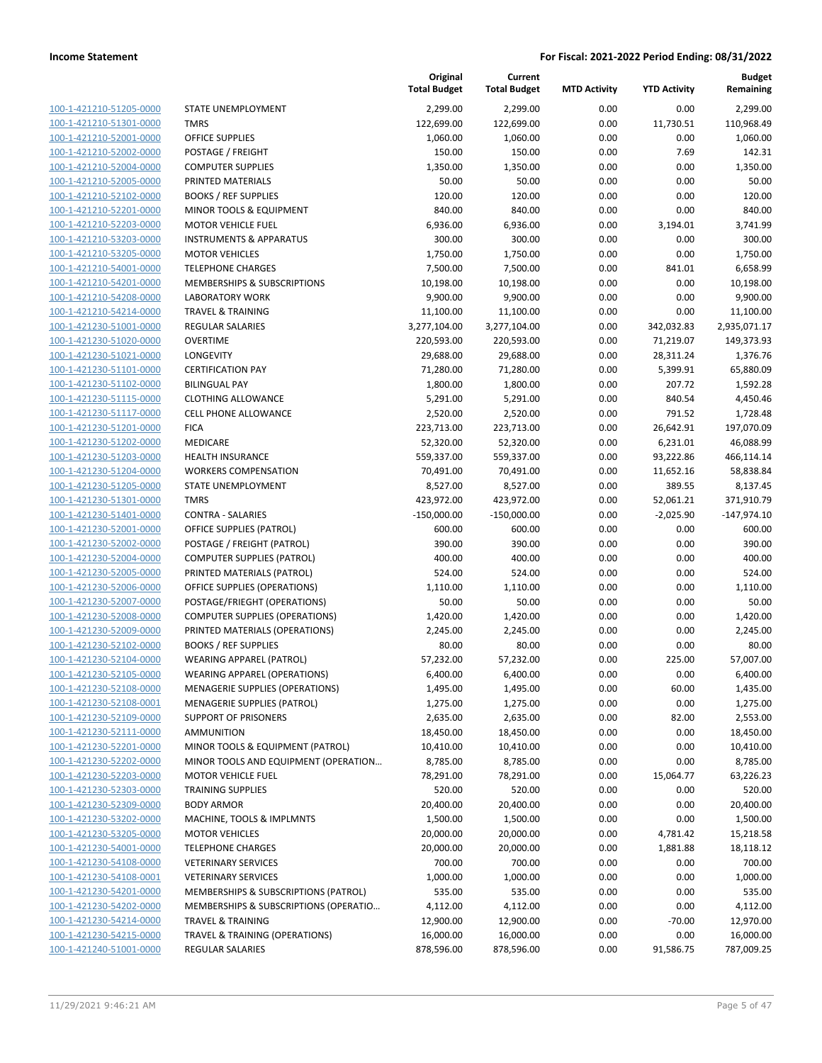100-1-421210-51205-0000 100-1-421210-51301-0000 100-1-421210-52001-0000 100-1-421210-52002-0000 100-1-421210-52004-0000 100-1-421210-52005-0000 100-1-421210-52102-0000 100-1-421210-52201-0000 100-1-421210-52203-0000 100-1-421210-53203-0000 100-1-421210-53205-0000 100-1-421210-54001-0000 100-1-421210-54201-0000 100-1-421210-54208-0000 100-1-421210-54214-0000 100-1-421230-51001-0000 100-1-421230-51020-0000 100-1-421230-51021-0000 100-1-421230-51101-0000 100-1-421230-51102-0000 100-1-421230-51115-0000 100-1-421230-51117-0000 100-1-421230-51201-0000 100-1-421230-51202-0000 100-1-421230-51203-0000 100-1-421230-51204-0000 100-1-421230-51205-0000 100-1-421230-51301-0000 100-1-421230-51401-0000 100-1-421230-52001-0000 100-1-421230-52002-0000 100-1-421230-52004-0000 100-1-421230-52005-0000 100-1-421230-52006-0000 100-1-421230-52007-0000 100-1-421230-52008-0000 100-1-421230-52009-0000 100-1-421230-52102-0000 BOOKS / REF SUPPLIES 80.00 80.00 0.00 0.00 80.00 100-1-421230-52104-0000 100-1-421230-52105-0000 100-1-421230-52108-0000 100-1-421230-52108-0001 100-1-421230-52109-0000 100-1-421230-52111-0000 100-1-421230-52201-0000 100-1-421230-52202-0000 100-1-421230-52203-0000 100-1-421230-52303-0000 TRAINING SUPPLIES 520.00 520.00 0.00 0.00 520.00 100-1-421230-52309-0000 100-1-421230-53202-0000 100-1-421230-53205-0000 100-1-421230-54001-0000 100-1-421230-54108-0000 100-1-421230-54108-0001 100-1-421230-54201-0000 100-1-421230-54202-0000 100-1-421230-54214-0000 100-1-421230-54215-0000 100-1-421240-51001-0000

|                                       | Original<br><b>Total Budget</b> | Current<br><b>Total Budget</b> | <b>MTD Activity</b> | <b>YTD Activity</b> | <b>Budget</b><br>Remaining |
|---------------------------------------|---------------------------------|--------------------------------|---------------------|---------------------|----------------------------|
| STATE UNEMPLOYMENT                    | 2,299.00                        | 2,299.00                       | 0.00                | 0.00                | 2,299.00                   |
| <b>TMRS</b>                           | 122,699.00                      | 122,699.00                     | 0.00                | 11,730.51           | 110,968.49                 |
| <b>OFFICE SUPPLIES</b>                | 1,060.00                        | 1,060.00                       | 0.00                | 0.00                | 1,060.00                   |
| POSTAGE / FREIGHT                     | 150.00                          | 150.00                         | 0.00                | 7.69                | 142.31                     |
| <b>COMPUTER SUPPLIES</b>              | 1,350.00                        | 1,350.00                       | 0.00                | 0.00                | 1,350.00                   |
| PRINTED MATERIALS                     | 50.00                           | 50.00                          | 0.00                | 0.00                | 50.00                      |
| <b>BOOKS / REF SUPPLIES</b>           | 120.00                          | 120.00                         | 0.00                | 0.00                | 120.00                     |
| MINOR TOOLS & EQUIPMENT               | 840.00                          | 840.00                         | 0.00                | 0.00                | 840.00                     |
| <b>MOTOR VEHICLE FUEL</b>             | 6,936.00                        | 6,936.00                       | 0.00                | 3,194.01            | 3,741.99                   |
| <b>INSTRUMENTS &amp; APPARATUS</b>    | 300.00                          | 300.00                         | 0.00                | 0.00                | 300.00                     |
| <b>MOTOR VEHICLES</b>                 | 1,750.00                        | 1,750.00                       | 0.00                | 0.00                | 1,750.00                   |
| <b>TELEPHONE CHARGES</b>              | 7,500.00                        | 7,500.00                       | 0.00                | 841.01              | 6,658.99                   |
| MEMBERSHIPS & SUBSCRIPTIONS           | 10,198.00                       | 10,198.00                      | 0.00                | 0.00                | 10,198.00                  |
| <b>LABORATORY WORK</b>                | 9,900.00                        | 9,900.00                       | 0.00                | 0.00                | 9,900.00                   |
| <b>TRAVEL &amp; TRAINING</b>          | 11,100.00                       | 11,100.00                      | 0.00                | 0.00                | 11,100.00                  |
| <b>REGULAR SALARIES</b>               | 3,277,104.00                    | 3,277,104.00                   | 0.00                | 342,032.83          | 2,935,071.17               |
| <b>OVERTIME</b>                       | 220,593.00                      | 220,593.00                     | 0.00                | 71,219.07           | 149,373.93                 |
| LONGEVITY                             | 29,688.00                       | 29,688.00                      | 0.00                | 28,311.24           | 1,376.76                   |
| <b>CERTIFICATION PAY</b>              | 71,280.00                       | 71,280.00                      | 0.00                | 5,399.91            | 65,880.09                  |
| <b>BILINGUAL PAY</b>                  | 1,800.00                        | 1,800.00                       | 0.00                | 207.72              | 1,592.28                   |
| <b>CLOTHING ALLOWANCE</b>             | 5,291.00                        | 5,291.00                       | 0.00                | 840.54              | 4,450.46                   |
| CELL PHONE ALLOWANCE                  | 2,520.00                        | 2,520.00                       | 0.00                | 791.52              | 1,728.48                   |
| <b>FICA</b>                           | 223,713.00                      | 223,713.00                     | 0.00                | 26,642.91           | 197,070.09                 |
| <b>MEDICARE</b>                       | 52,320.00                       | 52,320.00                      | 0.00                | 6,231.01            | 46,088.99                  |
| <b>HEALTH INSURANCE</b>               | 559,337.00                      | 559,337.00                     | 0.00                | 93,222.86           | 466,114.14                 |
| <b>WORKERS COMPENSATION</b>           | 70,491.00                       | 70,491.00                      | 0.00                | 11,652.16           | 58,838.84                  |
| STATE UNEMPLOYMENT                    | 8,527.00                        | 8,527.00                       | 0.00                | 389.55              | 8,137.45                   |
| <b>TMRS</b>                           | 423,972.00                      | 423,972.00                     | 0.00                | 52,061.21           | 371,910.79                 |
| <b>CONTRA - SALARIES</b>              | $-150,000.00$                   | $-150,000.00$                  | 0.00                | $-2,025.90$         | $-147,974.10$              |
| OFFICE SUPPLIES (PATROL)              | 600.00                          | 600.00                         | 0.00                | 0.00                | 600.00                     |
| POSTAGE / FREIGHT (PATROL)            | 390.00                          | 390.00                         | 0.00                | 0.00                | 390.00                     |
| COMPUTER SUPPLIES (PATROL)            | 400.00                          | 400.00                         | 0.00                | 0.00                | 400.00                     |
| PRINTED MATERIALS (PATROL)            | 524.00                          | 524.00                         | 0.00                | 0.00                | 524.00                     |
| OFFICE SUPPLIES (OPERATIONS)          | 1,110.00                        | 1,110.00                       | 0.00                | 0.00                | 1,110.00                   |
| POSTAGE/FRIEGHT (OPERATIONS)          | 50.00                           | 50.00                          | 0.00                | 0.00                | 50.00                      |
| <b>COMPUTER SUPPLIES (OPERATIONS)</b> | 1,420.00                        | 1,420.00                       | 0.00                | 0.00                | 1,420.00                   |
| PRINTED MATERIALS (OPERATIONS)        | 2,245.00                        | 2,245.00                       | 0.00                | 0.00                | 2,245.00                   |
| <b>BOOKS / REF SUPPLIES</b>           | 80.00                           | 80.00                          | 0.00                | 0.00                | 80.00                      |
| <b>WEARING APPAREL (PATROL)</b>       | 57,232.00                       | 57,232.00                      | 0.00                | 225.00              | 57,007.00                  |
| <b>WEARING APPAREL (OPERATIONS)</b>   | 6,400.00                        | 6,400.00                       | 0.00                | 0.00                | 6,400.00                   |
| MENAGERIE SUPPLIES (OPERATIONS)       | 1,495.00                        | 1,495.00                       | 0.00                | 60.00               | 1,435.00                   |
| MENAGERIE SUPPLIES (PATROL)           | 1,275.00                        | 1,275.00                       | 0.00                | 0.00                | 1,275.00                   |
| SUPPORT OF PRISONERS                  | 2,635.00                        | 2,635.00                       | 0.00                | 82.00               | 2,553.00                   |
| <b>AMMUNITION</b>                     | 18,450.00                       | 18,450.00                      | 0.00                | 0.00                | 18,450.00                  |
| MINOR TOOLS & EQUIPMENT (PATROL)      | 10,410.00                       | 10,410.00                      | 0.00                | 0.00                | 10,410.00                  |
| MINOR TOOLS AND EQUIPMENT (OPERATION  | 8,785.00                        | 8,785.00                       | 0.00                | 0.00                | 8,785.00                   |
| <b>MOTOR VEHICLE FUEL</b>             | 78,291.00                       | 78,291.00                      | 0.00                | 15,064.77           | 63,226.23                  |
| <b>TRAINING SUPPLIES</b>              | 520.00                          | 520.00                         | 0.00                | 0.00                | 520.00                     |
| <b>BODY ARMOR</b>                     | 20,400.00                       | 20,400.00                      | 0.00                | 0.00                | 20,400.00                  |
| MACHINE, TOOLS & IMPLMNTS             | 1,500.00                        | 1,500.00                       | 0.00                | 0.00                | 1,500.00                   |
| <b>MOTOR VEHICLES</b>                 | 20,000.00                       | 20,000.00                      | 0.00                | 4,781.42            | 15,218.58                  |
| <b>TELEPHONE CHARGES</b>              | 20,000.00                       | 20,000.00                      | 0.00                | 1,881.88            | 18,118.12                  |
| <b>VETERINARY SERVICES</b>            | 700.00                          | 700.00                         | 0.00                | 0.00                | 700.00                     |
| <b>VETERINARY SERVICES</b>            | 1,000.00                        | 1,000.00                       | 0.00                | 0.00                | 1,000.00                   |
| MEMBERSHIPS & SUBSCRIPTIONS (PATROL)  | 535.00                          | 535.00                         | 0.00                | 0.00                | 535.00                     |
| MEMBERSHIPS & SUBSCRIPTIONS (OPERATIO | 4,112.00                        | 4,112.00                       | 0.00                | 0.00                | 4,112.00                   |
| <b>TRAVEL &amp; TRAINING</b>          | 12,900.00                       | 12,900.00                      | 0.00                | $-70.00$            | 12,970.00                  |
| TRAVEL & TRAINING (OPERATIONS)        | 16,000.00                       | 16,000.00                      | 0.00                | 0.00                | 16,000.00                  |
| REGULAR SALARIES                      | 878,596.00                      | 878,596.00                     | 0.00                | 91,586.75           | 787,009.25                 |
|                                       |                                 |                                |                     |                     |                            |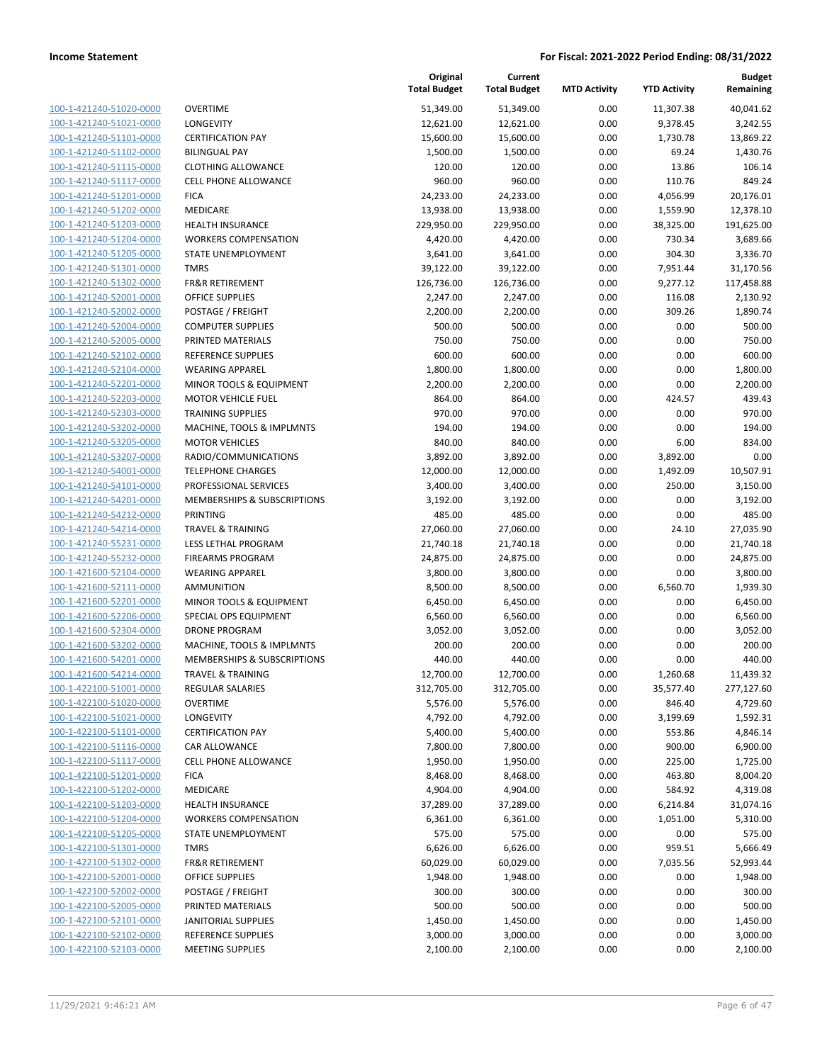| 100-1-421240-51020-0000        |
|--------------------------------|
| 100-1-421240-51021-0000        |
| 100-1-421240-51101-0000        |
| 100-1-421240-51102-0000        |
| <u>100-1-421240-51115-0000</u> |
| 100-1-421240-51117-0000        |
| 100-1-421240-51201-0000        |
| 100-1-421240-51202-0000        |
| 100-1-421240-51203-0000        |
| 100-1-421240-51204-0000        |
| 100-1-421240-51205-0000        |
| 100-1-421240-51301-0000        |
| 100-1-421240-51302-0000        |
| 100-1-421240-52001-0000        |
| <u>100-1-421240-52002-0000</u> |
| 100-1-421240-52004-0000        |
| 100-1-421240-52005-0000        |
| 100-1-421240-52102-0000        |
|                                |
| 100-1-421240-52104-0000        |
| 100-1-421240-52201-0000        |
| 100-1-421240-52203-0000        |
| 100-1-421240-52303-0000        |
| 100-1-421240-53202-0000        |
| 100-1-421240-53205-0000        |
| <u>100-1-421240-53207-0000</u> |
| 100-1-421240-54001-0000        |
| 100-1-421240-54101-0000        |
| 100-1-421240-54201-0000        |
| 100-1-421240-54212-0000        |
| <u>100-1-421240-54214-0000</u> |
| 100-1-421240-55231-0000        |
| 100-1-421240-55232-0000        |
| 100-1-421600-52104-0000        |
| 100-1-421600-52111-0000        |
| 100-1-421600-52201-0000        |
| 100-1-421600-52206-0000        |
| 100-1-421600-52304-0000        |
| 100-1-421600-53202-0000        |
| 100-1-421600-54201-0000        |
| <u>100-1-421600-54214-0000</u> |
| <u>100-1-422100-51001-0000</u> |
| 100-1-422100-51020-0000        |
| 100-1-422100-51021-0000        |
| 100-1-422100-51101-0000        |
|                                |
| 100-1-422100-51116-0000        |
| 100-1-422100-51117-0000        |
| <u>100-1-422100-51201-0000</u> |
| 100-1-422100-51202-0000        |
| <u>100-1-422100-51203-0000</u> |
| <u>100-1-422100-51204-0000</u> |
| 100-1-422100-51205-0000        |
| 100-1-422100-51301-0000        |
| 100-1-422100-51302-0000        |
| <u>100-1-422100-52001-0000</u> |
| <u>100-1-422100-52002-0000</u> |
| <u>100-1-422100-52005-0000</u> |
| <u>100-1-422100-52101-0000</u> |
| 100-1-422100-52102-0000        |
| <u>100-1-422100-52103-0000</u> |
|                                |

|                                                    |                                                             | Original<br><b>Total Budget</b> | Current<br><b>Total Budget</b> | <b>MTD Activity</b> | <b>YTD Activity</b>   | <b>Budget</b><br>Remaining |
|----------------------------------------------------|-------------------------------------------------------------|---------------------------------|--------------------------------|---------------------|-----------------------|----------------------------|
| 100-1-421240-51020-0000                            | <b>OVERTIME</b>                                             | 51,349.00                       | 51,349.00                      | 0.00                | 11,307.38             | 40,041.62                  |
| 100-1-421240-51021-0000                            | LONGEVITY                                                   | 12,621.00                       | 12,621.00                      | 0.00                | 9,378.45              | 3,242.55                   |
| 100-1-421240-51101-0000                            | <b>CERTIFICATION PAY</b>                                    | 15,600.00                       | 15,600.00                      | 0.00                | 1,730.78              | 13,869.22                  |
| 100-1-421240-51102-0000                            | <b>BILINGUAL PAY</b>                                        | 1,500.00                        | 1,500.00                       | 0.00                | 69.24                 | 1,430.76                   |
| 100-1-421240-51115-0000                            | <b>CLOTHING ALLOWANCE</b>                                   | 120.00                          | 120.00                         | 0.00                | 13.86                 | 106.14                     |
| 100-1-421240-51117-0000                            | <b>CELL PHONE ALLOWANCE</b>                                 | 960.00                          | 960.00                         | 0.00                | 110.76                | 849.24                     |
| 100-1-421240-51201-0000                            | <b>FICA</b>                                                 | 24,233.00                       | 24,233.00                      | 0.00                | 4,056.99              | 20,176.01                  |
| 100-1-421240-51202-0000                            | MEDICARE                                                    | 13,938.00                       | 13,938.00                      | 0.00                | 1,559.90              | 12,378.10                  |
| 100-1-421240-51203-0000                            | <b>HEALTH INSURANCE</b>                                     | 229,950.00                      | 229,950.00                     | 0.00                | 38,325.00             | 191,625.00                 |
| 100-1-421240-51204-0000                            | <b>WORKERS COMPENSATION</b>                                 | 4,420.00                        | 4,420.00                       | 0.00                | 730.34                | 3,689.66                   |
| 100-1-421240-51205-0000                            | STATE UNEMPLOYMENT                                          | 3,641.00                        | 3,641.00                       | 0.00                | 304.30                | 3,336.70                   |
| 100-1-421240-51301-0000                            | <b>TMRS</b>                                                 | 39,122.00                       | 39,122.00                      | 0.00                | 7,951.44              | 31,170.56                  |
| 100-1-421240-51302-0000                            | <b>FR&amp;R RETIREMENT</b>                                  | 126,736.00                      | 126,736.00                     | 0.00                | 9,277.12              | 117,458.88                 |
| 100-1-421240-52001-0000                            | OFFICE SUPPLIES                                             | 2,247.00                        | 2,247.00                       | 0.00                | 116.08                | 2,130.92                   |
| 100-1-421240-52002-0000                            | POSTAGE / FREIGHT                                           | 2,200.00                        | 2,200.00                       | 0.00                | 309.26                | 1,890.74                   |
| 100-1-421240-52004-0000                            | <b>COMPUTER SUPPLIES</b>                                    | 500.00                          | 500.00                         | 0.00                | 0.00                  | 500.00                     |
| 100-1-421240-52005-0000                            | PRINTED MATERIALS                                           | 750.00                          | 750.00                         | 0.00                | 0.00                  | 750.00                     |
| 100-1-421240-52102-0000                            | REFERENCE SUPPLIES                                          | 600.00                          | 600.00                         | 0.00                | 0.00                  | 600.00                     |
| 100-1-421240-52104-0000                            | <b>WEARING APPAREL</b>                                      | 1,800.00                        | 1,800.00                       | 0.00                | 0.00                  | 1,800.00                   |
| 100-1-421240-52201-0000                            | <b>MINOR TOOLS &amp; EQUIPMENT</b>                          | 2,200.00                        | 2,200.00                       | 0.00                | 0.00                  | 2,200.00                   |
| 100-1-421240-52203-0000                            | <b>MOTOR VEHICLE FUEL</b>                                   | 864.00                          | 864.00                         | 0.00                | 424.57                | 439.43                     |
| 100-1-421240-52303-0000                            | <b>TRAINING SUPPLIES</b>                                    | 970.00                          | 970.00                         | 0.00                | 0.00                  | 970.00                     |
| 100-1-421240-53202-0000                            | MACHINE, TOOLS & IMPLMNTS                                   | 194.00                          | 194.00                         | 0.00                | 0.00                  | 194.00                     |
| 100-1-421240-53205-0000                            | <b>MOTOR VEHICLES</b>                                       | 840.00                          | 840.00                         | 0.00                | 6.00                  | 834.00                     |
| 100-1-421240-53207-0000                            | RADIO/COMMUNICATIONS                                        | 3,892.00                        | 3,892.00                       | 0.00                | 3,892.00              | 0.00                       |
| 100-1-421240-54001-0000                            | <b>TELEPHONE CHARGES</b>                                    | 12,000.00                       | 12,000.00                      | 0.00                | 1,492.09              | 10,507.91                  |
| 100-1-421240-54101-0000                            | PROFESSIONAL SERVICES                                       | 3,400.00                        | 3,400.00                       | 0.00                | 250.00                | 3,150.00                   |
| 100-1-421240-54201-0000                            | MEMBERSHIPS & SUBSCRIPTIONS                                 | 3,192.00                        | 3,192.00                       | 0.00                | 0.00                  | 3,192.00                   |
| 100-1-421240-54212-0000                            | <b>PRINTING</b>                                             | 485.00                          | 485.00                         | 0.00                | 0.00                  | 485.00                     |
| 100-1-421240-54214-0000                            | <b>TRAVEL &amp; TRAINING</b>                                | 27,060.00                       | 27,060.00                      | 0.00                | 24.10                 | 27,035.90                  |
| 100-1-421240-55231-0000                            | LESS LETHAL PROGRAM                                         | 21,740.18                       | 21,740.18                      | 0.00                | 0.00                  | 21,740.18                  |
| 100-1-421240-55232-0000                            | <b>FIREARMS PROGRAM</b>                                     | 24,875.00                       | 24,875.00                      | 0.00                | 0.00                  | 24,875.00                  |
| 100-1-421600-52104-0000                            | <b>WEARING APPAREL</b>                                      | 3,800.00                        | 3,800.00                       | 0.00                | 0.00                  | 3,800.00                   |
| 100-1-421600-52111-0000                            | <b>AMMUNITION</b>                                           | 8,500.00                        | 8,500.00                       | 0.00                | 6,560.70              | 1,939.30                   |
| 100-1-421600-52201-0000                            | MINOR TOOLS & EQUIPMENT                                     | 6,450.00                        | 6,450.00                       | 0.00                | 0.00                  | 6,450.00                   |
| 100-1-421600-52206-0000                            | SPECIAL OPS EQUIPMENT                                       | 6,560.00                        | 6,560.00                       | 0.00                | 0.00                  | 6,560.00                   |
| 100-1-421600-52304-0000                            | <b>DRONE PROGRAM</b>                                        | 3,052.00                        | 3,052.00                       | 0.00                | 0.00                  | 3,052.00                   |
| 100-1-421600-53202-0000                            | MACHINE, TOOLS & IMPLMNTS                                   | 200.00                          | 200.00                         | 0.00                | 0.00                  | 200.00                     |
| 100-1-421600-54201-0000                            | MEMBERSHIPS & SUBSCRIPTIONS<br><b>TRAVEL &amp; TRAINING</b> | 440.00                          | 440.00                         | 0.00                | 0.00                  | 440.00                     |
| 100-1-421600-54214-0000                            |                                                             | 12,700.00                       | 12,700.00                      | 0.00                | 1,260.68<br>35,577.40 | 11,439.32                  |
| 100-1-422100-51001-0000                            | REGULAR SALARIES                                            | 312,705.00                      | 312,705.00                     | 0.00<br>0.00        |                       | 277,127.60<br>4,729.60     |
| 100-1-422100-51020-0000<br>100-1-422100-51021-0000 | OVERTIME<br>LONGEVITY                                       | 5,576.00<br>4,792.00            | 5,576.00<br>4,792.00           | 0.00                | 846.40                |                            |
| 100-1-422100-51101-0000                            | <b>CERTIFICATION PAY</b>                                    | 5,400.00                        | 5,400.00                       | 0.00                | 3,199.69<br>553.86    | 1,592.31                   |
| 100-1-422100-51116-0000                            | CAR ALLOWANCE                                               | 7,800.00                        | 7,800.00                       | 0.00                | 900.00                | 4,846.14<br>6,900.00       |
| 100-1-422100-51117-0000                            | <b>CELL PHONE ALLOWANCE</b>                                 |                                 |                                | 0.00                | 225.00                | 1,725.00                   |
| 100-1-422100-51201-0000                            | <b>FICA</b>                                                 | 1,950.00<br>8,468.00            | 1,950.00<br>8,468.00           | 0.00                | 463.80                | 8,004.20                   |
| 100-1-422100-51202-0000                            | MEDICARE                                                    | 4,904.00                        | 4,904.00                       | 0.00                | 584.92                | 4,319.08                   |
| 100-1-422100-51203-0000                            | <b>HEALTH INSURANCE</b>                                     | 37,289.00                       | 37,289.00                      | 0.00                | 6,214.84              | 31,074.16                  |
| 100-1-422100-51204-0000                            | <b>WORKERS COMPENSATION</b>                                 | 6,361.00                        | 6,361.00                       | 0.00                | 1,051.00              | 5,310.00                   |
| 100-1-422100-51205-0000                            | STATE UNEMPLOYMENT                                          | 575.00                          | 575.00                         | 0.00                | 0.00                  | 575.00                     |
| 100-1-422100-51301-0000                            | <b>TMRS</b>                                                 | 6,626.00                        | 6,626.00                       | 0.00                | 959.51                | 5,666.49                   |
| 100-1-422100-51302-0000                            | FR&R RETIREMENT                                             | 60,029.00                       | 60,029.00                      | 0.00                | 7,035.56              | 52,993.44                  |
| 100-1-422100-52001-0000                            | OFFICE SUPPLIES                                             | 1,948.00                        | 1,948.00                       | 0.00                | 0.00                  | 1,948.00                   |
| 100-1-422100-52002-0000                            | POSTAGE / FREIGHT                                           | 300.00                          | 300.00                         | 0.00                | 0.00                  | 300.00                     |
| 100-1-422100-52005-0000                            | PRINTED MATERIALS                                           | 500.00                          | 500.00                         | 0.00                | 0.00                  | 500.00                     |
| 100-1-422100-52101-0000                            | <b>JANITORIAL SUPPLIES</b>                                  | 1,450.00                        | 1,450.00                       | 0.00                | 0.00                  | 1,450.00                   |
| 100-1-422100-52102-0000                            | REFERENCE SUPPLIES                                          | 3,000.00                        | 3,000.00                       | 0.00                | 0.00                  | 3,000.00                   |
| 100-1-422100-52103-0000                            | <b>MEETING SUPPLIES</b>                                     | 2,100.00                        | 2,100.00                       | 0.00                | 0.00                  | 2,100.00                   |
|                                                    |                                                             |                                 |                                |                     |                       |                            |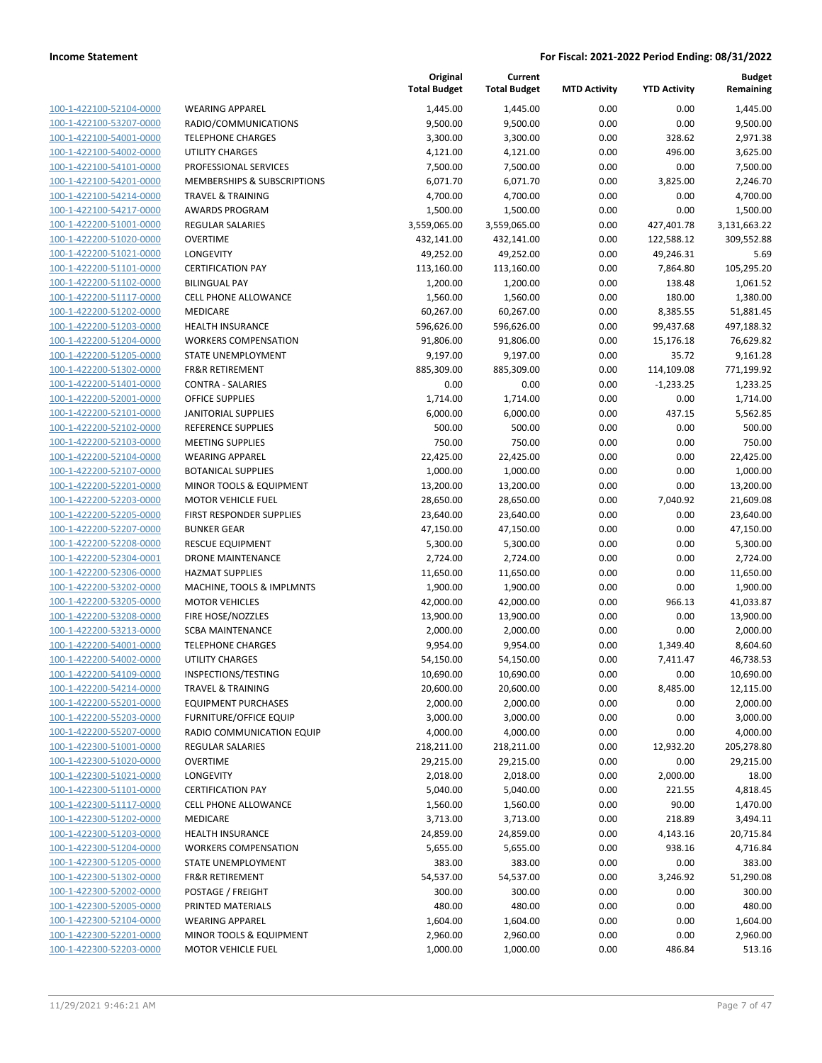| 100-1-422100-52104-0000                                          | ١                        |
|------------------------------------------------------------------|--------------------------|
| 100-1-422100-53207-0000                                          | f                        |
| 100-1-422100-54001-0000                                          | Ī                        |
| <u>100-1-422100-54002-0000</u>                                   | l                        |
| 100-1-422100-54101-0000                                          | f                        |
| 100-1-422100-54201-0000                                          | I                        |
| 100-1-422100-54214-0000                                          | Ī                        |
| 100-1-422100-54217-0000                                          | Í                        |
| 100-1-422200-51001-0000                                          | f                        |
| 100-1-422200-51020-0000                                          | $\overline{\phantom{a}}$ |
| 100-1-422200-51021-0000                                          | l                        |
| 100-1-422200-51101-0000<br>100-1-422200-51102-0000               | (<br>ŀ                   |
| <u>100-1-422200-51117-0000</u>                                   | (                        |
| 100-1-422200-51202-0000                                          | I                        |
| 100-1-422200-51203-0000                                          | ł                        |
| 100-1-422200-51204-0000                                          | ١                        |
| 100-1-422200-51205-0000                                          | í                        |
| 100-1-422200-51302-0000                                          | f                        |
| 100-1-422200-51401-0000                                          | $\overline{\phantom{a}}$ |
| 100-1-422200-52001-0000                                          | (                        |
| 100-1-422200-52101-0000                                          | J                        |
| 100-1-422200-52102-0000                                          | f                        |
| <u>100-1-422200-52103-0000</u>                                   | ľ                        |
| 100-1-422200-52104-0000                                          | ١                        |
| 100-1-422200-52107-0000                                          | I                        |
| 100-1-422200-52201-0000                                          | I                        |
| 100-1-422200-52203-0000                                          | I                        |
| <u>100-1-422200-52205-0000</u>                                   | f                        |
| 100-1-422200-52207-0000                                          | ŀ<br>f                   |
| 100-1-422200-52208-0000<br>100-1-422200-52304-0001               | I                        |
| 100-1-422200-52306-0000                                          | ł                        |
| <u>100-1-422200-53202-0000</u>                                   | ľ                        |
| 100-1-422200-53205-0000                                          | I                        |
| 100-1-422200-53208-0000                                          | f                        |
| 100-1-422200-53213-0000                                          | í                        |
| 100-1-422200-54001-0000                                          | Ī                        |
| 100-1-422200-54002-0000                                          | l                        |
| 100-1-422200-54109-0000                                          | I                        |
| 100-1-422200-54214-0000                                          | Ī                        |
| <u>100-1-422200-55201-0000</u>                                   | ľ                        |
| 100-1-422200-55203-0000                                          | ŀ                        |
| <u>100-1-422200-55207-0000</u>                                   | f                        |
| 100-1-422300-51001-0000                                          | I                        |
| 100-1-422300-51020-0000                                          | (                        |
| 100-1-422300-51021-0000                                          | l                        |
| 100-1-422300-51101-0000                                          | (                        |
| <u>100-1-422300-51117-0000</u><br><u>100-1-422300-51202-0000</u> | (<br>I                   |
| 100-1-422300-51203-0000                                          | ł                        |
| 100-1-422300-51204-0000                                          |                          |
| 100-1-422300-51205-0000                                          | :                        |
| <u>100-1-422300-51302-0000</u>                                   | I                        |
| <u>100-1-422300-52002-0000</u>                                   | ŀ                        |
| 100-1-422300-52005-0000                                          | I                        |
| 100-1-422300-52104-0000                                          |                          |
| 100-1-422300-52201-0000                                          | I                        |
| <u>100-1-422300-52203-0000</u>                                   | ı                        |
|                                                                  |                          |

|                                                    |                                                | Original<br><b>Total Budget</b> | Current<br><b>Total Budget</b> | <b>MTD Activity</b> | <b>YTD Activity</b> | <b>Budget</b><br>Remaining |
|----------------------------------------------------|------------------------------------------------|---------------------------------|--------------------------------|---------------------|---------------------|----------------------------|
| 100-1-422100-52104-0000                            | <b>WEARING APPAREL</b>                         | 1,445.00                        | 1,445.00                       | 0.00                | 0.00                | 1,445.00                   |
| 100-1-422100-53207-0000                            | RADIO/COMMUNICATIONS                           | 9,500.00                        | 9,500.00                       | 0.00                | 0.00                | 9,500.00                   |
| 100-1-422100-54001-0000                            | <b>TELEPHONE CHARGES</b>                       | 3,300.00                        | 3,300.00                       | 0.00                | 328.62              | 2,971.38                   |
| 100-1-422100-54002-0000                            | <b>UTILITY CHARGES</b>                         | 4,121.00                        | 4,121.00                       | 0.00                | 496.00              | 3,625.00                   |
| 100-1-422100-54101-0000                            | PROFESSIONAL SERVICES                          | 7,500.00                        | 7,500.00                       | 0.00                | 0.00                | 7,500.00                   |
| 100-1-422100-54201-0000                            | MEMBERSHIPS & SUBSCRIPTIONS                    | 6,071.70                        | 6,071.70                       | 0.00                | 3,825.00            | 2,246.70                   |
| 100-1-422100-54214-0000                            | <b>TRAVEL &amp; TRAINING</b>                   | 4,700.00                        | 4,700.00                       | 0.00                | 0.00                | 4,700.00                   |
| 100-1-422100-54217-0000                            | <b>AWARDS PROGRAM</b>                          | 1,500.00                        | 1,500.00                       | 0.00                | 0.00                | 1,500.00                   |
| 100-1-422200-51001-0000                            | <b>REGULAR SALARIES</b>                        | 3,559,065.00                    | 3,559,065.00                   | 0.00                | 427,401.78          | 3,131,663.22               |
| 100-1-422200-51020-0000                            | <b>OVERTIME</b>                                | 432,141.00                      | 432,141.00                     | 0.00                | 122,588.12          | 309,552.88                 |
| 100-1-422200-51021-0000                            | LONGEVITY                                      | 49,252.00                       | 49,252.00                      | 0.00                | 49,246.31           | 5.69                       |
| 100-1-422200-51101-0000                            | <b>CERTIFICATION PAY</b>                       | 113,160.00                      | 113,160.00                     | 0.00                | 7,864.80            | 105,295.20                 |
| 100-1-422200-51102-0000                            | <b>BILINGUAL PAY</b>                           | 1,200.00                        | 1,200.00                       | 0.00                | 138.48              | 1,061.52                   |
| 100-1-422200-51117-0000                            | <b>CELL PHONE ALLOWANCE</b>                    | 1,560.00                        | 1,560.00                       | 0.00                | 180.00              | 1,380.00                   |
| 100-1-422200-51202-0000                            | MEDICARE                                       | 60,267.00                       | 60,267.00                      | 0.00                | 8,385.55            | 51,881.45                  |
| 100-1-422200-51203-0000                            | <b>HEALTH INSURANCE</b>                        | 596,626.00                      | 596,626.00                     | 0.00                | 99,437.68           | 497,188.32                 |
| 100-1-422200-51204-0000                            | <b>WORKERS COMPENSATION</b>                    | 91,806.00                       | 91,806.00                      | 0.00                | 15,176.18           | 76,629.82                  |
| 100-1-422200-51205-0000                            | STATE UNEMPLOYMENT                             | 9,197.00                        | 9,197.00                       | 0.00                | 35.72               | 9,161.28                   |
| 100-1-422200-51302-0000                            | <b>FR&amp;R RETIREMENT</b>                     | 885,309.00                      | 885,309.00                     | 0.00                | 114,109.08          | 771,199.92                 |
| 100-1-422200-51401-0000                            | <b>CONTRA - SALARIES</b>                       | 0.00                            | 0.00                           | 0.00                | $-1,233.25$         | 1,233.25                   |
| 100-1-422200-52001-0000                            | <b>OFFICE SUPPLIES</b>                         | 1,714.00                        | 1,714.00                       | 0.00                | 0.00                | 1,714.00                   |
| 100-1-422200-52101-0000                            | <b>JANITORIAL SUPPLIES</b>                     | 6,000.00                        | 6,000.00                       | 0.00                | 437.15              | 5,562.85                   |
| 100-1-422200-52102-0000                            | REFERENCE SUPPLIES                             | 500.00                          | 500.00                         | 0.00                | 0.00                | 500.00                     |
| 100-1-422200-52103-0000                            | <b>MEETING SUPPLIES</b>                        | 750.00                          | 750.00                         | 0.00                | 0.00                | 750.00                     |
| 100-1-422200-52104-0000                            | <b>WEARING APPAREL</b>                         | 22,425.00                       | 22,425.00                      | 0.00                | 0.00                | 22,425.00                  |
| 100-1-422200-52107-0000                            | <b>BOTANICAL SUPPLIES</b>                      | 1,000.00                        | 1,000.00                       | 0.00                | 0.00                | 1,000.00                   |
| 100-1-422200-52201-0000                            | MINOR TOOLS & EQUIPMENT                        | 13,200.00                       | 13,200.00                      | 0.00                | 0.00                | 13,200.00                  |
| 100-1-422200-52203-0000                            | <b>MOTOR VEHICLE FUEL</b>                      | 28,650.00                       | 28,650.00                      | 0.00                | 7,040.92            | 21,609.08                  |
| 100-1-422200-52205-0000<br>100-1-422200-52207-0000 | FIRST RESPONDER SUPPLIES<br><b>BUNKER GEAR</b> | 23,640.00<br>47,150.00          | 23,640.00<br>47,150.00         | 0.00<br>0.00        | 0.00<br>0.00        | 23,640.00<br>47,150.00     |
| 100-1-422200-52208-0000                            | <b>RESCUE EQUIPMENT</b>                        | 5,300.00                        | 5,300.00                       | 0.00                | 0.00                | 5,300.00                   |
| 100-1-422200-52304-0001                            | <b>DRONE MAINTENANCE</b>                       | 2,724.00                        | 2,724.00                       | 0.00                | 0.00                | 2,724.00                   |
| 100-1-422200-52306-0000                            | <b>HAZMAT SUPPLIES</b>                         | 11,650.00                       | 11,650.00                      | 0.00                | 0.00                | 11,650.00                  |
| 100-1-422200-53202-0000                            | MACHINE, TOOLS & IMPLMNTS                      | 1,900.00                        | 1,900.00                       | 0.00                | 0.00                | 1,900.00                   |
| 100-1-422200-53205-0000                            | <b>MOTOR VEHICLES</b>                          | 42,000.00                       | 42,000.00                      | 0.00                | 966.13              | 41,033.87                  |
| 100-1-422200-53208-0000                            | FIRE HOSE/NOZZLES                              | 13,900.00                       | 13,900.00                      | 0.00                | 0.00                | 13,900.00                  |
| 100-1-422200-53213-0000                            | <b>SCBA MAINTENANCE</b>                        | 2,000.00                        | 2,000.00                       | 0.00                | 0.00                | 2,000.00                   |
| 100-1-422200-54001-0000                            | <b>TELEPHONE CHARGES</b>                       | 9,954.00                        | 9,954.00                       | 0.00                | 1,349.40            | 8,604.60                   |
| 100-1-422200-54002-0000                            | <b>UTILITY CHARGES</b>                         | 54,150.00                       | 54,150.00                      | 0.00                | 7,411.47            | 46,738.53                  |
| 100-1-422200-54109-0000                            | INSPECTIONS/TESTING                            | 10,690.00                       | 10,690.00                      | 0.00                | 0.00                | 10,690.00                  |
| 100-1-422200-54214-0000                            | <b>TRAVEL &amp; TRAINING</b>                   | 20,600.00                       | 20,600.00                      | 0.00                | 8,485.00            | 12,115.00                  |
| 100-1-422200-55201-0000                            | <b>EQUIPMENT PURCHASES</b>                     | 2,000.00                        | 2,000.00                       | 0.00                | 0.00                | 2,000.00                   |
| 100-1-422200-55203-0000                            | <b>FURNITURE/OFFICE EQUIP</b>                  | 3,000.00                        | 3,000.00                       | 0.00                | 0.00                | 3,000.00                   |
| 100-1-422200-55207-0000                            | RADIO COMMUNICATION EQUIP                      | 4,000.00                        | 4,000.00                       | 0.00                | 0.00                | 4,000.00                   |
| 100-1-422300-51001-0000                            | REGULAR SALARIES                               | 218,211.00                      | 218,211.00                     | 0.00                | 12,932.20           | 205,278.80                 |
| 100-1-422300-51020-0000                            | <b>OVERTIME</b>                                | 29,215.00                       | 29,215.00                      | 0.00                | 0.00                | 29,215.00                  |
| 100-1-422300-51021-0000                            | LONGEVITY                                      | 2,018.00                        | 2,018.00                       | 0.00                | 2,000.00            | 18.00                      |
| 100-1-422300-51101-0000                            | <b>CERTIFICATION PAY</b>                       | 5,040.00                        | 5,040.00                       | 0.00                | 221.55              | 4,818.45                   |
| 100-1-422300-51117-0000                            | <b>CELL PHONE ALLOWANCE</b>                    | 1,560.00                        | 1,560.00                       | 0.00                | 90.00               | 1,470.00                   |
| 100-1-422300-51202-0000                            | MEDICARE                                       | 3,713.00                        | 3,713.00                       | 0.00                | 218.89              | 3,494.11                   |
| 100-1-422300-51203-0000                            | <b>HEALTH INSURANCE</b>                        | 24,859.00                       | 24,859.00                      | 0.00                | 4,143.16            | 20,715.84                  |
| 100-1-422300-51204-0000                            | <b>WORKERS COMPENSATION</b>                    | 5,655.00                        | 5,655.00                       | 0.00                | 938.16              | 4,716.84                   |
| 100-1-422300-51205-0000                            | STATE UNEMPLOYMENT                             | 383.00                          | 383.00                         | 0.00                | 0.00                | 383.00                     |
| 100-1-422300-51302-0000                            | <b>FR&amp;R RETIREMENT</b>                     | 54,537.00                       | 54,537.00                      | 0.00                | 3,246.92            | 51,290.08                  |
| 100-1-422300-52002-0000                            | POSTAGE / FREIGHT                              | 300.00                          | 300.00                         | 0.00                | 0.00                | 300.00                     |
| 100-1-422300-52005-0000                            | PRINTED MATERIALS                              | 480.00                          | 480.00                         | 0.00                | 0.00                | 480.00                     |
| 100-1-422300-52104-0000                            | <b>WEARING APPAREL</b>                         | 1,604.00                        | 1,604.00                       | 0.00                | 0.00                | 1,604.00                   |
| 100-1-422300-52201-0000                            | MINOR TOOLS & EQUIPMENT                        | 2,960.00                        | 2,960.00                       | 0.00                | 0.00                | 2,960.00                   |
| 100-1-422300-52203-0000                            | MOTOR VEHICLE FUEL                             | 1,000.00                        | 1,000.00                       | 0.00                | 486.84              | 513.16                     |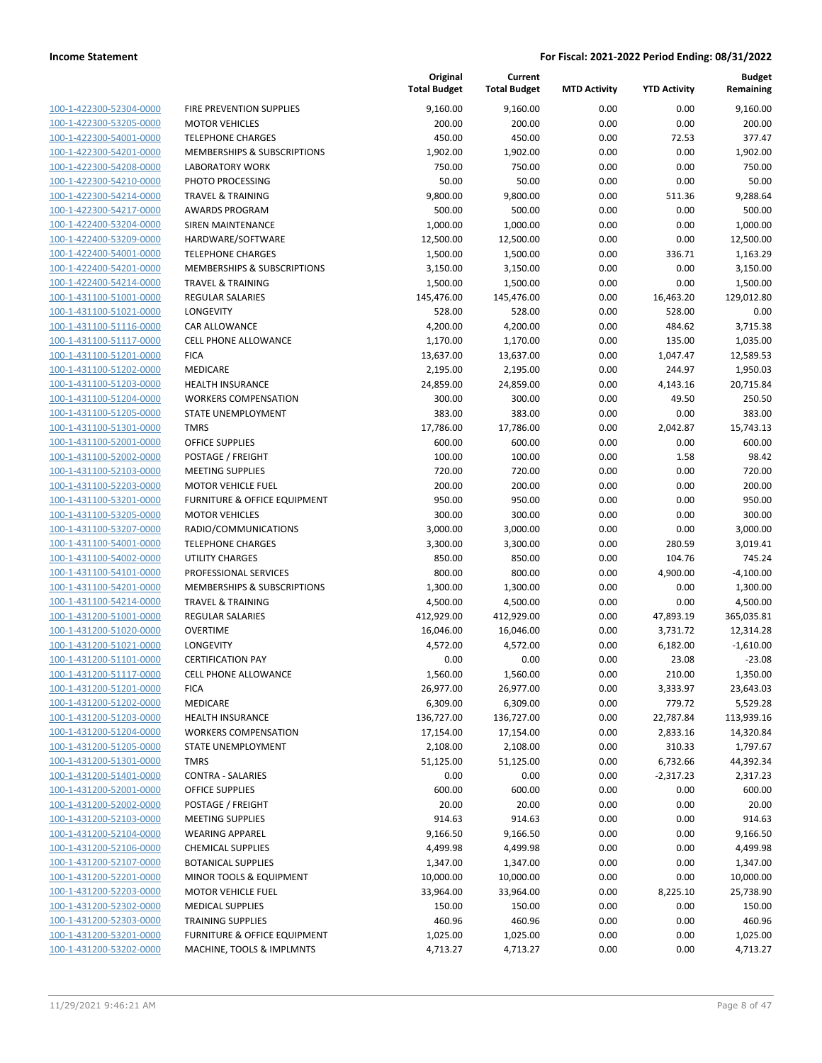| 100-1-422300-52304-0000        |
|--------------------------------|
| 100-1-422300-53205-0000        |
| 100-1-422300-54001-0000        |
| 100-1-422300-54201-0000        |
| 100-1-422300-54208-0000        |
| 100-1-422300-54210-0000        |
| 100-1-422300-54214-0000        |
| 100-1-422300-54217-0000        |
| 100-1-422400-53204-0000        |
| 100-1-422400-53209-0000        |
| 100-1-422400-54001-0000        |
| 100-1-422400-54201-0000        |
| 100-1-422400-54214-0000        |
| 100-1-431100-51001-0000        |
| 100-1-431100-51021-0000        |
| 100-1-431100-51116-0000        |
|                                |
| 100-1-431100-51117-0000        |
| 100-1-431100-51201-0000        |
| 100-1-431100-51202-0000        |
| 100-1-431100-51203-0000        |
| 100-1-431100-51204-0000        |
| 100-1-431100-51205-0000        |
| 100-1-431100-51301-0000        |
| 100-1-431100-52001-0000        |
| 100-1-431100-52002-0000        |
| 100-1-431100-52103-0000        |
| 100-1-431100-52203-0000        |
| 100-1-431100-53201-0000        |
| 100-1-431100-53205-0000        |
| 100-1-431100-53207-0000        |
| 100-1-431100-54001-0000        |
| 100-1-431100-54002-0000        |
| 100-1-431100-54101-0000        |
| 100-1-431100-54201-0000        |
| 100-1-431100-54214-0000        |
| 100-1-431200-51001-0000        |
| 100-1-431200-51020-0000        |
| 100-1-431200-51021-0000        |
|                                |
| 100-1-431200-51101-0000        |
| 100-1-431200-51117-0000        |
| 100-1-431200-51201-0000        |
| 100-1-431200-51202-0000        |
| <u>100-1-431200-51203-0000</u> |
| <u>100-1-431200-51204-0000</u> |
| 100-1-431200-51205-0000        |
| 100-1-431200-51301-0000        |
| 100-1-431200-51401-0000        |
| 100-1-431200-52001-0000        |
| <u>100-1-431200-52002-0000</u> |
| 100-1-431200-52103-0000        |
| 100-1-431200-52104-0000        |
| 100-1-431200-52106-0000        |
| 100-1-431200-52107-0000        |
| <u>100-1-431200-52201-0000</u> |
| <u>100-1-431200-52203-0000</u> |
| 100-1-431200-52302-0000        |
| 100-1-431200-52303-0000        |
|                                |
| <u>100-1-431200-53201-0000</u> |
| 100-1-431200-53202-0000        |

|                                                    |                                                 | Original<br><b>Total Budget</b> | Current<br><b>Total Budget</b> | <b>MTD Activity</b> | <b>YTD Activity</b> | <b>Budget</b><br>Remaining |
|----------------------------------------------------|-------------------------------------------------|---------------------------------|--------------------------------|---------------------|---------------------|----------------------------|
| 100-1-422300-52304-0000                            | FIRE PREVENTION SUPPLIES                        | 9,160.00                        | 9,160.00                       | 0.00                | 0.00                | 9,160.00                   |
| 100-1-422300-53205-0000                            | <b>MOTOR VEHICLES</b>                           | 200.00                          | 200.00                         | 0.00                | 0.00                | 200.00                     |
| 100-1-422300-54001-0000                            | <b>TELEPHONE CHARGES</b>                        | 450.00                          | 450.00                         | 0.00                | 72.53               | 377.47                     |
| 100-1-422300-54201-0000                            | MEMBERSHIPS & SUBSCRIPTIONS                     | 1,902.00                        | 1,902.00                       | 0.00                | 0.00                | 1,902.00                   |
| 100-1-422300-54208-0000                            | <b>LABORATORY WORK</b>                          | 750.00                          | 750.00                         | 0.00                | 0.00                | 750.00                     |
| 100-1-422300-54210-0000                            | PHOTO PROCESSING                                | 50.00                           | 50.00                          | 0.00                | 0.00                | 50.00                      |
| 100-1-422300-54214-0000                            | <b>TRAVEL &amp; TRAINING</b>                    | 9,800.00                        | 9,800.00                       | 0.00                | 511.36              | 9,288.64                   |
| 100-1-422300-54217-0000                            | <b>AWARDS PROGRAM</b>                           | 500.00                          | 500.00                         | 0.00                | 0.00                | 500.00                     |
| 100-1-422400-53204-0000                            | <b>SIREN MAINTENANCE</b>                        | 1,000.00                        | 1,000.00                       | 0.00                | 0.00                | 1,000.00                   |
| 100-1-422400-53209-0000                            | HARDWARE/SOFTWARE                               | 12,500.00                       | 12,500.00                      | 0.00                | 0.00                | 12,500.00                  |
| 100-1-422400-54001-0000                            | <b>TELEPHONE CHARGES</b>                        | 1,500.00                        | 1,500.00                       | 0.00                | 336.71              | 1,163.29                   |
| 100-1-422400-54201-0000                            | MEMBERSHIPS & SUBSCRIPTIONS                     | 3,150.00                        | 3,150.00                       | 0.00                | 0.00                | 3,150.00                   |
| 100-1-422400-54214-0000                            | <b>TRAVEL &amp; TRAINING</b>                    | 1,500.00                        | 1,500.00                       | 0.00                | 0.00                | 1,500.00                   |
| 100-1-431100-51001-0000                            | <b>REGULAR SALARIES</b>                         | 145,476.00                      | 145,476.00                     | 0.00                | 16,463.20           | 129,012.80                 |
| 100-1-431100-51021-0000                            | LONGEVITY                                       | 528.00                          | 528.00                         | 0.00                | 528.00              | 0.00                       |
| 100-1-431100-51116-0000                            | CAR ALLOWANCE                                   | 4,200.00                        | 4,200.00                       | 0.00                | 484.62              | 3,715.38                   |
| 100-1-431100-51117-0000                            | CELL PHONE ALLOWANCE                            | 1,170.00                        | 1,170.00                       | 0.00                | 135.00              | 1,035.00                   |
| 100-1-431100-51201-0000                            | <b>FICA</b>                                     | 13,637.00                       | 13,637.00                      | 0.00                | 1,047.47            | 12,589.53                  |
| 100-1-431100-51202-0000                            | MEDICARE                                        | 2,195.00                        | 2,195.00                       | 0.00                | 244.97              | 1,950.03                   |
| 100-1-431100-51203-0000                            | HEALTH INSURANCE                                | 24,859.00                       | 24,859.00                      | 0.00                | 4,143.16            | 20,715.84                  |
| 100-1-431100-51204-0000                            | <b>WORKERS COMPENSATION</b>                     | 300.00                          | 300.00                         | 0.00                | 49.50               | 250.50                     |
| 100-1-431100-51205-0000                            | STATE UNEMPLOYMENT                              | 383.00                          | 383.00                         | 0.00                | 0.00                | 383.00                     |
| 100-1-431100-51301-0000                            | <b>TMRS</b>                                     | 17,786.00                       | 17,786.00                      | 0.00                | 2,042.87            | 15,743.13                  |
| 100-1-431100-52001-0000                            | <b>OFFICE SUPPLIES</b>                          | 600.00                          | 600.00                         | 0.00                | 0.00                | 600.00                     |
| 100-1-431100-52002-0000                            | POSTAGE / FREIGHT                               | 100.00                          | 100.00                         | 0.00                | 1.58                | 98.42                      |
| 100-1-431100-52103-0000                            | <b>MEETING SUPPLIES</b>                         | 720.00                          | 720.00                         | 0.00                | 0.00                | 720.00                     |
| 100-1-431100-52203-0000                            | <b>MOTOR VEHICLE FUEL</b>                       | 200.00                          | 200.00                         | 0.00                | 0.00                | 200.00                     |
| 100-1-431100-53201-0000                            | FURNITURE & OFFICE EQUIPMENT                    | 950.00                          | 950.00                         | 0.00                | 0.00                | 950.00                     |
| 100-1-431100-53205-0000                            | <b>MOTOR VEHICLES</b>                           | 300.00                          | 300.00                         | 0.00                | 0.00                | 300.00                     |
| 100-1-431100-53207-0000                            | RADIO/COMMUNICATIONS                            | 3,000.00                        | 3,000.00                       | 0.00                | 0.00                | 3,000.00                   |
| 100-1-431100-54001-0000                            | <b>TELEPHONE CHARGES</b>                        | 3,300.00                        | 3,300.00                       | 0.00                | 280.59              | 3,019.41                   |
| 100-1-431100-54002-0000                            | <b>UTILITY CHARGES</b><br>PROFESSIONAL SERVICES | 850.00                          | 850.00<br>800.00               | 0.00<br>0.00        | 104.76              | 745.24                     |
| 100-1-431100-54101-0000<br>100-1-431100-54201-0000 | MEMBERSHIPS & SUBSCRIPTIONS                     | 800.00                          |                                | 0.00                | 4,900.00<br>0.00    | $-4,100.00$                |
| 100-1-431100-54214-0000                            | <b>TRAVEL &amp; TRAINING</b>                    | 1,300.00<br>4,500.00            | 1,300.00<br>4,500.00           | 0.00                | 0.00                | 1,300.00<br>4,500.00       |
| 100-1-431200-51001-0000                            | <b>REGULAR SALARIES</b>                         | 412,929.00                      | 412,929.00                     | 0.00                | 47,893.19           | 365,035.81                 |
| 100-1-431200-51020-0000                            | <b>OVERTIME</b>                                 | 16,046.00                       | 16,046.00                      | 0.00                | 3,731.72            | 12,314.28                  |
| 100-1-431200-51021-0000                            | LONGEVITY                                       | 4,572.00                        | 4,572.00                       | 0.00                | 6,182.00            | $-1,610.00$                |
| 100-1-431200-51101-0000                            | <b>CERTIFICATION PAY</b>                        | 0.00                            | 0.00                           | 0.00                | 23.08               | $-23.08$                   |
| 100-1-431200-51117-0000                            | CELL PHONE ALLOWANCE                            | 1,560.00                        | 1,560.00                       | 0.00                | 210.00              | 1,350.00                   |
| 100-1-431200-51201-0000                            | <b>FICA</b>                                     | 26,977.00                       | 26,977.00                      | 0.00                | 3,333.97            | 23,643.03                  |
| 100-1-431200-51202-0000                            | MEDICARE                                        | 6,309.00                        | 6,309.00                       | 0.00                | 779.72              | 5,529.28                   |
| 100-1-431200-51203-0000                            | HEALTH INSURANCE                                | 136,727.00                      | 136,727.00                     | 0.00                | 22,787.84           | 113,939.16                 |
| 100-1-431200-51204-0000                            | <b>WORKERS COMPENSATION</b>                     | 17,154.00                       | 17,154.00                      | 0.00                | 2,833.16            | 14,320.84                  |
| 100-1-431200-51205-0000                            | STATE UNEMPLOYMENT                              | 2,108.00                        | 2,108.00                       | 0.00                | 310.33              | 1,797.67                   |
| 100-1-431200-51301-0000                            | <b>TMRS</b>                                     | 51,125.00                       | 51,125.00                      | 0.00                | 6,732.66            | 44,392.34                  |
| 100-1-431200-51401-0000                            | <b>CONTRA - SALARIES</b>                        | 0.00                            | 0.00                           | 0.00                | $-2,317.23$         | 2,317.23                   |
| 100-1-431200-52001-0000                            | OFFICE SUPPLIES                                 | 600.00                          | 600.00                         | 0.00                | 0.00                | 600.00                     |
| 100-1-431200-52002-0000                            | POSTAGE / FREIGHT                               | 20.00                           | 20.00                          | 0.00                | 0.00                | 20.00                      |
| 100-1-431200-52103-0000                            | <b>MEETING SUPPLIES</b>                         | 914.63                          | 914.63                         | 0.00                | 0.00                | 914.63                     |
| 100-1-431200-52104-0000                            | <b>WEARING APPAREL</b>                          | 9,166.50                        | 9,166.50                       | 0.00                | 0.00                | 9,166.50                   |
| 100-1-431200-52106-0000                            | <b>CHEMICAL SUPPLIES</b>                        | 4,499.98                        | 4,499.98                       | 0.00                | 0.00                | 4,499.98                   |
| 100-1-431200-52107-0000                            | <b>BOTANICAL SUPPLIES</b>                       | 1,347.00                        | 1,347.00                       | 0.00                | 0.00                | 1,347.00                   |
| 100-1-431200-52201-0000                            | MINOR TOOLS & EQUIPMENT                         | 10,000.00                       | 10,000.00                      | 0.00                | 0.00                | 10,000.00                  |
| 100-1-431200-52203-0000                            | <b>MOTOR VEHICLE FUEL</b>                       | 33,964.00                       | 33,964.00                      | 0.00                | 8,225.10            | 25,738.90                  |
| 100-1-431200-52302-0000                            | <b>MEDICAL SUPPLIES</b>                         | 150.00                          | 150.00                         | 0.00                | 0.00                | 150.00                     |
| 100-1-431200-52303-0000                            | <b>TRAINING SUPPLIES</b>                        | 460.96                          | 460.96                         | 0.00                | 0.00                | 460.96                     |
| 100-1-431200-53201-0000                            | <b>FURNITURE &amp; OFFICE EQUIPMENT</b>         | 1,025.00                        | 1,025.00                       | 0.00                | 0.00                | 1,025.00                   |
| 100-1-431200-53202-0000                            | MACHINE, TOOLS & IMPLMNTS                       | 4,713.27                        | 4,713.27                       | 0.00                | 0.00                | 4,713.27                   |
|                                                    |                                                 |                                 |                                |                     |                     |                            |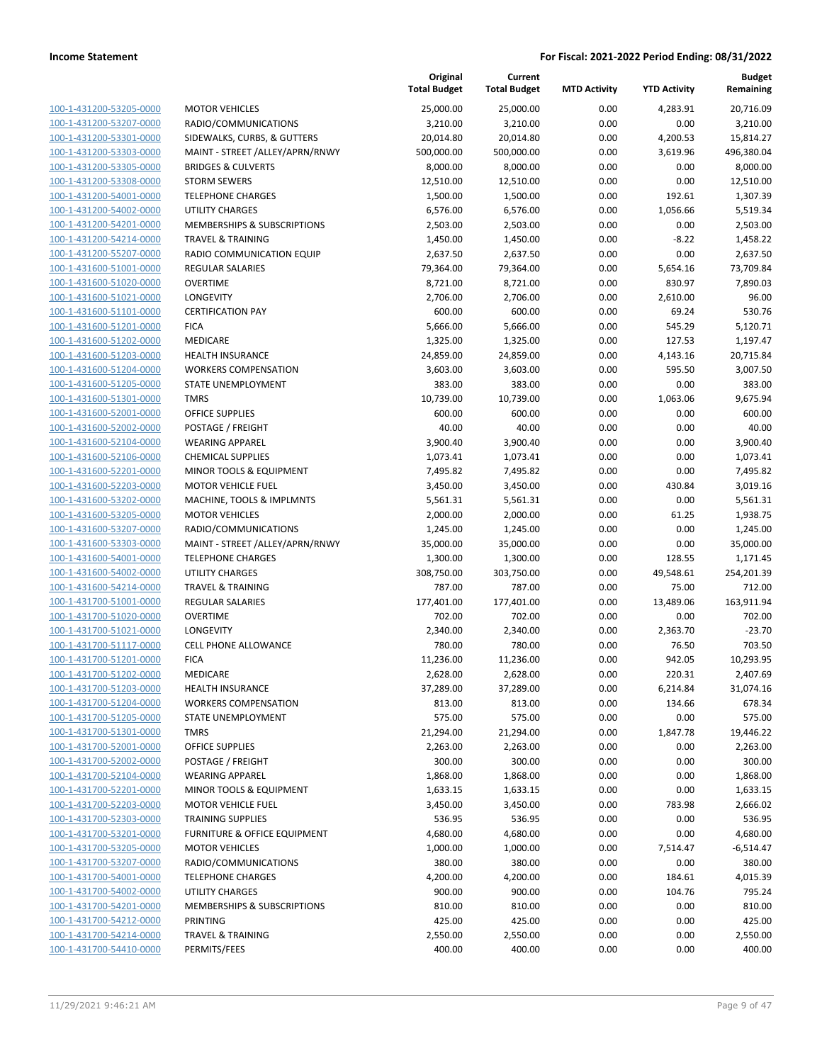|                         |                                         | Original<br><b>Total Budget</b> | Current<br><b>Total Budget</b> | <b>MTD Activity</b> | <b>YTD Activity</b> | <b>Budget</b><br>Remaining |
|-------------------------|-----------------------------------------|---------------------------------|--------------------------------|---------------------|---------------------|----------------------------|
| 100-1-431200-53205-0000 | <b>MOTOR VEHICLES</b>                   | 25,000.00                       | 25,000.00                      | 0.00                | 4,283.91            | 20,716.09                  |
| 100-1-431200-53207-0000 | RADIO/COMMUNICATIONS                    | 3,210.00                        | 3,210.00                       | 0.00                | 0.00                | 3,210.00                   |
| 100-1-431200-53301-0000 | SIDEWALKS, CURBS, & GUTTERS             | 20,014.80                       | 20,014.80                      | 0.00                | 4,200.53            | 15,814.27                  |
| 100-1-431200-53303-0000 | MAINT - STREET /ALLEY/APRN/RNWY         | 500,000.00                      | 500,000.00                     | 0.00                | 3,619.96            | 496,380.04                 |
| 100-1-431200-53305-0000 | <b>BRIDGES &amp; CULVERTS</b>           | 8,000.00                        | 8,000.00                       | 0.00                | 0.00                | 8,000.00                   |
| 100-1-431200-53308-0000 | <b>STORM SEWERS</b>                     | 12,510.00                       | 12,510.00                      | 0.00                | 0.00                | 12,510.00                  |
| 100-1-431200-54001-0000 | <b>TELEPHONE CHARGES</b>                | 1,500.00                        | 1,500.00                       | 0.00                | 192.61              | 1,307.39                   |
| 100-1-431200-54002-0000 | <b>UTILITY CHARGES</b>                  | 6,576.00                        | 6,576.00                       | 0.00                | 1,056.66            | 5,519.34                   |
| 100-1-431200-54201-0000 | <b>MEMBERSHIPS &amp; SUBSCRIPTIONS</b>  | 2,503.00                        | 2,503.00                       | 0.00                | 0.00                | 2,503.00                   |
| 100-1-431200-54214-0000 | <b>TRAVEL &amp; TRAINING</b>            | 1,450.00                        | 1,450.00                       | 0.00                | $-8.22$             | 1,458.22                   |
| 100-1-431200-55207-0000 | RADIO COMMUNICATION EQUIP               | 2,637.50                        | 2,637.50                       | 0.00                | 0.00                | 2,637.50                   |
| 100-1-431600-51001-0000 | REGULAR SALARIES                        | 79,364.00                       | 79,364.00                      | 0.00                | 5,654.16            | 73,709.84                  |
| 100-1-431600-51020-0000 | <b>OVERTIME</b>                         | 8,721.00                        | 8,721.00                       | 0.00                | 830.97              | 7,890.03                   |
| 100-1-431600-51021-0000 | LONGEVITY                               | 2,706.00                        | 2,706.00                       | 0.00                | 2,610.00            | 96.00                      |
| 100-1-431600-51101-0000 | <b>CERTIFICATION PAY</b>                | 600.00                          | 600.00                         | 0.00                | 69.24               | 530.76                     |
| 100-1-431600-51201-0000 | <b>FICA</b>                             | 5,666.00                        | 5,666.00                       | 0.00                | 545.29              | 5,120.71                   |
| 100-1-431600-51202-0000 | <b>MEDICARE</b>                         | 1,325.00                        | 1,325.00                       | 0.00                | 127.53              | 1,197.47                   |
| 100-1-431600-51203-0000 | <b>HEALTH INSURANCE</b>                 | 24,859.00                       | 24,859.00                      | 0.00                | 4,143.16            | 20,715.84                  |
| 100-1-431600-51204-0000 | <b>WORKERS COMPENSATION</b>             | 3,603.00                        | 3,603.00                       | 0.00                | 595.50              | 3,007.50                   |
| 100-1-431600-51205-0000 | STATE UNEMPLOYMENT                      | 383.00                          | 383.00                         | 0.00                | 0.00                | 383.00                     |
| 100-1-431600-51301-0000 | <b>TMRS</b>                             | 10,739.00                       | 10,739.00                      | 0.00                | 1,063.06            | 9,675.94                   |
| 100-1-431600-52001-0000 | <b>OFFICE SUPPLIES</b>                  | 600.00                          | 600.00                         | 0.00                | 0.00                | 600.00                     |
| 100-1-431600-52002-0000 | POSTAGE / FREIGHT                       | 40.00                           | 40.00                          | 0.00                | 0.00                | 40.00                      |
| 100-1-431600-52104-0000 | <b>WEARING APPAREL</b>                  | 3,900.40                        | 3,900.40                       | 0.00                | 0.00                | 3,900.40                   |
| 100-1-431600-52106-0000 | <b>CHEMICAL SUPPLIES</b>                | 1,073.41                        | 1,073.41                       | 0.00                | 0.00                | 1,073.41                   |
| 100-1-431600-52201-0000 | MINOR TOOLS & EQUIPMENT                 | 7,495.82                        | 7,495.82                       | 0.00                | 0.00                | 7,495.82                   |
| 100-1-431600-52203-0000 | <b>MOTOR VEHICLE FUEL</b>               | 3,450.00                        | 3,450.00                       | 0.00                | 430.84              | 3,019.16                   |
| 100-1-431600-53202-0000 | MACHINE, TOOLS & IMPLMNTS               | 5,561.31                        | 5,561.31                       | 0.00                | 0.00                | 5,561.31                   |
| 100-1-431600-53205-0000 | <b>MOTOR VEHICLES</b>                   | 2,000.00                        | 2,000.00                       | 0.00                | 61.25               | 1,938.75                   |
| 100-1-431600-53207-0000 | RADIO/COMMUNICATIONS                    | 1,245.00                        | 1,245.00                       | 0.00                | 0.00                | 1,245.00                   |
| 100-1-431600-53303-0000 | MAINT - STREET /ALLEY/APRN/RNWY         | 35,000.00                       | 35,000.00                      | 0.00                | 0.00                | 35,000.00                  |
| 100-1-431600-54001-0000 | <b>TELEPHONE CHARGES</b>                | 1,300.00                        | 1,300.00                       | 0.00                | 128.55              | 1,171.45                   |
| 100-1-431600-54002-0000 | <b>UTILITY CHARGES</b>                  | 308,750.00                      | 303,750.00                     | 0.00                | 49,548.61           | 254,201.39                 |
| 100-1-431600-54214-0000 | <b>TRAVEL &amp; TRAINING</b>            | 787.00                          | 787.00                         | 0.00                | 75.00               | 712.00                     |
| 100-1-431700-51001-0000 | REGULAR SALARIES                        | 177,401.00                      | 177,401.00                     | 0.00                | 13,489.06           | 163,911.94                 |
| 100-1-431700-51020-0000 | <b>OVERTIME</b>                         | 702.00                          | 702.00                         | 0.00                | 0.00                | 702.00                     |
| 100-1-431700-51021-0000 | LONGEVITY                               | 2,340.00                        | 2,340.00                       | 0.00                | 2,363.70            | $-23.70$                   |
| 100-1-431700-51117-0000 | <b>CELL PHONE ALLOWANCE</b>             | 780.00                          | 780.00                         | 0.00                | 76.50               | 703.50                     |
| 100-1-431700-51201-0000 | <b>FICA</b>                             | 11,236.00                       | 11,236.00                      | 0.00                | 942.05              | 10,293.95                  |
| 100-1-431700-51202-0000 | MEDICARE                                | 2,628.00                        | 2,628.00                       | 0.00                | 220.31              | 2,407.69                   |
| 100-1-431700-51203-0000 | <b>HEALTH INSURANCE</b>                 | 37,289.00                       | 37,289.00                      | 0.00                | 6,214.84            | 31,074.16                  |
| 100-1-431700-51204-0000 | <b>WORKERS COMPENSATION</b>             | 813.00                          | 813.00                         | 0.00                | 134.66              | 678.34                     |
| 100-1-431700-51205-0000 | STATE UNEMPLOYMENT                      | 575.00                          | 575.00                         | 0.00                | 0.00                | 575.00                     |
| 100-1-431700-51301-0000 | <b>TMRS</b>                             | 21,294.00                       | 21,294.00                      | 0.00                | 1,847.78            | 19,446.22                  |
| 100-1-431700-52001-0000 | <b>OFFICE SUPPLIES</b>                  | 2,263.00                        | 2,263.00                       | 0.00                | 0.00                | 2,263.00                   |
| 100-1-431700-52002-0000 | POSTAGE / FREIGHT                       | 300.00                          | 300.00                         | 0.00                | 0.00                | 300.00                     |
| 100-1-431700-52104-0000 | <b>WEARING APPAREL</b>                  | 1,868.00                        | 1,868.00                       | 0.00                | 0.00                | 1,868.00                   |
| 100-1-431700-52201-0000 | MINOR TOOLS & EQUIPMENT                 | 1,633.15                        | 1,633.15                       | 0.00                | 0.00                | 1,633.15                   |
| 100-1-431700-52203-0000 | <b>MOTOR VEHICLE FUEL</b>               | 3,450.00                        | 3,450.00                       | 0.00                | 783.98              | 2,666.02                   |
| 100-1-431700-52303-0000 | <b>TRAINING SUPPLIES</b>                | 536.95                          | 536.95                         | 0.00                | 0.00                | 536.95                     |
| 100-1-431700-53201-0000 | <b>FURNITURE &amp; OFFICE EQUIPMENT</b> | 4,680.00                        | 4,680.00                       | 0.00                | 0.00                | 4,680.00                   |
| 100-1-431700-53205-0000 | <b>MOTOR VEHICLES</b>                   | 1,000.00                        | 1,000.00                       | 0.00                | 7,514.47            | -6,514.47                  |
| 100-1-431700-53207-0000 | RADIO/COMMUNICATIONS                    | 380.00                          | 380.00                         | 0.00                | 0.00                | 380.00                     |
| 100-1-431700-54001-0000 | <b>TELEPHONE CHARGES</b>                | 4,200.00                        | 4,200.00                       | 0.00                | 184.61              | 4,015.39                   |
| 100-1-431700-54002-0000 | UTILITY CHARGES                         | 900.00                          | 900.00                         | 0.00                | 104.76              | 795.24                     |
| 100-1-431700-54201-0000 | MEMBERSHIPS & SUBSCRIPTIONS             | 810.00                          | 810.00                         | 0.00                | 0.00                | 810.00                     |
| 100-1-431700-54212-0000 | <b>PRINTING</b>                         | 425.00                          | 425.00                         | 0.00                | 0.00                | 425.00                     |
| 100-1-431700-54214-0000 | <b>TRAVEL &amp; TRAINING</b>            | 2,550.00                        | 2,550.00                       | 0.00                | 0.00                | 2,550.00                   |
| 100-1-431700-54410-0000 | PERMITS/FEES                            | 400.00                          | 400.00                         | 0.00                | 0.00                | 400.00                     |
|                         |                                         |                                 |                                |                     |                     |                            |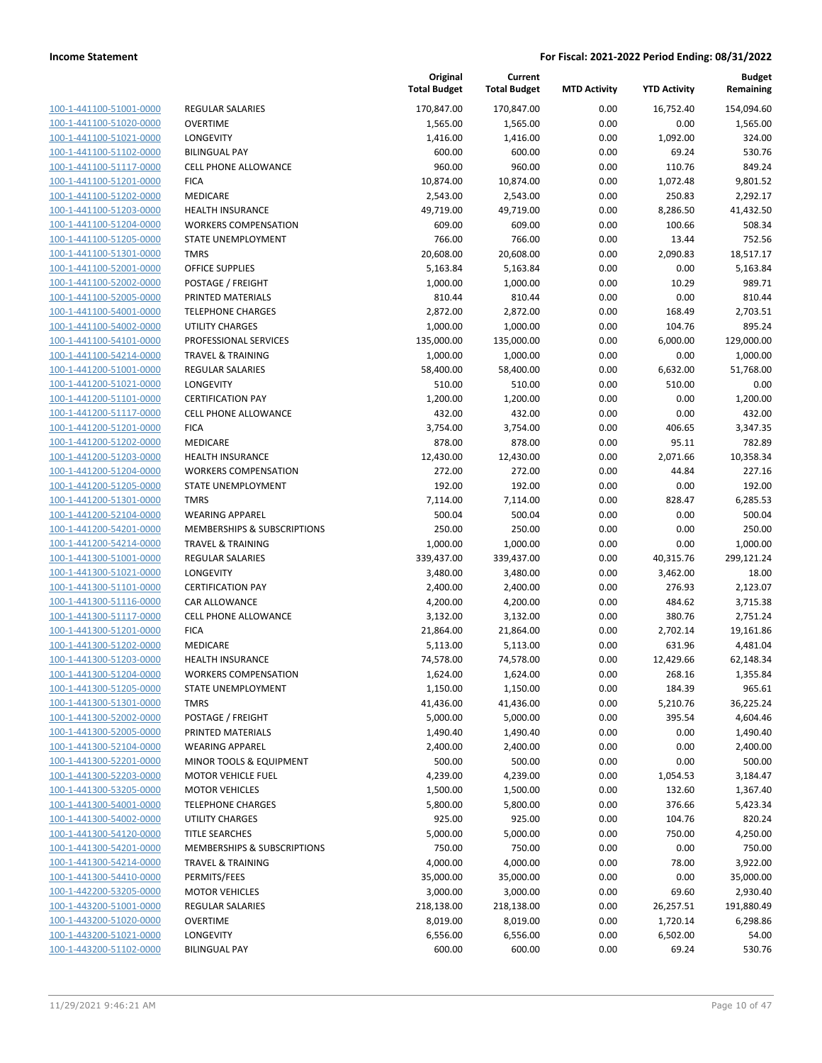| 100-1-441100-51001-0000        |
|--------------------------------|
| 100-1-441100-51020-0000        |
| 100-1-441100-51021-0000        |
| 100-1-441100-51102-0000        |
| 100-1-441100-51117-0000        |
| 100-1-441100-51201-0000        |
| 100-1-441100-51202-0000        |
| 100-1-441100-51203-0000        |
| <u>100-1-441100-51204-0000</u> |
| <u>100-1-441100-51205-0000</u> |
| 100-1-441100-51301-0000        |
| 100-1-441100-52001-0000        |
| 100-1-441100-52002-0000        |
| 100-1-441100-52005-0000        |
| <u>100-1-441100-54001-0000</u> |
| 100-1-441100-54002-0000        |
|                                |
| 100-1-441100-54101-0000        |
| 100-1-441100-54214-0000        |
| <u>100-1-441200-51001-0000</u> |
| 100-1-441200-51021-0000        |
| 100-1-441200-51101-0000        |
| 100-1-441200-51117-0000        |
| 100-1-441200-51201-0000        |
| <u>100-1-441200-51202-0000</u> |
| 100-1-441200-51203-0000        |
| 100-1-441200-51204-0000        |
| 100-1-441200-51205-0000        |
| 100-1-441200-51301-0000        |
| <u>100-1-441200-52104-0000</u> |
| 100-1-441200-54201-0000        |
| 100-1-441200-54214-0000        |
| 100-1-441300-51001-0000        |
| 100-1-441300-51021-0000        |
| <u>100-1-441300-51101-0000</u> |
| <u>100-1-441300-51116-0000</u> |
| 100-1-441300-51117-0000        |
| 100-1-441300-51201-0000        |
| 100-1-441300-51202-0000        |
|                                |
| <u>100-1-441300-51203-0000</u> |
| 100-1-441300-51204-0000        |
| 100-1-441300-51205-0000        |
| <u>100-1-441300-51301-0000</u> |
| 100-1-441300-52002-0000        |
| 100-1-441300-52005-0000        |
| <u>100-1-441300-52104-0000</u> |
| 100-1-441300-52201-0000        |
| 100-1-441300-52203-0000        |
| 100-1-441300-53205-0000        |
| 100-1-441300-54001-0000        |
| <u>100-1-441300-54002-0000</u> |
| 100-1-441300-54120-0000        |
| 100-1-441300-54201-0000        |
| 100-1-441300-54214-0000        |
| 100-1-441300-54410-0000        |
| <u>100-1-442200-53205-0000</u> |
| <u>100-1-443200-51001-0000</u> |
| 100-1-443200-51020-0000        |
| 100-1-443200-51021-0000        |
|                                |
| 100-1-443200-51102-0000        |

|                              | Original<br><b>Total Budget</b>                                                                                                                                                                                                                                                                                                                                                                                                                                                                                                                                                                                                                                                                                                         | Current<br><b>Total Budget</b>                                                                                                                                                                                                                                                                                                                                          | <b>MTD Activity</b>                                                                                                                                                                                                                                                                                                                                                                               | <b>YTD Activity</b>                                                                                                                                                                                                                          | <b>Budget</b><br>Remaining                                                                                                                                                                                                                                                                                        |
|------------------------------|-----------------------------------------------------------------------------------------------------------------------------------------------------------------------------------------------------------------------------------------------------------------------------------------------------------------------------------------------------------------------------------------------------------------------------------------------------------------------------------------------------------------------------------------------------------------------------------------------------------------------------------------------------------------------------------------------------------------------------------------|-------------------------------------------------------------------------------------------------------------------------------------------------------------------------------------------------------------------------------------------------------------------------------------------------------------------------------------------------------------------------|---------------------------------------------------------------------------------------------------------------------------------------------------------------------------------------------------------------------------------------------------------------------------------------------------------------------------------------------------------------------------------------------------|----------------------------------------------------------------------------------------------------------------------------------------------------------------------------------------------------------------------------------------------|-------------------------------------------------------------------------------------------------------------------------------------------------------------------------------------------------------------------------------------------------------------------------------------------------------------------|
| <b>REGULAR SALARIES</b>      | 170,847.00                                                                                                                                                                                                                                                                                                                                                                                                                                                                                                                                                                                                                                                                                                                              | 170,847.00                                                                                                                                                                                                                                                                                                                                                              | 0.00                                                                                                                                                                                                                                                                                                                                                                                              | 16,752.40                                                                                                                                                                                                                                    | 154,094.60                                                                                                                                                                                                                                                                                                        |
| <b>OVERTIME</b>              | 1,565.00                                                                                                                                                                                                                                                                                                                                                                                                                                                                                                                                                                                                                                                                                                                                | 1,565.00                                                                                                                                                                                                                                                                                                                                                                | 0.00                                                                                                                                                                                                                                                                                                                                                                                              | 0.00                                                                                                                                                                                                                                         | 1,565.00                                                                                                                                                                                                                                                                                                          |
| LONGEVITY                    | 1,416.00                                                                                                                                                                                                                                                                                                                                                                                                                                                                                                                                                                                                                                                                                                                                | 1,416.00                                                                                                                                                                                                                                                                                                                                                                | 0.00                                                                                                                                                                                                                                                                                                                                                                                              | 1,092.00                                                                                                                                                                                                                                     | 324.00                                                                                                                                                                                                                                                                                                            |
| <b>BILINGUAL PAY</b>         | 600.00                                                                                                                                                                                                                                                                                                                                                                                                                                                                                                                                                                                                                                                                                                                                  | 600.00                                                                                                                                                                                                                                                                                                                                                                  | 0.00                                                                                                                                                                                                                                                                                                                                                                                              | 69.24                                                                                                                                                                                                                                        | 530.76                                                                                                                                                                                                                                                                                                            |
| CELL PHONE ALLOWANCE         | 960.00                                                                                                                                                                                                                                                                                                                                                                                                                                                                                                                                                                                                                                                                                                                                  | 960.00                                                                                                                                                                                                                                                                                                                                                                  | 0.00                                                                                                                                                                                                                                                                                                                                                                                              | 110.76                                                                                                                                                                                                                                       | 849.24                                                                                                                                                                                                                                                                                                            |
| <b>FICA</b>                  | 10,874.00                                                                                                                                                                                                                                                                                                                                                                                                                                                                                                                                                                                                                                                                                                                               | 10,874.00                                                                                                                                                                                                                                                                                                                                                               | 0.00                                                                                                                                                                                                                                                                                                                                                                                              | 1,072.48                                                                                                                                                                                                                                     | 9,801.52                                                                                                                                                                                                                                                                                                          |
| MEDICARE                     | 2,543.00                                                                                                                                                                                                                                                                                                                                                                                                                                                                                                                                                                                                                                                                                                                                | 2,543.00                                                                                                                                                                                                                                                                                                                                                                | 0.00                                                                                                                                                                                                                                                                                                                                                                                              | 250.83                                                                                                                                                                                                                                       | 2,292.17                                                                                                                                                                                                                                                                                                          |
| <b>HEALTH INSURANCE</b>      | 49,719.00                                                                                                                                                                                                                                                                                                                                                                                                                                                                                                                                                                                                                                                                                                                               | 49,719.00                                                                                                                                                                                                                                                                                                                                                               | 0.00                                                                                                                                                                                                                                                                                                                                                                                              | 8,286.50                                                                                                                                                                                                                                     | 41,432.50                                                                                                                                                                                                                                                                                                         |
| <b>WORKERS COMPENSATION</b>  | 609.00                                                                                                                                                                                                                                                                                                                                                                                                                                                                                                                                                                                                                                                                                                                                  | 609.00                                                                                                                                                                                                                                                                                                                                                                  | 0.00                                                                                                                                                                                                                                                                                                                                                                                              | 100.66                                                                                                                                                                                                                                       | 508.34                                                                                                                                                                                                                                                                                                            |
| STATE UNEMPLOYMENT           | 766.00                                                                                                                                                                                                                                                                                                                                                                                                                                                                                                                                                                                                                                                                                                                                  | 766.00                                                                                                                                                                                                                                                                                                                                                                  | 0.00                                                                                                                                                                                                                                                                                                                                                                                              | 13.44                                                                                                                                                                                                                                        | 752.56                                                                                                                                                                                                                                                                                                            |
| <b>TMRS</b>                  | 20,608.00                                                                                                                                                                                                                                                                                                                                                                                                                                                                                                                                                                                                                                                                                                                               | 20,608.00                                                                                                                                                                                                                                                                                                                                                               | 0.00                                                                                                                                                                                                                                                                                                                                                                                              | 2,090.83                                                                                                                                                                                                                                     | 18,517.17                                                                                                                                                                                                                                                                                                         |
| <b>OFFICE SUPPLIES</b>       | 5,163.84                                                                                                                                                                                                                                                                                                                                                                                                                                                                                                                                                                                                                                                                                                                                | 5,163.84                                                                                                                                                                                                                                                                                                                                                                | 0.00                                                                                                                                                                                                                                                                                                                                                                                              | 0.00                                                                                                                                                                                                                                         | 5,163.84                                                                                                                                                                                                                                                                                                          |
| POSTAGE / FREIGHT            | 1,000.00                                                                                                                                                                                                                                                                                                                                                                                                                                                                                                                                                                                                                                                                                                                                | 1,000.00                                                                                                                                                                                                                                                                                                                                                                | 0.00                                                                                                                                                                                                                                                                                                                                                                                              | 10.29                                                                                                                                                                                                                                        | 989.71                                                                                                                                                                                                                                                                                                            |
| PRINTED MATERIALS            | 810.44                                                                                                                                                                                                                                                                                                                                                                                                                                                                                                                                                                                                                                                                                                                                  | 810.44                                                                                                                                                                                                                                                                                                                                                                  | 0.00                                                                                                                                                                                                                                                                                                                                                                                              | 0.00                                                                                                                                                                                                                                         | 810.44                                                                                                                                                                                                                                                                                                            |
| <b>TELEPHONE CHARGES</b>     | 2,872.00                                                                                                                                                                                                                                                                                                                                                                                                                                                                                                                                                                                                                                                                                                                                | 2,872.00                                                                                                                                                                                                                                                                                                                                                                | 0.00                                                                                                                                                                                                                                                                                                                                                                                              | 168.49                                                                                                                                                                                                                                       | 2,703.51                                                                                                                                                                                                                                                                                                          |
| <b>UTILITY CHARGES</b>       | 1,000.00                                                                                                                                                                                                                                                                                                                                                                                                                                                                                                                                                                                                                                                                                                                                | 1,000.00                                                                                                                                                                                                                                                                                                                                                                | 0.00                                                                                                                                                                                                                                                                                                                                                                                              | 104.76                                                                                                                                                                                                                                       | 895.24                                                                                                                                                                                                                                                                                                            |
| PROFESSIONAL SERVICES        | 135,000.00                                                                                                                                                                                                                                                                                                                                                                                                                                                                                                                                                                                                                                                                                                                              | 135,000.00                                                                                                                                                                                                                                                                                                                                                              | 0.00                                                                                                                                                                                                                                                                                                                                                                                              | 6,000.00                                                                                                                                                                                                                                     | 129,000.00                                                                                                                                                                                                                                                                                                        |
| <b>TRAVEL &amp; TRAINING</b> | 1,000.00                                                                                                                                                                                                                                                                                                                                                                                                                                                                                                                                                                                                                                                                                                                                | 1,000.00                                                                                                                                                                                                                                                                                                                                                                | 0.00                                                                                                                                                                                                                                                                                                                                                                                              | 0.00                                                                                                                                                                                                                                         | 1,000.00                                                                                                                                                                                                                                                                                                          |
| <b>REGULAR SALARIES</b>      | 58,400.00                                                                                                                                                                                                                                                                                                                                                                                                                                                                                                                                                                                                                                                                                                                               | 58,400.00                                                                                                                                                                                                                                                                                                                                                               | 0.00                                                                                                                                                                                                                                                                                                                                                                                              | 6,632.00                                                                                                                                                                                                                                     | 51,768.00                                                                                                                                                                                                                                                                                                         |
| LONGEVITY                    | 510.00                                                                                                                                                                                                                                                                                                                                                                                                                                                                                                                                                                                                                                                                                                                                  | 510.00                                                                                                                                                                                                                                                                                                                                                                  | 0.00                                                                                                                                                                                                                                                                                                                                                                                              | 510.00                                                                                                                                                                                                                                       | 0.00                                                                                                                                                                                                                                                                                                              |
| <b>CERTIFICATION PAY</b>     | 1,200.00                                                                                                                                                                                                                                                                                                                                                                                                                                                                                                                                                                                                                                                                                                                                | 1,200.00                                                                                                                                                                                                                                                                                                                                                                | 0.00                                                                                                                                                                                                                                                                                                                                                                                              | 0.00                                                                                                                                                                                                                                         | 1,200.00                                                                                                                                                                                                                                                                                                          |
| <b>CELL PHONE ALLOWANCE</b>  |                                                                                                                                                                                                                                                                                                                                                                                                                                                                                                                                                                                                                                                                                                                                         |                                                                                                                                                                                                                                                                                                                                                                         | 0.00                                                                                                                                                                                                                                                                                                                                                                                              | 0.00                                                                                                                                                                                                                                         | 432.00                                                                                                                                                                                                                                                                                                            |
| <b>FICA</b>                  | 3,754.00                                                                                                                                                                                                                                                                                                                                                                                                                                                                                                                                                                                                                                                                                                                                | 3,754.00                                                                                                                                                                                                                                                                                                                                                                | 0.00                                                                                                                                                                                                                                                                                                                                                                                              | 406.65                                                                                                                                                                                                                                       | 3,347.35                                                                                                                                                                                                                                                                                                          |
| MEDICARE                     | 878.00                                                                                                                                                                                                                                                                                                                                                                                                                                                                                                                                                                                                                                                                                                                                  | 878.00                                                                                                                                                                                                                                                                                                                                                                  | 0.00                                                                                                                                                                                                                                                                                                                                                                                              | 95.11                                                                                                                                                                                                                                        | 782.89                                                                                                                                                                                                                                                                                                            |
|                              |                                                                                                                                                                                                                                                                                                                                                                                                                                                                                                                                                                                                                                                                                                                                         |                                                                                                                                                                                                                                                                                                                                                                         |                                                                                                                                                                                                                                                                                                                                                                                                   |                                                                                                                                                                                                                                              | 10,358.34                                                                                                                                                                                                                                                                                                         |
|                              |                                                                                                                                                                                                                                                                                                                                                                                                                                                                                                                                                                                                                                                                                                                                         |                                                                                                                                                                                                                                                                                                                                                                         |                                                                                                                                                                                                                                                                                                                                                                                                   |                                                                                                                                                                                                                                              | 227.16                                                                                                                                                                                                                                                                                                            |
|                              |                                                                                                                                                                                                                                                                                                                                                                                                                                                                                                                                                                                                                                                                                                                                         |                                                                                                                                                                                                                                                                                                                                                                         |                                                                                                                                                                                                                                                                                                                                                                                                   |                                                                                                                                                                                                                                              | 192.00                                                                                                                                                                                                                                                                                                            |
|                              |                                                                                                                                                                                                                                                                                                                                                                                                                                                                                                                                                                                                                                                                                                                                         |                                                                                                                                                                                                                                                                                                                                                                         |                                                                                                                                                                                                                                                                                                                                                                                                   |                                                                                                                                                                                                                                              | 6,285.53                                                                                                                                                                                                                                                                                                          |
|                              |                                                                                                                                                                                                                                                                                                                                                                                                                                                                                                                                                                                                                                                                                                                                         |                                                                                                                                                                                                                                                                                                                                                                         |                                                                                                                                                                                                                                                                                                                                                                                                   |                                                                                                                                                                                                                                              | 500.04                                                                                                                                                                                                                                                                                                            |
|                              |                                                                                                                                                                                                                                                                                                                                                                                                                                                                                                                                                                                                                                                                                                                                         |                                                                                                                                                                                                                                                                                                                                                                         |                                                                                                                                                                                                                                                                                                                                                                                                   |                                                                                                                                                                                                                                              | 250.00                                                                                                                                                                                                                                                                                                            |
|                              |                                                                                                                                                                                                                                                                                                                                                                                                                                                                                                                                                                                                                                                                                                                                         |                                                                                                                                                                                                                                                                                                                                                                         |                                                                                                                                                                                                                                                                                                                                                                                                   |                                                                                                                                                                                                                                              | 1,000.00                                                                                                                                                                                                                                                                                                          |
|                              |                                                                                                                                                                                                                                                                                                                                                                                                                                                                                                                                                                                                                                                                                                                                         |                                                                                                                                                                                                                                                                                                                                                                         |                                                                                                                                                                                                                                                                                                                                                                                                   |                                                                                                                                                                                                                                              | 299,121.24                                                                                                                                                                                                                                                                                                        |
|                              |                                                                                                                                                                                                                                                                                                                                                                                                                                                                                                                                                                                                                                                                                                                                         |                                                                                                                                                                                                                                                                                                                                                                         |                                                                                                                                                                                                                                                                                                                                                                                                   |                                                                                                                                                                                                                                              | 18.00                                                                                                                                                                                                                                                                                                             |
|                              |                                                                                                                                                                                                                                                                                                                                                                                                                                                                                                                                                                                                                                                                                                                                         |                                                                                                                                                                                                                                                                                                                                                                         |                                                                                                                                                                                                                                                                                                                                                                                                   |                                                                                                                                                                                                                                              | 2,123.07                                                                                                                                                                                                                                                                                                          |
|                              |                                                                                                                                                                                                                                                                                                                                                                                                                                                                                                                                                                                                                                                                                                                                         |                                                                                                                                                                                                                                                                                                                                                                         |                                                                                                                                                                                                                                                                                                                                                                                                   |                                                                                                                                                                                                                                              | 3,715.38                                                                                                                                                                                                                                                                                                          |
|                              |                                                                                                                                                                                                                                                                                                                                                                                                                                                                                                                                                                                                                                                                                                                                         |                                                                                                                                                                                                                                                                                                                                                                         |                                                                                                                                                                                                                                                                                                                                                                                                   |                                                                                                                                                                                                                                              | 2,751.24                                                                                                                                                                                                                                                                                                          |
|                              |                                                                                                                                                                                                                                                                                                                                                                                                                                                                                                                                                                                                                                                                                                                                         |                                                                                                                                                                                                                                                                                                                                                                         |                                                                                                                                                                                                                                                                                                                                                                                                   |                                                                                                                                                                                                                                              | 19,161.86                                                                                                                                                                                                                                                                                                         |
|                              |                                                                                                                                                                                                                                                                                                                                                                                                                                                                                                                                                                                                                                                                                                                                         |                                                                                                                                                                                                                                                                                                                                                                         |                                                                                                                                                                                                                                                                                                                                                                                                   |                                                                                                                                                                                                                                              | 4,481.04                                                                                                                                                                                                                                                                                                          |
|                              |                                                                                                                                                                                                                                                                                                                                                                                                                                                                                                                                                                                                                                                                                                                                         |                                                                                                                                                                                                                                                                                                                                                                         |                                                                                                                                                                                                                                                                                                                                                                                                   |                                                                                                                                                                                                                                              | 62,148.34                                                                                                                                                                                                                                                                                                         |
|                              |                                                                                                                                                                                                                                                                                                                                                                                                                                                                                                                                                                                                                                                                                                                                         |                                                                                                                                                                                                                                                                                                                                                                         |                                                                                                                                                                                                                                                                                                                                                                                                   |                                                                                                                                                                                                                                              | 1,355.84<br>965.61                                                                                                                                                                                                                                                                                                |
|                              |                                                                                                                                                                                                                                                                                                                                                                                                                                                                                                                                                                                                                                                                                                                                         |                                                                                                                                                                                                                                                                                                                                                                         |                                                                                                                                                                                                                                                                                                                                                                                                   |                                                                                                                                                                                                                                              | 36,225.24                                                                                                                                                                                                                                                                                                         |
|                              |                                                                                                                                                                                                                                                                                                                                                                                                                                                                                                                                                                                                                                                                                                                                         |                                                                                                                                                                                                                                                                                                                                                                         |                                                                                                                                                                                                                                                                                                                                                                                                   |                                                                                                                                                                                                                                              | 4,604.46                                                                                                                                                                                                                                                                                                          |
|                              |                                                                                                                                                                                                                                                                                                                                                                                                                                                                                                                                                                                                                                                                                                                                         |                                                                                                                                                                                                                                                                                                                                                                         |                                                                                                                                                                                                                                                                                                                                                                                                   |                                                                                                                                                                                                                                              | 1,490.40                                                                                                                                                                                                                                                                                                          |
|                              |                                                                                                                                                                                                                                                                                                                                                                                                                                                                                                                                                                                                                                                                                                                                         |                                                                                                                                                                                                                                                                                                                                                                         |                                                                                                                                                                                                                                                                                                                                                                                                   |                                                                                                                                                                                                                                              | 2,400.00                                                                                                                                                                                                                                                                                                          |
|                              |                                                                                                                                                                                                                                                                                                                                                                                                                                                                                                                                                                                                                                                                                                                                         |                                                                                                                                                                                                                                                                                                                                                                         |                                                                                                                                                                                                                                                                                                                                                                                                   |                                                                                                                                                                                                                                              | 500.00                                                                                                                                                                                                                                                                                                            |
|                              |                                                                                                                                                                                                                                                                                                                                                                                                                                                                                                                                                                                                                                                                                                                                         |                                                                                                                                                                                                                                                                                                                                                                         |                                                                                                                                                                                                                                                                                                                                                                                                   |                                                                                                                                                                                                                                              | 3,184.47                                                                                                                                                                                                                                                                                                          |
|                              |                                                                                                                                                                                                                                                                                                                                                                                                                                                                                                                                                                                                                                                                                                                                         |                                                                                                                                                                                                                                                                                                                                                                         |                                                                                                                                                                                                                                                                                                                                                                                                   |                                                                                                                                                                                                                                              | 1,367.40                                                                                                                                                                                                                                                                                                          |
|                              |                                                                                                                                                                                                                                                                                                                                                                                                                                                                                                                                                                                                                                                                                                                                         |                                                                                                                                                                                                                                                                                                                                                                         |                                                                                                                                                                                                                                                                                                                                                                                                   |                                                                                                                                                                                                                                              | 5,423.34                                                                                                                                                                                                                                                                                                          |
|                              |                                                                                                                                                                                                                                                                                                                                                                                                                                                                                                                                                                                                                                                                                                                                         |                                                                                                                                                                                                                                                                                                                                                                         |                                                                                                                                                                                                                                                                                                                                                                                                   |                                                                                                                                                                                                                                              | 820.24                                                                                                                                                                                                                                                                                                            |
|                              |                                                                                                                                                                                                                                                                                                                                                                                                                                                                                                                                                                                                                                                                                                                                         |                                                                                                                                                                                                                                                                                                                                                                         |                                                                                                                                                                                                                                                                                                                                                                                                   |                                                                                                                                                                                                                                              | 4,250.00                                                                                                                                                                                                                                                                                                          |
|                              |                                                                                                                                                                                                                                                                                                                                                                                                                                                                                                                                                                                                                                                                                                                                         |                                                                                                                                                                                                                                                                                                                                                                         |                                                                                                                                                                                                                                                                                                                                                                                                   |                                                                                                                                                                                                                                              | 750.00                                                                                                                                                                                                                                                                                                            |
|                              |                                                                                                                                                                                                                                                                                                                                                                                                                                                                                                                                                                                                                                                                                                                                         |                                                                                                                                                                                                                                                                                                                                                                         |                                                                                                                                                                                                                                                                                                                                                                                                   |                                                                                                                                                                                                                                              | 3,922.00                                                                                                                                                                                                                                                                                                          |
|                              |                                                                                                                                                                                                                                                                                                                                                                                                                                                                                                                                                                                                                                                                                                                                         |                                                                                                                                                                                                                                                                                                                                                                         |                                                                                                                                                                                                                                                                                                                                                                                                   |                                                                                                                                                                                                                                              | 35,000.00                                                                                                                                                                                                                                                                                                         |
| <b>MOTOR VEHICLES</b>        | 3,000.00                                                                                                                                                                                                                                                                                                                                                                                                                                                                                                                                                                                                                                                                                                                                | 3,000.00                                                                                                                                                                                                                                                                                                                                                                | 0.00                                                                                                                                                                                                                                                                                                                                                                                              | 69.60                                                                                                                                                                                                                                        | 2,930.40                                                                                                                                                                                                                                                                                                          |
| <b>REGULAR SALARIES</b>      | 218,138.00                                                                                                                                                                                                                                                                                                                                                                                                                                                                                                                                                                                                                                                                                                                              |                                                                                                                                                                                                                                                                                                                                                                         | 0.00                                                                                                                                                                                                                                                                                                                                                                                              |                                                                                                                                                                                                                                              | 191,880.49                                                                                                                                                                                                                                                                                                        |
| <b>OVERTIME</b>              | 8,019.00                                                                                                                                                                                                                                                                                                                                                                                                                                                                                                                                                                                                                                                                                                                                | 8,019.00                                                                                                                                                                                                                                                                                                                                                                | 0.00                                                                                                                                                                                                                                                                                                                                                                                              | 1,720.14                                                                                                                                                                                                                                     | 6,298.86                                                                                                                                                                                                                                                                                                          |
| LONGEVITY                    | 6,556.00                                                                                                                                                                                                                                                                                                                                                                                                                                                                                                                                                                                                                                                                                                                                |                                                                                                                                                                                                                                                                                                                                                                         | 0.00                                                                                                                                                                                                                                                                                                                                                                                              | 6,502.00                                                                                                                                                                                                                                     | 54.00                                                                                                                                                                                                                                                                                                             |
| <b>BILINGUAL PAY</b>         | 600.00                                                                                                                                                                                                                                                                                                                                                                                                                                                                                                                                                                                                                                                                                                                                  | 600.00                                                                                                                                                                                                                                                                                                                                                                  | 0.00                                                                                                                                                                                                                                                                                                                                                                                              | 69.24                                                                                                                                                                                                                                        | 530.76                                                                                                                                                                                                                                                                                                            |
|                              | <b>HEALTH INSURANCE</b><br><b>WORKERS COMPENSATION</b><br>STATE UNEMPLOYMENT<br><b>TMRS</b><br><b>WEARING APPAREL</b><br>MEMBERSHIPS & SUBSCRIPTIONS<br><b>TRAVEL &amp; TRAINING</b><br><b>REGULAR SALARIES</b><br>LONGEVITY<br><b>CERTIFICATION PAY</b><br>CAR ALLOWANCE<br><b>CELL PHONE ALLOWANCE</b><br><b>FICA</b><br>MEDICARE<br>HEALTH INSURANCE<br><b>WORKERS COMPENSATION</b><br>STATE UNEMPLOYMENT<br><b>TMRS</b><br>POSTAGE / FREIGHT<br>PRINTED MATERIALS<br><b>WEARING APPAREL</b><br>MINOR TOOLS & EQUIPMENT<br><b>MOTOR VEHICLE FUEL</b><br><b>MOTOR VEHICLES</b><br><b>TELEPHONE CHARGES</b><br>UTILITY CHARGES<br><b>TITLE SEARCHES</b><br>MEMBERSHIPS & SUBSCRIPTIONS<br><b>TRAVEL &amp; TRAINING</b><br>PERMITS/FEES | 432.00<br>12,430.00<br>272.00<br>192.00<br>7,114.00<br>500.04<br>250.00<br>1,000.00<br>339,437.00<br>3,480.00<br>2,400.00<br>4,200.00<br>3,132.00<br>21,864.00<br>5,113.00<br>74,578.00<br>1,624.00<br>1,150.00<br>41,436.00<br>5,000.00<br>1,490.40<br>2,400.00<br>500.00<br>4,239.00<br>1,500.00<br>5,800.00<br>925.00<br>5,000.00<br>750.00<br>4,000.00<br>35,000.00 | 432.00<br>12,430.00<br>272.00<br>192.00<br>7,114.00<br>500.04<br>250.00<br>1,000.00<br>339,437.00<br>3,480.00<br>2,400.00<br>4,200.00<br>3,132.00<br>21,864.00<br>5,113.00<br>74,578.00<br>1,624.00<br>1,150.00<br>41,436.00<br>5,000.00<br>1,490.40<br>2,400.00<br>500.00<br>4,239.00<br>1,500.00<br>5,800.00<br>925.00<br>5,000.00<br>750.00<br>4,000.00<br>35,000.00<br>218,138.00<br>6,556.00 | 0.00<br>0.00<br>0.00<br>0.00<br>0.00<br>0.00<br>0.00<br>0.00<br>0.00<br>0.00<br>0.00<br>0.00<br>0.00<br>0.00<br>0.00<br>0.00<br>0.00<br>0.00<br>0.00<br>0.00<br>0.00<br>0.00<br>0.00<br>0.00<br>0.00<br>0.00<br>0.00<br>0.00<br>0.00<br>0.00 | 2,071.66<br>44.84<br>0.00<br>828.47<br>0.00<br>0.00<br>0.00<br>40,315.76<br>3,462.00<br>276.93<br>484.62<br>380.76<br>2,702.14<br>631.96<br>12,429.66<br>268.16<br>184.39<br>5,210.76<br>395.54<br>0.00<br>0.00<br>0.00<br>1,054.53<br>132.60<br>376.66<br>104.76<br>750.00<br>0.00<br>78.00<br>0.00<br>26,257.51 |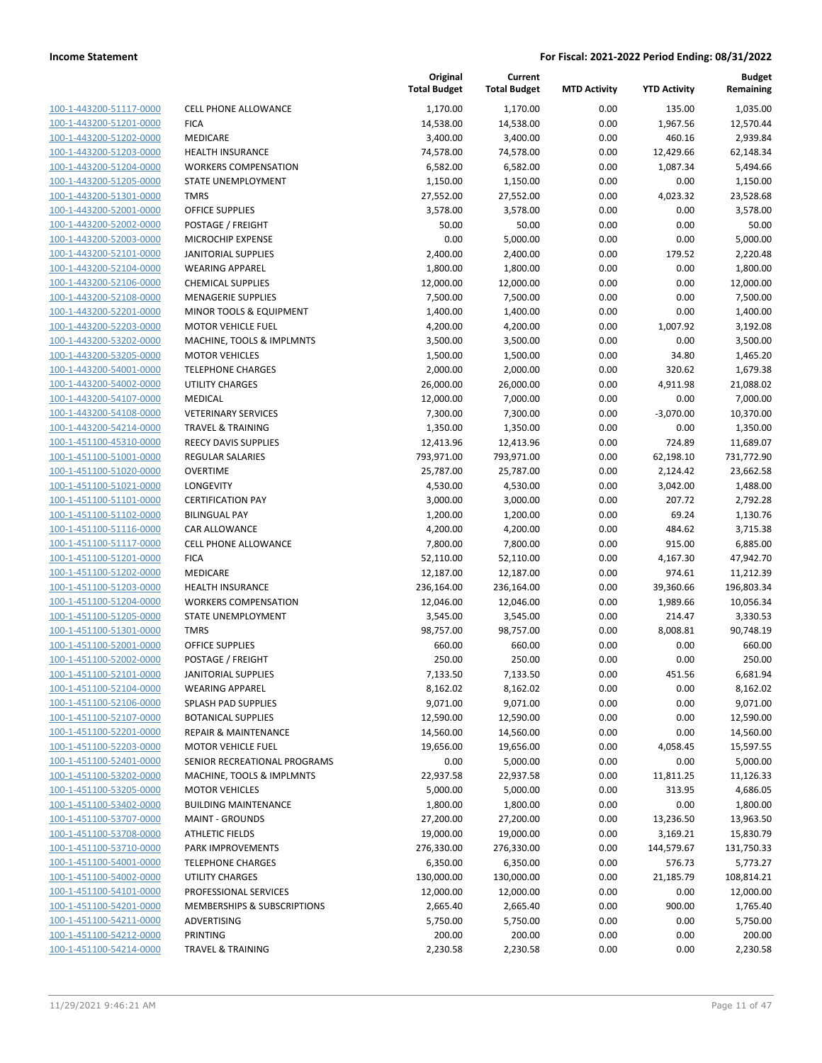|                                                    |                                                   | Original<br><b>Total Budget</b> | Current<br><b>Total Budget</b> | <b>MTD Activity</b> | <b>YTD Activity</b> | <b>Budget</b><br>Remaining |
|----------------------------------------------------|---------------------------------------------------|---------------------------------|--------------------------------|---------------------|---------------------|----------------------------|
| 100-1-443200-51117-0000                            | <b>CELL PHONE ALLOWANCE</b>                       | 1,170.00                        | 1,170.00                       | 0.00                | 135.00              | 1,035.00                   |
| 100-1-443200-51201-0000                            | <b>FICA</b>                                       | 14,538.00                       | 14,538.00                      | 0.00                | 1,967.56            | 12,570.44                  |
| 100-1-443200-51202-0000                            | MEDICARE                                          | 3,400.00                        | 3,400.00                       | 0.00                | 460.16              | 2,939.84                   |
| 100-1-443200-51203-0000                            | <b>HEALTH INSURANCE</b>                           | 74,578.00                       | 74,578.00                      | 0.00                | 12,429.66           | 62,148.34                  |
| 100-1-443200-51204-0000                            | <b>WORKERS COMPENSATION</b>                       | 6,582.00                        | 6,582.00                       | 0.00                | 1,087.34            | 5,494.66                   |
| 100-1-443200-51205-0000                            | STATE UNEMPLOYMENT                                | 1,150.00                        | 1,150.00                       | 0.00                | 0.00                | 1,150.00                   |
| 100-1-443200-51301-0000                            | <b>TMRS</b>                                       | 27,552.00                       | 27,552.00                      | 0.00                | 4,023.32            | 23,528.68                  |
| 100-1-443200-52001-0000                            | <b>OFFICE SUPPLIES</b>                            | 3,578.00                        | 3,578.00                       | 0.00                | 0.00                | 3,578.00                   |
| 100-1-443200-52002-0000                            | POSTAGE / FREIGHT                                 | 50.00                           | 50.00                          | 0.00                | 0.00                | 50.00                      |
| 100-1-443200-52003-0000                            | MICROCHIP EXPENSE                                 | 0.00                            | 5,000.00                       | 0.00                | 0.00                | 5,000.00                   |
| 100-1-443200-52101-0000                            | <b>JANITORIAL SUPPLIES</b>                        | 2,400.00                        | 2,400.00                       | 0.00                | 179.52              | 2,220.48                   |
| 100-1-443200-52104-0000                            | <b>WEARING APPAREL</b>                            | 1,800.00                        | 1,800.00                       | 0.00                | 0.00                | 1,800.00                   |
| 100-1-443200-52106-0000                            | <b>CHEMICAL SUPPLIES</b>                          | 12,000.00                       | 12,000.00                      | 0.00                | 0.00                | 12,000.00                  |
| 100-1-443200-52108-0000                            | <b>MENAGERIE SUPPLIES</b>                         | 7,500.00                        | 7,500.00                       | 0.00                | 0.00                | 7,500.00                   |
| 100-1-443200-52201-0000                            | MINOR TOOLS & EQUIPMENT                           | 1,400.00                        | 1,400.00                       | 0.00                | 0.00                | 1,400.00                   |
| 100-1-443200-52203-0000                            | <b>MOTOR VEHICLE FUEL</b>                         | 4,200.00                        | 4,200.00                       | 0.00                | 1,007.92            | 3,192.08                   |
| 100-1-443200-53202-0000                            | MACHINE, TOOLS & IMPLMNTS                         | 3,500.00                        | 3,500.00                       | 0.00                | 0.00                | 3,500.00                   |
| 100-1-443200-53205-0000                            | <b>MOTOR VEHICLES</b>                             | 1,500.00                        | 1,500.00                       | 0.00                | 34.80               | 1,465.20                   |
| 100-1-443200-54001-0000                            | <b>TELEPHONE CHARGES</b>                          | 2,000.00                        | 2,000.00                       | 0.00                | 320.62              | 1,679.38                   |
| 100-1-443200-54002-0000                            | UTILITY CHARGES                                   | 26,000.00                       | 26,000.00                      | 0.00                | 4,911.98            | 21,088.02                  |
| 100-1-443200-54107-0000                            | <b>MEDICAL</b>                                    | 12,000.00                       | 7,000.00                       | 0.00                | 0.00                | 7,000.00                   |
| 100-1-443200-54108-0000                            | <b>VETERINARY SERVICES</b>                        | 7,300.00                        | 7,300.00                       | 0.00                | $-3,070.00$         | 10,370.00                  |
| 100-1-443200-54214-0000                            | <b>TRAVEL &amp; TRAINING</b>                      | 1,350.00                        | 1,350.00                       | 0.00                | 0.00                | 1,350.00                   |
| 100-1-451100-45310-0000                            | REECY DAVIS SUPPLIES                              | 12,413.96                       | 12,413.96                      | 0.00                | 724.89              | 11,689.07                  |
| 100-1-451100-51001-0000                            | <b>REGULAR SALARIES</b>                           | 793,971.00                      | 793,971.00                     | 0.00                | 62,198.10           | 731,772.90                 |
| 100-1-451100-51020-0000                            | <b>OVERTIME</b>                                   | 25,787.00                       | 25,787.00                      | 0.00                | 2,124.42            | 23,662.58                  |
| 100-1-451100-51021-0000                            | LONGEVITY                                         | 4,530.00                        | 4,530.00                       | 0.00                | 3,042.00            | 1,488.00                   |
| 100-1-451100-51101-0000                            | <b>CERTIFICATION PAY</b>                          | 3,000.00                        | 3,000.00                       | 0.00                | 207.72              | 2,792.28                   |
| 100-1-451100-51102-0000                            | <b>BILINGUAL PAY</b>                              | 1,200.00                        | 1,200.00                       | 0.00                | 69.24               | 1,130.76                   |
| 100-1-451100-51116-0000                            | CAR ALLOWANCE                                     | 4,200.00                        | 4,200.00                       | 0.00                | 484.62              | 3,715.38                   |
| 100-1-451100-51117-0000                            | <b>CELL PHONE ALLOWANCE</b>                       | 7,800.00                        | 7,800.00                       | 0.00                | 915.00              | 6,885.00                   |
| 100-1-451100-51201-0000                            | <b>FICA</b>                                       | 52,110.00                       | 52,110.00                      | 0.00                | 4,167.30            | 47,942.70                  |
| 100-1-451100-51202-0000                            | MEDICARE                                          | 12,187.00                       | 12,187.00                      | 0.00                | 974.61              | 11,212.39                  |
| 100-1-451100-51203-0000                            | <b>HEALTH INSURANCE</b>                           | 236,164.00                      | 236,164.00                     | 0.00                | 39,360.66           | 196,803.34                 |
| 100-1-451100-51204-0000<br>100-1-451100-51205-0000 | <b>WORKERS COMPENSATION</b><br>STATE UNEMPLOYMENT | 12,046.00                       | 12,046.00<br>3,545.00          | 0.00<br>0.00        | 1,989.66<br>214.47  | 10,056.34                  |
| 100-1-451100-51301-0000                            | <b>TMRS</b>                                       | 3,545.00<br>98,757.00           | 98,757.00                      | 0.00                | 8,008.81            | 3,330.53<br>90,748.19      |
| 100-1-451100-52001-0000                            | <b>OFFICE SUPPLIES</b>                            | 660.00                          | 660.00                         | 0.00                | 0.00                | 660.00                     |
| 100-1-451100-52002-0000                            | POSTAGE / FREIGHT                                 | 250.00                          | 250.00                         | 0.00                | 0.00                | 250.00                     |
| 100-1-451100-52101-0000                            | <b>JANITORIAL SUPPLIES</b>                        | 7,133.50                        | 7,133.50                       | 0.00                | 451.56              | 6,681.94                   |
| 100-1-451100-52104-0000                            | <b>WEARING APPAREL</b>                            | 8,162.02                        | 8,162.02                       | 0.00                | 0.00                | 8,162.02                   |
| 100-1-451100-52106-0000                            | <b>SPLASH PAD SUPPLIES</b>                        | 9,071.00                        | 9,071.00                       | 0.00                | 0.00                | 9,071.00                   |
| 100-1-451100-52107-0000                            | <b>BOTANICAL SUPPLIES</b>                         | 12,590.00                       | 12,590.00                      | 0.00                | 0.00                | 12,590.00                  |
| 100-1-451100-52201-0000                            | <b>REPAIR &amp; MAINTENANCE</b>                   | 14,560.00                       | 14,560.00                      | 0.00                | 0.00                | 14,560.00                  |
| 100-1-451100-52203-0000                            | <b>MOTOR VEHICLE FUEL</b>                         | 19,656.00                       | 19,656.00                      | 0.00                | 4,058.45            | 15,597.55                  |
| 100-1-451100-52401-0000                            | SENIOR RECREATIONAL PROGRAMS                      | 0.00                            | 5,000.00                       | 0.00                | 0.00                | 5,000.00                   |
| 100-1-451100-53202-0000                            | MACHINE, TOOLS & IMPLMNTS                         | 22,937.58                       | 22,937.58                      | 0.00                | 11,811.25           | 11,126.33                  |
| 100-1-451100-53205-0000                            | <b>MOTOR VEHICLES</b>                             | 5,000.00                        | 5,000.00                       | 0.00                | 313.95              | 4,686.05                   |
| 100-1-451100-53402-0000                            | <b>BUILDING MAINTENANCE</b>                       | 1,800.00                        | 1,800.00                       | 0.00                | 0.00                | 1,800.00                   |
| 100-1-451100-53707-0000                            | <b>MAINT - GROUNDS</b>                            | 27,200.00                       | 27,200.00                      | 0.00                | 13,236.50           | 13,963.50                  |
| 100-1-451100-53708-0000                            | <b>ATHLETIC FIELDS</b>                            | 19,000.00                       | 19,000.00                      | 0.00                | 3,169.21            | 15,830.79                  |
| 100-1-451100-53710-0000                            | PARK IMPROVEMENTS                                 | 276,330.00                      | 276,330.00                     | 0.00                | 144,579.67          | 131,750.33                 |
| 100-1-451100-54001-0000                            | <b>TELEPHONE CHARGES</b>                          | 6,350.00                        | 6,350.00                       | 0.00                | 576.73              | 5,773.27                   |
| 100-1-451100-54002-0000                            | <b>UTILITY CHARGES</b>                            | 130,000.00                      | 130,000.00                     | 0.00                | 21,185.79           | 108,814.21                 |
| 100-1-451100-54101-0000                            | PROFESSIONAL SERVICES                             | 12,000.00                       | 12,000.00                      | 0.00                | 0.00                | 12,000.00                  |
| 100-1-451100-54201-0000                            | MEMBERSHIPS & SUBSCRIPTIONS                       | 2,665.40                        | 2,665.40                       | 0.00                | 900.00              | 1,765.40                   |
| 100-1-451100-54211-0000                            | ADVERTISING                                       | 5,750.00                        | 5,750.00                       | 0.00                | 0.00                | 5,750.00                   |
| 100-1-451100-54212-0000                            | PRINTING                                          | 200.00                          | 200.00                         | 0.00                | 0.00                | 200.00                     |
| 100-1-451100-54214-0000                            | <b>TRAVEL &amp; TRAINING</b>                      | 2,230.58                        | 2,230.58                       | 0.00                | 0.00                | 2,230.58                   |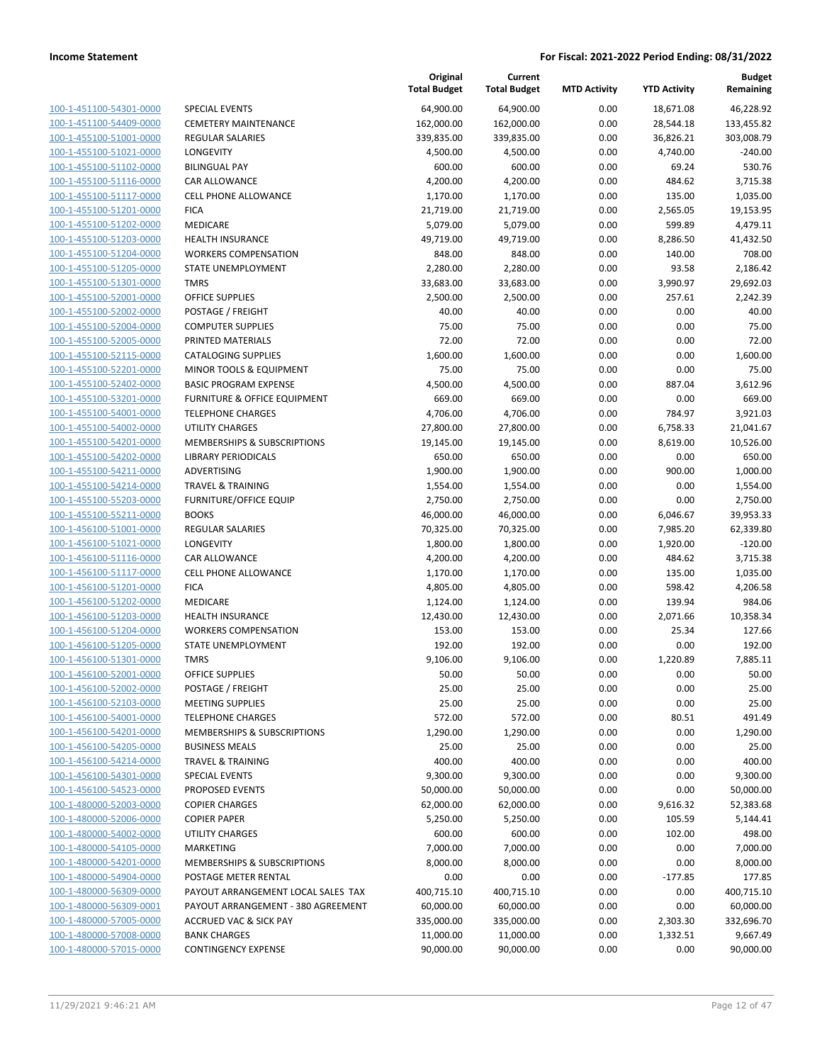| 100-1-451100-54301-0000        |
|--------------------------------|
| 100-1-451100-54409-0000        |
| 100-1-455100-51001-0000        |
| 100-1-455100-51021-0000        |
| 100-1-455100-51102-0000        |
| 100-1-455100-51116-0000        |
| 100-1-455100-51117-0000        |
| 100-1-455100-51201-0000        |
| 100-1-455100-51202-0000        |
| 100-1-455100-51203-0000        |
| 100-1-455100-51204-0000        |
| 100-1-455100-51205-0000        |
| 100-1-455100-51301-0000        |
| 100-1-455100-52001-0000        |
| 100-1-455100-52002-0000        |
| 100-1-455100-52004-0000        |
| 100-1-455100-52005-0000        |
| 100-1-455100-52115-0000        |
| 100-1-455100-52201-0000        |
|                                |
| 100-1-455100-52402-0000        |
| 100-1-455100-53201-0000        |
| 100-1-455100-54001-0000        |
| 100-1-455100-54002-0000        |
| 100-1-455100-54201-0000        |
| 100-1-455100-54202-0000        |
| 100-1-455100-54211-0000        |
| 100-1-455100-54214-0000        |
| 100-1-455100-55203-0000        |
| 100-1-455100-55211-0000        |
| 100-1-456100-51001-0000        |
| 100-1-456100-51021-0000        |
| 100-1-456100-51116-0000        |
| 100-1-456100-51117-0000        |
| 100-1-456100-51201-0000        |
| 100-1-456100-51202-0000        |
| 100-1-456100-51203-0000        |
| 100-1-456100-51204-0000        |
| 100-1-456100-51205-0000        |
| 100-1-456100-51301-0000        |
|                                |
| 100-1-456100-52001-0000        |
| 100-1-456100-52002-0000        |
| 100-1-456100-52103-0000        |
| 100-1-456100-54001-0000        |
| <u>100-1-456100-54201-0000</u> |
| <u>100-1-456100-54205-0000</u> |
| 100-1-456100-54214-0000        |
| 100-1-456100-54301-0000        |
| 100-1-456100-54523-0000        |
| <u>100-1-480000-52003-0000</u> |
| <u>100-1-480000-52006-0000</u> |
| 100-1-480000-54002-0000        |
| 100-1-480000-54105-0000        |
| 100-1-480000-54201-0000        |
| 100-1-480000-54904-0000        |
| <u>100-1-480000-56309-0000</u> |
| <u>100-1-480000-56309-0001</u> |
| 100-1-480000-57005-0000        |
| 100-1-480000-57008-0000        |
| <u>100-1-480000-57015-0000</u> |
|                                |
|                                |

|                                                    |                                        | Original<br><b>Total Budget</b> | Current<br><b>Total Budget</b> | <b>MTD Activity</b> | <b>YTD Activity</b>  | <b>Budget</b><br>Remaining |
|----------------------------------------------------|----------------------------------------|---------------------------------|--------------------------------|---------------------|----------------------|----------------------------|
| 100-1-451100-54301-0000                            | <b>SPECIAL EVENTS</b>                  | 64,900.00                       | 64,900.00                      | 0.00                | 18,671.08            | 46,228.92                  |
| 100-1-451100-54409-0000                            | <b>CEMETERY MAINTENANCE</b>            | 162,000.00                      | 162,000.00                     | 0.00                | 28,544.18            | 133,455.82                 |
| 100-1-455100-51001-0000                            | REGULAR SALARIES                       | 339,835.00                      | 339,835.00                     | 0.00                | 36,826.21            | 303,008.79                 |
| 100-1-455100-51021-0000                            | <b>LONGEVITY</b>                       | 4,500.00                        | 4,500.00                       | 0.00                | 4,740.00             | $-240.00$                  |
| 100-1-455100-51102-0000                            | <b>BILINGUAL PAY</b>                   | 600.00                          | 600.00                         | 0.00                | 69.24                | 530.76                     |
| 100-1-455100-51116-0000                            | CAR ALLOWANCE                          | 4,200.00                        | 4,200.00                       | 0.00                | 484.62               | 3,715.38                   |
| 100-1-455100-51117-0000                            | CELL PHONE ALLOWANCE                   | 1,170.00                        | 1,170.00                       | 0.00                | 135.00               | 1,035.00                   |
| 100-1-455100-51201-0000                            | <b>FICA</b>                            | 21,719.00                       | 21,719.00                      | 0.00                | 2,565.05             | 19,153.95                  |
| 100-1-455100-51202-0000                            | MEDICARE                               | 5,079.00                        | 5,079.00                       | 0.00                | 599.89               | 4,479.11                   |
| 100-1-455100-51203-0000                            | HEALTH INSURANCE                       | 49,719.00                       | 49,719.00                      | 0.00                | 8,286.50             | 41,432.50                  |
| 100-1-455100-51204-0000                            | <b>WORKERS COMPENSATION</b>            | 848.00                          | 848.00                         | 0.00                | 140.00               | 708.00                     |
| 100-1-455100-51205-0000                            | STATE UNEMPLOYMENT                     | 2,280.00                        | 2,280.00                       | 0.00                | 93.58                | 2,186.42                   |
| 100-1-455100-51301-0000                            | <b>TMRS</b>                            | 33,683.00                       | 33,683.00                      | 0.00                | 3,990.97             | 29,692.03                  |
| 100-1-455100-52001-0000                            | <b>OFFICE SUPPLIES</b>                 | 2,500.00                        | 2,500.00                       | 0.00                | 257.61               | 2,242.39                   |
| 100-1-455100-52002-0000                            | POSTAGE / FREIGHT                      | 40.00                           | 40.00                          | 0.00                | 0.00                 | 40.00                      |
| 100-1-455100-52004-0000                            | <b>COMPUTER SUPPLIES</b>               | 75.00                           | 75.00                          | 0.00                | 0.00                 | 75.00                      |
| 100-1-455100-52005-0000                            | PRINTED MATERIALS                      | 72.00                           | 72.00                          | 0.00                | 0.00                 | 72.00                      |
| 100-1-455100-52115-0000                            | <b>CATALOGING SUPPLIES</b>             | 1,600.00                        | 1,600.00                       | 0.00                | 0.00                 | 1,600.00                   |
| 100-1-455100-52201-0000                            | MINOR TOOLS & EQUIPMENT                | 75.00                           | 75.00                          | 0.00                | 0.00                 | 75.00                      |
| 100-1-455100-52402-0000                            | <b>BASIC PROGRAM EXPENSE</b>           | 4,500.00                        | 4,500.00                       | 0.00                | 887.04               | 3,612.96                   |
| 100-1-455100-53201-0000                            | FURNITURE & OFFICE EQUIPMENT           | 669.00                          | 669.00                         | 0.00                | 0.00                 | 669.00                     |
| 100-1-455100-54001-0000                            | <b>TELEPHONE CHARGES</b>               | 4,706.00                        | 4,706.00                       | 0.00                | 784.97               | 3,921.03                   |
| 100-1-455100-54002-0000                            | UTILITY CHARGES                        | 27,800.00                       | 27,800.00                      | 0.00                | 6,758.33             | 21,041.67                  |
| 100-1-455100-54201-0000                            | <b>MEMBERSHIPS &amp; SUBSCRIPTIONS</b> | 19,145.00                       | 19,145.00                      | 0.00                | 8,619.00             | 10,526.00                  |
| 100-1-455100-54202-0000                            | <b>LIBRARY PERIODICALS</b>             | 650.00                          | 650.00                         | 0.00                | 0.00                 | 650.00                     |
| 100-1-455100-54211-0000                            | ADVERTISING                            | 1,900.00                        | 1,900.00                       | 0.00                | 900.00               | 1,000.00                   |
| 100-1-455100-54214-0000                            | <b>TRAVEL &amp; TRAINING</b>           | 1,554.00                        | 1,554.00                       | 0.00                | 0.00                 | 1,554.00                   |
| 100-1-455100-55203-0000<br>100-1-455100-55211-0000 | FURNITURE/OFFICE EQUIP                 | 2,750.00                        | 2,750.00                       | 0.00                | 0.00                 | 2,750.00                   |
| 100-1-456100-51001-0000                            | <b>BOOKS</b><br>REGULAR SALARIES       | 46,000.00<br>70,325.00          | 46,000.00<br>70,325.00         | 0.00<br>0.00        | 6,046.67             | 39,953.33<br>62,339.80     |
| 100-1-456100-51021-0000                            | <b>LONGEVITY</b>                       | 1,800.00                        | 1,800.00                       | 0.00                | 7,985.20<br>1,920.00 | $-120.00$                  |
| 100-1-456100-51116-0000                            | CAR ALLOWANCE                          | 4,200.00                        | 4,200.00                       | 0.00                | 484.62               | 3,715.38                   |
| 100-1-456100-51117-0000                            | CELL PHONE ALLOWANCE                   | 1,170.00                        | 1,170.00                       | 0.00                | 135.00               | 1,035.00                   |
| 100-1-456100-51201-0000                            | <b>FICA</b>                            | 4,805.00                        | 4,805.00                       | 0.00                | 598.42               | 4,206.58                   |
| 100-1-456100-51202-0000                            | MEDICARE                               | 1,124.00                        | 1,124.00                       | 0.00                | 139.94               | 984.06                     |
| 100-1-456100-51203-0000                            | <b>HEALTH INSURANCE</b>                | 12,430.00                       | 12,430.00                      | 0.00                | 2,071.66             | 10,358.34                  |
| 100-1-456100-51204-0000                            | <b>WORKERS COMPENSATION</b>            | 153.00                          | 153.00                         | 0.00                | 25.34                | 127.66                     |
| 100-1-456100-51205-0000                            | STATE UNEMPLOYMENT                     | 192.00                          | 192.00                         | 0.00                | 0.00                 | 192.00                     |
| 100-1-456100-51301-0000                            | <b>TMRS</b>                            | 9,106.00                        | 9,106.00                       | 0.00                | 1,220.89             | 7,885.11                   |
| 100-1-456100-52001-0000                            | OFFICE SUPPLIES                        | 50.00                           | 50.00                          | 0.00                | 0.00                 | 50.00                      |
| 100-1-456100-52002-0000                            | POSTAGE / FREIGHT                      | 25.00                           | 25.00                          | 0.00                | 0.00                 | 25.00                      |
| 100-1-456100-52103-0000                            | <b>MEETING SUPPLIES</b>                | 25.00                           | 25.00                          | 0.00                | 0.00                 | 25.00                      |
| 100-1-456100-54001-0000                            | <b>TELEPHONE CHARGES</b>               | 572.00                          | 572.00                         | 0.00                | 80.51                | 491.49                     |
| 100-1-456100-54201-0000                            | MEMBERSHIPS & SUBSCRIPTIONS            | 1,290.00                        | 1,290.00                       | 0.00                | 0.00                 | 1,290.00                   |
| 100-1-456100-54205-0000                            | <b>BUSINESS MEALS</b>                  | 25.00                           | 25.00                          | 0.00                | 0.00                 | 25.00                      |
| 100-1-456100-54214-0000                            | TRAVEL & TRAINING                      | 400.00                          | 400.00                         | 0.00                | 0.00                 | 400.00                     |
| 100-1-456100-54301-0000                            | <b>SPECIAL EVENTS</b>                  | 9,300.00                        | 9,300.00                       | 0.00                | 0.00                 | 9,300.00                   |
| 100-1-456100-54523-0000                            | PROPOSED EVENTS                        | 50,000.00                       | 50,000.00                      | 0.00                | 0.00                 | 50,000.00                  |
| 100-1-480000-52003-0000                            | <b>COPIER CHARGES</b>                  | 62,000.00                       | 62,000.00                      | 0.00                | 9,616.32             | 52,383.68                  |
| 100-1-480000-52006-0000                            | <b>COPIER PAPER</b>                    | 5,250.00                        | 5,250.00                       | 0.00                | 105.59               | 5,144.41                   |
| 100-1-480000-54002-0000                            | UTILITY CHARGES                        | 600.00                          | 600.00                         | 0.00                | 102.00               | 498.00                     |
| 100-1-480000-54105-0000                            | MARKETING                              | 7,000.00                        | 7,000.00                       | 0.00                | 0.00                 | 7,000.00                   |
| 100-1-480000-54201-0000                            | MEMBERSHIPS & SUBSCRIPTIONS            | 8,000.00                        | 8,000.00                       | 0.00                | 0.00                 | 8,000.00                   |
| 100-1-480000-54904-0000                            | POSTAGE METER RENTAL                   | 0.00                            | 0.00                           | 0.00                | $-177.85$            | 177.85                     |
| 100-1-480000-56309-0000                            | PAYOUT ARRANGEMENT LOCAL SALES TAX     | 400,715.10                      | 400,715.10                     | 0.00                | 0.00                 | 400,715.10                 |
| 100-1-480000-56309-0001                            | PAYOUT ARRANGEMENT - 380 AGREEMENT     | 60,000.00                       | 60,000.00                      | 0.00                | 0.00                 | 60,000.00                  |
| 100-1-480000-57005-0000                            | <b>ACCRUED VAC &amp; SICK PAY</b>      | 335,000.00                      | 335,000.00                     | 0.00                | 2,303.30             | 332,696.70                 |
| 100-1-480000-57008-0000                            | <b>BANK CHARGES</b>                    | 11,000.00                       | 11,000.00                      | 0.00                | 1,332.51             | 9,667.49                   |
| 100-1-480000-57015-0000                            | <b>CONTINGENCY EXPENSE</b>             | 90,000.00                       | 90,000.00                      | 0.00                | 0.00                 | 90,000.00                  |
|                                                    |                                        |                                 |                                |                     |                      |                            |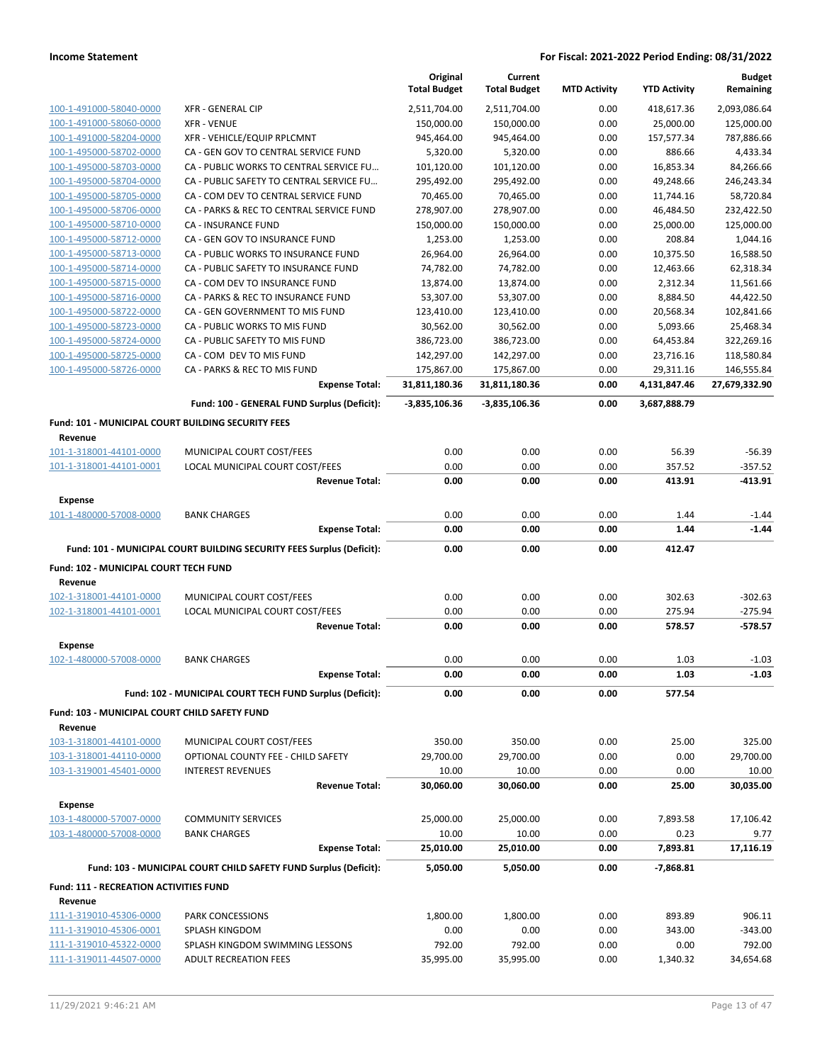|                                                               |                                                                       | Original<br><b>Total Budget</b> | Current<br><b>Total Budget</b> | <b>MTD Activity</b> | <b>YTD Activity</b>   | <b>Budget</b><br>Remaining |
|---------------------------------------------------------------|-----------------------------------------------------------------------|---------------------------------|--------------------------------|---------------------|-----------------------|----------------------------|
| 100-1-491000-58040-0000                                       | <b>XFR - GENERAL CIP</b>                                              | 2,511,704.00                    | 2,511,704.00                   | 0.00                | 418,617.36            | 2,093,086.64               |
| 100-1-491000-58060-0000                                       | <b>XFR - VENUE</b>                                                    | 150,000.00                      | 150,000.00                     | 0.00                | 25,000.00             | 125,000.00                 |
| 100-1-491000-58204-0000                                       | XFR - VEHICLE/EQUIP RPLCMNT                                           | 945,464.00                      | 945,464.00                     | 0.00                | 157,577.34            | 787,886.66                 |
| 100-1-495000-58702-0000                                       | CA - GEN GOV TO CENTRAL SERVICE FUND                                  | 5,320.00                        | 5,320.00                       | 0.00                | 886.66                | 4,433.34                   |
| 100-1-495000-58703-0000                                       | CA - PUBLIC WORKS TO CENTRAL SERVICE FU                               | 101,120.00                      | 101,120.00                     | 0.00                | 16,853.34             | 84,266.66                  |
| 100-1-495000-58704-0000                                       | CA - PUBLIC SAFETY TO CENTRAL SERVICE FU                              | 295,492.00                      | 295,492.00                     | 0.00                | 49,248.66             | 246,243.34                 |
| 100-1-495000-58705-0000                                       | CA - COM DEV TO CENTRAL SERVICE FUND                                  | 70,465.00                       | 70,465.00                      | 0.00                | 11,744.16             | 58,720.84                  |
| 100-1-495000-58706-0000                                       | CA - PARKS & REC TO CENTRAL SERVICE FUND                              | 278,907.00                      | 278,907.00                     | 0.00                | 46,484.50             | 232,422.50                 |
| 100-1-495000-58710-0000                                       | CA - INSURANCE FUND                                                   | 150,000.00                      | 150,000.00                     | 0.00                | 25,000.00             | 125,000.00                 |
| 100-1-495000-58712-0000                                       | CA - GEN GOV TO INSURANCE FUND                                        | 1,253.00                        | 1,253.00                       | 0.00                | 208.84                | 1,044.16                   |
| 100-1-495000-58713-0000                                       | CA - PUBLIC WORKS TO INSURANCE FUND                                   | 26,964.00                       | 26,964.00                      | 0.00                | 10,375.50             | 16,588.50                  |
| 100-1-495000-58714-0000                                       | CA - PUBLIC SAFETY TO INSURANCE FUND                                  | 74,782.00                       | 74,782.00                      | 0.00                | 12,463.66             | 62,318.34                  |
| 100-1-495000-58715-0000                                       | CA - COM DEV TO INSURANCE FUND                                        | 13,874.00                       | 13,874.00                      | 0.00                | 2,312.34              | 11,561.66                  |
| 100-1-495000-58716-0000<br>100-1-495000-58722-0000            | CA - PARKS & REC TO INSURANCE FUND<br>CA - GEN GOVERNMENT TO MIS FUND | 53,307.00<br>123,410.00         | 53,307.00<br>123,410.00        | 0.00<br>0.00        | 8,884.50<br>20,568.34 | 44,422.50<br>102,841.66    |
| 100-1-495000-58723-0000                                       | CA - PUBLIC WORKS TO MIS FUND                                         | 30,562.00                       | 30,562.00                      | 0.00                | 5,093.66              | 25,468.34                  |
| 100-1-495000-58724-0000                                       | CA - PUBLIC SAFETY TO MIS FUND                                        | 386,723.00                      | 386,723.00                     | 0.00                | 64,453.84             | 322,269.16                 |
| 100-1-495000-58725-0000                                       | CA - COM DEV TO MIS FUND                                              | 142,297.00                      | 142,297.00                     | 0.00                | 23,716.16             | 118,580.84                 |
| 100-1-495000-58726-0000                                       | CA - PARKS & REC TO MIS FUND                                          | 175,867.00                      | 175,867.00                     | 0.00                | 29,311.16             | 146,555.84                 |
|                                                               | <b>Expense Total:</b>                                                 | 31,811,180.36                   | 31,811,180.36                  | 0.00                | 4,131,847.46          | 27,679,332.90              |
|                                                               | Fund: 100 - GENERAL FUND Surplus (Deficit):                           | $-3,835,106.36$                 | $-3,835,106.36$                | 0.00                | 3,687,888.79          |                            |
| Fund: 101 - MUNICIPAL COURT BUILDING SECURITY FEES<br>Revenue |                                                                       |                                 |                                |                     |                       |                            |
| 101-1-318001-44101-0000                                       | MUNICIPAL COURT COST/FEES                                             | 0.00                            | 0.00                           | 0.00                | 56.39                 | $-56.39$                   |
| 101-1-318001-44101-0001                                       | LOCAL MUNICIPAL COURT COST/FEES                                       | 0.00                            | 0.00                           | 0.00                | 357.52                | -357.52                    |
|                                                               | <b>Revenue Total:</b>                                                 | 0.00                            | 0.00                           | 0.00                | 413.91                | -413.91                    |
| <b>Expense</b>                                                |                                                                       |                                 |                                |                     |                       |                            |
| 101-1-480000-57008-0000                                       | <b>BANK CHARGES</b>                                                   | 0.00                            | 0.00                           | 0.00                | 1.44                  | $-1.44$                    |
|                                                               |                                                                       |                                 |                                |                     |                       |                            |
|                                                               | <b>Expense Total:</b>                                                 | 0.00                            | 0.00                           | 0.00                | 1.44                  | $-1.44$                    |
|                                                               | Fund: 101 - MUNICIPAL COURT BUILDING SECURITY FEES Surplus (Deficit): | 0.00                            | 0.00                           | 0.00                | 412.47                |                            |
| Fund: 102 - MUNICIPAL COURT TECH FUND                         |                                                                       |                                 |                                |                     |                       |                            |
| Revenue                                                       |                                                                       |                                 |                                |                     |                       |                            |
| 102-1-318001-44101-0000                                       | MUNICIPAL COURT COST/FEES                                             | 0.00                            | 0.00                           | 0.00                | 302.63                | $-302.63$                  |
| 102-1-318001-44101-0001                                       | LOCAL MUNICIPAL COURT COST/FEES                                       | 0.00                            | 0.00                           | 0.00                | 275.94                | -275.94                    |
|                                                               | <b>Revenue Total:</b>                                                 | 0.00                            | 0.00                           | 0.00                | 578.57                | $-578.57$                  |
| <b>Expense</b>                                                |                                                                       |                                 |                                |                     |                       |                            |
| 102-1-480000-57008-0000                                       | <b>BANK CHARGES</b>                                                   | 0.00                            | 0.00                           | 0.00                | 1.03                  | $-1.03$                    |
|                                                               | <b>Expense Total:</b>                                                 | 0.00                            | 0.00                           | 0.00                | 1.03                  | $-1.03$                    |
|                                                               | Fund: 102 - MUNICIPAL COURT TECH FUND Surplus (Deficit):              | 0.00                            | 0.00                           | 0.00                | 577.54                |                            |
| Fund: 103 - MUNICIPAL COURT CHILD SAFETY FUND                 |                                                                       |                                 |                                |                     |                       |                            |
| Revenue                                                       |                                                                       |                                 |                                |                     |                       |                            |
| 103-1-318001-44101-0000                                       | MUNICIPAL COURT COST/FEES                                             | 350.00                          | 350.00                         | 0.00                | 25.00                 | 325.00                     |
| 103-1-318001-44110-0000                                       | OPTIONAL COUNTY FEE - CHILD SAFETY                                    | 29,700.00                       | 29,700.00                      | 0.00                | 0.00                  | 29,700.00                  |
| 103-1-319001-45401-0000                                       | <b>INTEREST REVENUES</b><br><b>Revenue Total:</b>                     | 10.00<br>30,060.00              | 10.00<br>30,060.00             | 0.00<br>0.00        | 0.00<br>25.00         | 10.00<br>30,035.00         |
| <b>Expense</b>                                                |                                                                       |                                 |                                |                     |                       |                            |
| 103-1-480000-57007-0000                                       | <b>COMMUNITY SERVICES</b>                                             | 25,000.00                       | 25,000.00                      | 0.00                | 7,893.58              | 17,106.42                  |
| 103-1-480000-57008-0000                                       | <b>BANK CHARGES</b>                                                   | 10.00                           | 10.00                          | 0.00                | 0.23                  | 9.77                       |
|                                                               | <b>Expense Total:</b>                                                 | 25,010.00                       | 25,010.00                      | 0.00                | 7,893.81              | 17,116.19                  |
|                                                               | Fund: 103 - MUNICIPAL COURT CHILD SAFETY FUND Surplus (Deficit):      | 5,050.00                        | 5,050.00                       | 0.00                | -7,868.81             |                            |
| Fund: 111 - RECREATION ACTIVITIES FUND                        |                                                                       |                                 |                                |                     |                       |                            |
| Revenue                                                       |                                                                       |                                 |                                |                     |                       |                            |
| 111-1-319010-45306-0000                                       | PARK CONCESSIONS                                                      | 1,800.00                        | 1,800.00                       | 0.00                | 893.89                | 906.11                     |
| 111-1-319010-45306-0001<br>111-1-319010-45322-0000            | SPLASH KINGDOM<br>SPLASH KINGDOM SWIMMING LESSONS                     | 0.00<br>792.00                  | 0.00<br>792.00                 | 0.00<br>0.00        | 343.00<br>0.00        | -343.00<br>792.00          |
| 111-1-319011-44507-0000                                       | <b>ADULT RECREATION FEES</b>                                          | 35,995.00                       | 35,995.00                      | 0.00                | 1,340.32              | 34,654.68                  |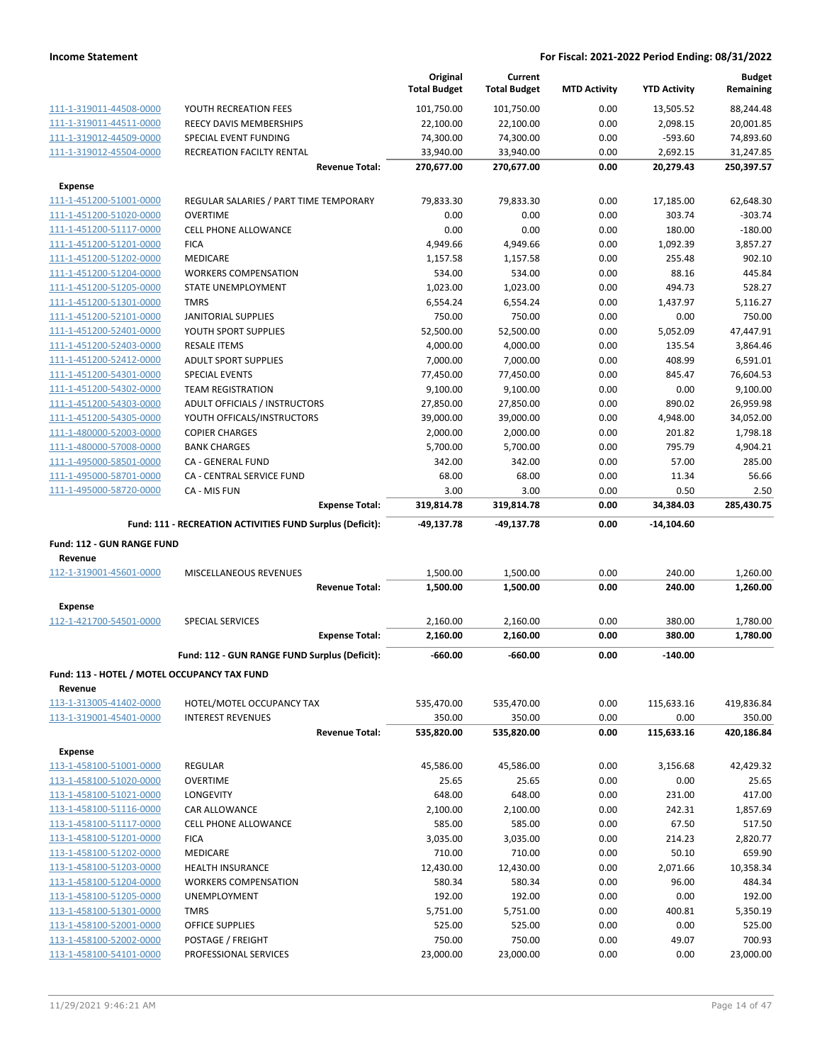|                                                         |                                                           | Original<br><b>Total Budget</b> | Current<br><b>Total Budget</b> | <b>MTD Activity</b> | <b>YTD Activity</b> | <b>Budget</b><br>Remaining |
|---------------------------------------------------------|-----------------------------------------------------------|---------------------------------|--------------------------------|---------------------|---------------------|----------------------------|
| 111-1-319011-44508-0000                                 | YOUTH RECREATION FEES                                     | 101,750.00                      | 101,750.00                     | 0.00                | 13,505.52           | 88,244.48                  |
| 111-1-319011-44511-0000                                 | REECY DAVIS MEMBERSHIPS                                   | 22,100.00                       | 22,100.00                      | 0.00                | 2,098.15            | 20,001.85                  |
| 111-1-319012-44509-0000                                 | SPECIAL EVENT FUNDING                                     | 74,300.00                       | 74,300.00                      | 0.00                | $-593.60$           | 74,893.60                  |
| 111-1-319012-45504-0000                                 | RECREATION FACILTY RENTAL                                 | 33,940.00                       | 33,940.00                      | 0.00                | 2,692.15            | 31,247.85                  |
|                                                         | <b>Revenue Total:</b>                                     | 270,677.00                      | 270,677.00                     | 0.00                | 20,279.43           | 250,397.57                 |
| <b>Expense</b>                                          |                                                           |                                 |                                |                     |                     |                            |
| 111-1-451200-51001-0000                                 | REGULAR SALARIES / PART TIME TEMPORARY                    | 79,833.30                       | 79,833.30                      | 0.00                | 17,185.00           | 62,648.30                  |
| 111-1-451200-51020-0000                                 | <b>OVERTIME</b>                                           | 0.00                            | 0.00                           | 0.00                | 303.74              | $-303.74$                  |
| 111-1-451200-51117-0000                                 | <b>CELL PHONE ALLOWANCE</b>                               | 0.00                            | 0.00                           | 0.00                | 180.00              | $-180.00$                  |
| 111-1-451200-51201-0000                                 | <b>FICA</b>                                               | 4,949.66                        | 4,949.66                       | 0.00                | 1,092.39            | 3,857.27                   |
| 111-1-451200-51202-0000                                 | <b>MEDICARE</b>                                           | 1,157.58                        | 1,157.58                       | 0.00                | 255.48              | 902.10                     |
| 111-1-451200-51204-0000                                 | <b>WORKERS COMPENSATION</b>                               | 534.00                          | 534.00                         | 0.00                | 88.16               | 445.84                     |
| 111-1-451200-51205-0000                                 | STATE UNEMPLOYMENT                                        | 1,023.00                        | 1,023.00                       | 0.00                | 494.73              | 528.27                     |
| 111-1-451200-51301-0000                                 | <b>TMRS</b>                                               | 6,554.24                        | 6,554.24                       | 0.00                | 1,437.97            | 5,116.27                   |
| 111-1-451200-52101-0000                                 | JANITORIAL SUPPLIES                                       | 750.00                          | 750.00                         | 0.00                | 0.00                | 750.00                     |
| 111-1-451200-52401-0000                                 | YOUTH SPORT SUPPLIES                                      | 52,500.00                       | 52,500.00                      | 0.00                | 5,052.09            | 47,447.91                  |
| 111-1-451200-52403-0000                                 | <b>RESALE ITEMS</b>                                       | 4,000.00                        | 4,000.00                       | 0.00                | 135.54              | 3,864.46                   |
| 111-1-451200-52412-0000                                 | <b>ADULT SPORT SUPPLIES</b>                               | 7,000.00                        | 7,000.00                       | 0.00                | 408.99              | 6,591.01                   |
| 111-1-451200-54301-0000                                 | SPECIAL EVENTS                                            | 77,450.00                       | 77,450.00                      | 0.00                | 845.47              | 76,604.53                  |
| 111-1-451200-54302-0000                                 | <b>TEAM REGISTRATION</b>                                  | 9,100.00                        | 9,100.00                       | 0.00                | 0.00                | 9,100.00                   |
| 111-1-451200-54303-0000                                 | ADULT OFFICIALS / INSTRUCTORS                             | 27,850.00                       | 27,850.00                      | 0.00                | 890.02              | 26,959.98                  |
| 111-1-451200-54305-0000                                 | YOUTH OFFICALS/INSTRUCTORS                                | 39,000.00                       | 39,000.00                      | 0.00                | 4,948.00            | 34,052.00                  |
| 111-1-480000-52003-0000                                 | <b>COPIER CHARGES</b>                                     | 2,000.00                        | 2,000.00                       | 0.00                | 201.82              | 1,798.18                   |
| 111-1-480000-57008-0000                                 | <b>BANK CHARGES</b>                                       | 5,700.00                        | 5,700.00                       | 0.00                | 795.79              | 4,904.21                   |
| 111-1-495000-58501-0000                                 | CA - GENERAL FUND                                         | 342.00                          | 342.00                         | 0.00                | 57.00               | 285.00                     |
| 111-1-495000-58701-0000                                 | CA - CENTRAL SERVICE FUND                                 | 68.00                           | 68.00                          | 0.00                | 11.34               | 56.66                      |
| 111-1-495000-58720-0000                                 | CA - MIS FUN                                              | 3.00                            | 3.00                           | 0.00                | 0.50                | 2.50                       |
|                                                         | <b>Expense Total:</b>                                     | 319,814.78                      | 319,814.78                     | 0.00                | 34,384.03           | 285,430.75                 |
|                                                         |                                                           |                                 |                                |                     |                     |                            |
|                                                         | Fund: 111 - RECREATION ACTIVITIES FUND Surplus (Deficit): | -49,137.78                      | -49,137.78                     | 0.00                | -14,104.60          |                            |
|                                                         |                                                           |                                 |                                |                     |                     |                            |
| Fund: 112 - GUN RANGE FUND                              |                                                           |                                 |                                |                     |                     |                            |
| Revenue                                                 |                                                           |                                 |                                |                     |                     |                            |
| 112-1-319001-45601-0000                                 | MISCELLANEOUS REVENUES                                    | 1,500.00                        | 1,500.00                       | 0.00                | 240.00              | 1,260.00                   |
|                                                         | <b>Revenue Total:</b>                                     | 1,500.00                        | 1,500.00                       | 0.00                | 240.00              | 1,260.00                   |
| <b>Expense</b>                                          |                                                           |                                 |                                |                     |                     |                            |
| 112-1-421700-54501-0000                                 | <b>SPECIAL SERVICES</b>                                   | 2,160.00                        | 2,160.00                       | 0.00                | 380.00              | 1,780.00                   |
|                                                         | <b>Expense Total:</b>                                     | 2,160.00                        | 2,160.00                       | 0.00                | 380.00              | 1,780.00                   |
|                                                         | Fund: 112 - GUN RANGE FUND Surplus (Deficit):             | $-660.00$                       | $-660.00$                      | 0.00                | $-140.00$           |                            |
|                                                         |                                                           |                                 |                                |                     |                     |                            |
| Fund: 113 - HOTEL / MOTEL OCCUPANCY TAX FUND<br>Revenue |                                                           |                                 |                                |                     |                     |                            |
| 113-1-313005-41402-0000                                 | HOTEL/MOTEL OCCUPANCY TAX                                 | 535,470.00                      | 535,470.00                     | 0.00                | 115,633.16          | 419,836.84                 |
| 113-1-319001-45401-0000                                 | <b>INTEREST REVENUES</b>                                  | 350.00                          | 350.00                         | 0.00                | 0.00                | 350.00                     |
|                                                         | <b>Revenue Total:</b>                                     | 535,820.00                      | 535,820.00                     | 0.00                | 115,633.16          | 420,186.84                 |
|                                                         |                                                           |                                 |                                |                     |                     |                            |
| <b>Expense</b>                                          |                                                           |                                 |                                |                     |                     |                            |
| 113-1-458100-51001-0000                                 | <b>REGULAR</b>                                            | 45,586.00                       | 45,586.00                      | 0.00                | 3,156.68            | 42,429.32                  |
| 113-1-458100-51020-0000                                 | <b>OVERTIME</b>                                           | 25.65                           | 25.65                          | 0.00                | 0.00                | 25.65                      |
| 113-1-458100-51021-0000                                 | LONGEVITY                                                 | 648.00                          | 648.00                         | 0.00                | 231.00              | 417.00                     |
| 113-1-458100-51116-0000                                 | CAR ALLOWANCE                                             | 2,100.00                        | 2,100.00                       | 0.00                | 242.31              | 1,857.69                   |
| 113-1-458100-51117-0000                                 | <b>CELL PHONE ALLOWANCE</b>                               | 585.00                          | 585.00                         | 0.00                | 67.50               | 517.50                     |
| 113-1-458100-51201-0000                                 | <b>FICA</b>                                               | 3,035.00                        | 3,035.00                       | 0.00                | 214.23              | 2,820.77                   |
| 113-1-458100-51202-0000                                 | MEDICARE                                                  | 710.00                          | 710.00                         | 0.00                | 50.10               | 659.90                     |
| 113-1-458100-51203-0000                                 | <b>HEALTH INSURANCE</b>                                   | 12,430.00                       | 12,430.00                      | 0.00                | 2,071.66            | 10,358.34                  |
| 113-1-458100-51204-0000                                 | <b>WORKERS COMPENSATION</b>                               | 580.34                          | 580.34                         | 0.00                | 96.00               | 484.34                     |
| 113-1-458100-51205-0000                                 | UNEMPLOYMENT                                              | 192.00                          | 192.00                         | 0.00                | 0.00                | 192.00                     |
| 113-1-458100-51301-0000                                 | TMRS                                                      | 5,751.00                        | 5,751.00                       | 0.00                | 400.81              | 5,350.19                   |
| 113-1-458100-52001-0000                                 | OFFICE SUPPLIES                                           | 525.00                          | 525.00                         | 0.00                | 0.00                | 525.00                     |
| 113-1-458100-52002-0000<br>113-1-458100-54101-0000      | POSTAGE / FREIGHT<br>PROFESSIONAL SERVICES                | 750.00<br>23,000.00             | 750.00<br>23,000.00            | 0.00<br>0.00        | 49.07<br>0.00       | 700.93<br>23,000.00        |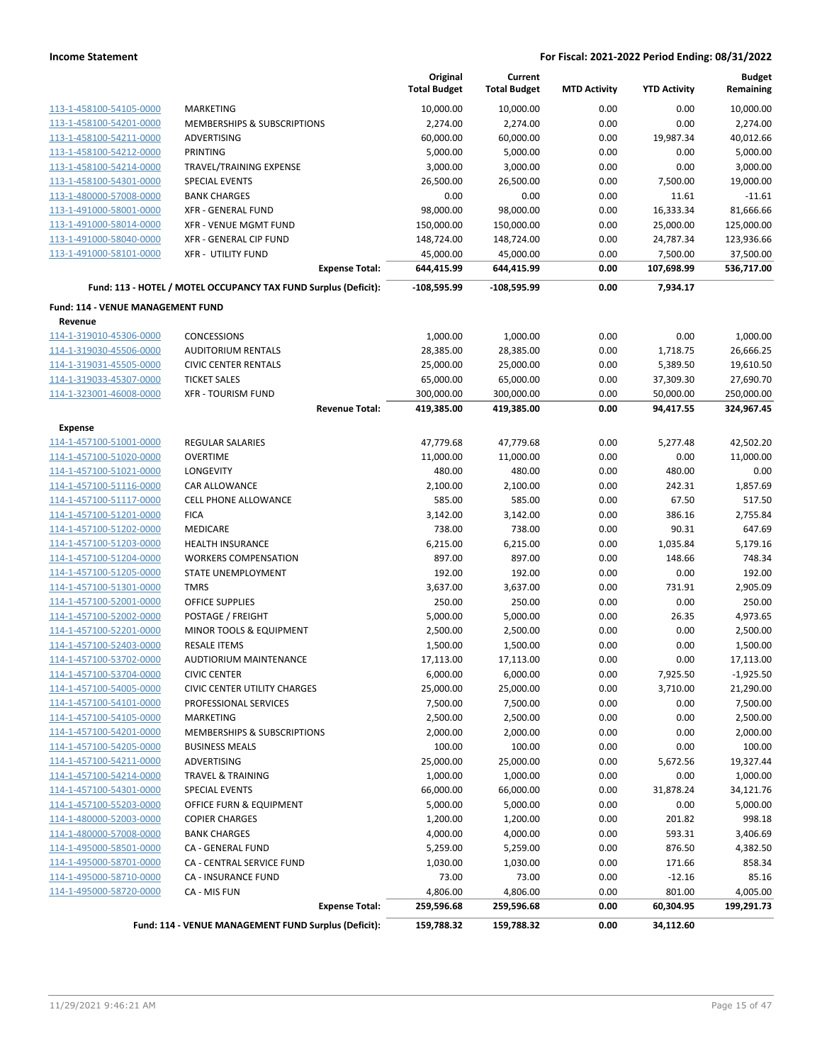|                                   |                                                                 | Original<br><b>Total Budget</b> | Current<br><b>Total Budget</b> | <b>MTD Activity</b> | <b>YTD Activity</b> | <b>Budget</b><br>Remaining |
|-----------------------------------|-----------------------------------------------------------------|---------------------------------|--------------------------------|---------------------|---------------------|----------------------------|
| 113-1-458100-54105-0000           | <b>MARKETING</b>                                                | 10,000.00                       | 10,000.00                      | 0.00                | 0.00                | 10,000.00                  |
| 113-1-458100-54201-0000           | <b>MEMBERSHIPS &amp; SUBSCRIPTIONS</b>                          | 2,274.00                        | 2,274.00                       | 0.00                | 0.00                | 2,274.00                   |
| 113-1-458100-54211-0000           | <b>ADVERTISING</b>                                              | 60,000.00                       | 60,000.00                      | 0.00                | 19,987.34           | 40,012.66                  |
| 113-1-458100-54212-0000           | <b>PRINTING</b>                                                 | 5,000.00                        | 5,000.00                       | 0.00                | 0.00                | 5,000.00                   |
| 113-1-458100-54214-0000           | TRAVEL/TRAINING EXPENSE                                         | 3,000.00                        | 3,000.00                       | 0.00                | 0.00                | 3,000.00                   |
| 113-1-458100-54301-0000           | <b>SPECIAL EVENTS</b>                                           | 26,500.00                       | 26,500.00                      | 0.00                | 7,500.00            | 19,000.00                  |
| 113-1-480000-57008-0000           | <b>BANK CHARGES</b>                                             | 0.00                            | 0.00                           | 0.00                | 11.61               | $-11.61$                   |
| 113-1-491000-58001-0000           | <b>XFR - GENERAL FUND</b>                                       | 98,000.00                       | 98,000.00                      | 0.00                | 16,333.34           | 81,666.66                  |
| 113-1-491000-58014-0000           | <b>XFR - VENUE MGMT FUND</b>                                    | 150,000.00                      | 150,000.00                     | 0.00                | 25,000.00           | 125,000.00                 |
| 113-1-491000-58040-0000           | XFR - GENERAL CIP FUND                                          | 148,724.00                      | 148,724.00                     | 0.00                | 24,787.34           | 123,936.66                 |
| 113-1-491000-58101-0000           | <b>XFR - UTILITY FUND</b>                                       | 45,000.00                       | 45,000.00                      | 0.00                | 7,500.00            | 37,500.00                  |
|                                   | <b>Expense Total:</b>                                           | 644,415.99                      | 644,415.99                     | 0.00                | 107,698.99          | 536,717.00                 |
|                                   | Fund: 113 - HOTEL / MOTEL OCCUPANCY TAX FUND Surplus (Deficit): | $-108,595.99$                   | $-108,595.99$                  | 0.00                | 7,934.17            |                            |
| Fund: 114 - VENUE MANAGEMENT FUND |                                                                 |                                 |                                |                     |                     |                            |
| Revenue                           |                                                                 |                                 |                                |                     |                     |                            |
| 114-1-319010-45306-0000           | <b>CONCESSIONS</b>                                              | 1,000.00                        | 1,000.00                       | 0.00                | 0.00                | 1,000.00                   |
| 114-1-319030-45506-0000           | <b>AUDITORIUM RENTALS</b>                                       | 28,385.00                       | 28,385.00                      | 0.00                | 1,718.75            | 26,666.25                  |
| 114-1-319031-45505-0000           | <b>CIVIC CENTER RENTALS</b>                                     | 25,000.00                       | 25,000.00                      | 0.00                | 5,389.50            | 19,610.50                  |
| 114-1-319033-45307-0000           | <b>TICKET SALES</b>                                             | 65,000.00                       | 65,000.00                      | 0.00                | 37,309.30           | 27,690.70                  |
| 114-1-323001-46008-0000           | <b>XFR - TOURISM FUND</b>                                       | 300,000.00                      | 300,000.00                     | 0.00                | 50,000.00           | 250,000.00                 |
|                                   | <b>Revenue Total:</b>                                           | 419,385.00                      | 419,385.00                     | 0.00                | 94,417.55           | 324,967.45                 |
| Expense                           |                                                                 |                                 |                                |                     |                     |                            |
| 114-1-457100-51001-0000           | REGULAR SALARIES                                                | 47,779.68                       | 47,779.68                      | 0.00                | 5,277.48            | 42,502.20                  |
| 114-1-457100-51020-0000           | <b>OVERTIME</b>                                                 | 11,000.00                       | 11,000.00                      | 0.00                | 0.00                | 11,000.00                  |
| 114-1-457100-51021-0000           | LONGEVITY                                                       | 480.00                          | 480.00                         | 0.00                | 480.00              | 0.00                       |
| 114-1-457100-51116-0000           | CAR ALLOWANCE                                                   | 2,100.00                        | 2,100.00                       | 0.00                | 242.31              | 1,857.69                   |
| 114-1-457100-51117-0000           | <b>CELL PHONE ALLOWANCE</b>                                     | 585.00                          | 585.00                         | 0.00                | 67.50               | 517.50                     |
| 114-1-457100-51201-0000           | <b>FICA</b>                                                     | 3,142.00                        | 3,142.00                       | 0.00                | 386.16              | 2,755.84                   |
| 114-1-457100-51202-0000           | MEDICARE                                                        | 738.00                          | 738.00                         | 0.00                | 90.31               | 647.69                     |
| 114-1-457100-51203-0000           | <b>HEALTH INSURANCE</b>                                         | 6,215.00                        | 6,215.00                       | 0.00                | 1,035.84            | 5,179.16                   |
| 114-1-457100-51204-0000           | <b>WORKERS COMPENSATION</b>                                     | 897.00                          | 897.00                         | 0.00                | 148.66              | 748.34                     |
| 114-1-457100-51205-0000           | STATE UNEMPLOYMENT                                              | 192.00                          | 192.00                         | 0.00                | 0.00                | 192.00                     |
| 114-1-457100-51301-0000           | <b>TMRS</b>                                                     | 3,637.00                        | 3,637.00                       | 0.00                | 731.91              | 2,905.09                   |
| 114-1-457100-52001-0000           | <b>OFFICE SUPPLIES</b>                                          | 250.00                          | 250.00                         | 0.00                | 0.00                | 250.00                     |
| 114-1-457100-52002-0000           | POSTAGE / FREIGHT                                               | 5,000.00                        | 5,000.00                       | 0.00                | 26.35               | 4,973.65                   |
| 114-1-457100-52201-0000           | MINOR TOOLS & EQUIPMENT                                         | 2,500.00                        | 2,500.00                       | 0.00                | 0.00                | 2,500.00                   |
| 114-1-457100-52403-0000           | <b>RESALE ITEMS</b>                                             | 1,500.00                        | 1,500.00                       | 0.00                | 0.00                | 1,500.00                   |
| 114-1-457100-53702-0000           | AUDTIORIUM MAINTENANCE                                          | 17,113.00                       | 17,113.00                      | 0.00                | 0.00                | 17,113.00                  |
| 114-1-457100-53704-0000           | <b>CIVIC CENTER</b>                                             | 6,000.00                        | 6,000.00                       | 0.00                | 7,925.50            | $-1,925.50$                |
| 114-1-457100-54005-0000           | CIVIC CENTER UTILITY CHARGES                                    | 25,000.00                       | 25,000.00                      | 0.00                | 3,710.00            | 21,290.00                  |
| 114-1-457100-54101-0000           | PROFESSIONAL SERVICES                                           | 7,500.00                        | 7,500.00                       | 0.00                | 0.00                | 7,500.00                   |
| 114-1-457100-54105-0000           | MARKETING                                                       | 2,500.00                        | 2,500.00                       | 0.00                | 0.00                | 2,500.00                   |
| 114-1-457100-54201-0000           | MEMBERSHIPS & SUBSCRIPTIONS                                     | 2,000.00                        | 2,000.00                       | 0.00                | 0.00                | 2,000.00                   |
| 114-1-457100-54205-0000           | <b>BUSINESS MEALS</b>                                           | 100.00                          | 100.00                         | 0.00                | 0.00                | 100.00                     |
| 114-1-457100-54211-0000           | ADVERTISING                                                     | 25,000.00                       | 25,000.00                      | 0.00                | 5,672.56            | 19,327.44                  |
| 114-1-457100-54214-0000           | <b>TRAVEL &amp; TRAINING</b>                                    | 1,000.00                        | 1,000.00                       | 0.00                | 0.00                | 1,000.00                   |
| 114-1-457100-54301-0000           | <b>SPECIAL EVENTS</b>                                           | 66,000.00                       | 66,000.00                      | 0.00                | 31,878.24           | 34,121.76                  |
| 114-1-457100-55203-0000           | OFFICE FURN & EQUIPMENT                                         | 5,000.00                        | 5,000.00                       | 0.00                | 0.00                | 5,000.00                   |
| 114-1-480000-52003-0000           | <b>COPIER CHARGES</b>                                           | 1,200.00                        | 1,200.00                       | 0.00                | 201.82              | 998.18                     |
| 114-1-480000-57008-0000           | <b>BANK CHARGES</b>                                             | 4,000.00                        | 4,000.00                       | 0.00                | 593.31              | 3,406.69                   |
| 114-1-495000-58501-0000           | CA - GENERAL FUND                                               | 5,259.00                        | 5,259.00                       | 0.00                | 876.50              | 4,382.50                   |
| 114-1-495000-58701-0000           | CA - CENTRAL SERVICE FUND                                       | 1,030.00                        | 1,030.00                       | 0.00                | 171.66              | 858.34                     |
| 114-1-495000-58710-0000           | CA - INSURANCE FUND                                             | 73.00                           | 73.00                          | 0.00                | $-12.16$            | 85.16                      |
| 114-1-495000-58720-0000           | CA - MIS FUN                                                    | 4,806.00                        | 4,806.00                       | 0.00                | 801.00              | 4,005.00                   |
|                                   | <b>Expense Total:</b>                                           | 259,596.68                      | 259,596.68                     | 0.00                | 60,304.95           | 199,291.73                 |
|                                   | Fund: 114 - VENUE MANAGEMENT FUND Surplus (Deficit):            | 159,788.32                      | 159,788.32                     | 0.00                | 34,112.60           |                            |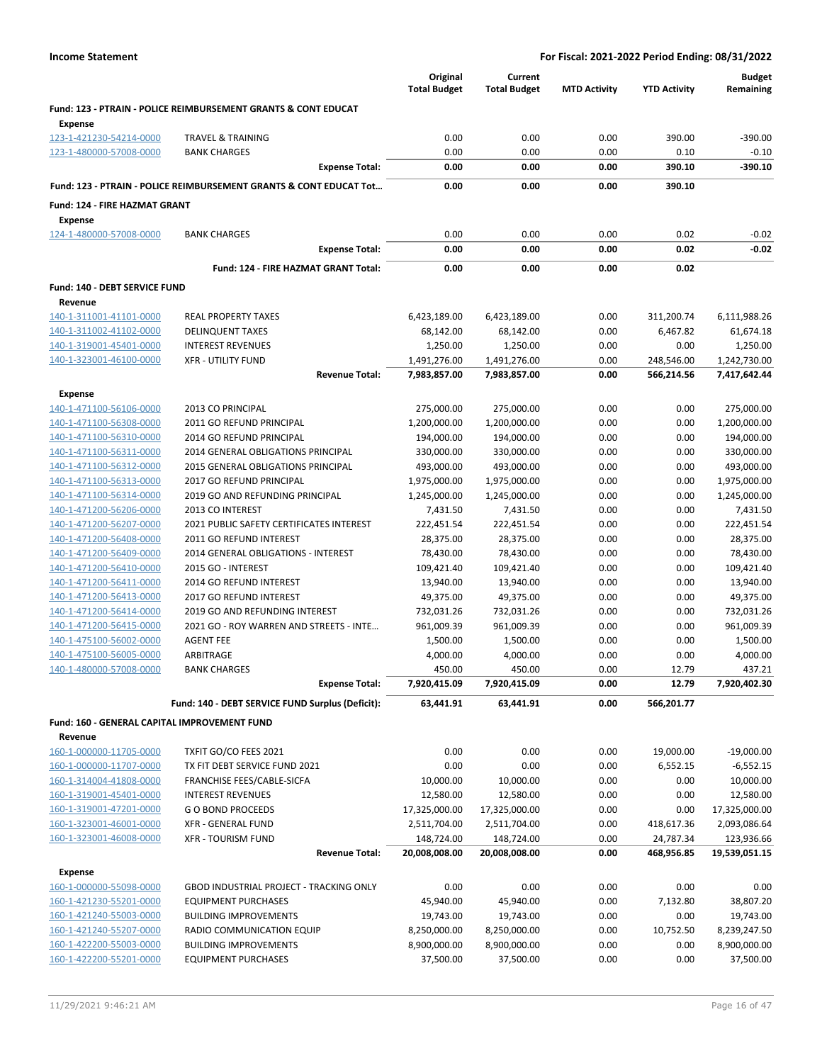|                                                    |                                                                               | Original<br><b>Total Budget</b> | Current<br><b>Total Budget</b> |                     | <b>YTD Activity</b>      | <b>Budget</b>                |
|----------------------------------------------------|-------------------------------------------------------------------------------|---------------------------------|--------------------------------|---------------------|--------------------------|------------------------------|
|                                                    | Fund: 123 - PTRAIN - POLICE REIMBURSEMENT GRANTS & CONT EDUCAT                |                                 |                                | <b>MTD Activity</b> |                          | Remaining                    |
| Expense                                            |                                                                               |                                 |                                |                     |                          |                              |
| 123-1-421230-54214-0000                            | <b>TRAVEL &amp; TRAINING</b>                                                  | 0.00                            | 0.00                           | 0.00                | 390.00                   | $-390.00$                    |
| 123-1-480000-57008-0000                            | <b>BANK CHARGES</b>                                                           | 0.00                            | 0.00                           | 0.00                | 0.10                     | $-0.10$                      |
|                                                    | <b>Expense Total:</b>                                                         | 0.00                            | 0.00                           | 0.00                | 390.10                   | $-390.10$                    |
|                                                    | <b>Fund: 123 - PTRAIN - POLICE REIMBURSEMENT GRANTS &amp; CONT EDUCAT Tot</b> | 0.00                            | 0.00                           | 0.00                | 390.10                   |                              |
| <b>Fund: 124 - FIRE HAZMAT GRANT</b>               |                                                                               |                                 |                                |                     |                          |                              |
| <b>Expense</b>                                     |                                                                               |                                 |                                |                     |                          |                              |
| 124-1-480000-57008-0000                            | <b>BANK CHARGES</b>                                                           | 0.00                            | 0.00                           | 0.00                | 0.02                     | $-0.02$                      |
|                                                    | <b>Expense Total:</b>                                                         | 0.00                            | 0.00                           | 0.00                | 0.02                     | $-0.02$                      |
|                                                    | Fund: 124 - FIRE HAZMAT GRANT Total:                                          | 0.00                            | 0.00                           | 0.00                | 0.02                     |                              |
| Fund: 140 - DEBT SERVICE FUND                      |                                                                               |                                 |                                |                     |                          |                              |
| Revenue                                            |                                                                               |                                 |                                |                     |                          |                              |
| 140-1-311001-41101-0000                            | <b>REAL PROPERTY TAXES</b>                                                    | 6,423,189.00                    | 6,423,189.00                   | 0.00                | 311,200.74               | 6,111,988.26                 |
| 140-1-311002-41102-0000                            | <b>DELINQUENT TAXES</b>                                                       | 68,142.00                       | 68,142.00                      | 0.00                | 6,467.82                 | 61,674.18                    |
| 140-1-319001-45401-0000                            | <b>INTEREST REVENUES</b><br><b>XFR - UTILITY FUND</b>                         | 1,250.00                        | 1,250.00                       | 0.00                | 0.00                     | 1,250.00                     |
| 140-1-323001-46100-0000                            | <b>Revenue Total:</b>                                                         | 1,491,276.00<br>7,983,857.00    | 1,491,276.00<br>7,983,857.00   | 0.00<br>0.00        | 248,546.00<br>566,214.56 | 1,242,730.00<br>7,417,642.44 |
|                                                    |                                                                               |                                 |                                |                     |                          |                              |
| <b>Expense</b><br>140-1-471100-56106-0000          | 2013 CO PRINCIPAL                                                             | 275,000.00                      | 275,000.00                     | 0.00                | 0.00                     | 275,000.00                   |
| 140-1-471100-56308-0000                            | 2011 GO REFUND PRINCIPAL                                                      | 1,200,000.00                    | 1,200,000.00                   | 0.00                | 0.00                     | 1,200,000.00                 |
| 140-1-471100-56310-0000                            | 2014 GO REFUND PRINCIPAL                                                      | 194,000.00                      | 194,000.00                     | 0.00                | 0.00                     | 194,000.00                   |
| 140-1-471100-56311-0000                            | 2014 GENERAL OBLIGATIONS PRINCIPAL                                            | 330,000.00                      | 330,000.00                     | 0.00                | 0.00                     | 330,000.00                   |
| 140-1-471100-56312-0000                            | 2015 GENERAL OBLIGATIONS PRINCIPAL                                            | 493,000.00                      | 493,000.00                     | 0.00                | 0.00                     | 493,000.00                   |
| 140-1-471100-56313-0000                            | 2017 GO REFUND PRINCIPAL                                                      | 1,975,000.00                    | 1,975,000.00                   | 0.00                | 0.00                     | 1,975,000.00                 |
| 140-1-471100-56314-0000                            | 2019 GO AND REFUNDING PRINCIPAL                                               | 1,245,000.00                    | 1,245,000.00                   | 0.00                | 0.00                     | 1,245,000.00                 |
| 140-1-471200-56206-0000                            | 2013 CO INTEREST                                                              | 7,431.50                        | 7,431.50                       | 0.00                | 0.00                     | 7,431.50                     |
| 140-1-471200-56207-0000                            | 2021 PUBLIC SAFETY CERTIFICATES INTEREST                                      | 222,451.54                      | 222,451.54                     | 0.00                | 0.00                     | 222,451.54                   |
| 140-1-471200-56408-0000                            | 2011 GO REFUND INTEREST<br>2014 GENERAL OBLIGATIONS - INTEREST                | 28,375.00                       | 28,375.00                      | 0.00<br>0.00        | 0.00<br>0.00             | 28,375.00<br>78,430.00       |
| 140-1-471200-56409-0000<br>140-1-471200-56410-0000 | 2015 GO - INTEREST                                                            | 78,430.00<br>109,421.40         | 78,430.00<br>109,421.40        | 0.00                | 0.00                     | 109,421.40                   |
| 140-1-471200-56411-0000                            | 2014 GO REFUND INTEREST                                                       | 13,940.00                       | 13,940.00                      | 0.00                | 0.00                     | 13,940.00                    |
| 140-1-471200-56413-0000                            | 2017 GO REFUND INTEREST                                                       | 49,375.00                       | 49,375.00                      | 0.00                | 0.00                     | 49,375.00                    |
| 140-1-471200-56414-0000                            | 2019 GO AND REFUNDING INTEREST                                                | 732,031.26                      | 732,031.26                     | 0.00                | 0.00                     | 732,031.26                   |
| 140-1-471200-56415-0000                            | 2021 GO - ROY WARREN AND STREETS - INTE                                       | 961,009.39                      | 961,009.39                     | 0.00                | 0.00                     | 961,009.39                   |
| 140-1-475100-56002-0000                            | <b>AGENT FEE</b>                                                              | 1,500.00                        | 1,500.00                       | 0.00                | 0.00                     | 1,500.00                     |
| 140-1-475100-56005-0000                            | ARBITRAGE                                                                     | 4,000.00                        | 4,000.00                       | 0.00                | 0.00                     | 4,000.00                     |
| 140-1-480000-57008-0000                            | <b>BANK CHARGES</b>                                                           | 450.00                          | 450.00                         | 0.00                | 12.79                    | 437.21                       |
|                                                    | <b>Expense Total:</b>                                                         | 7,920,415.09                    | 7,920,415.09                   | 0.00                | 12.79                    | 7,920,402.30                 |
|                                                    | Fund: 140 - DEBT SERVICE FUND Surplus (Deficit):                              | 63,441.91                       | 63,441.91                      | 0.00                | 566,201.77               |                              |
| Fund: 160 - GENERAL CAPITAL IMPROVEMENT FUND       |                                                                               |                                 |                                |                     |                          |                              |
| Revenue                                            |                                                                               |                                 |                                |                     |                          |                              |
| 160-1-000000-11705-0000                            | TXFIT GO/CO FEES 2021                                                         | 0.00                            | 0.00                           | 0.00                | 19,000.00                | $-19,000.00$                 |
| 160-1-000000-11707-0000<br>160-1-314004-41808-0000 | TX FIT DEBT SERVICE FUND 2021<br>FRANCHISE FEES/CABLE-SICFA                   | 0.00<br>10,000.00               | 0.00<br>10,000.00              | 0.00<br>0.00        | 6,552.15<br>0.00         | $-6,552.15$<br>10,000.00     |
| 160-1-319001-45401-0000                            | <b>INTEREST REVENUES</b>                                                      | 12,580.00                       | 12,580.00                      | 0.00                | 0.00                     | 12,580.00                    |
| 160-1-319001-47201-0000                            | <b>GO BOND PROCEEDS</b>                                                       | 17,325,000.00                   | 17,325,000.00                  | 0.00                | 0.00                     | 17,325,000.00                |
| 160-1-323001-46001-0000                            | <b>XFR - GENERAL FUND</b>                                                     | 2,511,704.00                    | 2,511,704.00                   | 0.00                | 418,617.36               | 2,093,086.64                 |
| 160-1-323001-46008-0000                            | <b>XFR - TOURISM FUND</b>                                                     | 148,724.00                      | 148,724.00                     | 0.00                | 24,787.34                | 123,936.66                   |
|                                                    | <b>Revenue Total:</b>                                                         | 20,008,008.00                   | 20,008,008.00                  | 0.00                | 468,956.85               | 19,539,051.15                |
| Expense                                            |                                                                               |                                 |                                |                     |                          |                              |
| 160-1-000000-55098-0000                            | GBOD INDUSTRIAL PROJECT - TRACKING ONLY                                       | 0.00                            | 0.00                           | 0.00                | 0.00                     | 0.00                         |
| 160-1-421230-55201-0000                            | <b>EQUIPMENT PURCHASES</b>                                                    | 45,940.00                       | 45,940.00                      | 0.00                | 7,132.80                 | 38,807.20                    |
| 160-1-421240-55003-0000                            | <b>BUILDING IMPROVEMENTS</b>                                                  | 19,743.00                       | 19,743.00                      | 0.00                | 0.00                     | 19,743.00                    |
| 160-1-421240-55207-0000                            | RADIO COMMUNICATION EQUIP                                                     | 8,250,000.00                    | 8,250,000.00                   | 0.00                | 10,752.50                | 8,239,247.50                 |
| 160-1-422200-55003-0000                            | <b>BUILDING IMPROVEMENTS</b>                                                  | 8,900,000.00                    | 8,900,000.00                   | 0.00                | 0.00                     | 8,900,000.00                 |
| 160-1-422200-55201-0000                            | <b>EQUIPMENT PURCHASES</b>                                                    | 37,500.00                       | 37,500.00                      | 0.00                | 0.00                     | 37,500.00                    |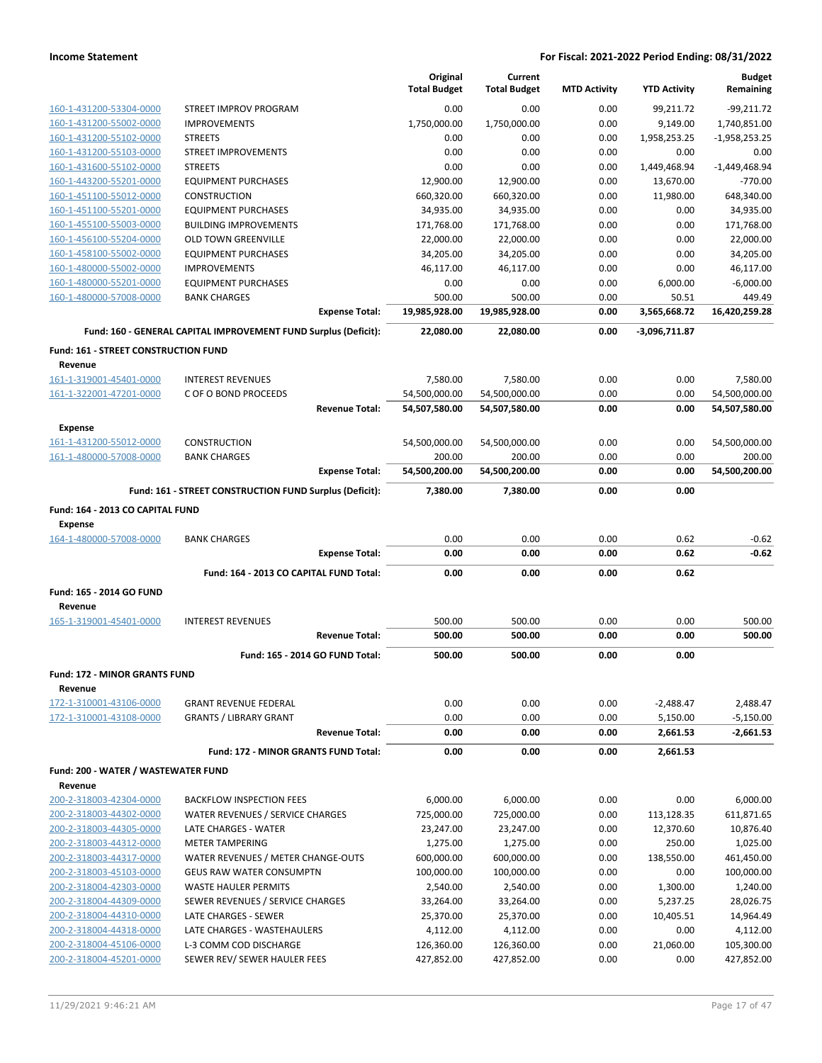|                                      |                                                                 |                                 | Original            | Current             |                     |                     | <b>Budget</b>   |
|--------------------------------------|-----------------------------------------------------------------|---------------------------------|---------------------|---------------------|---------------------|---------------------|-----------------|
|                                      |                                                                 |                                 | <b>Total Budget</b> | <b>Total Budget</b> | <b>MTD Activity</b> | <b>YTD Activity</b> | Remaining       |
| 160-1-431200-53304-0000              | STREET IMPROV PROGRAM                                           |                                 | 0.00                | 0.00                | 0.00                | 99,211.72           | $-99,211.72$    |
| 160-1-431200-55002-0000              | <b>IMPROVEMENTS</b>                                             |                                 | 1,750,000.00        | 1,750,000.00        | 0.00                | 9,149.00            | 1,740,851.00    |
| 160-1-431200-55102-0000              | <b>STREETS</b>                                                  |                                 | 0.00                | 0.00                | 0.00                | 1,958,253.25        | $-1,958,253.25$ |
| 160-1-431200-55103-0000              | <b>STREET IMPROVEMENTS</b>                                      |                                 | 0.00                | 0.00                | 0.00                | 0.00                | 0.00            |
| 160-1-431600-55102-0000              | <b>STREETS</b>                                                  |                                 | 0.00                | 0.00                | 0.00                | 1,449,468.94        | $-1,449,468.94$ |
| 160-1-443200-55201-0000              | <b>EQUIPMENT PURCHASES</b>                                      |                                 | 12,900.00           | 12,900.00           | 0.00                | 13,670.00           | $-770.00$       |
| 160-1-451100-55012-0000              | <b>CONSTRUCTION</b>                                             |                                 | 660,320.00          | 660,320.00          | 0.00                | 11,980.00           | 648,340.00      |
| 160-1-451100-55201-0000              | <b>EQUIPMENT PURCHASES</b>                                      |                                 | 34.935.00           | 34,935.00           | 0.00                | 0.00                | 34,935.00       |
| 160-1-455100-55003-0000              | <b>BUILDING IMPROVEMENTS</b>                                    |                                 | 171,768.00          | 171,768.00          | 0.00                | 0.00                | 171,768.00      |
| 160-1-456100-55204-0000              | <b>OLD TOWN GREENVILLE</b>                                      |                                 | 22,000.00           | 22,000.00           | 0.00                | 0.00                | 22,000.00       |
| 160-1-458100-55002-0000              | <b>EQUIPMENT PURCHASES</b>                                      |                                 | 34,205.00           | 34,205.00           | 0.00                | 0.00                | 34,205.00       |
| 160-1-480000-55002-0000              | <b>IMPROVEMENTS</b>                                             |                                 | 46,117.00           | 46,117.00           | 0.00                | 0.00                | 46,117.00       |
| 160-1-480000-55201-0000              | <b>EQUIPMENT PURCHASES</b>                                      |                                 | 0.00                | 0.00                | 0.00                | 6,000.00            | $-6,000.00$     |
| 160-1-480000-57008-0000              | <b>BANK CHARGES</b>                                             |                                 | 500.00              | 500.00              | 0.00                | 50.51               | 449.49          |
|                                      |                                                                 | <b>Expense Total:</b>           | 19,985,928.00       | 19,985,928.00       | 0.00                | 3,565,668.72        | 16,420,259.28   |
|                                      | Fund: 160 - GENERAL CAPITAL IMPROVEMENT FUND Surplus (Deficit): |                                 | 22,080.00           | 22,080.00           | 0.00                | -3,096,711.87       |                 |
| Fund: 161 - STREET CONSTRUCTION FUND |                                                                 |                                 |                     |                     |                     |                     |                 |
| Revenue                              |                                                                 |                                 |                     |                     |                     |                     |                 |
| 161-1-319001-45401-0000              | <b>INTEREST REVENUES</b>                                        |                                 | 7,580.00            | 7,580.00            | 0.00                | 0.00                | 7,580.00        |
| 161-1-322001-47201-0000              | C OF O BOND PROCEEDS                                            |                                 | 54,500,000.00       | 54,500,000.00       | 0.00                | 0.00                | 54,500,000.00   |
|                                      |                                                                 | <b>Revenue Total:</b>           | 54,507,580.00       | 54,507,580.00       | 0.00                | 0.00                | 54,507,580.00   |
| Expense                              |                                                                 |                                 |                     |                     |                     |                     |                 |
| 161-1-431200-55012-0000              | <b>CONSTRUCTION</b>                                             |                                 | 54,500,000.00       | 54,500,000.00       | 0.00                | 0.00                | 54,500,000.00   |
| 161-1-480000-57008-0000              | <b>BANK CHARGES</b>                                             |                                 | 200.00              | 200.00              | 0.00                | 0.00                | 200.00          |
|                                      |                                                                 | <b>Expense Total:</b>           | 54,500,200.00       | 54,500,200.00       | 0.00                | 0.00                | 54,500,200.00   |
|                                      | Fund: 161 - STREET CONSTRUCTION FUND Surplus (Deficit):         |                                 | 7,380.00            | 7,380.00            | 0.00                | 0.00                |                 |
|                                      |                                                                 |                                 |                     |                     |                     |                     |                 |
|                                      |                                                                 |                                 |                     |                     |                     |                     |                 |
| Fund: 164 - 2013 CO CAPITAL FUND     |                                                                 |                                 |                     |                     |                     |                     |                 |
| <b>Expense</b>                       |                                                                 |                                 |                     |                     |                     |                     |                 |
| 164-1-480000-57008-0000              | <b>BANK CHARGES</b>                                             |                                 | 0.00                | 0.00                | 0.00                | 0.62                | $-0.62$         |
|                                      |                                                                 | <b>Expense Total:</b>           | 0.00                | 0.00                | 0.00                | 0.62                | $-0.62$         |
|                                      | Fund: 164 - 2013 CO CAPITAL FUND Total:                         |                                 | 0.00                | 0.00                | 0.00                | 0.62                |                 |
| Fund: 165 - 2014 GO FUND             |                                                                 |                                 |                     |                     |                     |                     |                 |
| Revenue                              |                                                                 |                                 |                     |                     |                     |                     |                 |
| 165-1-319001-45401-0000              | <b>INTEREST REVENUES</b>                                        |                                 | 500.00              | 500.00              | 0.00                | 0.00                | 500.00          |
|                                      |                                                                 | <b>Revenue Total:</b>           | 500.00              | 500.00              | 0.00                | 0.00                | 500.00          |
|                                      |                                                                 | Fund: 165 - 2014 GO FUND Total: | 500.00              | 500.00              | 0.00                | 0.00                |                 |
| <b>Fund: 172 - MINOR GRANTS FUND</b> |                                                                 |                                 |                     |                     |                     |                     |                 |
| Revenue                              |                                                                 |                                 |                     |                     |                     |                     |                 |
| 172-1-310001-43106-0000              | <b>GRANT REVENUE FEDERAL</b>                                    |                                 | 0.00                | 0.00                | 0.00                | $-2,488.47$         | 2,488.47        |
| 172-1-310001-43108-0000              | <b>GRANTS / LIBRARY GRANT</b>                                   |                                 | 0.00                | 0.00                | 0.00                | 5,150.00            | $-5,150.00$     |
|                                      |                                                                 | <b>Revenue Total:</b>           | 0.00                | 0.00                | 0.00                | 2,661.53            | $-2,661.53$     |
|                                      | Fund: 172 - MINOR GRANTS FUND Total:                            |                                 | 0.00                | 0.00                | 0.00                | 2,661.53            |                 |
| Fund: 200 - WATER / WASTEWATER FUND  |                                                                 |                                 |                     |                     |                     |                     |                 |
| Revenue                              |                                                                 |                                 |                     |                     |                     |                     |                 |
| 200-2-318003-42304-0000              | <b>BACKFLOW INSPECTION FEES</b>                                 |                                 | 6,000.00            | 6,000.00            | 0.00                | 0.00                | 6,000.00        |
| 200-2-318003-44302-0000              | WATER REVENUES / SERVICE CHARGES                                |                                 | 725,000.00          | 725,000.00          | 0.00                | 113,128.35          | 611,871.65      |
| 200-2-318003-44305-0000              | LATE CHARGES - WATER                                            |                                 | 23,247.00           | 23,247.00           | 0.00                | 12,370.60           | 10,876.40       |
| 200-2-318003-44312-0000              | <b>METER TAMPERING</b>                                          |                                 | 1,275.00            | 1,275.00            | 0.00                | 250.00              | 1,025.00        |
| 200-2-318003-44317-0000              | WATER REVENUES / METER CHANGE-OUTS                              |                                 | 600,000.00          | 600,000.00          | 0.00                | 138,550.00          | 461,450.00      |
| 200-2-318003-45103-0000              | <b>GEUS RAW WATER CONSUMPTN</b>                                 |                                 | 100,000.00          | 100,000.00          | 0.00                | 0.00                | 100,000.00      |
| 200-2-318004-42303-0000              | <b>WASTE HAULER PERMITS</b>                                     |                                 | 2,540.00            | 2,540.00            | 0.00                | 1,300.00            | 1,240.00        |
| 200-2-318004-44309-0000              | SEWER REVENUES / SERVICE CHARGES                                |                                 | 33,264.00           | 33,264.00           | 0.00                | 5,237.25            | 28,026.75       |
| 200-2-318004-44310-0000              | LATE CHARGES - SEWER                                            |                                 | 25,370.00           | 25,370.00           | 0.00                | 10,405.51           | 14,964.49       |
| 200-2-318004-44318-0000              | LATE CHARGES - WASTEHAULERS                                     |                                 | 4,112.00            | 4,112.00            | 0.00                | 0.00                | 4,112.00        |
| 200-2-318004-45106-0000              | L-3 COMM COD DISCHARGE                                          |                                 | 126,360.00          | 126,360.00          | 0.00                | 21,060.00           | 105,300.00      |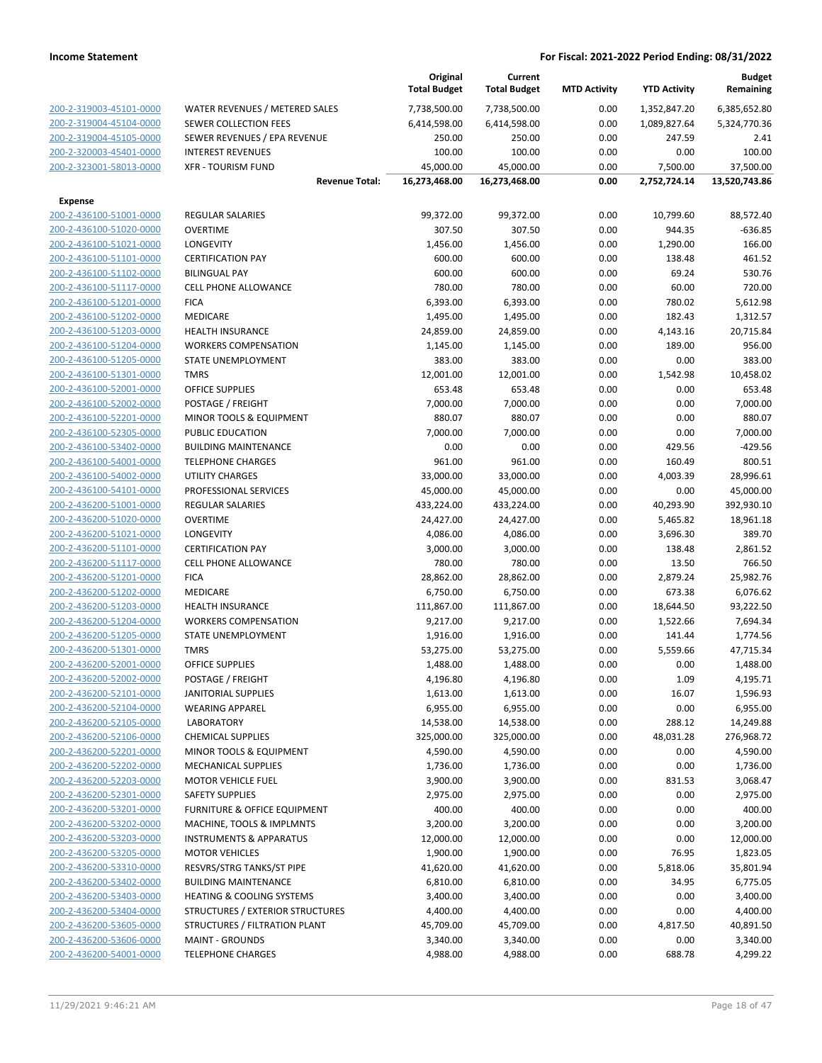|                                                    |                                      | Original<br><b>Total Budget</b> | Current<br><b>Total Budget</b> | <b>MTD Activity</b> | <b>YTD Activity</b> | <b>Budget</b><br>Remaining |
|----------------------------------------------------|--------------------------------------|---------------------------------|--------------------------------|---------------------|---------------------|----------------------------|
| 200-2-319003-45101-0000                            | WATER REVENUES / METERED SALES       | 7,738,500.00                    | 7,738,500.00                   | 0.00                | 1,352,847.20        | 6,385,652.80               |
| 200-2-319004-45104-0000                            | <b>SEWER COLLECTION FEES</b>         | 6,414,598.00                    | 6,414,598.00                   | 0.00                | 1,089,827.64        | 5,324,770.36               |
| 200-2-319004-45105-0000                            | SEWER REVENUES / EPA REVENUE         | 250.00                          | 250.00                         | 0.00                | 247.59              | 2.41                       |
| 200-2-320003-45401-0000                            | <b>INTEREST REVENUES</b>             | 100.00                          | 100.00                         | 0.00                | 0.00                | 100.00                     |
| 200-2-323001-58013-0000                            | <b>XFR - TOURISM FUND</b>            | 45,000.00                       | 45,000.00                      | 0.00                | 7,500.00            | 37,500.00                  |
|                                                    | <b>Revenue Total:</b>                | 16,273,468.00                   | 16,273,468.00                  | 0.00                | 2,752,724.14        | 13,520,743.86              |
| <b>Expense</b>                                     |                                      |                                 |                                |                     |                     |                            |
| 200-2-436100-51001-0000                            | <b>REGULAR SALARIES</b>              | 99,372.00                       | 99,372.00                      | 0.00                | 10,799.60           | 88,572.40                  |
| 200-2-436100-51020-0000                            | <b>OVERTIME</b>                      | 307.50                          | 307.50                         | 0.00                | 944.35              | $-636.85$                  |
| 200-2-436100-51021-0000                            | <b>LONGEVITY</b>                     | 1,456.00                        | 1,456.00                       | 0.00                | 1,290.00            | 166.00                     |
| 200-2-436100-51101-0000                            | <b>CERTIFICATION PAY</b>             | 600.00                          | 600.00                         | 0.00                | 138.48              | 461.52                     |
| 200-2-436100-51102-0000                            | <b>BILINGUAL PAY</b>                 | 600.00                          | 600.00                         | 0.00                | 69.24               | 530.76                     |
| 200-2-436100-51117-0000                            | <b>CELL PHONE ALLOWANCE</b>          | 780.00                          | 780.00                         | 0.00                | 60.00               | 720.00                     |
| 200-2-436100-51201-0000                            | <b>FICA</b>                          | 6,393.00                        | 6,393.00                       | 0.00                | 780.02              | 5,612.98                   |
| 200-2-436100-51202-0000                            | MEDICARE                             | 1,495.00                        | 1,495.00                       | 0.00                | 182.43              | 1,312.57                   |
| 200-2-436100-51203-0000                            | HEALTH INSURANCE                     | 24,859.00                       | 24,859.00                      | 0.00                | 4,143.16            | 20,715.84                  |
| 200-2-436100-51204-0000                            | <b>WORKERS COMPENSATION</b>          | 1,145.00                        | 1,145.00                       | 0.00                | 189.00              | 956.00                     |
| 200-2-436100-51205-0000                            | STATE UNEMPLOYMENT                   | 383.00                          | 383.00                         | 0.00                | 0.00                | 383.00                     |
| 200-2-436100-51301-0000                            | <b>TMRS</b>                          | 12,001.00                       | 12,001.00                      | 0.00                | 1,542.98            | 10,458.02                  |
| 200-2-436100-52001-0000                            | <b>OFFICE SUPPLIES</b>               | 653.48                          | 653.48                         | 0.00                | 0.00                | 653.48                     |
| 200-2-436100-52002-0000                            | POSTAGE / FREIGHT                    | 7,000.00                        | 7,000.00                       | 0.00                | 0.00                | 7,000.00                   |
| 200-2-436100-52201-0000                            | MINOR TOOLS & EQUIPMENT              | 880.07                          | 880.07                         | 0.00                | 0.00                | 880.07                     |
| 200-2-436100-52305-0000                            | PUBLIC EDUCATION                     | 7,000.00                        | 7,000.00                       | 0.00                | 0.00                | 7,000.00                   |
| 200-2-436100-53402-0000                            | <b>BUILDING MAINTENANCE</b>          | 0.00                            | 0.00                           | 0.00                | 429.56              | $-429.56$                  |
| 200-2-436100-54001-0000                            | <b>TELEPHONE CHARGES</b>             | 961.00                          | 961.00                         | 0.00                | 160.49              | 800.51                     |
| 200-2-436100-54002-0000                            | <b>UTILITY CHARGES</b>               | 33,000.00                       | 33,000.00                      | 0.00                | 4,003.39            | 28,996.61                  |
| 200-2-436100-54101-0000                            | PROFESSIONAL SERVICES                | 45,000.00                       | 45,000.00                      | 0.00                | 0.00                | 45,000.00                  |
| 200-2-436200-51001-0000                            | REGULAR SALARIES                     | 433,224.00                      | 433,224.00                     | 0.00                | 40,293.90           | 392,930.10                 |
| 200-2-436200-51020-0000                            | <b>OVERTIME</b>                      | 24,427.00                       | 24,427.00                      | 0.00                | 5,465.82            | 18,961.18                  |
| 200-2-436200-51021-0000                            | <b>LONGEVITY</b>                     | 4,086.00                        | 4,086.00                       | 0.00                | 3,696.30            | 389.70                     |
| 200-2-436200-51101-0000                            | <b>CERTIFICATION PAY</b>             | 3,000.00                        | 3,000.00                       | 0.00                | 138.48              | 2,861.52                   |
| 200-2-436200-51117-0000                            | <b>CELL PHONE ALLOWANCE</b>          | 780.00                          | 780.00                         | 0.00                | 13.50               | 766.50                     |
| 200-2-436200-51201-0000                            | <b>FICA</b>                          | 28,862.00                       | 28,862.00                      | 0.00                | 2,879.24            | 25,982.76                  |
| 200-2-436200-51202-0000                            | MEDICARE<br><b>HEALTH INSURANCE</b>  | 6,750.00                        | 6,750.00                       | 0.00                | 673.38              | 6,076.62                   |
| 200-2-436200-51203-0000<br>200-2-436200-51204-0000 | <b>WORKERS COMPENSATION</b>          | 111,867.00                      | 111,867.00                     | 0.00                | 18,644.50           | 93,222.50                  |
| 200-2-436200-51205-0000                            | STATE UNEMPLOYMENT                   | 9,217.00                        | 9,217.00                       | 0.00                | 1,522.66            | 7,694.34<br>1,774.56       |
| 200-2-436200-51301-0000                            | <b>TMRS</b>                          | 1,916.00<br>53,275.00           | 1,916.00<br>53,275.00          | 0.00<br>0.00        | 141.44<br>5,559.66  | 47,715.34                  |
| 200-2-436200-52001-0000                            | <b>OFFICE SUPPLIES</b>               | 1,488.00                        | 1,488.00                       | 0.00                | 0.00                | 1,488.00                   |
| 200-2-436200-52002-0000                            | POSTAGE / FREIGHT                    | 4,196.80                        | 4,196.80                       | 0.00                | 1.09                | 4,195.71                   |
| 200-2-436200-52101-0000                            | JANITORIAL SUPPLIES                  | 1,613.00                        | 1,613.00                       | 0.00                | 16.07               | 1,596.93                   |
| 200-2-436200-52104-0000                            | <b>WEARING APPAREL</b>               | 6,955.00                        | 6,955.00                       | 0.00                | 0.00                | 6,955.00                   |
| 200-2-436200-52105-0000                            | LABORATORY                           | 14,538.00                       | 14,538.00                      | 0.00                | 288.12              | 14,249.88                  |
| 200-2-436200-52106-0000                            | <b>CHEMICAL SUPPLIES</b>             | 325,000.00                      | 325,000.00                     | 0.00                | 48,031.28           | 276,968.72                 |
| 200-2-436200-52201-0000                            | <b>MINOR TOOLS &amp; EQUIPMENT</b>   | 4,590.00                        | 4,590.00                       | 0.00                | 0.00                | 4,590.00                   |
| 200-2-436200-52202-0000                            | <b>MECHANICAL SUPPLIES</b>           | 1,736.00                        | 1,736.00                       | 0.00                | 0.00                | 1,736.00                   |
| 200-2-436200-52203-0000                            | <b>MOTOR VEHICLE FUEL</b>            | 3,900.00                        | 3,900.00                       | 0.00                | 831.53              | 3,068.47                   |
| 200-2-436200-52301-0000                            | <b>SAFETY SUPPLIES</b>               | 2,975.00                        | 2,975.00                       | 0.00                | 0.00                | 2,975.00                   |
| 200-2-436200-53201-0000                            | FURNITURE & OFFICE EQUIPMENT         | 400.00                          | 400.00                         | 0.00                | 0.00                | 400.00                     |
| 200-2-436200-53202-0000                            | MACHINE, TOOLS & IMPLMNTS            | 3,200.00                        | 3,200.00                       | 0.00                | 0.00                | 3,200.00                   |
| 200-2-436200-53203-0000                            | <b>INSTRUMENTS &amp; APPARATUS</b>   | 12,000.00                       | 12,000.00                      | 0.00                | 0.00                | 12,000.00                  |
| 200-2-436200-53205-0000                            | <b>MOTOR VEHICLES</b>                | 1,900.00                        | 1,900.00                       | 0.00                | 76.95               | 1,823.05                   |
| 200-2-436200-53310-0000                            | RESVRS/STRG TANKS/ST PIPE            | 41,620.00                       | 41,620.00                      | 0.00                | 5,818.06            | 35,801.94                  |
| 200-2-436200-53402-0000                            | <b>BUILDING MAINTENANCE</b>          | 6,810.00                        | 6,810.00                       | 0.00                | 34.95               | 6,775.05                   |
| 200-2-436200-53403-0000                            | <b>HEATING &amp; COOLING SYSTEMS</b> | 3,400.00                        | 3,400.00                       | 0.00                | 0.00                | 3,400.00                   |
| 200-2-436200-53404-0000                            | STRUCTURES / EXTERIOR STRUCTURES     | 4,400.00                        | 4,400.00                       | 0.00                | 0.00                | 4,400.00                   |
| 200-2-436200-53605-0000                            | STRUCTURES / FILTRATION PLANT        | 45,709.00                       | 45,709.00                      | 0.00                | 4,817.50            | 40,891.50                  |
| 200-2-436200-53606-0000                            | <b>MAINT - GROUNDS</b>               | 3,340.00                        | 3,340.00                       | 0.00                | 0.00                | 3,340.00                   |
| 200-2-436200-54001-0000                            | <b>TELEPHONE CHARGES</b>             | 4,988.00                        | 4,988.00                       | 0.00                | 688.78              | 4,299.22                   |
|                                                    |                                      |                                 |                                |                     |                     |                            |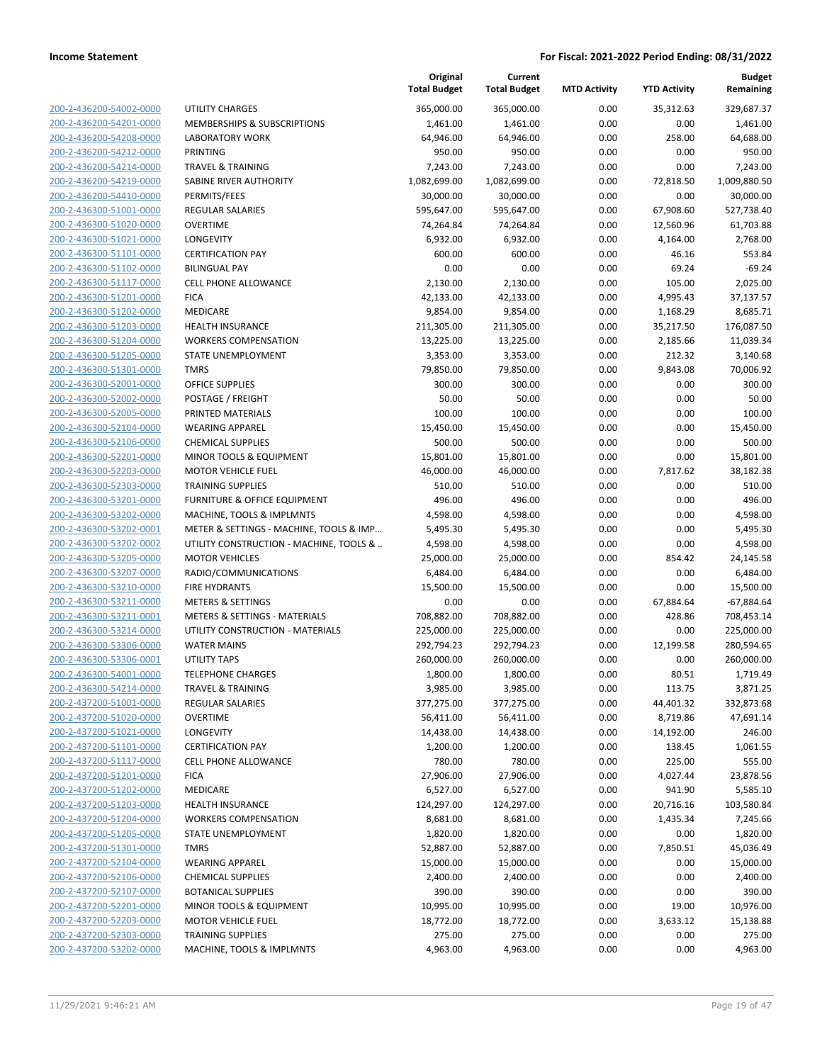| 200-2-436200-54002-0000        |
|--------------------------------|
| 200-2-436200-54201-0000        |
| 200-2-436200-54208-0000        |
| 200-2-436200-54212-0000        |
| <u>200-2-436200-54214-0000</u> |
| 200-2-436200-54219-0000        |
| 200-2-436200-54410-0000        |
| 200-2-436300-51001-0000        |
|                                |
| 200-2-436300-51020-0000        |
| 200-2-436300-51021-0000        |
| 200-2-436300-51101-0000        |
| 200-2-436300-51102-0000        |
| 200-2-436300-51117-0000        |
| 200-2-436300-51201-0000        |
| 200-2-436300-51202-0000        |
| 200-2-436300-51203-0000        |
| 200-2-436300-51204-0000        |
| 200-2-436300-51205-0000        |
|                                |
| 200-2-436300-51301-0000        |
| 200-2-436300-52001-0000        |
| 200-2-436300-52002-0000        |
| 200-2-436300-52005-0000        |
| 200-2-436300-52104-0000        |
| <u>200-2-436300-52106-0000</u> |
| 200-2-436300-52201-0000        |
| 200-2-436300-52203-0000        |
| 200-2-436300-52303-0000        |
| 200-2-436300-53201-0000        |
| 200-2-436300-53202-0000        |
| 200-2-436300-53202-0001        |
|                                |
| 200-2-436300-53202-0002        |
| 200-2-436300-53205-0000        |
| 200-2-436300-53207-0000        |
| <u>200-2-436300-53210-0000</u> |
| 200-2-436300-53211-0000        |
| 200-2-436300-53211-0001        |
| 200-2-436300-53214-0000        |
| 200-2-436300-53306-0000        |
| 200-2-436300-53306-0001        |
| 200-2-436300-54001-0000        |
| 200-2-436300-54214-0000        |
| 200-2-437200-51001-0000        |
|                                |
| 200-2-437200-51020-0000        |
| 200-2-437200-51021-0000        |
| 200-2-437200-51101-0000        |
| 200-2-437200-51117-0000        |
| 200-2-437200-51201-0000        |
| <u>200-2-437200-51202-0000</u> |
| 200-2-437200-51203-0000        |
| 200-2-437200-51204-0000        |
| <u>200-2-437200-51205-0000</u> |
| 200-2-437200-51301-0000        |
| 200-2-437200-52104-0000        |
|                                |
| <u>200-2-437200-52106-0000</u> |
| 200-2-437200-52107-0000        |
| <u>200-2-437200-52201-0000</u> |
| 200-2-437200-52203-0000        |
| <u>200-2-437200-52303-0000</u> |
| <u>200-2-437200-53202-0000</u> |
|                                |

|                         |                                          | Original<br><b>Total Budget</b> | Current<br><b>Total Budget</b> | <b>MTD Activity</b> | <b>YTD Activity</b> | <b>Budget</b><br>Remaining |
|-------------------------|------------------------------------------|---------------------------------|--------------------------------|---------------------|---------------------|----------------------------|
| 200-2-436200-54002-0000 | <b>UTILITY CHARGES</b>                   | 365,000.00                      | 365,000.00                     | 0.00                | 35,312.63           | 329,687.37                 |
| 200-2-436200-54201-0000 | MEMBERSHIPS & SUBSCRIPTIONS              | 1,461.00                        | 1,461.00                       | 0.00                | 0.00                | 1,461.00                   |
| 200-2-436200-54208-0000 | <b>LABORATORY WORK</b>                   | 64,946.00                       | 64,946.00                      | 0.00                | 258.00              | 64,688.00                  |
| 200-2-436200-54212-0000 | <b>PRINTING</b>                          | 950.00                          | 950.00                         | 0.00                | 0.00                | 950.00                     |
| 200-2-436200-54214-0000 | <b>TRAVEL &amp; TRAINING</b>             | 7,243.00                        | 7,243.00                       | 0.00                | 0.00                | 7,243.00                   |
| 200-2-436200-54219-0000 | SABINE RIVER AUTHORITY                   | 1,082,699.00                    | 1,082,699.00                   | 0.00                | 72,818.50           | 1,009,880.50               |
| 200-2-436200-54410-0000 | PERMITS/FEES                             | 30,000.00                       | 30,000.00                      | 0.00                | 0.00                | 30,000.00                  |
| 200-2-436300-51001-0000 | <b>REGULAR SALARIES</b>                  | 595,647.00                      | 595,647.00                     | 0.00                | 67,908.60           | 527,738.40                 |
| 200-2-436300-51020-0000 | <b>OVERTIME</b>                          | 74,264.84                       | 74,264.84                      | 0.00                | 12,560.96           | 61,703.88                  |
| 200-2-436300-51021-0000 | LONGEVITY                                | 6,932.00                        | 6,932.00                       | 0.00                | 4,164.00            | 2,768.00                   |
| 200-2-436300-51101-0000 | <b>CERTIFICATION PAY</b>                 | 600.00                          | 600.00                         | 0.00                | 46.16               | 553.84                     |
| 200-2-436300-51102-0000 | <b>BILINGUAL PAY</b>                     | 0.00                            | 0.00                           | 0.00                | 69.24               | $-69.24$                   |
| 200-2-436300-51117-0000 | <b>CELL PHONE ALLOWANCE</b>              | 2,130.00                        | 2,130.00                       | 0.00                | 105.00              | 2,025.00                   |
| 200-2-436300-51201-0000 | <b>FICA</b>                              | 42,133.00                       | 42,133.00                      | 0.00                | 4,995.43            | 37,137.57                  |
| 200-2-436300-51202-0000 | MEDICARE                                 | 9,854.00                        | 9,854.00                       | 0.00                | 1,168.29            | 8,685.71                   |
| 200-2-436300-51203-0000 | HEALTH INSURANCE                         | 211,305.00                      | 211,305.00                     | 0.00                | 35,217.50           | 176,087.50                 |
| 200-2-436300-51204-0000 | <b>WORKERS COMPENSATION</b>              | 13,225.00                       | 13,225.00                      | 0.00                | 2,185.66            | 11,039.34                  |
| 200-2-436300-51205-0000 | STATE UNEMPLOYMENT                       | 3,353.00                        | 3,353.00                       | 0.00                | 212.32              | 3,140.68                   |
| 200-2-436300-51301-0000 | <b>TMRS</b>                              | 79,850.00                       | 79,850.00                      | 0.00                | 9,843.08            | 70,006.92                  |
| 200-2-436300-52001-0000 | <b>OFFICE SUPPLIES</b>                   | 300.00                          | 300.00                         | 0.00                | 0.00                | 300.00                     |
| 200-2-436300-52002-0000 | POSTAGE / FREIGHT                        | 50.00                           | 50.00                          | 0.00                | 0.00                | 50.00                      |
| 200-2-436300-52005-0000 | PRINTED MATERIALS                        | 100.00                          | 100.00                         | 0.00                | 0.00                | 100.00                     |
| 200-2-436300-52104-0000 | <b>WEARING APPAREL</b>                   | 15,450.00                       | 15,450.00                      | 0.00                | 0.00                | 15,450.00                  |
| 200-2-436300-52106-0000 | <b>CHEMICAL SUPPLIES</b>                 | 500.00                          | 500.00                         | 0.00                | 0.00                | 500.00                     |
| 200-2-436300-52201-0000 | MINOR TOOLS & EQUIPMENT                  | 15,801.00                       | 15,801.00                      | 0.00                | 0.00                | 15,801.00                  |
| 200-2-436300-52203-0000 | <b>MOTOR VEHICLE FUEL</b>                | 46,000.00                       | 46,000.00                      | 0.00                | 7,817.62            | 38,182.38                  |
| 200-2-436300-52303-0000 | <b>TRAINING SUPPLIES</b>                 | 510.00                          | 510.00                         | 0.00                | 0.00                | 510.00                     |
| 200-2-436300-53201-0000 | FURNITURE & OFFICE EQUIPMENT             | 496.00                          | 496.00                         | 0.00                | 0.00                | 496.00                     |
| 200-2-436300-53202-0000 | MACHINE, TOOLS & IMPLMNTS                | 4,598.00                        | 4,598.00                       | 0.00                | 0.00                | 4,598.00                   |
| 200-2-436300-53202-0001 | METER & SETTINGS - MACHINE, TOOLS & IMP  | 5,495.30                        | 5,495.30                       | 0.00                | 0.00                | 5,495.30                   |
| 200-2-436300-53202-0002 | UTILITY CONSTRUCTION - MACHINE, TOOLS &  | 4,598.00                        | 4,598.00                       | 0.00                | 0.00                | 4,598.00                   |
| 200-2-436300-53205-0000 | <b>MOTOR VEHICLES</b>                    | 25,000.00                       | 25,000.00                      | 0.00                | 854.42              | 24,145.58                  |
| 200-2-436300-53207-0000 | RADIO/COMMUNICATIONS                     | 6,484.00                        | 6,484.00                       | 0.00                | 0.00                | 6,484.00                   |
| 200-2-436300-53210-0000 | <b>FIRE HYDRANTS</b>                     | 15,500.00                       | 15,500.00                      | 0.00                | 0.00                | 15,500.00                  |
| 200-2-436300-53211-0000 | <b>METERS &amp; SETTINGS</b>             | 0.00                            | 0.00                           | 0.00                | 67,884.64           | $-67,884.64$               |
| 200-2-436300-53211-0001 | <b>METERS &amp; SETTINGS - MATERIALS</b> | 708,882.00                      | 708,882.00                     | 0.00                | 428.86              | 708,453.14                 |
| 200-2-436300-53214-0000 | UTILITY CONSTRUCTION - MATERIALS         | 225,000.00                      | 225,000.00                     | 0.00                | 0.00                | 225,000.00                 |
| 200-2-436300-53306-0000 | <b>WATER MAINS</b>                       | 292,794.23                      | 292,794.23                     | 0.00                | 12,199.58           | 280,594.65                 |
| 200-2-436300-53306-0001 | <b>UTILITY TAPS</b>                      | 260,000.00                      | 260,000.00                     | 0.00                | 0.00                | 260,000.00                 |
| 200-2-436300-54001-0000 | <b>TELEPHONE CHARGES</b>                 | 1,800.00                        | 1,800.00                       | 0.00                | 80.51               | 1,719.49                   |
| 200-2-436300-54214-0000 | <b>TRAVEL &amp; TRAINING</b>             | 3,985.00                        | 3,985.00                       | 0.00                | 113.75              | 3,871.25                   |
| 200-2-437200-51001-0000 | <b>REGULAR SALARIES</b>                  | 377,275.00                      | 377,275.00                     | 0.00                | 44,401.32           | 332,873.68                 |
| 200-2-437200-51020-0000 | <b>OVERTIME</b>                          | 56,411.00                       | 56,411.00                      | 0.00                | 8,719.86            | 47,691.14                  |
| 200-2-437200-51021-0000 | LONGEVITY                                | 14,438.00                       | 14,438.00                      | 0.00                | 14,192.00           | 246.00                     |
| 200-2-437200-51101-0000 | <b>CERTIFICATION PAY</b>                 | 1,200.00                        | 1,200.00                       | 0.00                | 138.45              | 1,061.55                   |
| 200-2-437200-51117-0000 | CELL PHONE ALLOWANCE                     | 780.00                          | 780.00                         | 0.00                | 225.00              | 555.00                     |
| 200-2-437200-51201-0000 | <b>FICA</b>                              | 27,906.00                       | 27,906.00                      | 0.00                | 4,027.44            | 23,878.56                  |
| 200-2-437200-51202-0000 | MEDICARE                                 | 6,527.00                        | 6,527.00                       | 0.00                | 941.90              | 5,585.10                   |
| 200-2-437200-51203-0000 | <b>HEALTH INSURANCE</b>                  | 124,297.00                      | 124,297.00                     | 0.00                | 20,716.16           | 103,580.84                 |
| 200-2-437200-51204-0000 | <b>WORKERS COMPENSATION</b>              | 8,681.00                        | 8,681.00                       | 0.00                | 1,435.34            | 7,245.66                   |
| 200-2-437200-51205-0000 | STATE UNEMPLOYMENT                       | 1,820.00                        | 1,820.00                       | 0.00                | 0.00                | 1,820.00                   |
| 200-2-437200-51301-0000 | <b>TMRS</b>                              | 52,887.00                       | 52,887.00                      | 0.00                | 7,850.51            | 45,036.49                  |
| 200-2-437200-52104-0000 | <b>WEARING APPAREL</b>                   | 15,000.00                       | 15,000.00                      | 0.00                | 0.00                | 15,000.00                  |
| 200-2-437200-52106-0000 | <b>CHEMICAL SUPPLIES</b>                 | 2,400.00                        | 2,400.00                       | 0.00                | 0.00                | 2,400.00                   |
| 200-2-437200-52107-0000 | <b>BOTANICAL SUPPLIES</b>                | 390.00                          | 390.00                         | 0.00                | 0.00                | 390.00                     |
| 200-2-437200-52201-0000 | MINOR TOOLS & EQUIPMENT                  | 10,995.00                       | 10,995.00                      | 0.00                | 19.00               | 10,976.00                  |
| 200-2-437200-52203-0000 | <b>MOTOR VEHICLE FUEL</b>                | 18,772.00                       | 18,772.00                      | 0.00                | 3,633.12            | 15,138.88                  |
| 200-2-437200-52303-0000 | <b>TRAINING SUPPLIES</b>                 | 275.00                          | 275.00                         | 0.00                | 0.00                | 275.00                     |
| 200-2-437200-53202-0000 | MACHINE, TOOLS & IMPLMNTS                | 4,963.00                        | 4,963.00                       | 0.00                | 0.00                | 4,963.00                   |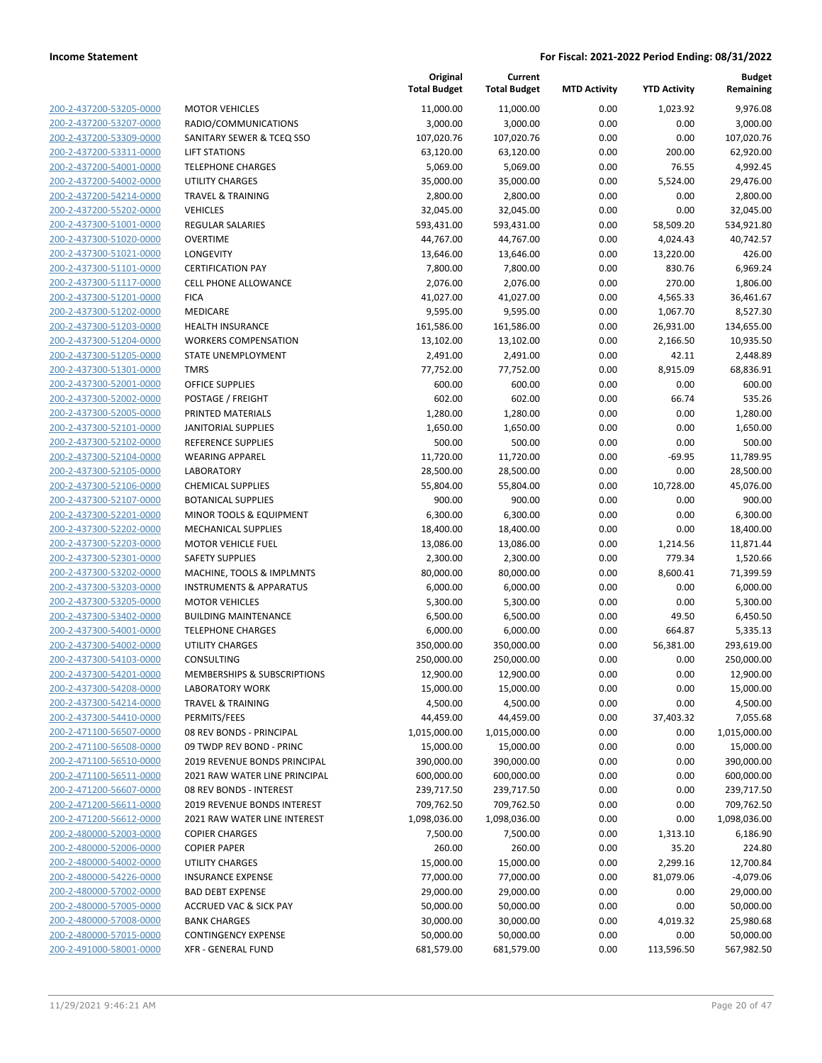| 200-2-437200-53205-0000                                   |
|-----------------------------------------------------------|
| 200-2-437200-53207-0000                                   |
| 200-2-437200-53309-0000                                   |
| 200-2-437200-53311-0000                                   |
| 200-2-437200-54001-0000                                   |
| 2-437200-54002-0000<br>200-                               |
| 200-2-437200-54214-0000                                   |
| 200-2-437200-55202-0000                                   |
| <u>200-2-437300-51001-0000</u>                            |
| 200-2-437300-51020-0000                                   |
| 2-437300-51021<br>200-<br>-0000                           |
| 200-2-437300-51101-0000                                   |
| 200-2-437300-51117-0000                                   |
| 200-2-437300-51201-0000                                   |
| 200-2-437300-51202-0000                                   |
| 2-437300-51203-0000<br>200-                               |
| 200-2-437300-51204-0000                                   |
|                                                           |
| 200-2-437300-51205-0000                                   |
| 200-2-437300-51301-0000                                   |
| 200-2-437300-52001-0000                                   |
| 2-437300-52002-0000<br>200-                               |
| 200-2-437300-52005-0000                                   |
| 200-2-437300-52101-0000                                   |
| 200-2-437300-52102-0000                                   |
| 200-2-437300-52104-0000                                   |
| 2-437300-52105-0000<br>200-                               |
| 200-2-437300-52106-0000                                   |
| 200-2-437300-52107-0000                                   |
| 200-2-437300-52201-0000                                   |
| 200-2-437300-52202-0000                                   |
| 2-437300-52203-0000<br>200-                               |
| 200-2-437300-52301-0000                                   |
| 200-2-437300-53202-0000                                   |
| 200-2-437300-53203-0000                                   |
| 200-2-437300-53205-0000                                   |
| 200-2-437300-53402-0000                                   |
| 200-2-437300-54001-0000                                   |
| 200-2-437300-54002-0000                                   |
| <u>200-2-437300-54103-0000</u>                            |
| 200-2-437300-54201-0000                                   |
| 200-2-437300-54208-0000                                   |
| <u>200-2-437300-54214-0000</u>                            |
| 200-2-437300-54410-0000                                   |
| <u>200-2-471100-56507-0000</u>                            |
| 200-2-471100-56508-0000                                   |
| 200-2-471100-56510-0000                                   |
| 200-2-471100-56511-0000                                   |
| 200-2-471200-56607-0000                                   |
| <u>200-2-471200-56611-0000</u>                            |
| <u>200-2-471200-56612-0000</u>                            |
|                                                           |
|                                                           |
| 200-2-480000-52003-0000                                   |
| 200-2-480000-52006-0000                                   |
| 200-2-480000-54002-0000                                   |
| <u>200-2-480000-54226-0000</u>                            |
| <u>200-2-480000-57002-0000</u>                            |
| 200-2-480000-57005-0000                                   |
| 200-2-480000-57008-0000                                   |
| 200-2-480000-57015-0000<br><u>200-2-491000-58001-0000</u> |

|                         |                                    | Original<br><b>Total Budget</b> | Current<br><b>Total Budget</b> | <b>MTD Activity</b> | <b>YTD Activity</b> | <b>Budget</b><br>Remaining |
|-------------------------|------------------------------------|---------------------------------|--------------------------------|---------------------|---------------------|----------------------------|
| 200-2-437200-53205-0000 | <b>MOTOR VEHICLES</b>              | 11,000.00                       | 11,000.00                      | 0.00                | 1,023.92            | 9,976.08                   |
| 200-2-437200-53207-0000 | RADIO/COMMUNICATIONS               | 3,000.00                        | 3,000.00                       | 0.00                | 0.00                | 3,000.00                   |
| 200-2-437200-53309-0000 | SANITARY SEWER & TCEQ SSO          | 107,020.76                      | 107,020.76                     | 0.00                | 0.00                | 107,020.76                 |
| 200-2-437200-53311-0000 | <b>LIFT STATIONS</b>               | 63,120.00                       | 63,120.00                      | 0.00                | 200.00              | 62,920.00                  |
| 200-2-437200-54001-0000 | <b>TELEPHONE CHARGES</b>           | 5,069.00                        | 5,069.00                       | 0.00                | 76.55               | 4,992.45                   |
| 200-2-437200-54002-0000 | <b>UTILITY CHARGES</b>             | 35,000.00                       | 35,000.00                      | 0.00                | 5,524.00            | 29,476.00                  |
| 200-2-437200-54214-0000 | <b>TRAVEL &amp; TRAINING</b>       | 2,800.00                        | 2,800.00                       | 0.00                | 0.00                | 2,800.00                   |
| 200-2-437200-55202-0000 | <b>VEHICLES</b>                    | 32,045.00                       | 32,045.00                      | 0.00                | 0.00                | 32,045.00                  |
| 200-2-437300-51001-0000 | <b>REGULAR SALARIES</b>            | 593,431.00                      | 593,431.00                     | 0.00                | 58,509.20           | 534,921.80                 |
| 200-2-437300-51020-0000 | <b>OVERTIME</b>                    | 44,767.00                       | 44,767.00                      | 0.00                | 4,024.43            | 40,742.57                  |
| 200-2-437300-51021-0000 | LONGEVITY                          | 13,646.00                       | 13,646.00                      | 0.00                | 13,220.00           | 426.00                     |
| 200-2-437300-51101-0000 | <b>CERTIFICATION PAY</b>           | 7,800.00                        | 7,800.00                       | 0.00                | 830.76              | 6,969.24                   |
| 200-2-437300-51117-0000 | <b>CELL PHONE ALLOWANCE</b>        | 2,076.00                        | 2,076.00                       | 0.00                | 270.00              | 1,806.00                   |
| 200-2-437300-51201-0000 | <b>FICA</b>                        | 41,027.00                       | 41,027.00                      | 0.00                | 4,565.33            | 36,461.67                  |
| 200-2-437300-51202-0000 | MEDICARE                           | 9,595.00                        | 9,595.00                       | 0.00                | 1,067.70            | 8,527.30                   |
| 200-2-437300-51203-0000 | <b>HEALTH INSURANCE</b>            | 161,586.00                      | 161,586.00                     | 0.00                | 26,931.00           | 134,655.00                 |
| 200-2-437300-51204-0000 | <b>WORKERS COMPENSATION</b>        | 13,102.00                       | 13,102.00                      | 0.00                | 2,166.50            | 10,935.50                  |
| 200-2-437300-51205-0000 | STATE UNEMPLOYMENT                 | 2,491.00                        | 2,491.00                       | 0.00                | 42.11               | 2,448.89                   |
| 200-2-437300-51301-0000 | <b>TMRS</b>                        | 77,752.00                       | 77,752.00                      | 0.00                | 8,915.09            | 68,836.91                  |
| 200-2-437300-52001-0000 | <b>OFFICE SUPPLIES</b>             | 600.00                          | 600.00                         | 0.00                | 0.00                | 600.00                     |
| 200-2-437300-52002-0000 | POSTAGE / FREIGHT                  | 602.00                          | 602.00                         | 0.00                | 66.74               | 535.26                     |
| 200-2-437300-52005-0000 | PRINTED MATERIALS                  | 1,280.00                        | 1,280.00                       | 0.00                | 0.00                | 1,280.00                   |
| 200-2-437300-52101-0000 | <b>JANITORIAL SUPPLIES</b>         | 1,650.00                        | 1,650.00                       | 0.00                | 0.00                | 1,650.00                   |
| 200-2-437300-52102-0000 | <b>REFERENCE SUPPLIES</b>          | 500.00                          | 500.00                         | 0.00                | 0.00                | 500.00                     |
| 200-2-437300-52104-0000 | <b>WEARING APPAREL</b>             | 11,720.00                       | 11,720.00                      | 0.00                | $-69.95$            | 11,789.95                  |
| 200-2-437300-52105-0000 | <b>LABORATORY</b>                  | 28,500.00                       | 28,500.00                      | 0.00                | 0.00                | 28,500.00                  |
| 200-2-437300-52106-0000 | <b>CHEMICAL SUPPLIES</b>           | 55,804.00                       | 55,804.00                      | 0.00                | 10,728.00           | 45,076.00                  |
| 200-2-437300-52107-0000 | <b>BOTANICAL SUPPLIES</b>          | 900.00                          | 900.00                         | 0.00                | 0.00                | 900.00                     |
| 200-2-437300-52201-0000 | MINOR TOOLS & EQUIPMENT            | 6,300.00                        | 6,300.00                       | 0.00                | 0.00                | 6,300.00                   |
| 200-2-437300-52202-0000 | <b>MECHANICAL SUPPLIES</b>         | 18,400.00                       | 18,400.00                      | 0.00                | 0.00                | 18,400.00                  |
| 200-2-437300-52203-0000 | <b>MOTOR VEHICLE FUEL</b>          | 13,086.00                       | 13,086.00                      | 0.00                | 1,214.56            | 11,871.44                  |
| 200-2-437300-52301-0000 | <b>SAFETY SUPPLIES</b>             | 2,300.00                        | 2,300.00                       | 0.00                | 779.34              | 1,520.66                   |
| 200-2-437300-53202-0000 | MACHINE, TOOLS & IMPLMNTS          | 80,000.00                       | 80,000.00                      | 0.00                | 8,600.41            | 71,399.59                  |
| 200-2-437300-53203-0000 | <b>INSTRUMENTS &amp; APPARATUS</b> | 6,000.00                        | 6,000.00                       | 0.00                | 0.00                | 6,000.00                   |
| 200-2-437300-53205-0000 | <b>MOTOR VEHICLES</b>              | 5,300.00                        | 5,300.00                       | 0.00                | 0.00                | 5,300.00                   |
| 200-2-437300-53402-0000 | <b>BUILDING MAINTENANCE</b>        | 6,500.00                        | 6,500.00                       | 0.00                | 49.50               | 6,450.50                   |
| 200-2-437300-54001-0000 | <b>TELEPHONE CHARGES</b>           | 6,000.00                        | 6,000.00                       | 0.00                | 664.87              | 5,335.13                   |
| 200-2-437300-54002-0000 | UTILITY CHARGES                    | 350,000.00                      | 350,000.00                     | 0.00                | 56,381.00           | 293,619.00                 |
| 200-2-437300-54103-0000 | <b>CONSULTING</b>                  | 250,000.00                      | 250,000.00                     | 0.00                | 0.00                | 250,000.00                 |
| 200-2-437300-54201-0000 | MEMBERSHIPS & SUBSCRIPTIONS        | 12,900.00                       | 12,900.00                      | 0.00                | 0.00                | 12,900.00                  |
| 200-2-437300-54208-0000 | LABORATORY WORK                    | 15,000.00                       | 15,000.00                      | 0.00                | 0.00                | 15,000.00                  |
| 200-2-437300-54214-0000 | <b>TRAVEL &amp; TRAINING</b>       | 4,500.00                        | 4,500.00                       | 0.00                | 0.00                | 4,500.00                   |
| 200-2-437300-54410-0000 | PERMITS/FEES                       | 44,459.00                       | 44,459.00                      | 0.00                | 37,403.32           | 7,055.68                   |
| 200-2-471100-56507-0000 | 08 REV BONDS - PRINCIPAL           | 1,015,000.00                    | 1,015,000.00                   | 0.00                | 0.00                | 1,015,000.00               |
| 200-2-471100-56508-0000 | 09 TWDP REV BOND - PRINC           | 15,000.00                       | 15,000.00                      | 0.00                | 0.00                | 15,000.00                  |
| 200-2-471100-56510-0000 | 2019 REVENUE BONDS PRINCIPAL       | 390,000.00                      | 390,000.00                     | 0.00                | 0.00                | 390,000.00                 |
| 200-2-471100-56511-0000 | 2021 RAW WATER LINE PRINCIPAL      | 600,000.00                      | 600,000.00                     | 0.00                | 0.00                | 600,000.00                 |
| 200-2-471200-56607-0000 | 08 REV BONDS - INTEREST            | 239,717.50                      | 239,717.50                     | 0.00                | 0.00                | 239,717.50                 |
| 200-2-471200-56611-0000 | <b>2019 REVENUE BONDS INTEREST</b> | 709,762.50                      | 709,762.50                     | 0.00                | 0.00                | 709,762.50                 |
| 200-2-471200-56612-0000 | 2021 RAW WATER LINE INTEREST       | 1,098,036.00                    | 1,098,036.00                   | 0.00                | 0.00                | 1,098,036.00               |
| 200-2-480000-52003-0000 | <b>COPIER CHARGES</b>              | 7,500.00                        | 7,500.00                       | 0.00                | 1,313.10            | 6,186.90                   |
| 200-2-480000-52006-0000 | <b>COPIER PAPER</b>                | 260.00                          | 260.00                         | 0.00                | 35.20               | 224.80                     |
| 200-2-480000-54002-0000 | UTILITY CHARGES                    | 15,000.00                       | 15,000.00                      | 0.00                | 2,299.16            | 12,700.84                  |
| 200-2-480000-54226-0000 | <b>INSURANCE EXPENSE</b>           | 77,000.00                       | 77,000.00                      | 0.00                | 81,079.06           | $-4,079.06$                |
| 200-2-480000-57002-0000 | <b>BAD DEBT EXPENSE</b>            | 29,000.00                       | 29,000.00                      | 0.00                | 0.00                | 29,000.00                  |
| 200-2-480000-57005-0000 | ACCRUED VAC & SICK PAY             | 50,000.00                       | 50,000.00                      | 0.00                | 0.00                | 50,000.00                  |
| 200-2-480000-57008-0000 | <b>BANK CHARGES</b>                | 30,000.00                       | 30,000.00                      | 0.00                | 4,019.32            | 25,980.68                  |
| 200-2-480000-57015-0000 | <b>CONTINGENCY EXPENSE</b>         | 50,000.00                       | 50,000.00                      | 0.00                | 0.00                | 50,000.00                  |
| 200-2-491000-58001-0000 | XFR - GENERAL FUND                 | 681,579.00                      | 681,579.00                     | 0.00                | 113,596.50          | 567,982.50                 |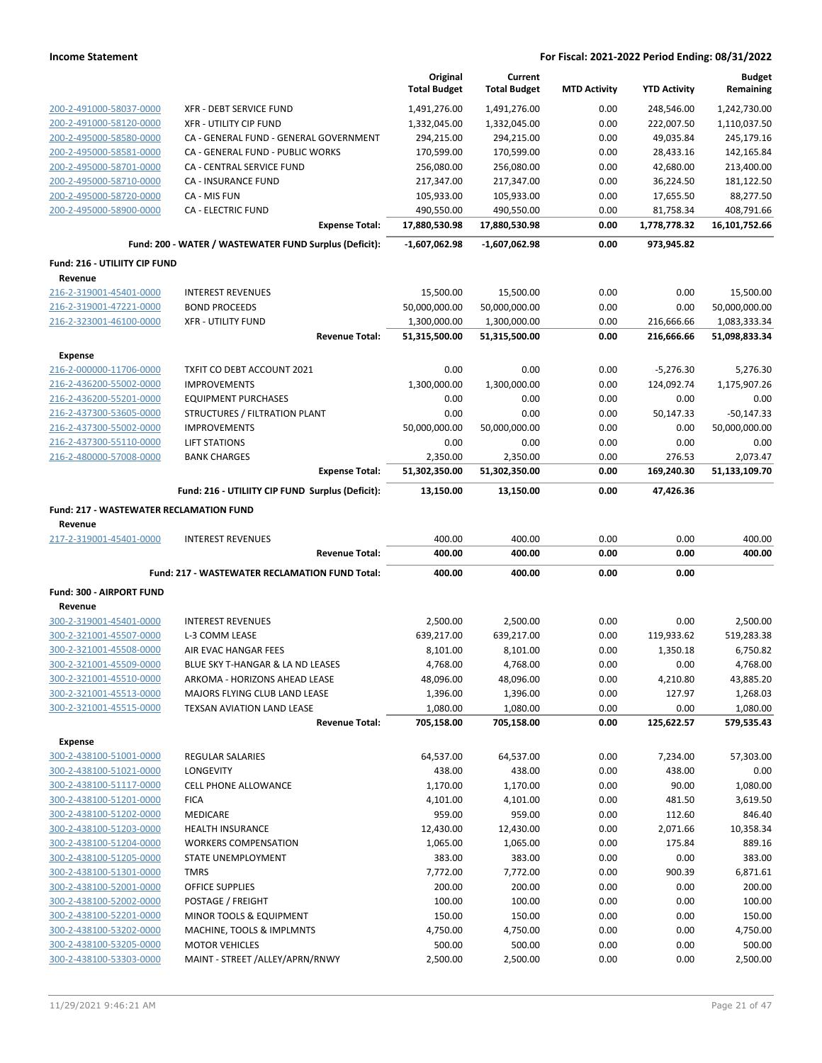|                                                |                                                        | Original            | Current             |                     |                     | <b>Budget</b> |
|------------------------------------------------|--------------------------------------------------------|---------------------|---------------------|---------------------|---------------------|---------------|
|                                                |                                                        | <b>Total Budget</b> | <b>Total Budget</b> | <b>MTD Activity</b> | <b>YTD Activity</b> | Remaining     |
| 200-2-491000-58037-0000                        | <b>XFR - DEBT SERVICE FUND</b>                         | 1,491,276.00        | 1,491,276.00        | 0.00                | 248,546.00          | 1,242,730.00  |
| 200-2-491000-58120-0000                        | <b>XFR - UTILITY CIP FUND</b>                          | 1,332,045.00        | 1,332,045.00        | 0.00                | 222,007.50          | 1,110,037.50  |
| 200-2-495000-58580-0000                        | CA - GENERAL FUND - GENERAL GOVERNMENT                 | 294,215.00          | 294,215.00          | 0.00                | 49,035.84           | 245,179.16    |
| 200-2-495000-58581-0000                        | CA - GENERAL FUND - PUBLIC WORKS                       | 170,599.00          | 170,599.00          | 0.00                | 28,433.16           | 142,165.84    |
| 200-2-495000-58701-0000                        | CA - CENTRAL SERVICE FUND                              | 256,080.00          | 256,080.00          | 0.00                | 42,680.00           | 213,400.00    |
| 200-2-495000-58710-0000                        | CA - INSURANCE FUND                                    | 217,347.00          | 217,347.00          | 0.00                | 36,224.50           | 181,122.50    |
| 200-2-495000-58720-0000                        | CA - MIS FUN                                           | 105,933.00          | 105,933.00          | 0.00                | 17,655.50           | 88,277.50     |
| 200-2-495000-58900-0000                        | <b>CA - ELECTRIC FUND</b>                              | 490,550.00          | 490,550.00          | 0.00                | 81,758.34           | 408,791.66    |
|                                                | <b>Expense Total:</b>                                  | 17,880,530.98       | 17,880,530.98       | 0.00                | 1,778,778.32        | 16,101,752.66 |
|                                                | Fund: 200 - WATER / WASTEWATER FUND Surplus (Deficit): | $-1,607,062.98$     | $-1,607,062.98$     | 0.00                | 973,945.82          |               |
| Fund: 216 - UTILIITY CIP FUND                  |                                                        |                     |                     |                     |                     |               |
| Revenue                                        |                                                        |                     |                     |                     |                     |               |
| 216-2-319001-45401-0000                        | <b>INTEREST REVENUES</b>                               | 15,500.00           | 15,500.00           | 0.00                | 0.00                | 15,500.00     |
| 216-2-319001-47221-0000                        | <b>BOND PROCEEDS</b>                                   | 50,000,000.00       | 50,000,000.00       | 0.00                | 0.00                | 50,000,000.00 |
| 216-2-323001-46100-0000                        | <b>XFR - UTILITY FUND</b>                              | 1,300,000.00        | 1,300,000.00        | 0.00                | 216,666.66          | 1,083,333.34  |
|                                                | <b>Revenue Total:</b>                                  | 51,315,500.00       | 51,315,500.00       | 0.00                | 216,666.66          | 51,098,833.34 |
| <b>Expense</b>                                 |                                                        |                     |                     |                     |                     |               |
| 216-2-000000-11706-0000                        | TXFIT CO DEBT ACCOUNT 2021                             | 0.00                | 0.00                | 0.00                | $-5,276.30$         | 5,276.30      |
| 216-2-436200-55002-0000                        | <b>IMPROVEMENTS</b>                                    | 1,300,000.00        | 1,300,000.00        | 0.00                | 124,092.74          | 1,175,907.26  |
| 216-2-436200-55201-0000                        | <b>EQUIPMENT PURCHASES</b>                             | 0.00                | 0.00                | 0.00                | 0.00                | 0.00          |
| 216-2-437300-53605-0000                        | STRUCTURES / FILTRATION PLANT                          | 0.00                | 0.00                | 0.00                | 50,147.33           | $-50,147.33$  |
| 216-2-437300-55002-0000                        | <b>IMPROVEMENTS</b>                                    | 50,000,000.00       | 50,000,000.00       | 0.00                | 0.00                | 50,000,000.00 |
| 216-2-437300-55110-0000                        | <b>LIFT STATIONS</b>                                   | 0.00                | 0.00                | 0.00                | 0.00                | 0.00          |
| 216-2-480000-57008-0000                        | <b>BANK CHARGES</b>                                    | 2,350.00            | 2,350.00            | 0.00                | 276.53              | 2,073.47      |
|                                                | <b>Expense Total:</b>                                  | 51,302,350.00       | 51,302,350.00       | 0.00                | 169,240.30          | 51,133,109.70 |
|                                                | Fund: 216 - UTILIITY CIP FUND Surplus (Deficit):       | 13,150.00           | 13,150.00           | 0.00                | 47,426.36           |               |
| <b>Fund: 217 - WASTEWATER RECLAMATION FUND</b> |                                                        |                     |                     |                     |                     |               |
| Revenue                                        |                                                        |                     |                     |                     |                     |               |
| 217-2-319001-45401-0000                        | <b>INTEREST REVENUES</b>                               | 400.00              | 400.00              | 0.00                | 0.00                | 400.00        |
|                                                | <b>Revenue Total:</b>                                  | 400.00              | 400.00              | 0.00                | 0.00                | 400.00        |
|                                                | Fund: 217 - WASTEWATER RECLAMATION FUND Total:         | 400.00              | 400.00              | 0.00                | 0.00                |               |
| Fund: 300 - AIRPORT FUND                       |                                                        |                     |                     |                     |                     |               |
| Revenue                                        |                                                        |                     |                     |                     |                     |               |
| 300-2-319001-45401-0000                        | <b>INTEREST REVENUES</b>                               |                     |                     |                     |                     |               |
| 300-2-321001-45507-0000                        |                                                        | 2,500.00            | 2,500.00            | 0.00                | 0.00                | 2,500.00      |
| 300-2-321001-45508-0000                        | L-3 COMM LEASE                                         | 639,217.00          | 639,217.00          | 0.00                | 119,933.62          | 519,283.38    |
|                                                | AIR EVAC HANGAR FEES                                   | 8,101.00            | 8,101.00            | 0.00                | 1,350.18            | 6,750.82      |
| 300-2-321001-45509-0000                        | BLUE SKY T-HANGAR & LA ND LEASES                       | 4,768.00            | 4,768.00            | 0.00                | 0.00                | 4,768.00      |
| 300-2-321001-45510-0000                        | ARKOMA - HORIZONS AHEAD LEASE                          | 48,096.00           | 48,096.00           | 0.00                | 4,210.80            | 43,885.20     |
| 300-2-321001-45513-0000                        | MAJORS FLYING CLUB LAND LEASE                          | 1,396.00            | 1,396.00            | 0.00                | 127.97              | 1,268.03      |
| 300-2-321001-45515-0000                        | TEXSAN AVIATION LAND LEASE                             | 1,080.00            | 1,080.00            | 0.00                | 0.00                | 1,080.00      |
|                                                | <b>Revenue Total:</b>                                  | 705,158.00          | 705,158.00          | 0.00                | 125,622.57          | 579,535.43    |
| <b>Expense</b>                                 |                                                        |                     |                     |                     |                     |               |
| 300-2-438100-51001-0000                        | <b>REGULAR SALARIES</b>                                | 64,537.00           | 64,537.00           | 0.00                | 7,234.00            | 57,303.00     |
| 300-2-438100-51021-0000                        | LONGEVITY                                              | 438.00              | 438.00              | 0.00                | 438.00              | 0.00          |
| 300-2-438100-51117-0000                        | CELL PHONE ALLOWANCE                                   | 1,170.00            | 1,170.00            | 0.00                | 90.00               | 1,080.00      |
| 300-2-438100-51201-0000                        | <b>FICA</b>                                            | 4,101.00            | 4,101.00            | 0.00                | 481.50              | 3,619.50      |
| 300-2-438100-51202-0000                        | MEDICARE                                               | 959.00              | 959.00              | 0.00                | 112.60              | 846.40        |
| 300-2-438100-51203-0000                        | HEALTH INSURANCE                                       | 12,430.00           | 12,430.00           | 0.00                | 2,071.66            | 10,358.34     |
| 300-2-438100-51204-0000                        | <b>WORKERS COMPENSATION</b>                            | 1,065.00            | 1,065.00            | 0.00                | 175.84              | 889.16        |
| 300-2-438100-51205-0000                        | STATE UNEMPLOYMENT                                     | 383.00              | 383.00              | 0.00                | 0.00                | 383.00        |
| 300-2-438100-51301-0000                        | <b>TMRS</b>                                            | 7,772.00            | 7,772.00            | 0.00                | 900.39              | 6,871.61      |
| 300-2-438100-52001-0000                        | OFFICE SUPPLIES                                        | 200.00              | 200.00              | 0.00                | 0.00                | 200.00        |
| 300-2-438100-52002-0000                        | POSTAGE / FREIGHT                                      | 100.00              | 100.00              | 0.00                | 0.00                | 100.00        |
| 300-2-438100-52201-0000                        | MINOR TOOLS & EQUIPMENT                                | 150.00              | 150.00              | 0.00                | 0.00                | 150.00        |
| 300-2-438100-53202-0000                        | MACHINE, TOOLS & IMPLMNTS                              | 4,750.00            | 4,750.00            | 0.00                | 0.00                | 4,750.00      |
| 300-2-438100-53205-0000                        | <b>MOTOR VEHICLES</b>                                  | 500.00              | 500.00              | 0.00                | 0.00                | 500.00        |
| 300-2-438100-53303-0000                        | MAINT - STREET /ALLEY/APRN/RNWY                        | 2,500.00            | 2,500.00            | 0.00                | 0.00                | 2,500.00      |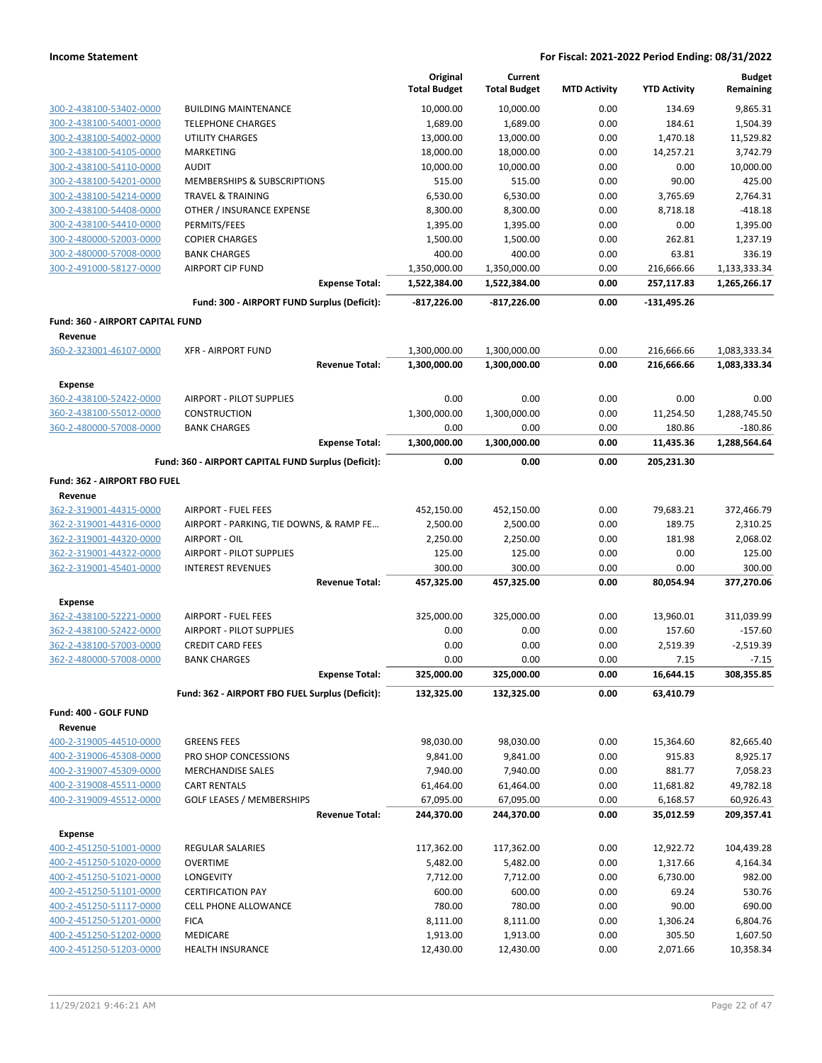|                                                    |                                                     | Original<br><b>Total Budget</b> | Current<br><b>Total Budget</b> | <b>MTD Activity</b> | <b>YTD Activity</b>      | <b>Budget</b><br>Remaining   |
|----------------------------------------------------|-----------------------------------------------------|---------------------------------|--------------------------------|---------------------|--------------------------|------------------------------|
| 300-2-438100-53402-0000                            | <b>BUILDING MAINTENANCE</b>                         | 10,000.00                       | 10,000.00                      | 0.00                | 134.69                   | 9,865.31                     |
| 300-2-438100-54001-0000                            | <b>TELEPHONE CHARGES</b>                            | 1,689.00                        | 1,689.00                       | 0.00                | 184.61                   | 1,504.39                     |
| 300-2-438100-54002-0000                            | <b>UTILITY CHARGES</b>                              | 13,000.00                       | 13,000.00                      | 0.00                | 1,470.18                 | 11,529.82                    |
| 300-2-438100-54105-0000                            | MARKETING                                           | 18,000.00                       | 18,000.00                      | 0.00                | 14,257.21                | 3,742.79                     |
| 300-2-438100-54110-0000                            | <b>AUDIT</b>                                        | 10,000.00                       | 10,000.00                      | 0.00                | 0.00                     | 10,000.00                    |
| 300-2-438100-54201-0000                            | MEMBERSHIPS & SUBSCRIPTIONS                         | 515.00                          | 515.00                         | 0.00                | 90.00                    | 425.00                       |
| 300-2-438100-54214-0000                            | <b>TRAVEL &amp; TRAINING</b>                        | 6,530.00                        | 6,530.00                       | 0.00                | 3,765.69                 | 2,764.31                     |
| 300-2-438100-54408-0000                            | OTHER / INSURANCE EXPENSE                           | 8,300.00                        | 8,300.00                       | 0.00                | 8,718.18                 | $-418.18$                    |
| 300-2-438100-54410-0000                            | PERMITS/FEES                                        | 1,395.00                        | 1,395.00                       | 0.00                | 0.00                     | 1,395.00                     |
| 300-2-480000-52003-0000                            | <b>COPIER CHARGES</b>                               | 1,500.00                        | 1,500.00                       | 0.00                | 262.81                   | 1,237.19                     |
| 300-2-480000-57008-0000                            | <b>BANK CHARGES</b>                                 | 400.00                          | 400.00                         | 0.00                | 63.81                    | 336.19                       |
| 300-2-491000-58127-0000                            | <b>AIRPORT CIP FUND</b><br><b>Expense Total:</b>    | 1,350,000.00<br>1,522,384.00    | 1,350,000.00<br>1,522,384.00   | 0.00<br>0.00        | 216,666.66<br>257,117.83 | 1,133,333.34<br>1,265,266.17 |
|                                                    | Fund: 300 - AIRPORT FUND Surplus (Deficit):         | $-817,226.00$                   | $-817,226.00$                  | 0.00                | $-131,495.26$            |                              |
| <b>Fund: 360 - AIRPORT CAPITAL FUND</b>            |                                                     |                                 |                                |                     |                          |                              |
| Revenue                                            |                                                     |                                 |                                |                     |                          |                              |
| 360-2-323001-46107-0000                            | <b>XFR - AIRPORT FUND</b>                           | 1,300,000.00                    | 1,300,000.00                   | 0.00                | 216,666.66               | 1,083,333.34                 |
|                                                    | <b>Revenue Total:</b>                               | 1,300,000.00                    | 1,300,000.00                   | 0.00                | 216,666.66               | 1,083,333.34                 |
| <b>Expense</b>                                     |                                                     |                                 |                                |                     |                          |                              |
| 360-2-438100-52422-0000                            | AIRPORT - PILOT SUPPLIES                            | 0.00                            | 0.00                           | 0.00                | 0.00                     | 0.00                         |
| 360-2-438100-55012-0000                            | <b>CONSTRUCTION</b>                                 | 1,300,000.00                    | 1,300,000.00                   | 0.00                | 11,254.50                | 1,288,745.50                 |
| 360-2-480000-57008-0000                            | <b>BANK CHARGES</b>                                 | 0.00                            | 0.00                           | 0.00                | 180.86                   | $-180.86$                    |
|                                                    | <b>Expense Total:</b>                               | 1,300,000.00                    | 1,300,000.00                   | 0.00                | 11,435.36                | 1,288,564.64                 |
|                                                    | Fund: 360 - AIRPORT CAPITAL FUND Surplus (Deficit): | 0.00                            | 0.00                           | 0.00                | 205,231.30               |                              |
| Fund: 362 - AIRPORT FBO FUEL                       |                                                     |                                 |                                |                     |                          |                              |
| Revenue                                            |                                                     |                                 |                                |                     |                          |                              |
| 362-2-319001-44315-0000                            | <b>AIRPORT - FUEL FEES</b>                          | 452,150.00                      | 452,150.00                     | 0.00                | 79,683.21                | 372,466.79                   |
| 362-2-319001-44316-0000                            | AIRPORT - PARKING, TIE DOWNS, & RAMP FE             | 2,500.00                        | 2,500.00                       | 0.00                | 189.75                   | 2,310.25                     |
| 362-2-319001-44320-0000                            | AIRPORT - OIL                                       | 2,250.00                        | 2,250.00                       | 0.00                | 181.98                   | 2,068.02                     |
| 362-2-319001-44322-0000                            | AIRPORT - PILOT SUPPLIES                            | 125.00                          | 125.00                         | 0.00                | 0.00                     | 125.00                       |
| 362-2-319001-45401-0000                            | <b>INTEREST REVENUES</b><br><b>Revenue Total:</b>   | 300.00<br>457,325.00            | 300.00<br>457,325.00           | 0.00<br>0.00        | 0.00<br>80,054.94        | 300.00<br>377,270.06         |
|                                                    |                                                     |                                 |                                |                     |                          |                              |
| <b>Expense</b>                                     |                                                     |                                 |                                |                     |                          |                              |
| 362-2-438100-52221-0000<br>362-2-438100-52422-0000 | AIRPORT - FUEL FEES                                 | 325,000.00<br>0.00              | 325,000.00<br>0.00             | 0.00<br>0.00        | 13,960.01<br>157.60      | 311,039.99<br>$-157.60$      |
| 362-2-438100-57003-0000                            | AIRPORT - PILOT SUPPLIES<br><b>CREDIT CARD FEES</b> | 0.00                            | 0.00                           | 0.00                | 2,519.39                 | $-2,519.39$                  |
| 362-2-480000-57008-0000                            | <b>BANK CHARGES</b>                                 | 0.00                            | 0.00                           | 0.00                | 7.15                     | $-7.15$                      |
|                                                    | <b>Expense Total:</b>                               | 325,000.00                      | 325,000.00                     | 0.00                | 16,644.15                | 308,355.85                   |
|                                                    | Fund: 362 - AIRPORT FBO FUEL Surplus (Deficit):     | 132,325.00                      | 132,325.00                     | 0.00                | 63,410.79                |                              |
| Fund: 400 - GOLF FUND                              |                                                     |                                 |                                |                     |                          |                              |
| Revenue                                            |                                                     |                                 |                                |                     |                          |                              |
| 400-2-319005-44510-0000                            | <b>GREENS FEES</b>                                  | 98,030.00                       | 98,030.00                      | 0.00                | 15,364.60                | 82,665.40                    |
| 400-2-319006-45308-0000                            | PRO SHOP CONCESSIONS                                | 9,841.00                        | 9,841.00                       | 0.00                | 915.83                   | 8,925.17                     |
| 400-2-319007-45309-0000                            | <b>MERCHANDISE SALES</b>                            | 7,940.00                        | 7,940.00                       | 0.00                | 881.77                   | 7,058.23                     |
| 400-2-319008-45511-0000                            | <b>CART RENTALS</b>                                 | 61,464.00                       | 61,464.00                      | 0.00                | 11,681.82                | 49,782.18                    |
| 400-2-319009-45512-0000                            | <b>GOLF LEASES / MEMBERSHIPS</b>                    | 67,095.00                       | 67,095.00                      | 0.00                | 6,168.57                 | 60,926.43                    |
|                                                    | <b>Revenue Total:</b>                               | 244,370.00                      | 244,370.00                     | 0.00                | 35,012.59                | 209,357.41                   |
| Expense                                            |                                                     |                                 |                                |                     |                          |                              |
| 400-2-451250-51001-0000                            | REGULAR SALARIES                                    | 117,362.00                      | 117,362.00                     | 0.00                | 12,922.72                | 104,439.28                   |
| 400-2-451250-51020-0000                            | <b>OVERTIME</b>                                     | 5,482.00                        | 5,482.00                       | 0.00                | 1,317.66                 | 4,164.34                     |
| 400-2-451250-51021-0000                            | LONGEVITY                                           | 7,712.00                        | 7,712.00                       | 0.00                | 6,730.00                 | 982.00                       |
| 400-2-451250-51101-0000                            | <b>CERTIFICATION PAY</b>                            | 600.00                          | 600.00                         | 0.00                | 69.24                    | 530.76                       |
| 400-2-451250-51117-0000                            | CELL PHONE ALLOWANCE                                | 780.00                          | 780.00                         | 0.00                | 90.00                    | 690.00                       |
| 400-2-451250-51201-0000                            | <b>FICA</b>                                         | 8,111.00                        | 8,111.00                       | 0.00                | 1,306.24                 | 6,804.76                     |
| 400-2-451250-51202-0000<br>400-2-451250-51203-0000 | MEDICARE<br>HEALTH INSURANCE                        | 1,913.00<br>12,430.00           | 1,913.00<br>12,430.00          | 0.00<br>0.00        | 305.50<br>2,071.66       | 1,607.50<br>10,358.34        |
|                                                    |                                                     |                                 |                                |                     |                          |                              |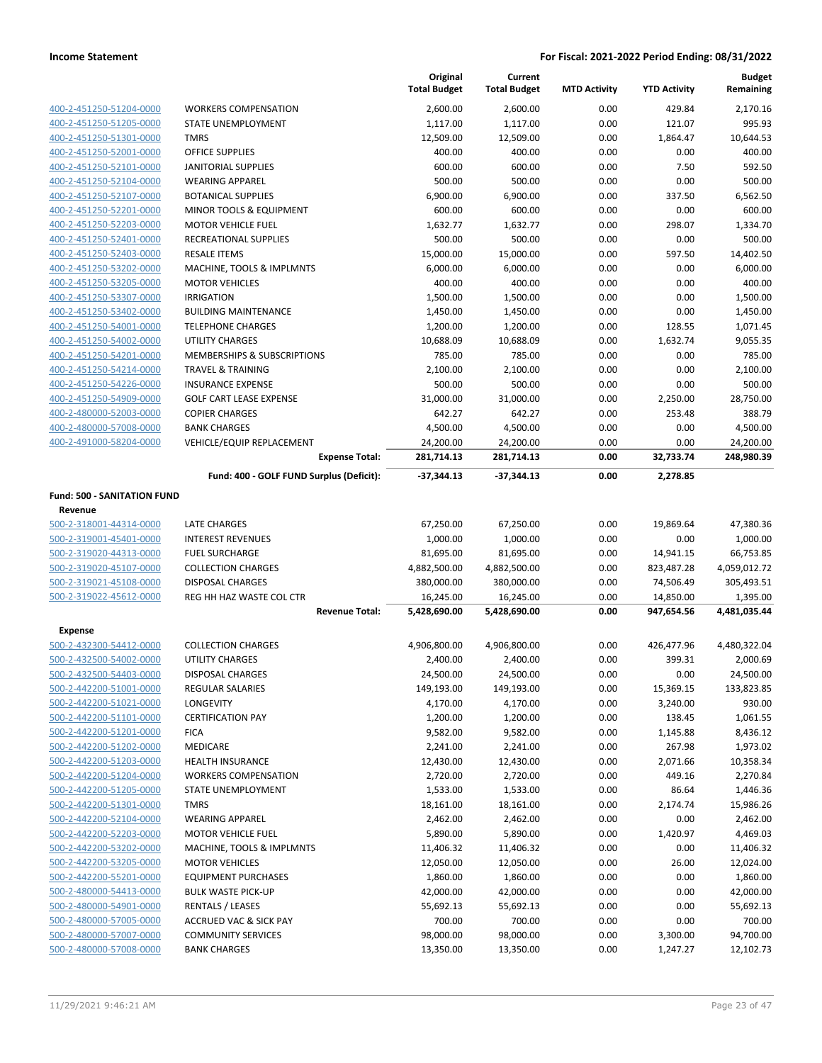|                                    |                                          | Original<br><b>Total Budget</b> | Current<br><b>Total Budget</b> | <b>MTD Activity</b> | <b>YTD Activity</b> | <b>Budget</b><br>Remaining |
|------------------------------------|------------------------------------------|---------------------------------|--------------------------------|---------------------|---------------------|----------------------------|
| 400-2-451250-51204-0000            | <b>WORKERS COMPENSATION</b>              | 2,600.00                        | 2,600.00                       | 0.00                | 429.84              | 2,170.16                   |
| 400-2-451250-51205-0000            | STATE UNEMPLOYMENT                       | 1,117.00                        | 1,117.00                       | 0.00                | 121.07              | 995.93                     |
| 400-2-451250-51301-0000            | <b>TMRS</b>                              | 12,509.00                       | 12,509.00                      | 0.00                | 1,864.47            | 10,644.53                  |
| 400-2-451250-52001-0000            | <b>OFFICE SUPPLIES</b>                   | 400.00                          | 400.00                         | 0.00                | 0.00                | 400.00                     |
| 400-2-451250-52101-0000            | <b>JANITORIAL SUPPLIES</b>               | 600.00                          | 600.00                         | 0.00                | 7.50                | 592.50                     |
| 400-2-451250-52104-0000            | <b>WEARING APPAREL</b>                   | 500.00                          | 500.00                         | 0.00                | 0.00                | 500.00                     |
| 400-2-451250-52107-0000            | <b>BOTANICAL SUPPLIES</b>                | 6,900.00                        | 6,900.00                       | 0.00                | 337.50              | 6,562.50                   |
| 400-2-451250-52201-0000            | MINOR TOOLS & EQUIPMENT                  | 600.00                          | 600.00                         | 0.00                | 0.00                | 600.00                     |
| 400-2-451250-52203-0000            | <b>MOTOR VEHICLE FUEL</b>                | 1,632.77                        | 1,632.77                       | 0.00                | 298.07              | 1,334.70                   |
| 400-2-451250-52401-0000            | RECREATIONAL SUPPLIES                    | 500.00                          | 500.00                         | 0.00                | 0.00                | 500.00                     |
| 400-2-451250-52403-0000            | <b>RESALE ITEMS</b>                      | 15,000.00                       | 15,000.00                      | 0.00                | 597.50              | 14,402.50                  |
| 400-2-451250-53202-0000            | MACHINE, TOOLS & IMPLMNTS                | 6,000.00                        | 6,000.00                       | 0.00                | 0.00                | 6,000.00                   |
| 400-2-451250-53205-0000            | <b>MOTOR VEHICLES</b>                    | 400.00                          | 400.00                         | 0.00                | 0.00                | 400.00                     |
| 400-2-451250-53307-0000            | <b>IRRIGATION</b>                        | 1,500.00                        | 1,500.00                       | 0.00                | 0.00                | 1,500.00                   |
| 400-2-451250-53402-0000            | <b>BUILDING MAINTENANCE</b>              | 1,450.00                        | 1,450.00                       | 0.00                | 0.00                | 1,450.00                   |
| 400-2-451250-54001-0000            | <b>TELEPHONE CHARGES</b>                 | 1,200.00                        | 1,200.00                       | 0.00                | 128.55              | 1,071.45                   |
| 400-2-451250-54002-0000            | <b>UTILITY CHARGES</b>                   | 10,688.09                       | 10,688.09                      | 0.00                | 1,632.74            | 9,055.35                   |
| 400-2-451250-54201-0000            | MEMBERSHIPS & SUBSCRIPTIONS              | 785.00                          | 785.00                         | 0.00                | 0.00                | 785.00                     |
| 400-2-451250-54214-0000            | <b>TRAVEL &amp; TRAINING</b>             | 2,100.00                        | 2,100.00                       | 0.00                | 0.00                | 2,100.00                   |
| 400-2-451250-54226-0000            | <b>INSURANCE EXPENSE</b>                 | 500.00                          | 500.00                         | 0.00                | 0.00                | 500.00                     |
| 400-2-451250-54909-0000            | <b>GOLF CART LEASE EXPENSE</b>           | 31,000.00                       | 31,000.00                      | 0.00                | 2,250.00            | 28,750.00                  |
| 400-2-480000-52003-0000            | <b>COPIER CHARGES</b>                    | 642.27                          | 642.27                         | 0.00                | 253.48              | 388.79                     |
| 400-2-480000-57008-0000            | <b>BANK CHARGES</b>                      | 4,500.00                        | 4,500.00                       | 0.00                | 0.00                | 4,500.00                   |
| 400-2-491000-58204-0000            | VEHICLE/EQUIP REPLACEMENT                | 24,200.00                       | 24,200.00                      | 0.00                | 0.00                | 24,200.00                  |
|                                    | <b>Expense Total:</b>                    | 281,714.13                      | 281,714.13                     | 0.00                | 32,733.74           | 248,980.39                 |
|                                    | Fund: 400 - GOLF FUND Surplus (Deficit): | -37,344.13                      | -37,344.13                     | 0.00                | 2,278.85            |                            |
| <b>Fund: 500 - SANITATION FUND</b> |                                          |                                 |                                |                     |                     |                            |
| Revenue                            |                                          |                                 |                                |                     |                     |                            |
| 500-2-318001-44314-0000            | <b>LATE CHARGES</b>                      | 67,250.00                       | 67,250.00                      | 0.00                | 19,869.64           | 47,380.36                  |
| 500-2-319001-45401-0000            | <b>INTEREST REVENUES</b>                 | 1,000.00                        | 1,000.00                       | 0.00                | 0.00                | 1,000.00                   |
| 500-2-319020-44313-0000            | <b>FUEL SURCHARGE</b>                    | 81,695.00                       | 81,695.00                      | 0.00                | 14,941.15           | 66,753.85                  |
| 500-2-319020-45107-0000            | <b>COLLECTION CHARGES</b>                | 4,882,500.00                    | 4,882,500.00                   | 0.00                | 823,487.28          | 4,059,012.72               |
| 500-2-319021-45108-0000            | <b>DISPOSAL CHARGES</b>                  | 380,000.00                      | 380,000.00                     | 0.00                | 74,506.49           | 305,493.51                 |
| 500-2-319022-45612-0000            | REG HH HAZ WASTE COL CTR                 | 16,245.00                       | 16,245.00                      | 0.00                | 14,850.00           | 1,395.00                   |
|                                    | <b>Revenue Total:</b>                    | 5,428,690.00                    | 5,428,690.00                   | 0.00                | 947,654.56          | 4,481,035.44               |
| <b>Expense</b>                     |                                          |                                 |                                |                     |                     |                            |
| 500-2-432300-54412-0000            | <b>COLLECTION CHARGES</b>                | 4,906,800.00                    | 4,906,800.00                   | 0.00                | 426,477.96          | 4,480,322.04               |
| 500-2-432500-54002-0000            | UTILITY CHARGES                          | 2,400.00                        | 2,400.00                       | 0.00                | 399.31              | 2,000.69                   |
| 500-2-432500-54403-0000            | <b>DISPOSAL CHARGES</b>                  | 24,500.00                       | 24,500.00                      | 0.00                | 0.00                | 24,500.00                  |
| 500-2-442200-51001-0000            | <b>REGULAR SALARIES</b>                  | 149,193.00                      | 149,193.00                     | 0.00                | 15,369.15           | 133,823.85                 |
| 500-2-442200-51021-0000            | LONGEVITY                                | 4,170.00                        | 4,170.00                       | 0.00                | 3,240.00            | 930.00                     |
| 500-2-442200-51101-0000            | <b>CERTIFICATION PAY</b>                 | 1,200.00                        | 1,200.00                       | 0.00                | 138.45              | 1,061.55                   |
| 500-2-442200-51201-0000            | <b>FICA</b>                              | 9,582.00                        | 9,582.00                       | 0.00                | 1,145.88            | 8,436.12                   |
| 500-2-442200-51202-0000            | MEDICARE                                 | 2,241.00                        | 2,241.00                       | 0.00                | 267.98              | 1,973.02                   |
| 500-2-442200-51203-0000            | <b>HEALTH INSURANCE</b>                  | 12,430.00                       | 12,430.00                      | 0.00                | 2,071.66            | 10,358.34                  |
| 500-2-442200-51204-0000            | <b>WORKERS COMPENSATION</b>              | 2,720.00                        | 2,720.00                       | 0.00                | 449.16              | 2,270.84                   |
| 500-2-442200-51205-0000            | STATE UNEMPLOYMENT                       | 1,533.00                        | 1,533.00                       | 0.00                | 86.64               | 1,446.36                   |
| 500-2-442200-51301-0000            | <b>TMRS</b>                              | 18,161.00                       | 18,161.00                      | 0.00                | 2,174.74            | 15,986.26                  |
| 500-2-442200-52104-0000            | <b>WEARING APPAREL</b>                   | 2,462.00                        | 2,462.00                       | 0.00                | 0.00                | 2,462.00                   |
| 500-2-442200-52203-0000            | <b>MOTOR VEHICLE FUEL</b>                | 5,890.00                        | 5,890.00                       | 0.00                | 1,420.97            | 4,469.03                   |
| 500-2-442200-53202-0000            | MACHINE, TOOLS & IMPLMNTS                | 11,406.32                       | 11,406.32                      | 0.00                | 0.00                | 11,406.32                  |
| 500-2-442200-53205-0000            | <b>MOTOR VEHICLES</b>                    | 12,050.00                       | 12,050.00                      | 0.00                | 26.00               | 12,024.00                  |
| 500-2-442200-55201-0000            | <b>EQUIPMENT PURCHASES</b>               | 1,860.00                        | 1,860.00                       | 0.00                | 0.00                | 1,860.00                   |
| 500-2-480000-54413-0000            | <b>BULK WASTE PICK-UP</b>                | 42,000.00                       | 42,000.00                      | 0.00                | 0.00                | 42,000.00                  |
| 500-2-480000-54901-0000            | <b>RENTALS / LEASES</b>                  | 55,692.13                       | 55,692.13                      | 0.00                | 0.00                | 55,692.13                  |
| 500-2-480000-57005-0000            | ACCRUED VAC & SICK PAY                   | 700.00                          | 700.00                         | 0.00                | 0.00                | 700.00                     |
| 500-2-480000-57007-0000            | <b>COMMUNITY SERVICES</b>                | 98,000.00                       | 98,000.00                      | 0.00                | 3,300.00            | 94,700.00                  |
| 500-2-480000-57008-0000            | <b>BANK CHARGES</b>                      | 13,350.00                       | 13,350.00                      | 0.00                | 1,247.27            | 12,102.73                  |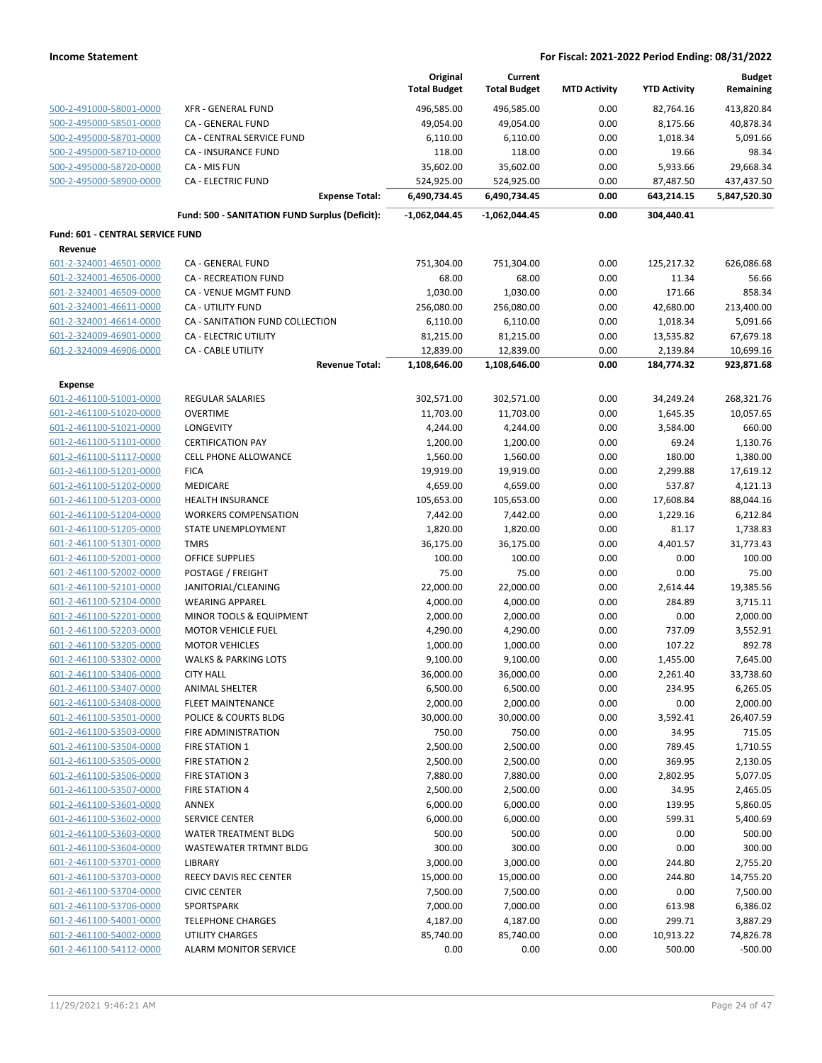|                                                    |                                                      | Original<br><b>Total Budget</b> | Current<br><b>Total Budget</b> | <b>MTD Activity</b> | <b>YTD Activity</b> | <b>Budget</b><br>Remaining |
|----------------------------------------------------|------------------------------------------------------|---------------------------------|--------------------------------|---------------------|---------------------|----------------------------|
| 500-2-491000-58001-0000                            | <b>XFR - GENERAL FUND</b>                            | 496,585.00                      | 496,585.00                     | 0.00                | 82,764.16           | 413,820.84                 |
| 500-2-495000-58501-0000                            | CA - GENERAL FUND                                    | 49,054.00                       | 49,054.00                      | 0.00                | 8,175.66            | 40,878.34                  |
| 500-2-495000-58701-0000                            | CA - CENTRAL SERVICE FUND                            | 6,110.00                        | 6,110.00                       | 0.00                | 1,018.34            | 5,091.66                   |
| 500-2-495000-58710-0000                            | CA - INSURANCE FUND                                  | 118.00                          | 118.00                         | 0.00                | 19.66               | 98.34                      |
| 500-2-495000-58720-0000                            | CA - MIS FUN                                         | 35,602.00                       | 35,602.00                      | 0.00                | 5,933.66            | 29,668.34                  |
| 500-2-495000-58900-0000                            | <b>CA - ELECTRIC FUND</b>                            | 524,925.00                      | 524,925.00                     | 0.00                | 87,487.50           | 437,437.50                 |
|                                                    | <b>Expense Total:</b>                                | 6,490,734.45                    | 6,490,734.45                   | 0.00                | 643,214.15          | 5,847,520.30               |
|                                                    | Fund: 500 - SANITATION FUND Surplus (Deficit):       | $-1,062,044.45$                 | -1,062,044.45                  | 0.00                | 304,440.41          |                            |
| Fund: 601 - CENTRAL SERVICE FUND                   |                                                      |                                 |                                |                     |                     |                            |
| Revenue<br>601-2-324001-46501-0000                 | CA - GENERAL FUND                                    | 751,304.00                      | 751,304.00                     | 0.00                | 125,217.32          | 626,086.68                 |
| 601-2-324001-46506-0000                            | CA - RECREATION FUND                                 | 68.00                           | 68.00                          | 0.00                | 11.34               | 56.66                      |
| 601-2-324001-46509-0000                            | CA - VENUE MGMT FUND                                 | 1,030.00                        | 1,030.00                       | 0.00                | 171.66              | 858.34                     |
| 601-2-324001-46611-0000                            | CA - UTILITY FUND                                    | 256,080.00                      | 256,080.00                     | 0.00                | 42,680.00           | 213,400.00                 |
| 601-2-324001-46614-0000                            | CA - SANITATION FUND COLLECTION                      | 6,110.00                        | 6,110.00                       | 0.00                | 1,018.34            | 5,091.66                   |
| 601-2-324009-46901-0000                            | CA - ELECTRIC UTILITY                                | 81,215.00                       | 81,215.00                      | 0.00                | 13,535.82           | 67,679.18                  |
| 601-2-324009-46906-0000                            | <b>CA - CABLE UTILITY</b>                            | 12,839.00                       | 12,839.00                      | 0.00                | 2,139.84            | 10,699.16                  |
|                                                    | <b>Revenue Total:</b>                                | 1,108,646.00                    | 1,108,646.00                   | 0.00                | 184,774.32          | 923,871.68                 |
| <b>Expense</b>                                     |                                                      |                                 |                                |                     |                     |                            |
| 601-2-461100-51001-0000                            | <b>REGULAR SALARIES</b>                              | 302,571.00                      | 302,571.00                     | 0.00                | 34,249.24           | 268,321.76                 |
| 601-2-461100-51020-0000                            | <b>OVERTIME</b>                                      | 11,703.00                       | 11,703.00                      | 0.00                | 1,645.35            | 10,057.65                  |
| 601-2-461100-51021-0000                            | LONGEVITY                                            | 4,244.00                        | 4,244.00                       | 0.00                | 3,584.00            | 660.00                     |
| 601-2-461100-51101-0000                            | <b>CERTIFICATION PAY</b>                             | 1,200.00                        | 1,200.00                       | 0.00                | 69.24               | 1,130.76                   |
| 601-2-461100-51117-0000                            | <b>CELL PHONE ALLOWANCE</b>                          | 1,560.00                        | 1,560.00                       | 0.00                | 180.00              | 1,380.00                   |
| 601-2-461100-51201-0000                            | <b>FICA</b>                                          | 19,919.00                       | 19,919.00                      | 0.00                | 2,299.88            | 17,619.12                  |
| 601-2-461100-51202-0000                            | MEDICARE                                             | 4,659.00                        | 4,659.00                       | 0.00                | 537.87              | 4,121.13                   |
| 601-2-461100-51203-0000                            | <b>HEALTH INSURANCE</b>                              | 105,653.00                      | 105,653.00                     | 0.00                | 17,608.84           | 88,044.16                  |
| 601-2-461100-51204-0000                            | <b>WORKERS COMPENSATION</b>                          | 7,442.00                        | 7,442.00                       | 0.00                | 1,229.16            | 6,212.84                   |
| 601-2-461100-51205-0000                            | STATE UNEMPLOYMENT                                   | 1,820.00                        | 1,820.00                       | 0.00                | 81.17               | 1,738.83                   |
| 601-2-461100-51301-0000                            | <b>TMRS</b>                                          | 36,175.00                       | 36,175.00                      | 0.00                | 4,401.57            | 31,773.43                  |
| 601-2-461100-52001-0000                            | <b>OFFICE SUPPLIES</b>                               | 100.00                          | 100.00                         | 0.00                | 0.00                | 100.00                     |
| 601-2-461100-52002-0000                            | POSTAGE / FREIGHT                                    | 75.00                           | 75.00                          | 0.00                | 0.00                | 75.00                      |
| 601-2-461100-52101-0000                            | JANITORIAL/CLEANING                                  | 22,000.00                       | 22,000.00                      | 0.00                | 2,614.44            | 19,385.56                  |
| 601-2-461100-52104-0000<br>601-2-461100-52201-0000 | <b>WEARING APPAREL</b>                               | 4,000.00                        | 4,000.00                       | 0.00                | 284.89              | 3,715.11                   |
|                                                    | MINOR TOOLS & EQUIPMENT<br><b>MOTOR VEHICLE FUEL</b> | 2,000.00                        | 2,000.00                       | 0.00                | 0.00<br>737.09      | 2,000.00                   |
| 601-2-461100-52203-0000<br>601-2-461100-53205-0000 | <b>MOTOR VEHICLES</b>                                | 4,290.00                        | 4,290.00                       | 0.00                | 107.22              | 3,552.91<br>892.78         |
| 601-2-461100-53302-0000                            | <b>WALKS &amp; PARKING LOTS</b>                      | 1,000.00<br>9,100.00            | 1,000.00<br>9,100.00           | 0.00<br>0.00        | 1,455.00            | 7,645.00                   |
| 601-2-461100-53406-0000                            | <b>CITY HALL</b>                                     | 36,000.00                       | 36,000.00                      | 0.00                | 2,261.40            | 33,738.60                  |
| 601-2-461100-53407-0000                            | ANIMAL SHELTER                                       | 6,500.00                        | 6,500.00                       | 0.00                | 234.95              | 6,265.05                   |
| 601-2-461100-53408-0000                            | <b>FLEET MAINTENANCE</b>                             | 2,000.00                        | 2,000.00                       | 0.00                | 0.00                | 2,000.00                   |
| 601-2-461100-53501-0000                            | POLICE & COURTS BLDG                                 | 30,000.00                       | 30,000.00                      | 0.00                | 3,592.41            | 26,407.59                  |
| 601-2-461100-53503-0000                            | FIRE ADMINISTRATION                                  | 750.00                          | 750.00                         | 0.00                | 34.95               | 715.05                     |
| 601-2-461100-53504-0000                            | FIRE STATION 1                                       | 2,500.00                        | 2,500.00                       | 0.00                | 789.45              | 1,710.55                   |
| 601-2-461100-53505-0000                            | FIRE STATION 2                                       | 2,500.00                        | 2,500.00                       | 0.00                | 369.95              | 2,130.05                   |
| 601-2-461100-53506-0000                            | <b>FIRE STATION 3</b>                                | 7,880.00                        | 7,880.00                       | 0.00                | 2,802.95            | 5,077.05                   |
| 601-2-461100-53507-0000                            | <b>FIRE STATION 4</b>                                | 2,500.00                        | 2,500.00                       | 0.00                | 34.95               | 2,465.05                   |
| 601-2-461100-53601-0000                            | ANNEX                                                | 6,000.00                        | 6,000.00                       | 0.00                | 139.95              | 5,860.05                   |
| 601-2-461100-53602-0000                            | SERVICE CENTER                                       | 6,000.00                        | 6,000.00                       | 0.00                | 599.31              | 5,400.69                   |
| 601-2-461100-53603-0000                            | WATER TREATMENT BLDG                                 | 500.00                          | 500.00                         | 0.00                | 0.00                | 500.00                     |
| 601-2-461100-53604-0000                            | WASTEWATER TRTMNT BLDG                               | 300.00                          | 300.00                         | 0.00                | 0.00                | 300.00                     |
| 601-2-461100-53701-0000                            | LIBRARY                                              | 3,000.00                        | 3,000.00                       | 0.00                | 244.80              | 2,755.20                   |
| 601-2-461100-53703-0000                            | REECY DAVIS REC CENTER                               | 15,000.00                       | 15,000.00                      | 0.00                | 244.80              | 14,755.20                  |
| 601-2-461100-53704-0000                            | <b>CIVIC CENTER</b>                                  | 7,500.00                        | 7,500.00                       | 0.00                | 0.00                | 7,500.00                   |
| 601-2-461100-53706-0000                            | SPORTSPARK                                           | 7,000.00                        | 7,000.00                       | 0.00                | 613.98              | 6,386.02                   |
| 601-2-461100-54001-0000                            | <b>TELEPHONE CHARGES</b>                             | 4,187.00                        | 4,187.00                       | 0.00                | 299.71              | 3,887.29                   |
| 601-2-461100-54002-0000                            | <b>UTILITY CHARGES</b>                               | 85,740.00                       | 85,740.00                      | 0.00                | 10,913.22           | 74,826.78                  |
| 601-2-461100-54112-0000                            | <b>ALARM MONITOR SERVICE</b>                         | 0.00                            | 0.00                           | 0.00                | 500.00              | $-500.00$                  |
|                                                    |                                                      |                                 |                                |                     |                     |                            |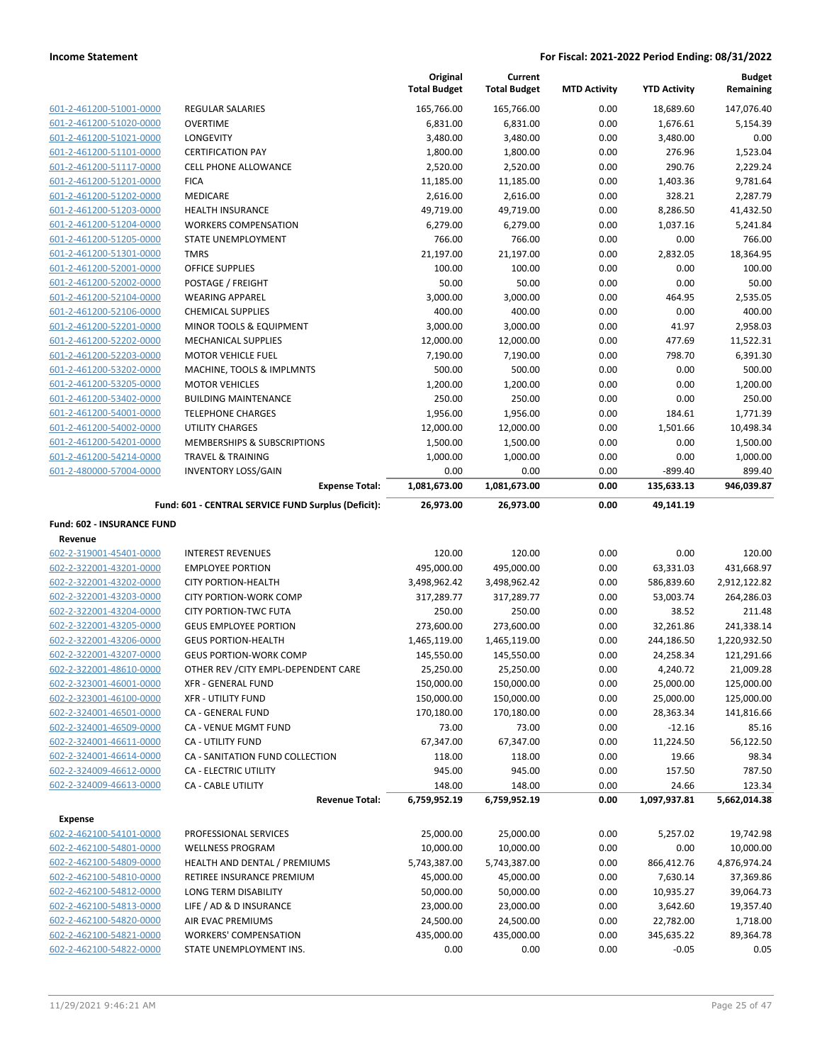|                                                    |                                                     | Original<br><b>Total Budget</b> | Current<br><b>Total Budget</b> | <b>MTD Activity</b> | <b>YTD Activity</b>  | <b>Budget</b><br>Remaining |
|----------------------------------------------------|-----------------------------------------------------|---------------------------------|--------------------------------|---------------------|----------------------|----------------------------|
|                                                    |                                                     |                                 |                                |                     |                      |                            |
| 601-2-461200-51001-0000                            | <b>REGULAR SALARIES</b>                             | 165,766.00                      | 165,766.00                     | 0.00                | 18,689.60            | 147,076.40                 |
| 601-2-461200-51020-0000<br>601-2-461200-51021-0000 | <b>OVERTIME</b><br>LONGEVITY                        | 6,831.00<br>3,480.00            | 6,831.00<br>3,480.00           | 0.00<br>0.00        | 1,676.61<br>3,480.00 | 5,154.39<br>0.00           |
| 601-2-461200-51101-0000                            | <b>CERTIFICATION PAY</b>                            | 1,800.00                        | 1,800.00                       | 0.00                | 276.96               | 1,523.04                   |
| 601-2-461200-51117-0000                            | <b>CELL PHONE ALLOWANCE</b>                         | 2,520.00                        | 2,520.00                       | 0.00                | 290.76               | 2,229.24                   |
| 601-2-461200-51201-0000                            | <b>FICA</b>                                         | 11,185.00                       | 11,185.00                      | 0.00                | 1,403.36             | 9,781.64                   |
| 601-2-461200-51202-0000                            | MEDICARE                                            | 2,616.00                        | 2,616.00                       | 0.00                | 328.21               | 2,287.79                   |
| 601-2-461200-51203-0000                            | HEALTH INSURANCE                                    | 49,719.00                       | 49,719.00                      | 0.00                | 8,286.50             | 41,432.50                  |
| 601-2-461200-51204-0000                            | <b>WORKERS COMPENSATION</b>                         | 6,279.00                        | 6,279.00                       | 0.00                | 1,037.16             | 5,241.84                   |
| 601-2-461200-51205-0000                            | STATE UNEMPLOYMENT                                  | 766.00                          | 766.00                         | 0.00                | 0.00                 | 766.00                     |
| 601-2-461200-51301-0000                            | <b>TMRS</b>                                         | 21,197.00                       | 21,197.00                      | 0.00                | 2,832.05             | 18,364.95                  |
| 601-2-461200-52001-0000                            | <b>OFFICE SUPPLIES</b>                              | 100.00                          | 100.00                         | 0.00                | 0.00                 | 100.00                     |
| 601-2-461200-52002-0000                            | POSTAGE / FREIGHT                                   | 50.00                           | 50.00                          | 0.00                | 0.00                 | 50.00                      |
| 601-2-461200-52104-0000                            | <b>WEARING APPAREL</b>                              | 3,000.00                        | 3,000.00                       | 0.00                | 464.95               | 2,535.05                   |
| 601-2-461200-52106-0000                            | <b>CHEMICAL SUPPLIES</b>                            | 400.00                          | 400.00                         | 0.00                | 0.00                 | 400.00                     |
| 601-2-461200-52201-0000                            | MINOR TOOLS & EQUIPMENT                             | 3,000.00                        | 3,000.00                       | 0.00                | 41.97                | 2,958.03                   |
| 601-2-461200-52202-0000                            | <b>MECHANICAL SUPPLIES</b>                          | 12,000.00                       | 12,000.00                      | 0.00                | 477.69               | 11,522.31                  |
| 601-2-461200-52203-0000                            | <b>MOTOR VEHICLE FUEL</b>                           | 7,190.00                        | 7,190.00                       | 0.00                | 798.70               | 6,391.30                   |
| 601-2-461200-53202-0000                            | MACHINE, TOOLS & IMPLMNTS                           | 500.00                          | 500.00                         | 0.00                | 0.00                 | 500.00                     |
| 601-2-461200-53205-0000                            | <b>MOTOR VEHICLES</b>                               | 1,200.00                        | 1,200.00                       | 0.00                | 0.00                 | 1,200.00                   |
| 601-2-461200-53402-0000                            | <b>BUILDING MAINTENANCE</b>                         | 250.00                          | 250.00                         | 0.00                | 0.00                 | 250.00                     |
| 601-2-461200-54001-0000                            | <b>TELEPHONE CHARGES</b>                            | 1,956.00                        | 1,956.00                       | 0.00                | 184.61               | 1,771.39                   |
| 601-2-461200-54002-0000                            | <b>UTILITY CHARGES</b>                              | 12,000.00                       | 12,000.00                      | 0.00                | 1,501.66             | 10,498.34                  |
| 601-2-461200-54201-0000                            | MEMBERSHIPS & SUBSCRIPTIONS                         | 1,500.00                        | 1,500.00                       | 0.00                | 0.00                 | 1,500.00                   |
| 601-2-461200-54214-0000                            | <b>TRAVEL &amp; TRAINING</b>                        | 1,000.00                        | 1,000.00                       | 0.00                | 0.00                 | 1,000.00                   |
| 601-2-480000-57004-0000                            | <b>INVENTORY LOSS/GAIN</b>                          | 0.00                            | 0.00                           | 0.00                | $-899.40$            | 899.40                     |
|                                                    | <b>Expense Total:</b>                               | 1,081,673.00                    | 1,081,673.00                   | 0.00                | 135,633.13           | 946,039.87                 |
|                                                    | Fund: 601 - CENTRAL SERVICE FUND Surplus (Deficit): | 26,973.00                       | 26,973.00                      | 0.00                | 49,141.19            |                            |
| <b>Fund: 602 - INSURANCE FUND</b>                  |                                                     |                                 |                                |                     |                      |                            |
| Revenue                                            |                                                     |                                 |                                |                     |                      |                            |
| 602-2-319001-45401-0000                            | <b>INTEREST REVENUES</b>                            | 120.00                          | 120.00                         | 0.00                | 0.00                 | 120.00                     |
| 602-2-322001-43201-0000                            | <b>EMPLOYEE PORTION</b>                             | 495,000.00                      | 495,000.00                     | 0.00                | 63,331.03            | 431,668.97                 |
| 602-2-322001-43202-0000                            | <b>CITY PORTION-HEALTH</b>                          | 3,498,962.42                    | 3,498,962.42                   | 0.00                | 586,839.60           | 2,912,122.82               |
| 602-2-322001-43203-0000                            | <b>CITY PORTION-WORK COMP</b>                       | 317,289.77                      | 317,289.77                     | 0.00                | 53,003.74            | 264,286.03                 |
| 602-2-322001-43204-0000                            | <b>CITY PORTION-TWC FUTA</b>                        | 250.00                          | 250.00                         | 0.00                | 38.52                | 211.48                     |
| 602-2-322001-43205-0000                            | <b>GEUS EMPLOYEE PORTION</b>                        | 273,600.00                      | 273,600.00                     | 0.00                | 32,261.86            | 241,338.14                 |
| 602-2-322001-43206-0000                            | <b>GEUS PORTION-HEALTH</b>                          | 1,465,119.00                    | 1,465,119.00                   | 0.00                | 244,186.50           | 1,220,932.50               |
| 602-2-322001-43207-0000                            | <b>GEUS PORTION-WORK COMP</b>                       | 145,550.00                      | 145,550.00                     | 0.00                | 24,258.34            | 121,291.66                 |
| 602-2-322001-48610-0000                            | OTHER REV / CITY EMPL-DEPENDENT CARE                | 25,250.00                       | 25,250.00                      | 0.00                | 4,240.72             | 21,009.28                  |
| 602-2-323001-46001-0000                            | <b>XFR - GENERAL FUND</b>                           | 150,000.00                      | 150,000.00                     | 0.00                | 25,000.00            | 125,000.00                 |
| 602-2-323001-46100-0000                            | <b>XFR - UTILITY FUND</b>                           | 150,000.00                      | 150,000.00                     | 0.00                | 25,000.00            | 125,000.00                 |
| 602-2-324001-46501-0000                            | CA - GENERAL FUND                                   | 170,180.00                      | 170,180.00                     | 0.00                | 28,363.34            | 141,816.66                 |
| 602-2-324001-46509-0000                            | CA - VENUE MGMT FUND                                | 73.00                           | 73.00                          | 0.00                | $-12.16$             | 85.16                      |
| 602-2-324001-46611-0000                            | CA - UTILITY FUND                                   | 67,347.00                       | 67,347.00                      | 0.00                | 11,224.50            | 56,122.50                  |
| 602-2-324001-46614-0000                            | CA - SANITATION FUND COLLECTION                     | 118.00                          | 118.00                         | 0.00                | 19.66                | 98.34                      |
| 602-2-324009-46612-0000                            | CA - ELECTRIC UTILITY                               | 945.00                          | 945.00                         | 0.00                | 157.50               | 787.50                     |
| 602-2-324009-46613-0000                            | CA - CABLE UTILITY                                  | 148.00                          | 148.00                         | 0.00                | 24.66                | 123.34                     |
|                                                    | <b>Revenue Total:</b>                               | 6,759,952.19                    | 6,759,952.19                   | 0.00                | 1,097,937.81         | 5,662,014.38               |
| <b>Expense</b>                                     |                                                     |                                 |                                |                     |                      |                            |
| 602-2-462100-54101-0000                            | PROFESSIONAL SERVICES                               | 25,000.00                       | 25,000.00                      | 0.00                | 5,257.02             | 19,742.98                  |
| 602-2-462100-54801-0000                            | <b>WELLNESS PROGRAM</b>                             | 10,000.00                       | 10,000.00                      | 0.00                | 0.00                 | 10,000.00                  |
| 602-2-462100-54809-0000                            | HEALTH AND DENTAL / PREMIUMS                        | 5,743,387.00                    | 5,743,387.00                   | 0.00                | 866,412.76           | 4,876,974.24               |
| 602-2-462100-54810-0000                            | RETIREE INSURANCE PREMIUM                           | 45,000.00                       | 45,000.00                      | 0.00                | 7,630.14             | 37,369.86                  |
| 602-2-462100-54812-0000                            | LONG TERM DISABILITY                                | 50,000.00                       | 50,000.00                      | 0.00                | 10,935.27            | 39,064.73                  |
| 602-2-462100-54813-0000                            | LIFE / AD & D INSURANCE                             | 23,000.00                       | 23,000.00                      | 0.00                | 3,642.60             | 19,357.40                  |
| 602-2-462100-54820-0000                            | AIR EVAC PREMIUMS                                   | 24,500.00                       | 24,500.00                      | 0.00                | 22,782.00            | 1,718.00                   |
| 602-2-462100-54821-0000                            | <b>WORKERS' COMPENSATION</b>                        | 435,000.00                      | 435,000.00                     | 0.00                | 345,635.22           | 89,364.78                  |
| 602-2-462100-54822-0000                            | STATE UNEMPLOYMENT INS.                             | 0.00                            | 0.00                           | 0.00                | $-0.05$              | 0.05                       |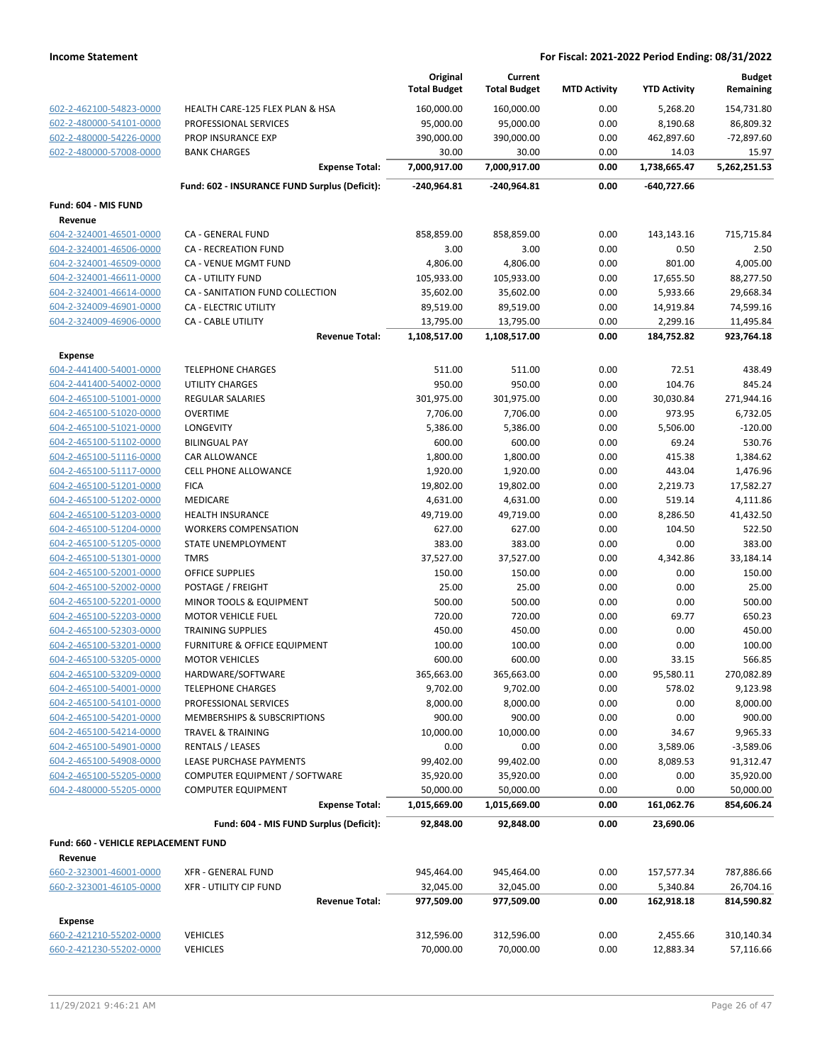|                                                    |                                               | Original<br><b>Total Budget</b> | Current<br><b>Total Budget</b> | <b>MTD Activity</b> | <b>YTD Activity</b> | <b>Budget</b><br>Remaining |
|----------------------------------------------------|-----------------------------------------------|---------------------------------|--------------------------------|---------------------|---------------------|----------------------------|
| 602-2-462100-54823-0000                            | HEALTH CARE-125 FLEX PLAN & HSA               | 160,000.00                      | 160,000.00                     | 0.00                | 5,268.20            | 154,731.80                 |
| 602-2-480000-54101-0000                            | PROFESSIONAL SERVICES                         | 95,000.00                       | 95,000.00                      | 0.00                | 8,190.68            | 86,809.32                  |
| 602-2-480000-54226-0000                            | <b>PROP INSURANCE EXP</b>                     | 390,000.00                      | 390,000.00                     | 0.00                | 462,897.60          | $-72,897.60$               |
| 602-2-480000-57008-0000                            | <b>BANK CHARGES</b>                           | 30.00                           | 30.00                          | 0.00                | 14.03               | 15.97                      |
|                                                    | <b>Expense Total:</b>                         | 7,000,917.00                    | 7,000,917.00                   | 0.00                | 1,738,665.47        | 5,262,251.53               |
|                                                    | Fund: 602 - INSURANCE FUND Surplus (Deficit): | -240,964.81                     | -240,964.81                    | 0.00                | -640,727.66         |                            |
| Fund: 604 - MIS FUND                               |                                               |                                 |                                |                     |                     |                            |
| Revenue                                            |                                               |                                 |                                |                     |                     |                            |
| 604-2-324001-46501-0000                            | CA - GENERAL FUND                             | 858,859.00                      | 858,859.00                     | 0.00                | 143,143.16          | 715,715.84                 |
| 604-2-324001-46506-0000                            | CA - RECREATION FUND                          | 3.00                            | 3.00                           | 0.00                | 0.50                | 2.50                       |
| 604-2-324001-46509-0000                            | CA - VENUE MGMT FUND                          | 4,806.00                        | 4,806.00                       | 0.00                | 801.00              | 4,005.00                   |
| 604-2-324001-46611-0000                            | CA - UTILITY FUND                             | 105,933.00                      | 105,933.00                     | 0.00                | 17,655.50           | 88,277.50                  |
| 604-2-324001-46614-0000                            | CA - SANITATION FUND COLLECTION               | 35,602.00                       | 35,602.00                      | 0.00                | 5,933.66            | 29,668.34                  |
| 604-2-324009-46901-0000                            | CA - ELECTRIC UTILITY                         | 89,519.00                       | 89,519.00                      | 0.00                | 14,919.84           | 74,599.16                  |
| 604-2-324009-46906-0000                            | CA - CABLE UTILITY                            | 13,795.00                       | 13,795.00                      | 0.00                | 2,299.16            | 11,495.84                  |
|                                                    | <b>Revenue Total:</b>                         | 1,108,517.00                    | 1,108,517.00                   | 0.00                | 184,752.82          | 923,764.18                 |
| <b>Expense</b>                                     |                                               |                                 |                                |                     |                     |                            |
| 604-2-441400-54001-0000                            | <b>TELEPHONE CHARGES</b>                      | 511.00                          | 511.00                         | 0.00                | 72.51               | 438.49                     |
| 604-2-441400-54002-0000                            | <b>UTILITY CHARGES</b>                        | 950.00                          | 950.00                         | 0.00                | 104.76              | 845.24                     |
| 604-2-465100-51001-0000                            | <b>REGULAR SALARIES</b>                       | 301,975.00                      | 301,975.00                     | 0.00                | 30,030.84           | 271,944.16                 |
| 604-2-465100-51020-0000                            | <b>OVERTIME</b>                               | 7,706.00                        | 7,706.00                       | 0.00                | 973.95              | 6,732.05                   |
| 604-2-465100-51021-0000                            | LONGEVITY                                     | 5,386.00                        | 5,386.00                       | 0.00                | 5,506.00            | $-120.00$                  |
| 604-2-465100-51102-0000                            | <b>BILINGUAL PAY</b>                          | 600.00                          | 600.00                         | 0.00                | 69.24               | 530.76                     |
| 604-2-465100-51116-0000                            | CAR ALLOWANCE                                 | 1,800.00                        | 1,800.00                       | 0.00                | 415.38              | 1,384.62                   |
| 604-2-465100-51117-0000                            | <b>CELL PHONE ALLOWANCE</b>                   | 1,920.00                        | 1,920.00                       | 0.00                | 443.04              | 1,476.96                   |
| 604-2-465100-51201-0000<br>604-2-465100-51202-0000 | <b>FICA</b><br>MEDICARE                       | 19,802.00<br>4,631.00           | 19,802.00<br>4,631.00          | 0.00<br>0.00        | 2,219.73<br>519.14  | 17,582.27<br>4,111.86      |
| 604-2-465100-51203-0000                            | <b>HEALTH INSURANCE</b>                       | 49,719.00                       | 49,719.00                      | 0.00                | 8,286.50            | 41,432.50                  |
| 604-2-465100-51204-0000                            | <b>WORKERS COMPENSATION</b>                   | 627.00                          | 627.00                         | 0.00                | 104.50              | 522.50                     |
| 604-2-465100-51205-0000                            | STATE UNEMPLOYMENT                            | 383.00                          | 383.00                         | 0.00                | 0.00                | 383.00                     |
| 604-2-465100-51301-0000                            | <b>TMRS</b>                                   | 37,527.00                       | 37,527.00                      | 0.00                | 4,342.86            | 33,184.14                  |
| 604-2-465100-52001-0000                            | <b>OFFICE SUPPLIES</b>                        | 150.00                          | 150.00                         | 0.00                | 0.00                | 150.00                     |
| 604-2-465100-52002-0000                            | POSTAGE / FREIGHT                             | 25.00                           | 25.00                          | 0.00                | 0.00                | 25.00                      |
| 604-2-465100-52201-0000                            | <b>MINOR TOOLS &amp; EQUIPMENT</b>            | 500.00                          | 500.00                         | 0.00                | 0.00                | 500.00                     |
| 604-2-465100-52203-0000                            | <b>MOTOR VEHICLE FUEL</b>                     | 720.00                          | 720.00                         | 0.00                | 69.77               | 650.23                     |
| 604-2-465100-52303-0000                            | <b>TRAINING SUPPLIES</b>                      | 450.00                          | 450.00                         | 0.00                | 0.00                | 450.00                     |
| 604-2-465100-53201-0000                            | FURNITURE & OFFICE EQUIPMENT                  | 100.00                          | 100.00                         | 0.00                | 0.00                | 100.00                     |
| 604-2-465100-53205-0000                            | <b>MOTOR VEHICLES</b>                         | 600.00                          | 600.00                         | 0.00                | 33.15               | 566.85                     |
| 604-2-465100-53209-0000                            | HARDWARE/SOFTWARE                             | 365,663.00                      | 365,663.00                     | 0.00                | 95,580.11           | 270,082.89                 |
| 604-2-465100-54001-0000                            | <b>TELEPHONE CHARGES</b>                      | 9,702.00                        | 9,702.00                       | 0.00                | 578.02              | 9,123.98                   |
| 604-2-465100-54101-0000                            | PROFESSIONAL SERVICES                         | 8,000.00                        | 8,000.00                       | 0.00                | 0.00                | 8,000.00                   |
| 604-2-465100-54201-0000                            | MEMBERSHIPS & SUBSCRIPTIONS                   | 900.00                          | 900.00                         | 0.00                | 0.00                | 900.00                     |
| 604-2-465100-54214-0000                            | <b>TRAVEL &amp; TRAINING</b>                  | 10,000.00                       | 10,000.00                      | 0.00                | 34.67               | 9,965.33                   |
| 604-2-465100-54901-0000                            | RENTALS / LEASES                              | 0.00                            | 0.00                           | 0.00                | 3,589.06            | $-3,589.06$                |
| 604-2-465100-54908-0000                            | LEASE PURCHASE PAYMENTS                       | 99,402.00                       | 99,402.00                      | 0.00                | 8,089.53            | 91,312.47                  |
| 604-2-465100-55205-0000                            | COMPUTER EQUIPMENT / SOFTWARE                 | 35,920.00                       | 35,920.00                      | 0.00                | 0.00                | 35,920.00                  |
| 604-2-480000-55205-0000                            | <b>COMPUTER EQUIPMENT</b>                     | 50,000.00                       | 50,000.00                      | 0.00                | 0.00                | 50,000.00                  |
|                                                    | <b>Expense Total:</b>                         | 1,015,669.00                    | 1,015,669.00                   | 0.00                | 161,062.76          | 854,606.24                 |
|                                                    | Fund: 604 - MIS FUND Surplus (Deficit):       | 92,848.00                       | 92,848.00                      | 0.00                | 23,690.06           |                            |
| Fund: 660 - VEHICLE REPLACEMENT FUND               |                                               |                                 |                                |                     |                     |                            |
| Revenue                                            |                                               |                                 |                                |                     |                     |                            |
| 660-2-323001-46001-0000                            | XFR - GENERAL FUND                            | 945,464.00                      | 945,464.00                     | 0.00                | 157,577.34          | 787,886.66                 |
| 660-2-323001-46105-0000                            | <b>XFR - UTILITY CIP FUND</b>                 | 32,045.00                       | 32,045.00                      | 0.00                | 5,340.84            | 26,704.16                  |
|                                                    | <b>Revenue Total:</b>                         | 977,509.00                      | 977,509.00                     | 0.00                | 162,918.18          | 814,590.82                 |
| <b>Expense</b>                                     |                                               |                                 |                                |                     |                     |                            |
| 660-2-421210-55202-0000                            | <b>VEHICLES</b>                               | 312,596.00                      | 312,596.00                     | 0.00                | 2,455.66            | 310,140.34                 |
| 660-2-421230-55202-0000                            | <b>VEHICLES</b>                               | 70,000.00                       | 70,000.00                      | 0.00                | 12,883.34           | 57,116.66                  |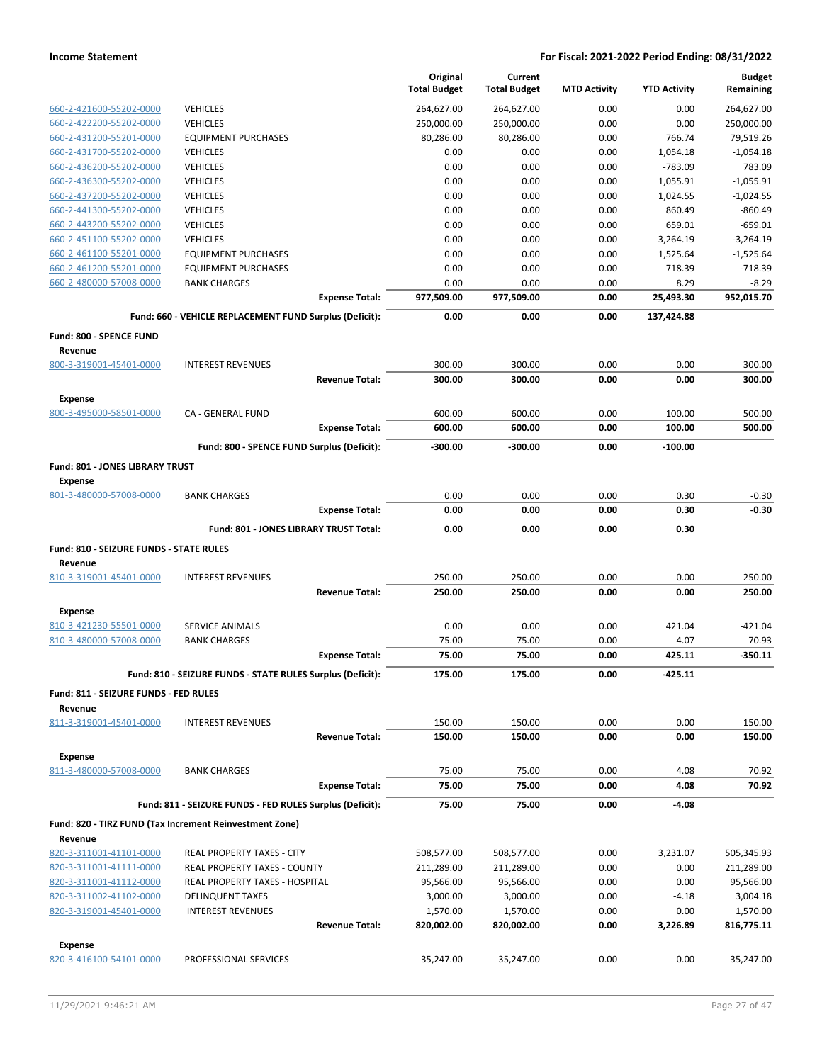|                                                   |                                                            | Original<br><b>Total Budget</b> | Current<br><b>Total Budget</b> | <b>MTD Activity</b> | <b>YTD Activity</b> | <b>Budget</b><br>Remaining |
|---------------------------------------------------|------------------------------------------------------------|---------------------------------|--------------------------------|---------------------|---------------------|----------------------------|
| 660-2-421600-55202-0000                           | <b>VEHICLES</b>                                            | 264,627.00                      | 264,627.00                     | 0.00                | 0.00                | 264,627.00                 |
| 660-2-422200-55202-0000                           | <b>VEHICLES</b>                                            | 250,000.00                      | 250,000.00                     | 0.00                | 0.00                | 250,000.00                 |
| 660-2-431200-55201-0000                           | <b>EQUIPMENT PURCHASES</b>                                 | 80,286.00                       | 80,286.00                      | 0.00                | 766.74              | 79,519.26                  |
| 660-2-431700-55202-0000                           | <b>VEHICLES</b>                                            | 0.00                            | 0.00                           | 0.00                | 1,054.18            | $-1,054.18$                |
| 660-2-436200-55202-0000                           | <b>VEHICLES</b>                                            | 0.00                            | 0.00                           | 0.00                | $-783.09$           | 783.09                     |
| 660-2-436300-55202-0000                           | <b>VEHICLES</b>                                            | 0.00                            | 0.00                           | 0.00                | 1,055.91            | $-1,055.91$                |
| 660-2-437200-55202-0000                           | <b>VEHICLES</b>                                            | 0.00                            | 0.00                           | 0.00                | 1,024.55            | $-1,024.55$                |
| 660-2-441300-55202-0000                           | <b>VEHICLES</b>                                            | 0.00                            | 0.00                           | 0.00                | 860.49              | $-860.49$                  |
| 660-2-443200-55202-0000                           | <b>VEHICLES</b>                                            | 0.00                            | 0.00                           | 0.00                | 659.01              | $-659.01$                  |
| 660-2-451100-55202-0000                           | <b>VEHICLES</b>                                            | 0.00                            | 0.00                           | 0.00                | 3,264.19            | $-3,264.19$                |
| 660-2-461100-55201-0000                           | <b>EQUIPMENT PURCHASES</b>                                 | 0.00                            | 0.00                           | 0.00                | 1,525.64            | $-1,525.64$                |
| 660-2-461200-55201-0000                           | <b>EQUIPMENT PURCHASES</b>                                 | 0.00                            | 0.00                           | 0.00                | 718.39              | $-718.39$                  |
| 660-2-480000-57008-0000                           | <b>BANK CHARGES</b>                                        | 0.00                            | 0.00                           | 0.00                | 8.29                | $-8.29$                    |
|                                                   | <b>Expense Total:</b>                                      | 977,509.00                      | 977,509.00                     | 0.00                | 25,493.30           | 952,015.70                 |
|                                                   | Fund: 660 - VEHICLE REPLACEMENT FUND Surplus (Deficit):    | 0.00                            | 0.00                           | 0.00                | 137,424.88          |                            |
| Fund: 800 - SPENCE FUND                           |                                                            |                                 |                                |                     |                     |                            |
| Revenue<br>800-3-319001-45401-0000                | <b>INTEREST REVENUES</b>                                   | 300.00                          | 300.00                         | 0.00                | 0.00                | 300.00                     |
|                                                   | <b>Revenue Total:</b>                                      | 300.00                          | 300.00                         | 0.00                | 0.00                | 300.00                     |
| <b>Expense</b>                                    |                                                            |                                 |                                |                     |                     |                            |
| 800-3-495000-58501-0000                           | CA - GENERAL FUND                                          | 600.00                          | 600.00                         | 0.00                | 100.00              | 500.00                     |
|                                                   | <b>Expense Total:</b>                                      | 600.00                          | 600.00                         | 0.00                | 100.00              | 500.00                     |
|                                                   | Fund: 800 - SPENCE FUND Surplus (Deficit):                 | $-300.00$                       | $-300.00$                      | 0.00                | $-100.00$           |                            |
| Fund: 801 - JONES LIBRARY TRUST<br><b>Expense</b> |                                                            |                                 |                                |                     |                     |                            |
| 801-3-480000-57008-0000                           | <b>BANK CHARGES</b>                                        | 0.00                            | 0.00                           | 0.00                | 0.30                | $-0.30$                    |
|                                                   | <b>Expense Total:</b>                                      | 0.00                            | 0.00                           | 0.00                | 0.30                | $-0.30$                    |
|                                                   | Fund: 801 - JONES LIBRARY TRUST Total:                     | 0.00                            | 0.00                           | 0.00                | 0.30                |                            |
| Fund: 810 - SEIZURE FUNDS - STATE RULES           |                                                            |                                 |                                |                     |                     |                            |
| Revenue<br>810-3-319001-45401-0000                | <b>INTEREST REVENUES</b>                                   | 250.00                          | 250.00                         | 0.00                | 0.00                | 250.00                     |
|                                                   | <b>Revenue Total:</b>                                      | 250.00                          | 250.00                         | 0.00                | 0.00                | 250.00                     |
|                                                   |                                                            |                                 |                                |                     |                     |                            |
| <b>Expense</b>                                    |                                                            |                                 |                                |                     |                     |                            |
| 810-3-421230-55501-0000                           | SERVICE ANIMALS                                            | 0.00                            | 0.00                           | 0.00                | 421.04              | -421.04<br>70.93           |
| 810-3-480000-57008-0000                           | <b>BANK CHARGES</b><br><b>Expense Total:</b>               | 75.00<br>75.00                  | 75.00<br>75.00                 | 0.00<br>0.00        | 4.07<br>425.11      | $-350.11$                  |
|                                                   |                                                            |                                 |                                |                     |                     |                            |
|                                                   | Fund: 810 - SEIZURE FUNDS - STATE RULES Surplus (Deficit): | 175.00                          | 175.00                         | 0.00                | -425.11             |                            |
| Fund: 811 - SEIZURE FUNDS - FED RULES<br>Revenue  |                                                            |                                 |                                |                     |                     |                            |
| 811-3-319001-45401-0000                           | <b>INTEREST REVENUES</b>                                   | 150.00                          | 150.00                         | 0.00                | 0.00                | 150.00                     |
|                                                   | <b>Revenue Total:</b>                                      | 150.00                          | 150.00                         | 0.00                | 0.00                | 150.00                     |
| <b>Expense</b>                                    |                                                            |                                 |                                |                     |                     |                            |
| 811-3-480000-57008-0000                           | <b>BANK CHARGES</b>                                        | 75.00                           | 75.00                          | 0.00                | 4.08                | 70.92                      |
|                                                   | <b>Expense Total:</b>                                      | 75.00                           | 75.00                          | 0.00                | 4.08                | 70.92                      |
|                                                   | Fund: 811 - SEIZURE FUNDS - FED RULES Surplus (Deficit):   | 75.00                           | 75.00                          | 0.00                | $-4.08$             |                            |
|                                                   | Fund: 820 - TIRZ FUND (Tax Increment Reinvestment Zone)    |                                 |                                |                     |                     |                            |
| Revenue<br>820-3-311001-41101-0000                | REAL PROPERTY TAXES - CITY                                 | 508,577.00                      | 508,577.00                     | 0.00                | 3,231.07            | 505,345.93                 |
| 820-3-311001-41111-0000                           | REAL PROPERTY TAXES - COUNTY                               | 211,289.00                      | 211,289.00                     | 0.00                | 0.00                | 211,289.00                 |
| 820-3-311001-41112-0000                           | REAL PROPERTY TAXES - HOSPITAL                             | 95,566.00                       | 95,566.00                      | 0.00                | 0.00                | 95,566.00                  |
| 820-3-311002-41102-0000                           | <b>DELINQUENT TAXES</b>                                    | 3,000.00                        | 3,000.00                       | 0.00                | $-4.18$             | 3,004.18                   |
| 820-3-319001-45401-0000                           | <b>INTEREST REVENUES</b>                                   | 1,570.00                        | 1,570.00                       | 0.00                | 0.00                | 1,570.00                   |
|                                                   | <b>Revenue Total:</b>                                      | 820,002.00                      | 820,002.00                     | 0.00                | 3,226.89            | 816,775.11                 |
| <b>Expense</b>                                    |                                                            |                                 |                                |                     |                     |                            |
| 820-3-416100-54101-0000                           | PROFESSIONAL SERVICES                                      | 35,247.00                       | 35,247.00                      | 0.00                | 0.00                | 35,247.00                  |
|                                                   |                                                            |                                 |                                |                     |                     |                            |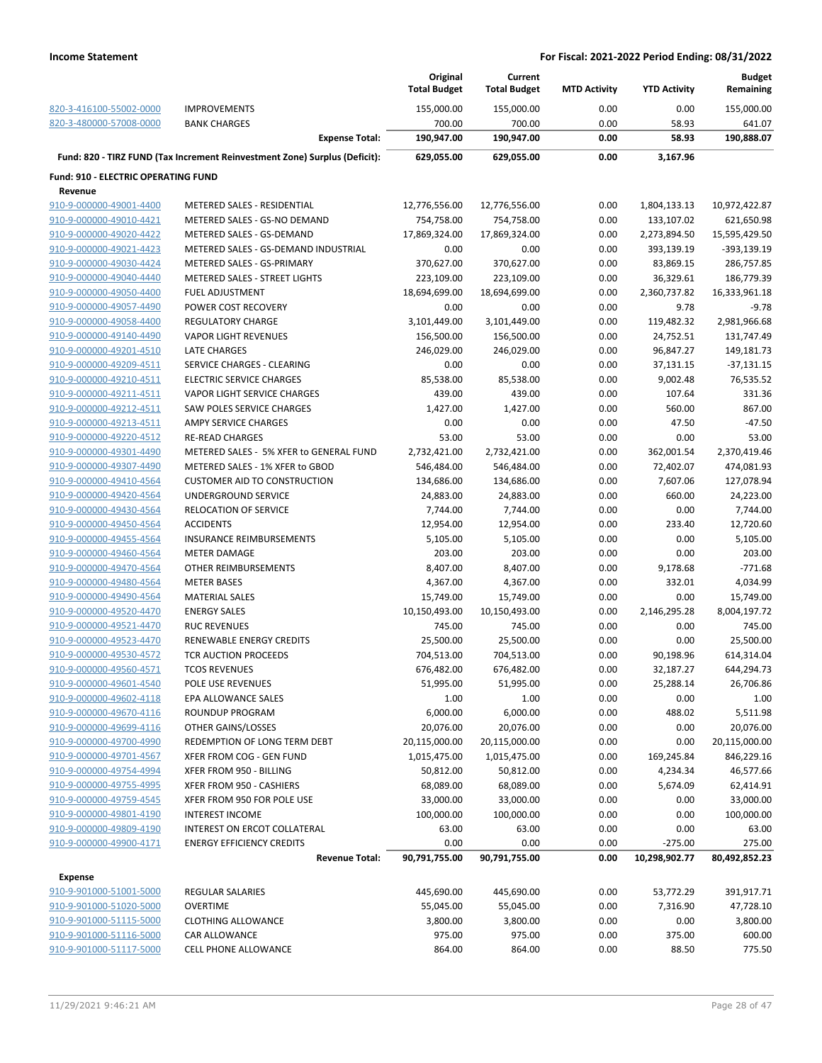|                                            |                                                                            | Original<br><b>Total Budget</b> | Current<br><b>Total Budget</b> | <b>MTD Activity</b> | <b>YTD Activity</b> | <b>Budget</b><br>Remaining |
|--------------------------------------------|----------------------------------------------------------------------------|---------------------------------|--------------------------------|---------------------|---------------------|----------------------------|
| 820-3-416100-55002-0000                    | <b>IMPROVEMENTS</b>                                                        | 155,000.00                      | 155,000.00                     | 0.00                | 0.00                | 155,000.00                 |
| 820-3-480000-57008-0000                    | <b>BANK CHARGES</b>                                                        | 700.00                          | 700.00                         | 0.00                | 58.93               | 641.07                     |
|                                            | <b>Expense Total:</b>                                                      | 190,947.00                      | 190,947.00                     | 0.00                | 58.93               | 190,888.07                 |
|                                            | Fund: 820 - TIRZ FUND (Tax Increment Reinvestment Zone) Surplus (Deficit): | 629,055.00                      | 629,055.00                     | 0.00                | 3,167.96            |                            |
| <b>Fund: 910 - ELECTRIC OPERATING FUND</b> |                                                                            |                                 |                                |                     |                     |                            |
| Revenue                                    |                                                                            |                                 |                                |                     |                     |                            |
| 910-9-000000-49001-4400                    | METERED SALES - RESIDENTIAL                                                | 12,776,556.00                   | 12,776,556.00                  | 0.00                | 1,804,133.13        | 10,972,422.87              |
| 910-9-000000-49010-4421                    | METERED SALES - GS-NO DEMAND                                               | 754,758.00                      | 754,758.00                     | 0.00                | 133,107.02          | 621,650.98                 |
| 910-9-000000-49020-4422                    | METERED SALES - GS-DEMAND                                                  | 17,869,324.00                   | 17,869,324.00                  | 0.00                | 2,273,894.50        | 15,595,429.50              |
| 910-9-000000-49021-4423                    | METERED SALES - GS-DEMAND INDUSTRIAL                                       | 0.00                            | 0.00                           | 0.00                | 393,139.19          | -393,139.19                |
| 910-9-000000-49030-4424                    | METERED SALES - GS-PRIMARY                                                 | 370,627.00                      | 370,627.00                     | 0.00                | 83,869.15           | 286,757.85                 |
| 910-9-000000-49040-4440                    | METERED SALES - STREET LIGHTS                                              | 223,109.00                      | 223,109.00                     | 0.00                | 36,329.61           | 186,779.39                 |
| 910-9-000000-49050-4400                    | <b>FUEL ADJUSTMENT</b>                                                     | 18,694,699.00                   | 18,694,699.00                  | 0.00                | 2,360,737.82        | 16,333,961.18              |
| 910-9-000000-49057-4490                    | POWER COST RECOVERY                                                        | 0.00                            | 0.00                           | 0.00                | 9.78                | $-9.78$                    |
| 910-9-000000-49058-4400                    | <b>REGULATORY CHARGE</b>                                                   | 3,101,449.00                    | 3,101,449.00                   | 0.00                | 119,482.32          | 2,981,966.68               |
| 910-9-000000-49140-4490                    | <b>VAPOR LIGHT REVENUES</b>                                                | 156,500.00                      | 156,500.00                     | 0.00                | 24,752.51           | 131,747.49                 |
| 910-9-000000-49201-4510                    | LATE CHARGES                                                               | 246,029.00                      | 246,029.00                     | 0.00                | 96,847.27           | 149,181.73                 |
| 910-9-000000-49209-4511                    | SERVICE CHARGES - CLEARING                                                 | 0.00                            | 0.00                           | 0.00                | 37,131.15           | $-37,131.15$               |
| 910-9-000000-49210-4511                    | <b>ELECTRIC SERVICE CHARGES</b>                                            | 85,538.00                       | 85,538.00                      | 0.00                | 9,002.48            | 76,535.52                  |
| 910-9-000000-49211-4511                    | VAPOR LIGHT SERVICE CHARGES                                                | 439.00                          | 439.00                         | 0.00                | 107.64              | 331.36                     |
| 910-9-000000-49212-4511                    | SAW POLES SERVICE CHARGES                                                  | 1,427.00                        | 1,427.00                       | 0.00                | 560.00              | 867.00                     |
| 910-9-000000-49213-4511                    | AMPY SERVICE CHARGES                                                       | 0.00                            | 0.00                           | 0.00                | 47.50               | $-47.50$                   |
| 910-9-000000-49220-4512                    | <b>RE-READ CHARGES</b>                                                     | 53.00                           | 53.00                          | 0.00                | 0.00                | 53.00                      |
| 910-9-000000-49301-4490                    | METERED SALES - 5% XFER to GENERAL FUND                                    | 2,732,421.00                    | 2,732,421.00                   | 0.00                | 362,001.54          | 2,370,419.46               |
| 910-9-000000-49307-4490                    | METERED SALES - 1% XFER to GBOD                                            | 546,484.00                      | 546,484.00                     | 0.00                | 72,402.07           | 474,081.93                 |
| 910-9-000000-49410-4564                    | <b>CUSTOMER AID TO CONSTRUCTION</b>                                        | 134,686.00                      | 134,686.00                     | 0.00                | 7,607.06            | 127,078.94                 |
| 910-9-000000-49420-4564                    | UNDERGROUND SERVICE                                                        | 24,883.00                       | 24,883.00                      | 0.00                | 660.00              | 24,223.00                  |
| 910-9-000000-49430-4564                    | <b>RELOCATION OF SERVICE</b>                                               | 7,744.00                        | 7,744.00                       | 0.00                | 0.00                | 7,744.00                   |
| 910-9-000000-49450-4564                    | <b>ACCIDENTS</b>                                                           | 12,954.00                       | 12,954.00                      | 0.00                | 233.40              | 12,720.60                  |
| 910-9-000000-49455-4564                    | <b>INSURANCE REIMBURSEMENTS</b>                                            | 5,105.00                        | 5,105.00                       | 0.00                | 0.00                | 5,105.00                   |
| 910-9-000000-49460-4564                    | <b>METER DAMAGE</b>                                                        | 203.00                          | 203.00                         | 0.00                | 0.00                | 203.00                     |
| 910-9-000000-49470-4564                    | OTHER REIMBURSEMENTS                                                       | 8,407.00                        | 8,407.00                       | 0.00                | 9,178.68            | $-771.68$                  |
| 910-9-000000-49480-4564                    | <b>METER BASES</b>                                                         | 4,367.00                        | 4,367.00                       | 0.00                | 332.01              | 4,034.99                   |
| 910-9-000000-49490-4564                    | <b>MATERIAL SALES</b>                                                      | 15,749.00                       | 15,749.00                      | 0.00                | 0.00                | 15,749.00                  |
| 910-9-000000-49520-4470                    | <b>ENERGY SALES</b>                                                        | 10,150,493.00                   | 10,150,493.00                  | 0.00                | 2,146,295.28        | 8,004,197.72               |
| 910-9-000000-49521-4470                    | <b>RUC REVENUES</b>                                                        | 745.00                          | 745.00                         | 0.00                | 0.00                | 745.00                     |
| 910-9-000000-49523-4470                    | <b>RENEWABLE ENERGY CREDITS</b>                                            | 25,500.00                       | 25,500.00                      | 0.00                | 0.00                | 25,500.00                  |
| 910-9-000000-49530-4572                    | TCR AUCTION PROCEEDS                                                       | 704,513.00                      | 704,513.00                     | 0.00                | 90,198.96           | 614,314.04                 |
| 910-9-000000-49560-4571                    | <b>TCOS REVENUES</b>                                                       | 676,482.00                      | 676,482.00                     | 0.00                | 32,187.27           | 644,294.73                 |
| 910-9-000000-49601-4540                    | POLE USE REVENUES                                                          | 51,995.00                       | 51,995.00                      | 0.00                | 25,288.14           | 26,706.86                  |
| 910-9-000000-49602-4118                    | EPA ALLOWANCE SALES                                                        | 1.00                            | 1.00                           | 0.00                | 0.00                | 1.00                       |
| 910-9-000000-49670-4116                    | ROUNDUP PROGRAM                                                            | 6,000.00                        | 6,000.00                       | 0.00                | 488.02              | 5,511.98                   |
| 910-9-000000-49699-4116                    | OTHER GAINS/LOSSES                                                         | 20,076.00                       | 20,076.00                      | 0.00                | 0.00                | 20,076.00                  |
| 910-9-000000-49700-4990                    | REDEMPTION OF LONG TERM DEBT                                               | 20,115,000.00                   | 20,115,000.00                  | 0.00                | 0.00                | 20,115,000.00              |
| 910-9-000000-49701-4567                    | XFER FROM COG - GEN FUND                                                   | 1,015,475.00                    | 1,015,475.00                   | 0.00                | 169,245.84          | 846,229.16                 |
| 910-9-000000-49754-4994                    | XFER FROM 950 - BILLING                                                    | 50,812.00                       | 50,812.00                      | 0.00                | 4,234.34            | 46,577.66                  |
| 910-9-000000-49755-4995                    | XFER FROM 950 - CASHIERS                                                   | 68,089.00                       | 68,089.00                      | 0.00                | 5,674.09            | 62,414.91                  |
| 910-9-000000-49759-4545                    | XFER FROM 950 FOR POLE USE                                                 | 33,000.00                       | 33,000.00                      | 0.00                | 0.00                | 33,000.00                  |
| 910-9-000000-49801-4190                    | <b>INTEREST INCOME</b>                                                     | 100,000.00                      | 100,000.00                     | 0.00                | 0.00                | 100,000.00                 |
| 910-9-000000-49809-4190                    | INTEREST ON ERCOT COLLATERAL                                               | 63.00                           | 63.00                          | 0.00                | 0.00                | 63.00                      |
| 910-9-000000-49900-4171                    | <b>ENERGY EFFICIENCY CREDITS</b>                                           | 0.00                            | 0.00                           | 0.00                | $-275.00$           | 275.00                     |
|                                            | <b>Revenue Total:</b>                                                      | 90,791,755.00                   | 90,791,755.00                  | 0.00                | 10,298,902.77       | 80,492,852.23              |
| <b>Expense</b>                             |                                                                            |                                 |                                |                     |                     |                            |
| 910-9-901000-51001-5000                    | <b>REGULAR SALARIES</b>                                                    | 445,690.00                      | 445,690.00                     | 0.00                | 53,772.29           | 391,917.71                 |
| 910-9-901000-51020-5000                    | <b>OVERTIME</b>                                                            | 55,045.00                       | 55,045.00                      | 0.00                | 7,316.90            | 47,728.10                  |
| 910-9-901000-51115-5000                    | <b>CLOTHING ALLOWANCE</b>                                                  | 3,800.00                        | 3,800.00                       | 0.00                | 0.00                | 3,800.00                   |
| 910-9-901000-51116-5000                    | CAR ALLOWANCE                                                              | 975.00                          | 975.00                         | 0.00                | 375.00              | 600.00                     |
| 910-9-901000-51117-5000                    | CELL PHONE ALLOWANCE                                                       | 864.00                          | 864.00                         | 0.00                | 88.50               | 775.50                     |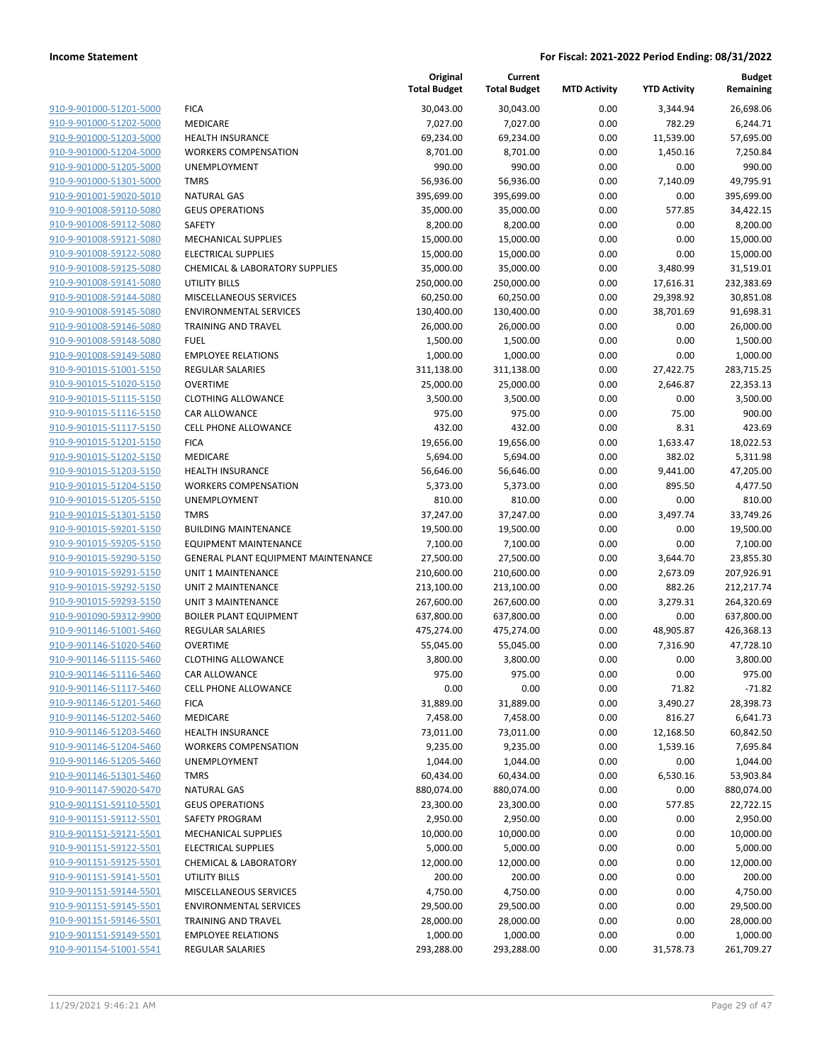|                         |                                     | Original<br><b>Total Budget</b> | Current<br><b>Total Budget</b> | <b>MTD Activity</b> | <b>YTD Activity</b> | <b>Budget</b><br>Remaining |
|-------------------------|-------------------------------------|---------------------------------|--------------------------------|---------------------|---------------------|----------------------------|
| 910-9-901000-51201-5000 | <b>FICA</b>                         | 30,043.00                       | 30,043.00                      | 0.00                | 3,344.94            | 26,698.06                  |
| 910-9-901000-51202-5000 | MEDICARE                            | 7,027.00                        | 7,027.00                       | 0.00                | 782.29              | 6,244.71                   |
| 910-9-901000-51203-5000 | <b>HEALTH INSURANCE</b>             | 69,234.00                       | 69,234.00                      | 0.00                | 11,539.00           | 57,695.00                  |
| 910-9-901000-51204-5000 | <b>WORKERS COMPENSATION</b>         | 8,701.00                        | 8,701.00                       | 0.00                | 1,450.16            | 7,250.84                   |
| 910-9-901000-51205-5000 | UNEMPLOYMENT                        | 990.00                          | 990.00                         | 0.00                | 0.00                | 990.00                     |
| 910-9-901000-51301-5000 | <b>TMRS</b>                         | 56,936.00                       | 56,936.00                      | 0.00                | 7,140.09            | 49,795.91                  |
| 910-9-901001-59020-5010 | <b>NATURAL GAS</b>                  | 395,699.00                      | 395,699.00                     | 0.00                | 0.00                | 395,699.00                 |
| 910-9-901008-59110-5080 | <b>GEUS OPERATIONS</b>              | 35,000.00                       | 35,000.00                      | 0.00                | 577.85              | 34,422.15                  |
| 910-9-901008-59112-5080 | <b>SAFETY</b>                       | 8,200.00                        | 8,200.00                       | 0.00                | 0.00                | 8,200.00                   |
| 910-9-901008-59121-5080 | MECHANICAL SUPPLIES                 | 15,000.00                       | 15,000.00                      | 0.00                | 0.00                | 15,000.00                  |
| 910-9-901008-59122-5080 | <b>ELECTRICAL SUPPLIES</b>          | 15,000.00                       | 15,000.00                      | 0.00                | 0.00                | 15,000.00                  |
| 910-9-901008-59125-5080 | CHEMICAL & LABORATORY SUPPLIES      | 35,000.00                       | 35,000.00                      | 0.00                | 3,480.99            | 31,519.01                  |
| 910-9-901008-59141-5080 | <b>UTILITY BILLS</b>                | 250,000.00                      | 250,000.00                     | 0.00                | 17,616.31           | 232,383.69                 |
| 910-9-901008-59144-5080 | MISCELLANEOUS SERVICES              | 60,250.00                       | 60,250.00                      | 0.00                | 29,398.92           | 30,851.08                  |
| 910-9-901008-59145-5080 | <b>ENVIRONMENTAL SERVICES</b>       | 130,400.00                      | 130,400.00                     | 0.00                | 38,701.69           | 91,698.31                  |
| 910-9-901008-59146-5080 | <b>TRAINING AND TRAVEL</b>          | 26,000.00                       | 26,000.00                      | 0.00                | 0.00                | 26,000.00                  |
| 910-9-901008-59148-5080 | <b>FUEL</b>                         | 1,500.00                        | 1,500.00                       | 0.00                | 0.00                | 1,500.00                   |
| 910-9-901008-59149-5080 | <b>EMPLOYEE RELATIONS</b>           | 1,000.00                        | 1,000.00                       | 0.00                | 0.00                | 1,000.00                   |
| 910-9-901015-51001-5150 | <b>REGULAR SALARIES</b>             | 311,138.00                      | 311,138.00                     | 0.00                | 27,422.75           | 283,715.25                 |
| 910-9-901015-51020-5150 | <b>OVERTIME</b>                     | 25,000.00                       | 25,000.00                      | 0.00                | 2,646.87            | 22,353.13                  |
| 910-9-901015-51115-5150 | <b>CLOTHING ALLOWANCE</b>           | 3,500.00                        | 3,500.00                       | 0.00                | 0.00                | 3,500.00                   |
| 910-9-901015-51116-5150 | CAR ALLOWANCE                       | 975.00                          | 975.00                         | 0.00                | 75.00               | 900.00                     |
| 910-9-901015-51117-5150 | <b>CELL PHONE ALLOWANCE</b>         | 432.00                          | 432.00                         | 0.00                | 8.31                | 423.69                     |
| 910-9-901015-51201-5150 | <b>FICA</b>                         | 19,656.00                       | 19,656.00                      | 0.00                | 1,633.47            | 18,022.53                  |
| 910-9-901015-51202-5150 | <b>MEDICARE</b>                     | 5,694.00                        | 5,694.00                       | 0.00                | 382.02              | 5,311.98                   |
| 910-9-901015-51203-5150 | <b>HEALTH INSURANCE</b>             | 56,646.00                       | 56,646.00                      | 0.00                | 9,441.00            | 47,205.00                  |
| 910-9-901015-51204-5150 | <b>WORKERS COMPENSATION</b>         | 5,373.00                        | 5,373.00                       | 0.00                | 895.50              | 4,477.50                   |
| 910-9-901015-51205-5150 | UNEMPLOYMENT                        | 810.00                          | 810.00                         | 0.00                | 0.00                | 810.00                     |
| 910-9-901015-51301-5150 | <b>TMRS</b>                         | 37,247.00                       | 37,247.00                      | 0.00                | 3,497.74            | 33,749.26                  |
| 910-9-901015-59201-5150 | <b>BUILDING MAINTENANCE</b>         | 19,500.00                       | 19,500.00                      | 0.00                | 0.00                | 19,500.00                  |
| 910-9-901015-59205-5150 | <b>EQUIPMENT MAINTENANCE</b>        | 7,100.00                        | 7,100.00                       | 0.00                | 0.00                | 7,100.00                   |
| 910-9-901015-59290-5150 | GENERAL PLANT EQUIPMENT MAINTENANCE | 27,500.00                       | 27,500.00                      | 0.00                | 3,644.70            | 23,855.30                  |
| 910-9-901015-59291-5150 | UNIT 1 MAINTENANCE                  | 210,600.00                      | 210,600.00                     | 0.00                | 2,673.09            | 207,926.91                 |
| 910-9-901015-59292-5150 | <b>UNIT 2 MAINTENANCE</b>           | 213,100.00                      | 213,100.00                     | 0.00                | 882.26              | 212,217.74                 |
| 910-9-901015-59293-5150 | <b>UNIT 3 MAINTENANCE</b>           | 267,600.00                      | 267,600.00                     | 0.00                | 3,279.31            | 264,320.69                 |
| 910-9-901090-59312-9900 | <b>BOILER PLANT EQUIPMENT</b>       | 637,800.00                      | 637,800.00                     | 0.00                | 0.00                | 637,800.00                 |
| 910-9-901146-51001-5460 | REGULAR SALARIES                    | 475,274.00                      | 475,274.00                     | 0.00                | 48,905.87           | 426,368.13                 |
| 910-9-901146-51020-5460 | <b>OVERTIME</b>                     | 55,045.00                       | 55,045.00                      | 0.00                | 7,316.90            | 47,728.10                  |
| 910-9-901146-51115-5460 | <b>CLOTHING ALLOWANCE</b>           | 3,800.00                        | 3,800.00                       | 0.00                | 0.00                | 3,800.00                   |
| 910-9-901146-51116-5460 | CAR ALLOWANCE                       | 975.00                          | 975.00                         | 0.00                | 0.00                | 975.00                     |
| 910-9-901146-51117-5460 | <b>CELL PHONE ALLOWANCE</b>         | 0.00                            | 0.00                           | 0.00                | 71.82               | $-71.82$                   |
| 910-9-901146-51201-5460 | <b>FICA</b>                         | 31,889.00                       | 31,889.00                      | 0.00                | 3,490.27            | 28,398.73                  |
| 910-9-901146-51202-5460 | MEDICARE                            | 7,458.00                        | 7,458.00                       | 0.00                | 816.27              | 6,641.73                   |
| 910-9-901146-51203-5460 | <b>HEALTH INSURANCE</b>             | 73,011.00                       | 73,011.00                      | 0.00                | 12,168.50           | 60,842.50                  |
| 910-9-901146-51204-5460 | <b>WORKERS COMPENSATION</b>         | 9,235.00                        | 9,235.00                       | 0.00                | 1,539.16            | 7,695.84                   |
| 910-9-901146-51205-5460 | <b>UNEMPLOYMENT</b>                 | 1,044.00                        | 1,044.00                       | 0.00                | 0.00                | 1,044.00                   |
| 910-9-901146-51301-5460 | <b>TMRS</b>                         | 60,434.00                       | 60,434.00                      | 0.00                | 6,530.16            | 53,903.84                  |
| 910-9-901147-59020-5470 | <b>NATURAL GAS</b>                  | 880,074.00                      | 880,074.00                     | 0.00                | 0.00                | 880,074.00                 |
| 910-9-901151-59110-5501 | <b>GEUS OPERATIONS</b>              | 23,300.00                       | 23,300.00                      | 0.00                | 577.85              | 22,722.15                  |
| 910-9-901151-59112-5501 | SAFETY PROGRAM                      | 2,950.00                        | 2,950.00                       | 0.00                | 0.00                | 2,950.00                   |
| 910-9-901151-59121-5501 | MECHANICAL SUPPLIES                 | 10,000.00                       | 10,000.00                      | 0.00                | 0.00                | 10,000.00                  |
| 910-9-901151-59122-5501 | <b>ELECTRICAL SUPPLIES</b>          | 5,000.00                        | 5,000.00                       | 0.00                | 0.00                | 5,000.00                   |
| 910-9-901151-59125-5501 | <b>CHEMICAL &amp; LABORATORY</b>    | 12,000.00                       | 12,000.00                      | 0.00                | 0.00                | 12,000.00                  |
| 910-9-901151-59141-5501 | <b>UTILITY BILLS</b>                | 200.00                          | 200.00                         | 0.00                | 0.00                | 200.00                     |
| 910-9-901151-59144-5501 | MISCELLANEOUS SERVICES              | 4,750.00                        | 4,750.00                       | 0.00                | 0.00                | 4,750.00                   |
| 910-9-901151-59145-5501 | <b>ENVIRONMENTAL SERVICES</b>       | 29,500.00                       | 29,500.00                      | 0.00                | 0.00                | 29,500.00                  |
| 910-9-901151-59146-5501 | <b>TRAINING AND TRAVEL</b>          | 28,000.00                       | 28,000.00                      | 0.00                | 0.00                | 28,000.00                  |
| 910-9-901151-59149-5501 | <b>EMPLOYEE RELATIONS</b>           | 1,000.00                        | 1,000.00                       | 0.00                | 0.00                | 1,000.00                   |
| 910-9-901154-51001-5541 | <b>REGULAR SALARIES</b>             | 293,288.00                      | 293,288.00                     | 0.00                | 31,578.73           | 261,709.27                 |
|                         |                                     |                                 |                                |                     |                     |                            |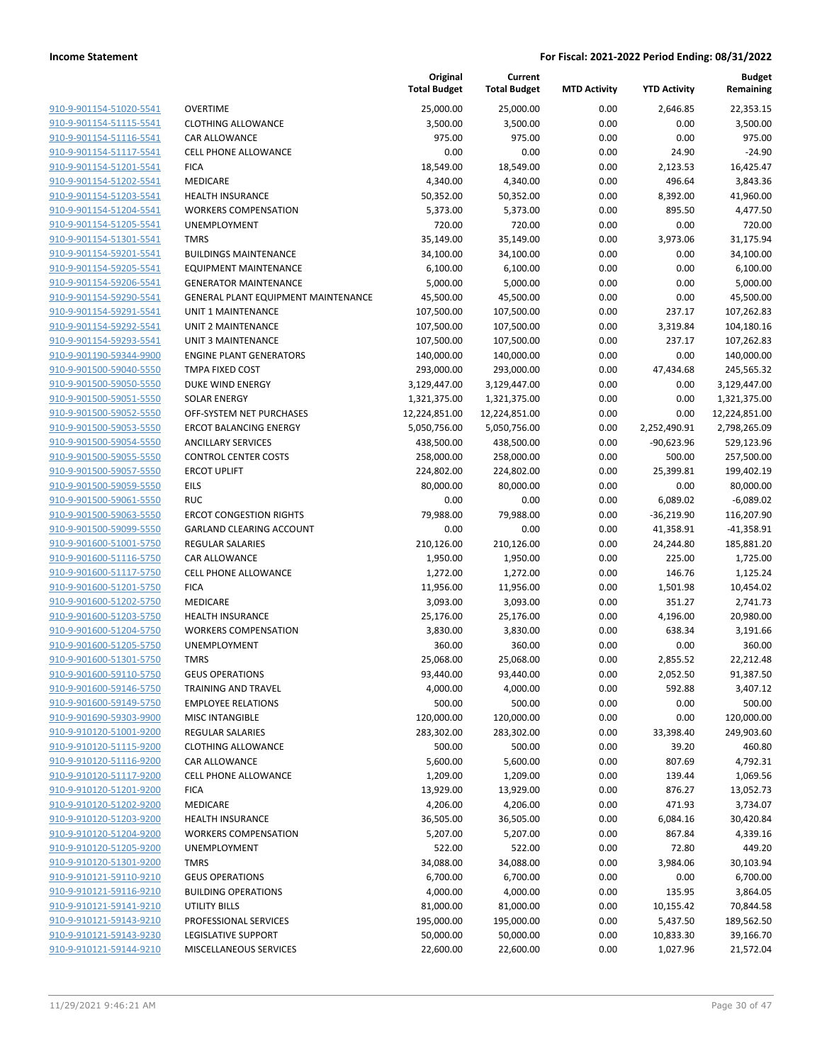|                         |                                     | Original<br><b>Total Budget</b> | Current<br><b>Total Budget</b> | <b>MTD Activity</b> | <b>YTD Activity</b> | <b>Budget</b><br>Remaining |
|-------------------------|-------------------------------------|---------------------------------|--------------------------------|---------------------|---------------------|----------------------------|
| 910-9-901154-51020-5541 | <b>OVERTIME</b>                     | 25,000.00                       | 25,000.00                      | 0.00                | 2,646.85            | 22,353.15                  |
| 910-9-901154-51115-5541 | <b>CLOTHING ALLOWANCE</b>           | 3,500.00                        | 3,500.00                       | 0.00                | 0.00                | 3,500.00                   |
| 910-9-901154-51116-5541 | CAR ALLOWANCE                       | 975.00                          | 975.00                         | 0.00                | 0.00                | 975.00                     |
| 910-9-901154-51117-5541 | <b>CELL PHONE ALLOWANCE</b>         | 0.00                            | 0.00                           | 0.00                | 24.90               | $-24.90$                   |
| 910-9-901154-51201-5541 | <b>FICA</b>                         | 18,549.00                       | 18,549.00                      | 0.00                | 2,123.53            | 16,425.47                  |
| 910-9-901154-51202-5541 | MEDICARE                            | 4,340.00                        | 4,340.00                       | 0.00                | 496.64              | 3,843.36                   |
| 910-9-901154-51203-5541 | <b>HEALTH INSURANCE</b>             | 50,352.00                       | 50,352.00                      | 0.00                | 8,392.00            | 41,960.00                  |
| 910-9-901154-51204-5541 | <b>WORKERS COMPENSATION</b>         | 5,373.00                        | 5,373.00                       | 0.00                | 895.50              | 4,477.50                   |
| 910-9-901154-51205-5541 | <b>UNEMPLOYMENT</b>                 | 720.00                          | 720.00                         | 0.00                | 0.00                | 720.00                     |
| 910-9-901154-51301-5541 | <b>TMRS</b>                         | 35,149.00                       | 35,149.00                      | 0.00                | 3,973.06            | 31,175.94                  |
| 910-9-901154-59201-5541 | <b>BUILDINGS MAINTENANCE</b>        | 34,100.00                       | 34,100.00                      | 0.00                | 0.00                | 34,100.00                  |
| 910-9-901154-59205-5541 | <b>EQUIPMENT MAINTENANCE</b>        | 6,100.00                        | 6,100.00                       | 0.00                | 0.00                | 6,100.00                   |
| 910-9-901154-59206-5541 | <b>GENERATOR MAINTENANCE</b>        | 5,000.00                        | 5,000.00                       | 0.00                | 0.00                | 5,000.00                   |
| 910-9-901154-59290-5541 | GENERAL PLANT EQUIPMENT MAINTENANCE | 45,500.00                       | 45,500.00                      | 0.00                | 0.00                | 45,500.00                  |
| 910-9-901154-59291-5541 | UNIT 1 MAINTENANCE                  | 107,500.00                      | 107,500.00                     | 0.00                | 237.17              | 107,262.83                 |
| 910-9-901154-59292-5541 | <b>UNIT 2 MAINTENANCE</b>           | 107,500.00                      | 107,500.00                     | 0.00                | 3,319.84            | 104,180.16                 |
| 910-9-901154-59293-5541 | <b>UNIT 3 MAINTENANCE</b>           | 107,500.00                      | 107,500.00                     | 0.00                | 237.17              | 107,262.83                 |
| 910-9-901190-59344-9900 | <b>ENGINE PLANT GENERATORS</b>      | 140,000.00                      | 140,000.00                     | 0.00                | 0.00                | 140,000.00                 |
| 910-9-901500-59040-5550 | TMPA FIXED COST                     | 293,000.00                      | 293,000.00                     | 0.00                | 47,434.68           | 245,565.32                 |
| 910-9-901500-59050-5550 | <b>DUKE WIND ENERGY</b>             | 3,129,447.00                    | 3,129,447.00                   | 0.00                | 0.00                | 3,129,447.00               |
| 910-9-901500-59051-5550 | <b>SOLAR ENERGY</b>                 | 1,321,375.00                    | 1,321,375.00                   | 0.00                | 0.00                | 1,321,375.00               |
| 910-9-901500-59052-5550 | OFF-SYSTEM NET PURCHASES            | 12,224,851.00                   | 12,224,851.00                  | 0.00                | 0.00                | 12,224,851.00              |
| 910-9-901500-59053-5550 | <b>ERCOT BALANCING ENERGY</b>       | 5,050,756.00                    | 5,050,756.00                   | 0.00                | 2,252,490.91        | 2,798,265.09               |
| 910-9-901500-59054-5550 | <b>ANCILLARY SERVICES</b>           | 438,500.00                      | 438,500.00                     | 0.00                | $-90,623.96$        | 529,123.96                 |
| 910-9-901500-59055-5550 | <b>CONTROL CENTER COSTS</b>         | 258,000.00                      | 258,000.00                     | 0.00                | 500.00              | 257,500.00                 |
| 910-9-901500-59057-5550 | <b>ERCOT UPLIFT</b>                 | 224,802.00                      | 224,802.00                     | 0.00                | 25,399.81           | 199,402.19                 |
| 910-9-901500-59059-5550 | <b>EILS</b>                         | 80,000.00                       | 80,000.00                      | 0.00                | 0.00                | 80,000.00                  |
| 910-9-901500-59061-5550 | <b>RUC</b>                          | 0.00                            | 0.00                           | 0.00                | 6,089.02            | $-6,089.02$                |
| 910-9-901500-59063-5550 | <b>ERCOT CONGESTION RIGHTS</b>      | 79,988.00                       | 79,988.00                      | 0.00                | $-36,219.90$        | 116,207.90                 |
| 910-9-901500-59099-5550 | GARLAND CLEARING ACCOUNT            | 0.00                            | 0.00                           | 0.00                | 41,358.91           | $-41,358.91$               |
| 910-9-901600-51001-5750 | <b>REGULAR SALARIES</b>             | 210,126.00                      | 210,126.00                     | 0.00                | 24,244.80           | 185,881.20                 |
| 910-9-901600-51116-5750 | CAR ALLOWANCE                       | 1,950.00                        | 1,950.00                       | 0.00                | 225.00              | 1,725.00                   |
| 910-9-901600-51117-5750 | <b>CELL PHONE ALLOWANCE</b>         | 1,272.00                        | 1,272.00                       | 0.00                | 146.76              | 1,125.24                   |
| 910-9-901600-51201-5750 | <b>FICA</b>                         | 11,956.00                       | 11,956.00                      | 0.00                | 1,501.98            | 10,454.02                  |
| 910-9-901600-51202-5750 | MEDICARE                            | 3,093.00                        | 3,093.00                       | 0.00                | 351.27              | 2,741.73                   |
| 910-9-901600-51203-5750 | <b>HEALTH INSURANCE</b>             | 25,176.00                       | 25,176.00                      | 0.00                | 4,196.00            | 20,980.00                  |
| 910-9-901600-51204-5750 | <b>WORKERS COMPENSATION</b>         | 3,830.00                        | 3,830.00                       | 0.00                | 638.34              | 3,191.66                   |
| 910-9-901600-51205-5750 | UNEMPLOYMENT                        | 360.00                          | 360.00                         | 0.00                | 0.00                | 360.00                     |
| 910-9-901600-51301-5750 | <b>TMRS</b>                         | 25,068.00                       | 25,068.00                      | 0.00                | 2,855.52            | 22,212.48                  |
| 910-9-901600-59110-5750 | <b>GEUS OPERATIONS</b>              | 93,440.00                       | 93,440.00                      | 0.00                | 2,052.50            | 91,387.50                  |
| 910-9-901600-59146-5750 | TRAINING AND TRAVEL                 | 4,000.00                        | 4,000.00                       | 0.00                | 592.88              | 3,407.12                   |
| 910-9-901600-59149-5750 | <b>EMPLOYEE RELATIONS</b>           | 500.00                          | 500.00                         | 0.00                | 0.00                | 500.00                     |
| 910-9-901690-59303-9900 | <b>MISC INTANGIBLE</b>              | 120,000.00                      | 120,000.00                     | 0.00                | 0.00                | 120,000.00                 |
| 910-9-910120-51001-9200 | <b>REGULAR SALARIES</b>             | 283,302.00                      | 283,302.00                     | 0.00                | 33,398.40           | 249,903.60                 |
| 910-9-910120-51115-9200 | <b>CLOTHING ALLOWANCE</b>           | 500.00                          | 500.00                         | 0.00                | 39.20               | 460.80                     |
| 910-9-910120-51116-9200 | CAR ALLOWANCE                       | 5,600.00                        | 5,600.00                       | 0.00                | 807.69              | 4,792.31                   |
| 910-9-910120-51117-9200 | <b>CELL PHONE ALLOWANCE</b>         | 1,209.00                        | 1,209.00                       | 0.00                | 139.44              | 1,069.56                   |
| 910-9-910120-51201-9200 | <b>FICA</b>                         | 13,929.00                       | 13,929.00                      | 0.00                | 876.27              | 13,052.73                  |
| 910-9-910120-51202-9200 | MEDICARE                            | 4,206.00                        | 4,206.00                       | 0.00                | 471.93              | 3,734.07                   |
| 910-9-910120-51203-9200 | <b>HEALTH INSURANCE</b>             | 36,505.00                       | 36,505.00                      | 0.00                | 6,084.16            | 30,420.84                  |
| 910-9-910120-51204-9200 | <b>WORKERS COMPENSATION</b>         | 5,207.00                        | 5,207.00                       | 0.00                | 867.84              | 4,339.16                   |
| 910-9-910120-51205-9200 | UNEMPLOYMENT                        | 522.00                          | 522.00                         | 0.00                | 72.80               | 449.20                     |
| 910-9-910120-51301-9200 | <b>TMRS</b>                         | 34,088.00                       | 34,088.00                      | 0.00                | 3,984.06            | 30,103.94                  |
| 910-9-910121-59110-9210 | <b>GEUS OPERATIONS</b>              | 6,700.00                        | 6,700.00                       | 0.00                | 0.00                | 6,700.00                   |
| 910-9-910121-59116-9210 | <b>BUILDING OPERATIONS</b>          | 4,000.00                        | 4,000.00                       | 0.00                | 135.95              | 3,864.05                   |
| 910-9-910121-59141-9210 | <b>UTILITY BILLS</b>                | 81,000.00                       | 81,000.00                      | 0.00                | 10,155.42           | 70,844.58                  |
| 910-9-910121-59143-9210 | PROFESSIONAL SERVICES               | 195,000.00                      | 195,000.00                     | 0.00                | 5,437.50            | 189,562.50                 |
| 910-9-910121-59143-9230 | <b>LEGISLATIVE SUPPORT</b>          | 50,000.00                       | 50,000.00                      | 0.00                | 10,833.30           | 39,166.70                  |
| 910-9-910121-59144-9210 | MISCELLANEOUS SERVICES              | 22,600.00                       | 22,600.00                      | 0.00                | 1,027.96            | 21,572.04                  |
|                         |                                     |                                 |                                |                     |                     |                            |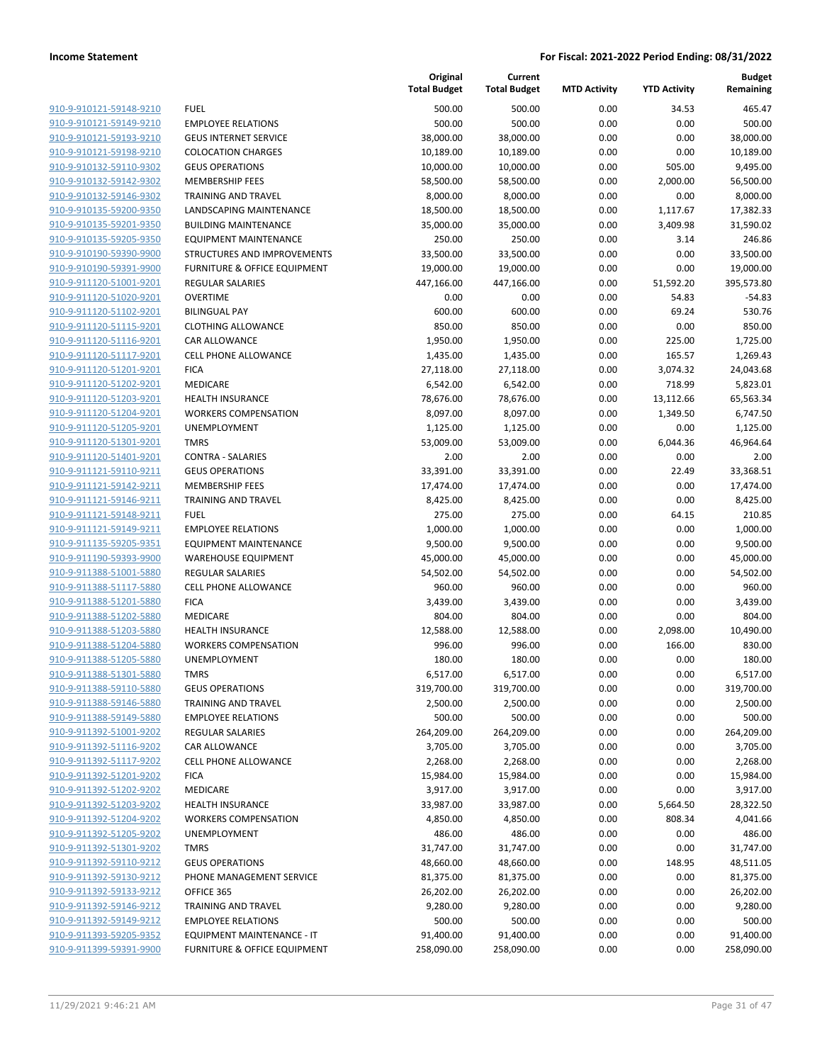|                                                    |                                                        | Original<br><b>Total Budget</b> | Current<br><b>Total Budget</b> | <b>MTD Activity</b> | <b>YTD Activity</b> | Budget<br>Remaining |
|----------------------------------------------------|--------------------------------------------------------|---------------------------------|--------------------------------|---------------------|---------------------|---------------------|
| 910-9-910121-59148-9210                            | <b>FUEL</b>                                            | 500.00                          | 500.00                         | 0.00                | 34.53               | 465.47              |
| 910-9-910121-59149-9210                            | <b>EMPLOYEE RELATIONS</b>                              | 500.00                          | 500.00                         | 0.00                | 0.00                | 500.00              |
| 910-9-910121-59193-9210                            | <b>GEUS INTERNET SERVICE</b>                           | 38,000.00                       | 38,000.00                      | 0.00                | 0.00                | 38,000.00           |
| 910-9-910121-59198-9210                            | <b>COLOCATION CHARGES</b>                              | 10,189.00                       | 10,189.00                      | 0.00                | 0.00                | 10,189.00           |
| 910-9-910132-59110-9302                            | <b>GEUS OPERATIONS</b>                                 | 10,000.00                       | 10,000.00                      | 0.00                | 505.00              | 9,495.00            |
| 910-9-910132-59142-9302                            | <b>MEMBERSHIP FEES</b>                                 | 58,500.00                       | 58,500.00                      | 0.00                | 2,000.00            | 56,500.00           |
| 910-9-910132-59146-9302                            | <b>TRAINING AND TRAVEL</b>                             | 8,000.00                        | 8,000.00                       | 0.00                | 0.00                | 8,000.00            |
| 910-9-910135-59200-9350                            | LANDSCAPING MAINTENANCE                                | 18,500.00                       | 18,500.00                      | 0.00                | 1,117.67            | 17,382.33           |
| 910-9-910135-59201-9350                            | <b>BUILDING MAINTENANCE</b>                            | 35,000.00                       | 35,000.00                      | 0.00                | 3,409.98            | 31,590.02           |
| 910-9-910135-59205-9350                            | <b>EQUIPMENT MAINTENANCE</b>                           | 250.00                          | 250.00                         | 0.00                | 3.14                | 246.86              |
| 910-9-910190-59390-9900                            | STRUCTURES AND IMPROVEMENTS                            | 33,500.00                       | 33,500.00                      | 0.00                | 0.00                | 33,500.00           |
| 910-9-910190-59391-9900                            | FURNITURE & OFFICE EQUIPMENT                           | 19,000.00                       | 19,000.00                      | 0.00                | 0.00                | 19,000.00           |
| 910-9-911120-51001-9201                            | <b>REGULAR SALARIES</b>                                | 447,166.00                      | 447,166.00                     | 0.00                | 51,592.20           | 395,573.80          |
| 910-9-911120-51020-9201                            | <b>OVERTIME</b>                                        | 0.00                            | 0.00                           | 0.00                | 54.83               | $-54.83$            |
| 910-9-911120-51102-9201                            | <b>BILINGUAL PAY</b>                                   | 600.00                          | 600.00                         | 0.00                | 69.24               | 530.76              |
| 910-9-911120-51115-9201                            | <b>CLOTHING ALLOWANCE</b>                              | 850.00                          | 850.00                         | 0.00                | 0.00                | 850.00              |
| 910-9-911120-51116-9201                            | <b>CAR ALLOWANCE</b>                                   | 1,950.00                        | 1,950.00                       | 0.00                | 225.00              | 1,725.00            |
| 910-9-911120-51117-9201                            | CELL PHONE ALLOWANCE                                   | 1,435.00                        | 1,435.00                       | 0.00                | 165.57              | 1,269.43            |
| 910-9-911120-51201-9201                            | <b>FICA</b>                                            | 27,118.00                       | 27,118.00                      | 0.00                | 3,074.32            | 24,043.68           |
| 910-9-911120-51202-9201                            | MEDICARE                                               | 6,542.00                        | 6,542.00                       | 0.00                | 718.99              | 5,823.01            |
| 910-9-911120-51203-9201                            | <b>HEALTH INSURANCE</b>                                | 78,676.00                       | 78,676.00                      | 0.00                | 13,112.66           | 65,563.34           |
| 910-9-911120-51204-9201                            | <b>WORKERS COMPENSATION</b>                            | 8,097.00                        | 8,097.00                       | 0.00                | 1,349.50            | 6,747.50            |
| 910-9-911120-51205-9201                            | <b>UNEMPLOYMENT</b>                                    | 1,125.00                        | 1,125.00                       | 0.00                | 0.00                | 1,125.00            |
| 910-9-911120-51301-9201                            | <b>TMRS</b>                                            | 53,009.00                       | 53,009.00                      | 0.00                | 6,044.36            | 46,964.64           |
| 910-9-911120-51401-9201                            | <b>CONTRA - SALARIES</b>                               | 2.00                            | 2.00                           | 0.00                | 0.00                | 2.00                |
| 910-9-911121-59110-9211                            | <b>GEUS OPERATIONS</b>                                 | 33,391.00                       | 33,391.00                      | 0.00                | 22.49               | 33,368.51           |
| 910-9-911121-59142-9211                            | <b>MEMBERSHIP FEES</b>                                 | 17,474.00                       | 17,474.00                      | 0.00                | 0.00                | 17,474.00           |
| 910-9-911121-59146-9211                            | <b>TRAINING AND TRAVEL</b>                             | 8,425.00                        | 8,425.00                       | 0.00                | 0.00                | 8,425.00            |
| 910-9-911121-59148-9211                            | <b>FUEL</b>                                            | 275.00                          | 275.00                         | 0.00                | 64.15               | 210.85              |
| 910-9-911121-59149-9211                            | <b>EMPLOYEE RELATIONS</b>                              | 1,000.00                        | 1,000.00                       | 0.00                | 0.00                | 1,000.00            |
| 910-9-911135-59205-9351                            | <b>EQUIPMENT MAINTENANCE</b>                           | 9,500.00                        | 9,500.00                       | 0.00                | 0.00                | 9,500.00            |
| 910-9-911190-59393-9900                            | <b>WAREHOUSE EQUIPMENT</b>                             | 45,000.00                       | 45,000.00                      | 0.00                | 0.00                | 45,000.00           |
| 910-9-911388-51001-5880<br>910-9-911388-51117-5880 | <b>REGULAR SALARIES</b><br><b>CELL PHONE ALLOWANCE</b> | 54,502.00<br>960.00             | 54,502.00<br>960.00            | 0.00<br>0.00        | 0.00<br>0.00        | 54,502.00           |
| 910-9-911388-51201-5880                            | <b>FICA</b>                                            | 3,439.00                        | 3,439.00                       | 0.00                | 0.00                | 960.00<br>3,439.00  |
| 910-9-911388-51202-5880                            | MEDICARE                                               | 804.00                          | 804.00                         | 0.00                | 0.00                | 804.00              |
| 910-9-911388-51203-5880                            | <b>HEALTH INSURANCE</b>                                | 12,588.00                       | 12,588.00                      | 0.00                | 2,098.00            | 10,490.00           |
| 910-9-911388-51204-5880                            | <b>WORKERS COMPENSATION</b>                            | 996.00                          | 996.00                         | 0.00                | 166.00              | 830.00              |
| 910-9-911388-51205-5880                            | <b>UNEMPLOYMENT</b>                                    | 180.00                          | 180.00                         | 0.00                | 0.00                | 180.00              |
| 910-9-911388-51301-5880                            | <b>TMRS</b>                                            | 6,517.00                        | 6,517.00                       | 0.00                | 0.00                | 6,517.00            |
| 910-9-911388-59110-5880                            | <b>GEUS OPERATIONS</b>                                 | 319,700.00                      | 319,700.00                     | 0.00                | 0.00                | 319,700.00          |
| 910-9-911388-59146-5880                            | TRAINING AND TRAVEL                                    | 2,500.00                        | 2,500.00                       | 0.00                | 0.00                | 2,500.00            |
| 910-9-911388-59149-5880                            | <b>EMPLOYEE RELATIONS</b>                              | 500.00                          | 500.00                         | 0.00                | 0.00                | 500.00              |
| 910-9-911392-51001-9202                            | <b>REGULAR SALARIES</b>                                | 264,209.00                      | 264,209.00                     | 0.00                | 0.00                | 264,209.00          |
| 910-9-911392-51116-9202                            | CAR ALLOWANCE                                          | 3,705.00                        | 3,705.00                       | 0.00                | 0.00                | 3,705.00            |
| 910-9-911392-51117-9202                            | <b>CELL PHONE ALLOWANCE</b>                            | 2,268.00                        | 2,268.00                       | 0.00                | 0.00                | 2,268.00            |
| 910-9-911392-51201-9202                            | <b>FICA</b>                                            | 15,984.00                       | 15,984.00                      | 0.00                | 0.00                | 15,984.00           |
| 910-9-911392-51202-9202                            | MEDICARE                                               | 3,917.00                        | 3,917.00                       | 0.00                | 0.00                | 3,917.00            |
| 910-9-911392-51203-9202                            | <b>HEALTH INSURANCE</b>                                | 33,987.00                       | 33,987.00                      | 0.00                | 5,664.50            | 28,322.50           |
| 910-9-911392-51204-9202                            | <b>WORKERS COMPENSATION</b>                            | 4,850.00                        | 4,850.00                       | 0.00                | 808.34              | 4,041.66            |
| 910-9-911392-51205-9202                            | <b>UNEMPLOYMENT</b>                                    | 486.00                          | 486.00                         | 0.00                | 0.00                | 486.00              |
| 910-9-911392-51301-9202                            | <b>TMRS</b>                                            | 31,747.00                       | 31,747.00                      | 0.00                | 0.00                | 31,747.00           |
| 910-9-911392-59110-9212                            | <b>GEUS OPERATIONS</b>                                 | 48,660.00                       | 48,660.00                      | 0.00                | 148.95              | 48,511.05           |
| 910-9-911392-59130-9212                            | PHONE MANAGEMENT SERVICE                               | 81,375.00                       | 81,375.00                      | 0.00                | 0.00                | 81,375.00           |
| 910-9-911392-59133-9212                            | OFFICE 365                                             | 26,202.00                       | 26,202.00                      | 0.00                | 0.00                | 26,202.00           |
| 910-9-911392-59146-9212                            | <b>TRAINING AND TRAVEL</b>                             | 9,280.00                        | 9,280.00                       | 0.00                | 0.00                | 9,280.00            |
| 910-9-911392-59149-9212                            | <b>EMPLOYEE RELATIONS</b>                              | 500.00                          | 500.00                         | 0.00                | 0.00                | 500.00              |
| 910-9-911393-59205-9352                            | EQUIPMENT MAINTENANCE - IT                             | 91,400.00                       | 91,400.00                      | 0.00                | 0.00                | 91,400.00           |
| 910-9-911399-59391-9900                            | FURNITURE & OFFICE EQUIPMENT                           | 258,090.00                      | 258,090.00                     | 0.00                | 0.00                | 258,090.00          |
|                                                    |                                                        |                                 |                                |                     |                     |                     |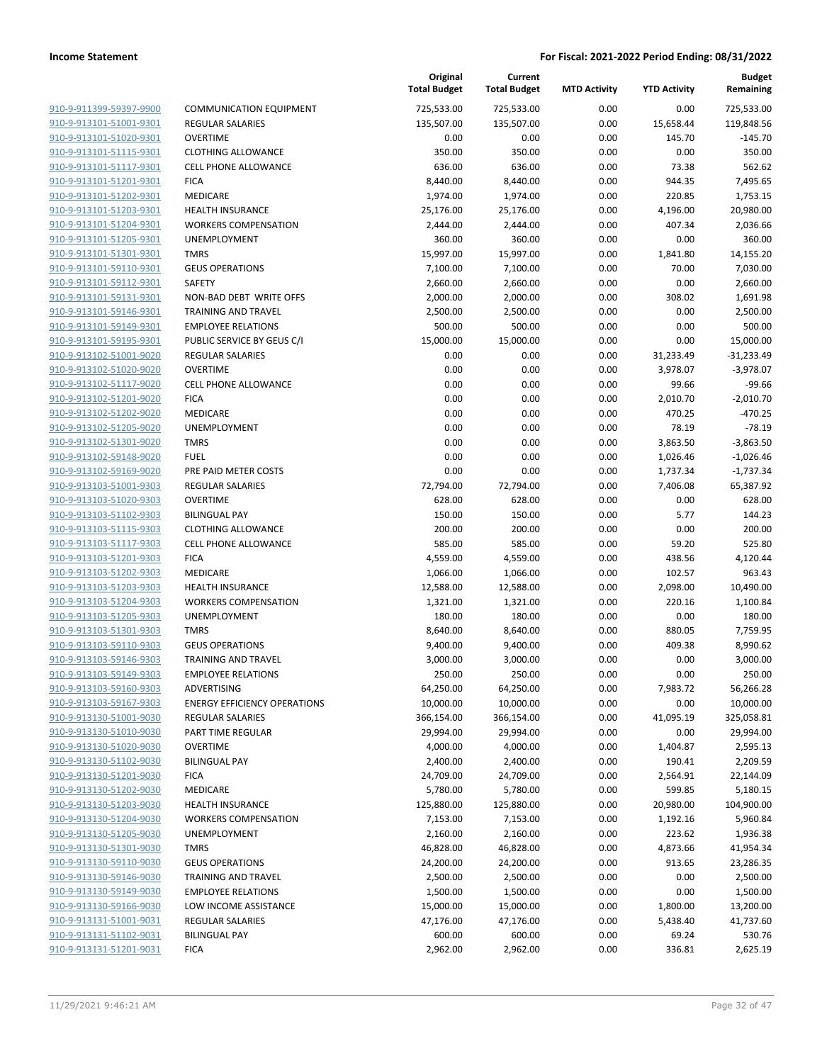| 910-9-911399-59397-9900        | $\overline{\phantom{a}}$ |
|--------------------------------|--------------------------|
| 910-9-913101-51001-9301        | f                        |
| 910-9-913101-51020-9301        | $\overline{\mathbf{C}}$  |
| 910-9-913101-51115-9301        | $\overline{\phantom{a}}$ |
|                                | $\overline{\phantom{a}}$ |
| 910-9-913101-51117-9301        | f                        |
| 910-9-913101-51201-9301        |                          |
| 910-9-913101-51202-9301        | ľ                        |
| 910-9-913101-51203-9301        | ŀ                        |
| 910-9-913101-51204-9301        | ١                        |
| 910-9-913101-51205-9301        | l                        |
| 910-9-913101-51301-9301        | J                        |
| 910-9-913101-59110-9301        | $\mathbf$                |
| 910-9-913101-59112-9301        | Š                        |
| 910-9-913101-59131-9301        | ľ                        |
| 910-9-913101-59146-9301        | ٦                        |
| <u>910-9-913101-59149-9301</u> | f                        |
| 910-9-913101-59195-9301        | f                        |
| 910-9-913102-51001-9020        | f                        |
| 910-9-913102-51020-9020        | $\overline{\phantom{a}}$ |
|                                | $\overline{\phantom{a}}$ |
| 910-9-913102-51117-9020        | f                        |
| 910-9-913102-51201-9020        |                          |
| 910-9-913102-51202-9020        | ľ                        |
| 910-9-913102-51205-9020        | ι                        |
| 910-9-913102-51301-9020        | J                        |
| 910-9-913102-59148-9020        | f                        |
| <u>910-9-913102-59169-9020</u> | f                        |
| 910-9-913103-51001-9303        | f                        |
| 910-9-913103-51020-9303        | $\mathbf \zeta$          |
| 910-9-913103-51102-9303        | E                        |
| 910-9-913103-51115-9303        | $\overline{\phantom{a}}$ |
| 910-9-913103-51117-9303        | $\overline{\phantom{a}}$ |
| 910-9-913103-51201-9303        | f                        |
| 910-9-913103-51202-9303        | ľ                        |
| 910-9-913103-51203-9303        | ŀ                        |
| 910-9-913103-51204-9303        | ١                        |
| <u>910-9-913103-51205-9303</u> | l                        |
| 910-9-913103-51301-9303        | J                        |
| 910-9-913103-59110-9303        | $\overline{\phantom{a}}$ |
| 910-9-913103-59146-9303        | Ī                        |
|                                |                          |
| 910-9-913103-59149-9303        | f                        |
| 910-9-913103-59160-9303        | l                        |
| 910-9-913103-59167-9303        | E                        |
| 910-9-913130-51001-9030        | F                        |
| 910-9-913130-51010-9030        | F                        |
| 910-9-913130-51020-9030        | (                        |
| <u>910-9-913130-51102-9030</u> | E                        |
| 910-9-913130-51201-9030        | F                        |
| 910-9-913130-51202-9030        | ľ                        |
| 910-9-913130-51203-9030        | ŀ                        |
| 910-9-913130-51204-9030        |                          |
| 910-9-913130-51205-9030        | ι                        |
| 910-9-913130-51301-9030        | ٦                        |
| 910-9-913130-59110-9030        | $\mathbf \zeta$          |
| 910-9-913130-59146-9030        | 1                        |
| 910-9-913130-59149-9030        | E                        |
| <u>910-9-913130-59166-9030</u> | l                        |
| 910-9-913131-51001-9031        | F                        |
|                                |                          |
| 910-9-913131-51102-9031        | E                        |
| 910-9-913131-51201-9031        | F                        |

|                         |                                     | Original<br><b>Total Budget</b> | Current<br><b>Total Budget</b> | <b>MTD Activity</b> | <b>YTD Activity</b> | Budget<br>Remaining |
|-------------------------|-------------------------------------|---------------------------------|--------------------------------|---------------------|---------------------|---------------------|
| 910-9-911399-59397-9900 | <b>COMMUNICATION EQUIPMENT</b>      | 725,533.00                      | 725,533.00                     | 0.00                | 0.00                | 725,533.00          |
| 910-9-913101-51001-9301 | REGULAR SALARIES                    | 135,507.00                      | 135,507.00                     | 0.00                | 15,658.44           | 119,848.56          |
| 910-9-913101-51020-9301 | <b>OVERTIME</b>                     | 0.00                            | 0.00                           | 0.00                | 145.70              | $-145.70$           |
| 910-9-913101-51115-9301 | <b>CLOTHING ALLOWANCE</b>           | 350.00                          | 350.00                         | 0.00                | 0.00                | 350.00              |
| 910-9-913101-51117-9301 | <b>CELL PHONE ALLOWANCE</b>         | 636.00                          | 636.00                         | 0.00                | 73.38               | 562.62              |
| 910-9-913101-51201-9301 | <b>FICA</b>                         | 8,440.00                        | 8,440.00                       | 0.00                | 944.35              | 7,495.65            |
| 910-9-913101-51202-9301 | MEDICARE                            | 1,974.00                        | 1,974.00                       | 0.00                | 220.85              | 1,753.15            |
| 910-9-913101-51203-9301 | <b>HEALTH INSURANCE</b>             | 25,176.00                       | 25,176.00                      | 0.00                | 4,196.00            | 20,980.00           |
| 910-9-913101-51204-9301 | <b>WORKERS COMPENSATION</b>         | 2,444.00                        | 2,444.00                       | 0.00                | 407.34              | 2,036.66            |
| 910-9-913101-51205-9301 | <b>UNEMPLOYMENT</b>                 | 360.00                          | 360.00                         | 0.00                | 0.00                | 360.00              |
| 910-9-913101-51301-9301 | <b>TMRS</b>                         | 15,997.00                       | 15,997.00                      | 0.00                | 1,841.80            | 14,155.20           |
| 910-9-913101-59110-9301 | <b>GEUS OPERATIONS</b>              | 7,100.00                        | 7,100.00                       | 0.00                | 70.00               | 7,030.00            |
| 910-9-913101-59112-9301 | SAFETY                              | 2,660.00                        | 2,660.00                       | 0.00                | 0.00                | 2,660.00            |
| 910-9-913101-59131-9301 | NON-BAD DEBT WRITE OFFS             | 2,000.00                        | 2,000.00                       | 0.00                | 308.02              | 1,691.98            |
| 910-9-913101-59146-9301 | <b>TRAINING AND TRAVEL</b>          | 2,500.00                        | 2,500.00                       | 0.00                | 0.00                | 2,500.00            |
| 910-9-913101-59149-9301 | <b>EMPLOYEE RELATIONS</b>           | 500.00                          | 500.00                         | 0.00                | 0.00                | 500.00              |
| 910-9-913101-59195-9301 | PUBLIC SERVICE BY GEUS C/I          | 15,000.00                       | 15,000.00                      | 0.00                | 0.00                | 15,000.00           |
| 910-9-913102-51001-9020 | REGULAR SALARIES                    | 0.00                            | 0.00                           | 0.00                | 31,233.49           | $-31,233.49$        |
| 910-9-913102-51020-9020 | <b>OVERTIME</b>                     | 0.00                            | 0.00                           | 0.00                | 3,978.07            | $-3,978.07$         |
| 910-9-913102-51117-9020 | <b>CELL PHONE ALLOWANCE</b>         | 0.00                            | 0.00                           | 0.00                | 99.66               | $-99.66$            |
| 910-9-913102-51201-9020 | <b>FICA</b>                         | 0.00                            | 0.00                           | 0.00                | 2,010.70            | $-2,010.70$         |
| 910-9-913102-51202-9020 | MEDICARE                            | 0.00                            | 0.00                           | 0.00                | 470.25              | $-470.25$           |
| 910-9-913102-51205-9020 | UNEMPLOYMENT                        | 0.00                            | 0.00                           | 0.00                | 78.19               | $-78.19$            |
| 910-9-913102-51301-9020 | <b>TMRS</b>                         | 0.00                            | 0.00                           | 0.00                | 3,863.50            | $-3,863.50$         |
| 910-9-913102-59148-9020 | <b>FUEL</b>                         | 0.00                            | 0.00                           | 0.00                | 1,026.46            | $-1,026.46$         |
| 910-9-913102-59169-9020 | PRE PAID METER COSTS                | 0.00                            | 0.00                           | 0.00                | 1,737.34            | $-1,737.34$         |
| 910-9-913103-51001-9303 | <b>REGULAR SALARIES</b>             | 72,794.00                       | 72,794.00                      | 0.00                | 7,406.08            | 65,387.92           |
| 910-9-913103-51020-9303 | <b>OVERTIME</b>                     | 628.00                          | 628.00                         | 0.00                | 0.00                | 628.00              |
| 910-9-913103-51102-9303 | <b>BILINGUAL PAY</b>                | 150.00                          | 150.00                         | 0.00                | 5.77                | 144.23              |
| 910-9-913103-51115-9303 | <b>CLOTHING ALLOWANCE</b>           | 200.00                          | 200.00                         | 0.00                | 0.00                | 200.00              |
| 910-9-913103-51117-9303 | <b>CELL PHONE ALLOWANCE</b>         | 585.00                          | 585.00                         | 0.00                | 59.20               | 525.80              |
| 910-9-913103-51201-9303 | <b>FICA</b>                         | 4,559.00                        | 4,559.00                       | 0.00                | 438.56              | 4,120.44            |
| 910-9-913103-51202-9303 | MEDICARE                            | 1,066.00                        | 1,066.00                       | 0.00                | 102.57              | 963.43              |
| 910-9-913103-51203-9303 | <b>HEALTH INSURANCE</b>             | 12,588.00                       | 12,588.00                      | 0.00                | 2,098.00            | 10,490.00           |
| 910-9-913103-51204-9303 | <b>WORKERS COMPENSATION</b>         | 1,321.00                        | 1,321.00                       | 0.00                | 220.16              | 1,100.84            |
| 910-9-913103-51205-9303 | UNEMPLOYMENT                        | 180.00                          | 180.00                         | 0.00                | 0.00                | 180.00              |
| 910-9-913103-51301-9303 | <b>TMRS</b>                         | 8,640.00                        | 8,640.00                       | 0.00                | 880.05              | 7,759.95            |
| 910-9-913103-59110-9303 | <b>GEUS OPERATIONS</b>              | 9,400.00                        | 9,400.00                       | 0.00                | 409.38              | 8,990.62            |
| 910-9-913103-59146-9303 | <b>TRAINING AND TRAVEL</b>          | 3,000.00                        | 3,000.00                       | 0.00                | 0.00                | 3,000.00            |
| 910-9-913103-59149-9303 | <b>EMPLOYEE RELATIONS</b>           | 250.00                          | 250.00                         | 0.00                | 0.00                | 250.00              |
| 910-9-913103-59160-9303 | ADVERTISING                         | 64,250.00                       | 64,250.00                      | 0.00                | 7,983.72            | 56,266.28           |
| 910-9-913103-59167-9303 | <b>ENERGY EFFICIENCY OPERATIONS</b> | 10,000.00                       | 10,000.00                      | 0.00                | 0.00                | 10,000.00           |
| 910-9-913130-51001-9030 | REGULAR SALARIES                    | 366,154.00                      | 366,154.00                     | 0.00                | 41,095.19           | 325,058.81          |
| 910-9-913130-51010-9030 | PART TIME REGULAR                   | 29,994.00                       | 29,994.00                      | 0.00                | 0.00                | 29,994.00           |
| 910-9-913130-51020-9030 | <b>OVERTIME</b>                     | 4,000.00                        | 4,000.00                       | 0.00                | 1,404.87            | 2,595.13            |
| 910-9-913130-51102-9030 | <b>BILINGUAL PAY</b>                | 2,400.00                        | 2,400.00                       | 0.00                | 190.41              | 2,209.59            |
| 910-9-913130-51201-9030 | <b>FICA</b>                         | 24,709.00                       | 24,709.00                      | 0.00                | 2,564.91            | 22,144.09           |
| 910-9-913130-51202-9030 | MEDICARE                            | 5,780.00                        | 5,780.00                       | 0.00                | 599.85              | 5,180.15            |
| 910-9-913130-51203-9030 | <b>HEALTH INSURANCE</b>             | 125,880.00                      | 125,880.00                     | 0.00                | 20,980.00           | 104,900.00          |
| 910-9-913130-51204-9030 | <b>WORKERS COMPENSATION</b>         | 7,153.00                        | 7,153.00                       | 0.00                | 1,192.16            | 5,960.84            |
| 910-9-913130-51205-9030 | UNEMPLOYMENT                        | 2,160.00                        | 2,160.00                       | 0.00                | 223.62              | 1,936.38            |
| 910-9-913130-51301-9030 | <b>TMRS</b>                         | 46,828.00                       | 46,828.00                      | 0.00                | 4,873.66            | 41,954.34           |
| 910-9-913130-59110-9030 | <b>GEUS OPERATIONS</b>              | 24,200.00                       | 24,200.00                      | 0.00                | 913.65              | 23,286.35           |
| 910-9-913130-59146-9030 | <b>TRAINING AND TRAVEL</b>          | 2,500.00                        | 2,500.00                       | 0.00                | 0.00                | 2,500.00            |
| 910-9-913130-59149-9030 | <b>EMPLOYEE RELATIONS</b>           | 1,500.00                        | 1,500.00                       | 0.00                | 0.00                | 1,500.00            |
| 910-9-913130-59166-9030 | LOW INCOME ASSISTANCE               | 15,000.00                       | 15,000.00                      | 0.00                | 1,800.00            | 13,200.00           |
| 910-9-913131-51001-9031 | REGULAR SALARIES                    | 47,176.00                       | 47,176.00                      | 0.00                | 5,438.40            | 41,737.60           |
| 910-9-913131-51102-9031 | <b>BILINGUAL PAY</b>                | 600.00                          | 600.00                         | 0.00                | 69.24               | 530.76              |
| 910-9-913131-51201-9031 | <b>FICA</b>                         | 2,962.00                        | 2,962.00                       | 0.00                | 336.81              | 2,625.19            |
|                         |                                     |                                 |                                |                     |                     |                     |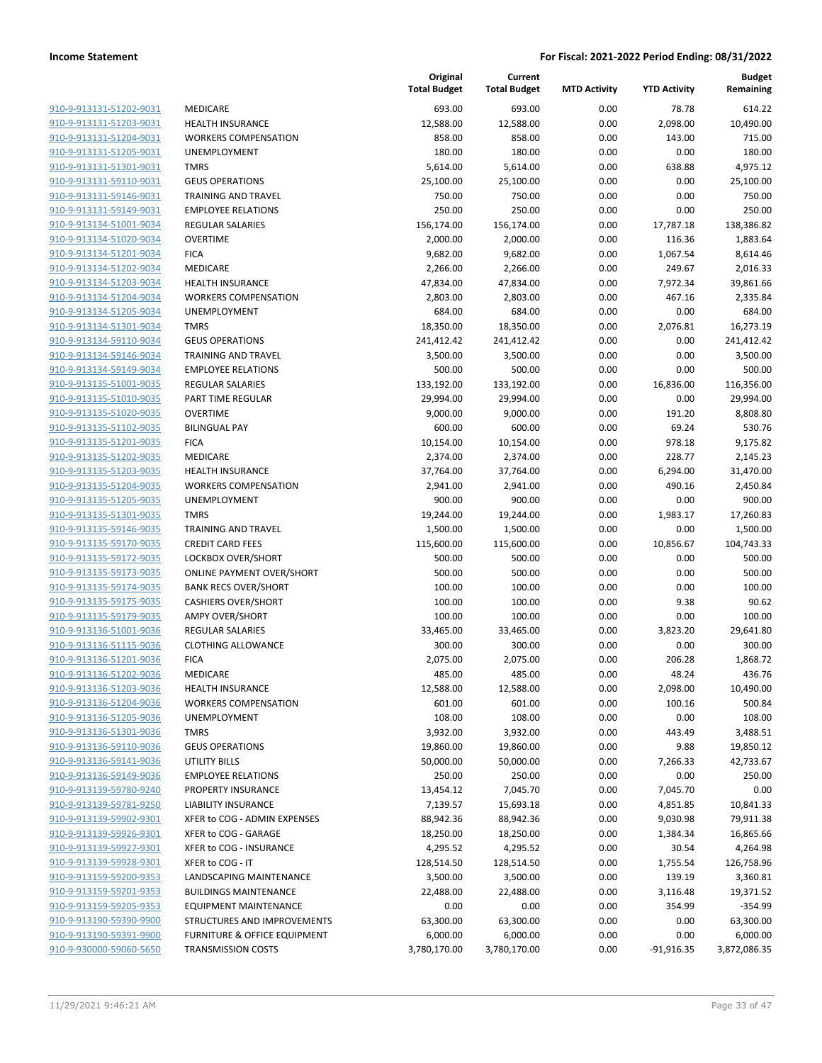| <u>910-9-913131-51202-9031</u> |
|--------------------------------|
| 910-9-913131-51203-9031        |
| 910-9-913131-51204-9031        |
| 910-9-913131-51205-9031        |
| <u>910-9-913131-51301-9031</u> |
| <u>910-9-913131-59110-9031</u> |
| <u>910-9-913131-59146-9031</u> |
| 910-9-913131-59149-9031        |
| 910-9-913134-51001-9034        |
| 910-9-913134-51020-9034        |
| <u>910-9-913134-51201-9034</u> |
| 910-9-913134-51202-9034        |
| 910-9-913134-51203-9034        |
| 910-9-913134-51204-9034        |
| 910-9-913134-51205-9034        |
| <u>910-9-913134-51301-9034</u> |
| <u>910-9-913134-59110-9034</u> |
| 910-9-913134-59146-9034        |
| 910-9-913134-59149-9034        |
| <u>910-9-913135-51001-9035</u> |
| 910-9-913135-51010-9035        |
| 910-9-913135-51020-9035        |
| 910-9-913135-51102-9035        |
| 910-9-913135-51201-9035        |
| 910-9-913135-51202-9035        |
| <u>910-9-913135-51203-9035</u> |
| 910-9-913135-51204-9035        |
| 910-9-913135-51205-9035        |
| 910-9-913135-51301-9035        |
| <u>910-9-913135-59146-9035</u> |
| <u>910-9-913135-59170-9035</u> |
| 910-9-913135-59172-9035        |
| 910-9-913135-59173-9035        |
| 910-9-913135-59174-9035        |
|                                |
| <u>910-9-913135-59175-9035</u> |
| <u>910-9-913135-59179-9035</u> |
| <u>910-9-913136-51001-9036</u> |
| 910-9-913136-51115-9036        |
| 910-9-913136-51201-9036        |
| 910-9-913136-51202-9036        |
| 910-9-913136-51203-9036        |
| <u>910-9-913136-51204-9036</u> |
| 910-9-913136-51205-9036        |
| 910-9-913136-51301-9036        |
| <u>910-9-913136-59110-9036</u> |
| 910-9-913136-59141-9036        |
| <u>910-9-913136-59149-9036</u> |
| 910-9-913139-59780-9240        |
| <u>910-9-913139-59781-9250</u> |
| <u>910-9-913139-59902-9301</u> |
| 910-9-913139-59926-9301        |
| <u>910-9-913139-59927-9301</u> |
| <u>910-9-913139-59928-9301</u> |
| <u>910-9-913159-59200-9353</u> |
| <u>910-9-913159-59201-9353</u> |
| <u>910-9-913159-59205-9353</u> |
| <u>910-9-913190-59390-9900</u> |
| <u>910-9-913190-59391-9900</u> |
| <u>910-9-930000-59060-5650</u> |
|                                |

|                                                    |                                         | Original<br><b>Total Budget</b> | Current<br><b>Total Budget</b> | <b>MTD Activity</b> | <b>YTD Activity</b> | <b>Budget</b><br>Remaining |
|----------------------------------------------------|-----------------------------------------|---------------------------------|--------------------------------|---------------------|---------------------|----------------------------|
| 910-9-913131-51202-9031                            | <b>MEDICARE</b>                         | 693.00                          | 693.00                         | 0.00                | 78.78               | 614.22                     |
| 910-9-913131-51203-9031                            | <b>HEALTH INSURANCE</b>                 | 12,588.00                       | 12,588.00                      | 0.00                | 2,098.00            | 10,490.00                  |
| 910-9-913131-51204-9031                            | <b>WORKERS COMPENSATION</b>             | 858.00                          | 858.00                         | 0.00                | 143.00              | 715.00                     |
| 910-9-913131-51205-9031                            | UNEMPLOYMENT                            | 180.00                          | 180.00                         | 0.00                | 0.00                | 180.00                     |
| 910-9-913131-51301-9031                            | <b>TMRS</b>                             | 5,614.00                        | 5,614.00                       | 0.00                | 638.88              | 4,975.12                   |
| 910-9-913131-59110-9031                            | <b>GEUS OPERATIONS</b>                  | 25,100.00                       | 25,100.00                      | 0.00                | 0.00                | 25,100.00                  |
| 910-9-913131-59146-9031                            | <b>TRAINING AND TRAVEL</b>              | 750.00                          | 750.00                         | 0.00                | 0.00                | 750.00                     |
| 910-9-913131-59149-9031                            | <b>EMPLOYEE RELATIONS</b>               | 250.00                          | 250.00                         | 0.00                | 0.00                | 250.00                     |
| 910-9-913134-51001-9034                            | <b>REGULAR SALARIES</b>                 | 156,174.00                      | 156,174.00                     | 0.00                | 17,787.18           | 138,386.82                 |
| 910-9-913134-51020-9034                            | <b>OVERTIME</b>                         | 2,000.00                        | 2,000.00                       | 0.00                | 116.36              | 1,883.64                   |
| 910-9-913134-51201-9034                            | <b>FICA</b>                             | 9,682.00                        | 9,682.00                       | 0.00                | 1,067.54            | 8,614.46                   |
| 910-9-913134-51202-9034                            | MEDICARE                                | 2,266.00                        | 2,266.00                       | 0.00                | 249.67              | 2,016.33                   |
| 910-9-913134-51203-9034                            | <b>HEALTH INSURANCE</b>                 | 47,834.00                       | 47,834.00                      | 0.00                | 7,972.34            | 39,861.66                  |
| 910-9-913134-51204-9034                            | <b>WORKERS COMPENSATION</b>             | 2,803.00                        | 2,803.00                       | 0.00                | 467.16              | 2,335.84                   |
| 910-9-913134-51205-9034                            | UNEMPLOYMENT                            | 684.00                          | 684.00                         | 0.00                | 0.00                | 684.00                     |
| 910-9-913134-51301-9034                            | <b>TMRS</b>                             | 18,350.00                       | 18,350.00                      | 0.00                | 2,076.81            | 16,273.19                  |
| 910-9-913134-59110-9034                            | <b>GEUS OPERATIONS</b>                  | 241,412.42                      | 241,412.42                     | 0.00                | 0.00                | 241,412.42                 |
| 910-9-913134-59146-9034                            | <b>TRAINING AND TRAVEL</b>              | 3,500.00                        | 3,500.00                       | 0.00                | 0.00                | 3,500.00                   |
| 910-9-913134-59149-9034                            | <b>EMPLOYEE RELATIONS</b>               | 500.00                          | 500.00                         | 0.00                | 0.00                | 500.00                     |
| 910-9-913135-51001-9035                            | <b>REGULAR SALARIES</b>                 | 133,192.00                      | 133,192.00                     | 0.00                | 16,836.00           | 116,356.00                 |
| 910-9-913135-51010-9035                            | PART TIME REGULAR                       | 29,994.00                       | 29,994.00                      | 0.00                | 0.00                | 29,994.00                  |
| 910-9-913135-51020-9035                            | <b>OVERTIME</b>                         | 9,000.00                        | 9,000.00                       | 0.00                | 191.20              | 8,808.80                   |
| 910-9-913135-51102-9035                            | <b>BILINGUAL PAY</b>                    | 600.00                          | 600.00                         | 0.00                | 69.24               | 530.76                     |
| 910-9-913135-51201-9035                            | <b>FICA</b><br><b>MEDICARE</b>          | 10,154.00                       | 10,154.00                      | 0.00                | 978.18<br>228.77    | 9,175.82                   |
| 910-9-913135-51202-9035<br>910-9-913135-51203-9035 | <b>HEALTH INSURANCE</b>                 | 2,374.00<br>37,764.00           | 2,374.00<br>37,764.00          | 0.00<br>0.00        | 6,294.00            | 2,145.23<br>31,470.00      |
| 910-9-913135-51204-9035                            | <b>WORKERS COMPENSATION</b>             | 2,941.00                        | 2,941.00                       | 0.00                | 490.16              | 2,450.84                   |
| 910-9-913135-51205-9035                            | UNEMPLOYMENT                            | 900.00                          | 900.00                         | 0.00                | 0.00                | 900.00                     |
| 910-9-913135-51301-9035                            | <b>TMRS</b>                             | 19,244.00                       | 19,244.00                      | 0.00                | 1,983.17            | 17,260.83                  |
| 910-9-913135-59146-9035                            | <b>TRAINING AND TRAVEL</b>              | 1,500.00                        | 1,500.00                       | 0.00                | 0.00                | 1,500.00                   |
| 910-9-913135-59170-9035                            | <b>CREDIT CARD FEES</b>                 | 115,600.00                      | 115,600.00                     | 0.00                | 10,856.67           | 104,743.33                 |
| 910-9-913135-59172-9035                            | LOCKBOX OVER/SHORT                      | 500.00                          | 500.00                         | 0.00                | 0.00                | 500.00                     |
| 910-9-913135-59173-9035                            | <b>ONLINE PAYMENT OVER/SHORT</b>        | 500.00                          | 500.00                         | 0.00                | 0.00                | 500.00                     |
| 910-9-913135-59174-9035                            | <b>BANK RECS OVER/SHORT</b>             | 100.00                          | 100.00                         | 0.00                | 0.00                | 100.00                     |
| 910-9-913135-59175-9035                            | <b>CASHIERS OVER/SHORT</b>              | 100.00                          | 100.00                         | 0.00                | 9.38                | 90.62                      |
| 910-9-913135-59179-9035                            | <b>AMPY OVER/SHORT</b>                  | 100.00                          | 100.00                         | 0.00                | 0.00                | 100.00                     |
| 910-9-913136-51001-9036                            | <b>REGULAR SALARIES</b>                 | 33,465.00                       | 33,465.00                      | 0.00                | 3,823.20            | 29,641.80                  |
| 910-9-913136-51115-9036                            | <b>CLOTHING ALLOWANCE</b>               | 300.00                          | 300.00                         | 0.00                | 0.00                | 300.00                     |
| 910-9-913136-51201-9036                            | <b>FICA</b>                             | 2,075.00                        | 2,075.00                       | 0.00                | 206.28              | 1,868.72                   |
| 910-9-913136-51202-9036                            | MEDICARE                                | 485.00                          | 485.00                         | 0.00                | 48.24               | 436.76                     |
| 910-9-913136-51203-9036                            | <b>HEALTH INSURANCE</b>                 | 12,588.00                       | 12,588.00                      | 0.00                | 2,098.00            | 10,490.00                  |
| 910-9-913136-51204-9036                            | <b>WORKERS COMPENSATION</b>             | 601.00                          | 601.00                         | 0.00                | 100.16              | 500.84                     |
| 910-9-913136-51205-9036                            | UNEMPLOYMENT                            | 108.00                          | 108.00                         | 0.00                | 0.00                | 108.00                     |
| 910-9-913136-51301-9036                            | <b>TMRS</b>                             | 3,932.00                        | 3,932.00                       | 0.00                | 443.49              | 3,488.51                   |
| 910-9-913136-59110-9036                            | <b>GEUS OPERATIONS</b>                  | 19,860.00                       | 19,860.00                      | 0.00                | 9.88                | 19,850.12                  |
| 910-9-913136-59141-9036                            | <b>UTILITY BILLS</b>                    | 50,000.00                       | 50,000.00                      | 0.00                | 7,266.33            | 42,733.67                  |
| 910-9-913136-59149-9036                            | <b>EMPLOYEE RELATIONS</b>               | 250.00                          | 250.00                         | 0.00                | 0.00                | 250.00                     |
| 910-9-913139-59780-9240                            | PROPERTY INSURANCE                      | 13,454.12                       | 7,045.70                       | 0.00                | 7,045.70            | 0.00                       |
| 910-9-913139-59781-9250                            | <b>LIABILITY INSURANCE</b>              | 7,139.57                        | 15,693.18                      | 0.00                | 4,851.85            | 10,841.33                  |
| 910-9-913139-59902-9301                            | XFER to COG - ADMIN EXPENSES            | 88,942.36                       | 88,942.36                      | 0.00                | 9,030.98            | 79,911.38                  |
| 910-9-913139-59926-9301                            | XFER to COG - GARAGE                    | 18,250.00                       | 18,250.00                      | 0.00                | 1,384.34            | 16,865.66                  |
| 910-9-913139-59927-9301                            | XFER to COG - INSURANCE                 | 4,295.52                        | 4,295.52                       | 0.00                | 30.54               | 4,264.98                   |
| 910-9-913139-59928-9301                            | XFER to COG - IT                        | 128,514.50                      | 128,514.50                     | 0.00                | 1,755.54            | 126,758.96                 |
| 910-9-913159-59200-9353                            | LANDSCAPING MAINTENANCE                 | 3,500.00                        | 3,500.00                       | 0.00                | 139.19              | 3,360.81                   |
| 910-9-913159-59201-9353                            | <b>BUILDINGS MAINTENANCE</b>            | 22,488.00                       | 22,488.00                      | 0.00                | 3,116.48            | 19,371.52                  |
| 910-9-913159-59205-9353                            | <b>EQUIPMENT MAINTENANCE</b>            | 0.00                            | 0.00                           | 0.00                | 354.99              | $-354.99$                  |
| 910-9-913190-59390-9900                            | STRUCTURES AND IMPROVEMENTS             | 63,300.00                       | 63,300.00                      | 0.00                | 0.00                | 63,300.00                  |
| 910-9-913190-59391-9900                            | <b>FURNITURE &amp; OFFICE EQUIPMENT</b> | 6,000.00                        | 6,000.00                       | 0.00                | 0.00                | 6,000.00                   |
| 910-9-930000-59060-5650                            | <b>TRANSMISSION COSTS</b>               | 3,780,170.00                    | 3,780,170.00                   | 0.00                | $-91,916.35$        | 3,872,086.35               |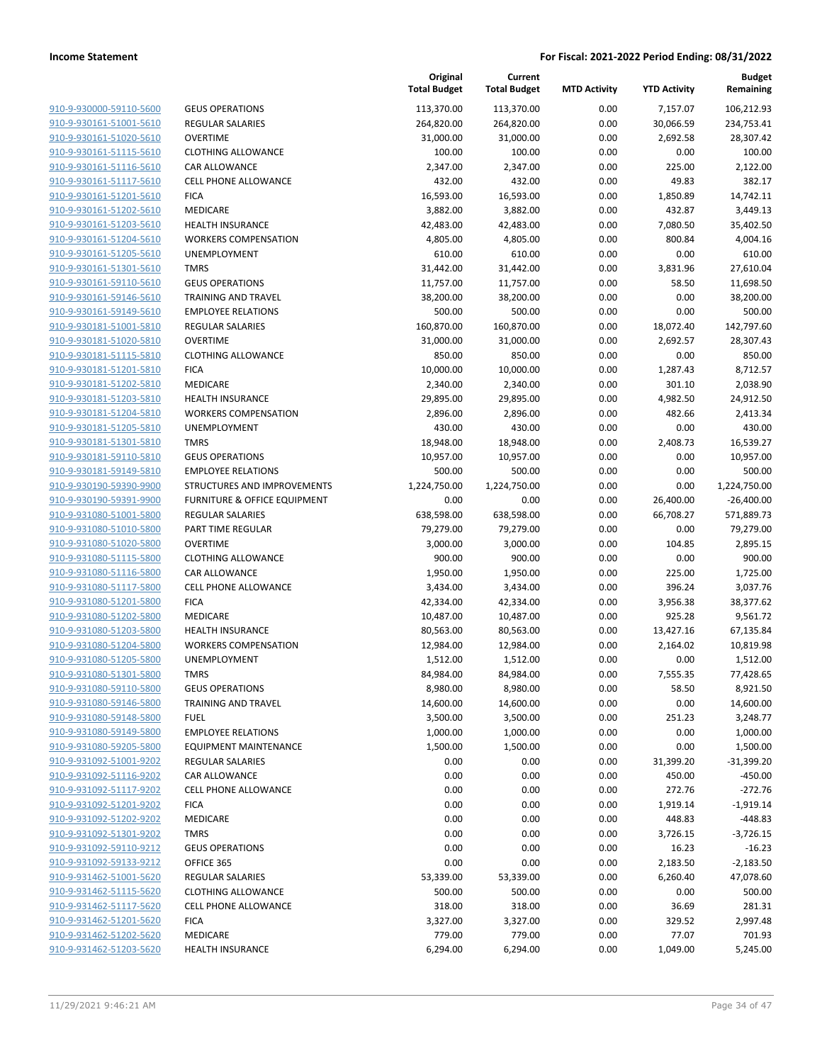| 910-9-930000-59110-5600 | GEUS        |
|-------------------------|-------------|
| 910-9-930161-51001-5610 | REGL        |
| 910-9-930161-51020-5610 | <b>OVER</b> |
| 910-9-930161-51115-5610 | <b>CLOT</b> |
| 910-9-930161-51116-5610 | CAR /       |
|                         |             |
| 910-9-930161-51117-5610 | <b>CELL</b> |
| 910-9-930161-51201-5610 | <b>FICA</b> |
| 910-9-930161-51202-5610 | <b>MEDI</b> |
| 910-9-930161-51203-5610 | <b>HEAL</b> |
| 910-9-930161-51204-5610 | <b>WOR</b>  |
| 910-9-930161-51205-5610 | <b>UNEN</b> |
| 910-9-930161-51301-5610 | <b>TMRS</b> |
| 910-9-930161-59110-5610 | <b>GEUS</b> |
| 910-9-930161-59146-5610 | TRAIN       |
| 910-9-930161-59149-5610 | EMPL        |
| 910-9-930181-51001-5810 | REGU        |
| 910-9-930181-51020-5810 | <b>OVER</b> |
| 910-9-930181-51115-5810 | <b>CLOT</b> |
| 910-9-930181-51201-5810 | <b>FICA</b> |
| 910-9-930181-51202-5810 | <b>MEDI</b> |
| 910-9-930181-51203-5810 | <b>HEAL</b> |
| 910-9-930181-51204-5810 | <b>WOR</b>  |
| 910-9-930181-51205-5810 | <b>UNEN</b> |
| 910-9-930181-51301-5810 | <b>TMRS</b> |
|                         |             |
| 910-9-930181-59110-5810 | <b>GEUS</b> |
| 910-9-930181-59149-5810 | <b>EMPL</b> |
| 910-9-930190-59390-9900 | <b>STRU</b> |
| 910-9-930190-59391-9900 | <b>FURN</b> |
| 910-9-931080-51001-5800 | REGU        |
| 910-9-931080-51010-5800 | PART        |
| 910-9-931080-51020-5800 | OVER        |
| 910-9-931080-51115-5800 | <b>CLOT</b> |
| 910-9-931080-51116-5800 | CAR /       |
| 910-9-931080-51117-5800 | <b>CELL</b> |
| 910-9-931080-51201-5800 | FICA        |
| 910-9-931080-51202-5800 | MEDI        |
| 910-9-931080-51203-5800 | <b>HEAL</b> |
| 910-9-931080-51204-5800 | <b>WOR</b>  |
| 910-9-931080-51205-5800 | <b>UNEN</b> |
| 910-9-931080-51301-5800 | <b>TMRS</b> |
| 910-9-931080-59110-5800 | <b>GEUS</b> |
| 910-9-931080-59146-5800 | TRAIM       |
| 910-9-931080-59148-5800 | <b>FUEL</b> |
| 910-9-931080-59149-5800 | EMPL        |
| 910-9-931080-59205-5800 | EQUI        |
| 910-9-931092-51001-9202 | REGL        |
| 910-9-931092-51116-9202 | CAR /       |
| 910-9-931092-51117-9202 | <b>CELL</b> |
| 910-9-931092-51201-9202 | <b>FICA</b> |
| 910-9-931092-51202-9202 | <b>MEDI</b> |
|                         | <b>TMRS</b> |
| 910-9-931092-51301-9202 |             |
| 910-9-931092-59110-9212 | GEUS        |
| 910-9-931092-59133-9212 | <b>OFFI</b> |
| 910-9-931462-51001-5620 | REGU        |
| 910-9-931462-51115-5620 | CLOT        |
| 910-9-931462-51117-5620 | <b>CELL</b> |
| 910-9-931462-51201-5620 | <b>FICA</b> |
| 910-9-931462-51202-5620 | MEDI        |
| 910-9-931462-51203-5620 | <b>HEAL</b> |
|                         |             |

|                         |                              | Original<br><b>Total Budget</b> | Current<br><b>Total Budget</b> | <b>MTD Activity</b> | <b>YTD Activity</b> | <b>Budget</b><br>Remaining |
|-------------------------|------------------------------|---------------------------------|--------------------------------|---------------------|---------------------|----------------------------|
| 910-9-930000-59110-5600 | <b>GEUS OPERATIONS</b>       | 113,370.00                      | 113,370.00                     | 0.00                | 7,157.07            | 106,212.93                 |
| 910-9-930161-51001-5610 | <b>REGULAR SALARIES</b>      | 264,820.00                      | 264,820.00                     | 0.00                | 30,066.59           | 234,753.41                 |
| 910-9-930161-51020-5610 | <b>OVERTIME</b>              | 31,000.00                       | 31,000.00                      | 0.00                | 2,692.58            | 28,307.42                  |
| 910-9-930161-51115-5610 | <b>CLOTHING ALLOWANCE</b>    | 100.00                          | 100.00                         | 0.00                | 0.00                | 100.00                     |
| 910-9-930161-51116-5610 | <b>CAR ALLOWANCE</b>         | 2,347.00                        | 2,347.00                       | 0.00                | 225.00              | 2,122.00                   |
| 910-9-930161-51117-5610 | <b>CELL PHONE ALLOWANCE</b>  | 432.00                          | 432.00                         | 0.00                | 49.83               | 382.17                     |
| 910-9-930161-51201-5610 | <b>FICA</b>                  | 16,593.00                       | 16,593.00                      | 0.00                | 1,850.89            | 14,742.11                  |
| 910-9-930161-51202-5610 | MEDICARE                     | 3,882.00                        | 3,882.00                       | 0.00                | 432.87              | 3,449.13                   |
| 910-9-930161-51203-5610 | <b>HEALTH INSURANCE</b>      | 42,483.00                       | 42,483.00                      | 0.00                | 7,080.50            | 35,402.50                  |
| 910-9-930161-51204-5610 | <b>WORKERS COMPENSATION</b>  | 4,805.00                        | 4,805.00                       | 0.00                | 800.84              | 4,004.16                   |
| 910-9-930161-51205-5610 | UNEMPLOYMENT                 | 610.00                          | 610.00                         | 0.00                | 0.00                | 610.00                     |
| 910-9-930161-51301-5610 | <b>TMRS</b>                  | 31,442.00                       | 31,442.00                      | 0.00                | 3,831.96            | 27,610.04                  |
| 910-9-930161-59110-5610 | <b>GEUS OPERATIONS</b>       | 11,757.00                       | 11,757.00                      | 0.00                | 58.50               | 11,698.50                  |
| 910-9-930161-59146-5610 | <b>TRAINING AND TRAVEL</b>   | 38,200.00                       | 38,200.00                      | 0.00                | 0.00                | 38,200.00                  |
| 910-9-930161-59149-5610 | <b>EMPLOYEE RELATIONS</b>    | 500.00                          | 500.00                         | 0.00                | 0.00                | 500.00                     |
| 910-9-930181-51001-5810 | <b>REGULAR SALARIES</b>      | 160,870.00                      | 160,870.00                     | 0.00                | 18,072.40           | 142,797.60                 |
| 910-9-930181-51020-5810 | <b>OVERTIME</b>              | 31,000.00                       | 31,000.00                      | 0.00                | 2,692.57            | 28,307.43                  |
| 910-9-930181-51115-5810 | <b>CLOTHING ALLOWANCE</b>    | 850.00                          | 850.00                         | 0.00                | 0.00                | 850.00                     |
| 910-9-930181-51201-5810 | <b>FICA</b>                  | 10,000.00                       | 10,000.00                      | 0.00                | 1,287.43            | 8,712.57                   |
| 910-9-930181-51202-5810 | <b>MEDICARE</b>              | 2,340.00                        | 2,340.00                       | 0.00                | 301.10              | 2,038.90                   |
| 910-9-930181-51203-5810 | <b>HEALTH INSURANCE</b>      | 29,895.00                       | 29,895.00                      | 0.00                | 4,982.50            | 24,912.50                  |
| 910-9-930181-51204-5810 | <b>WORKERS COMPENSATION</b>  | 2,896.00                        | 2,896.00                       | 0.00                | 482.66              | 2,413.34                   |
| 910-9-930181-51205-5810 | UNEMPLOYMENT                 | 430.00                          | 430.00                         | 0.00                | 0.00                | 430.00                     |
| 910-9-930181-51301-5810 | <b>TMRS</b>                  | 18,948.00                       | 18,948.00                      | 0.00                | 2,408.73            | 16,539.27                  |
| 910-9-930181-59110-5810 | <b>GEUS OPERATIONS</b>       | 10,957.00                       | 10,957.00                      | 0.00                | 0.00                | 10,957.00                  |
| 910-9-930181-59149-5810 | <b>EMPLOYEE RELATIONS</b>    | 500.00                          | 500.00                         | 0.00                | 0.00                | 500.00                     |
| 910-9-930190-59390-9900 | STRUCTURES AND IMPROVEMENTS  | 1,224,750.00                    | 1,224,750.00                   | 0.00                | 0.00                | 1,224,750.00               |
| 910-9-930190-59391-9900 | FURNITURE & OFFICE EQUIPMENT | 0.00                            | 0.00                           | 0.00                | 26,400.00           | $-26,400.00$               |
| 910-9-931080-51001-5800 | <b>REGULAR SALARIES</b>      | 638,598.00                      | 638,598.00                     | 0.00                | 66,708.27           | 571,889.73                 |
| 910-9-931080-51010-5800 | PART TIME REGULAR            | 79,279.00                       | 79,279.00                      | 0.00                | 0.00                | 79,279.00                  |
| 910-9-931080-51020-5800 | <b>OVERTIME</b>              | 3,000.00                        | 3,000.00                       | 0.00                | 104.85              | 2,895.15                   |
| 910-9-931080-51115-5800 | <b>CLOTHING ALLOWANCE</b>    | 900.00                          | 900.00                         | 0.00                | 0.00                | 900.00                     |
| 910-9-931080-51116-5800 | CAR ALLOWANCE                | 1,950.00                        | 1,950.00                       | 0.00                | 225.00              | 1,725.00                   |
| 910-9-931080-51117-5800 | CELL PHONE ALLOWANCE         | 3,434.00                        | 3,434.00                       | 0.00                | 396.24              | 3,037.76                   |
| 910-9-931080-51201-5800 | <b>FICA</b>                  | 42,334.00                       | 42,334.00                      | 0.00                | 3,956.38            | 38,377.62                  |
| 910-9-931080-51202-5800 | <b>MEDICARE</b>              | 10,487.00                       | 10,487.00                      | 0.00                | 925.28              | 9,561.72                   |
| 910-9-931080-51203-5800 | HEALTH INSURANCE             | 80,563.00                       | 80,563.00                      | 0.00                | 13,427.16           | 67,135.84                  |
| 910-9-931080-51204-5800 | <b>WORKERS COMPENSATION</b>  | 12,984.00                       | 12,984.00                      | 0.00                | 2,164.02            | 10,819.98                  |
| 910-9-931080-51205-5800 | <b>UNEMPLOYMENT</b>          | 1,512.00                        | 1,512.00                       | 0.00                | 0.00                | 1,512.00                   |
| 910-9-931080-51301-5800 | <b>TMRS</b>                  | 84,984.00                       | 84,984.00                      | 0.00                | 7,555.35            | 77,428.65                  |
| 910-9-931080-59110-5800 | <b>GEUS OPERATIONS</b>       | 8,980.00                        | 8,980.00                       | 0.00                | 58.50               | 8,921.50                   |
| 910-9-931080-59146-5800 | <b>TRAINING AND TRAVEL</b>   | 14,600.00                       | 14,600.00                      | 0.00                | 0.00                | 14,600.00                  |
| 910-9-931080-59148-5800 | <b>FUEL</b>                  | 3,500.00                        | 3,500.00                       | 0.00                | 251.23              | 3,248.77                   |
| 910-9-931080-59149-5800 | <b>EMPLOYEE RELATIONS</b>    | 1,000.00                        | 1,000.00                       | 0.00                | 0.00                | 1,000.00                   |
| 910-9-931080-59205-5800 | EQUIPMENT MAINTENANCE        | 1,500.00                        | 1,500.00                       | 0.00                | 0.00                | 1,500.00                   |
| 910-9-931092-51001-9202 | <b>REGULAR SALARIES</b>      | 0.00                            | 0.00                           | 0.00                | 31,399.20           | $-31,399.20$               |
| 910-9-931092-51116-9202 | CAR ALLOWANCE                | 0.00                            | 0.00                           | 0.00                | 450.00              | $-450.00$                  |
| 910-9-931092-51117-9202 | <b>CELL PHONE ALLOWANCE</b>  | 0.00                            | 0.00                           | 0.00                | 272.76              | $-272.76$                  |
| 910-9-931092-51201-9202 | <b>FICA</b>                  | 0.00                            | 0.00                           | 0.00                | 1,919.14            | $-1,919.14$                |
| 910-9-931092-51202-9202 | MEDICARE                     | 0.00                            | 0.00                           | 0.00                | 448.83              | $-448.83$                  |
| 910-9-931092-51301-9202 | <b>TMRS</b>                  | 0.00                            | 0.00                           | 0.00                | 3,726.15            | $-3,726.15$                |
| 910-9-931092-59110-9212 | <b>GEUS OPERATIONS</b>       | 0.00                            | 0.00                           | 0.00                | 16.23               | $-16.23$                   |
| 910-9-931092-59133-9212 | OFFICE 365                   | 0.00                            | 0.00                           | 0.00                | 2,183.50            | $-2,183.50$                |
| 910-9-931462-51001-5620 | <b>REGULAR SALARIES</b>      | 53,339.00                       | 53,339.00                      | 0.00                | 6,260.40            | 47,078.60                  |
| 910-9-931462-51115-5620 | <b>CLOTHING ALLOWANCE</b>    | 500.00                          | 500.00                         | 0.00                | 0.00                | 500.00                     |
| 910-9-931462-51117-5620 | <b>CELL PHONE ALLOWANCE</b>  | 318.00                          | 318.00                         | 0.00                | 36.69               | 281.31                     |
| 910-9-931462-51201-5620 | <b>FICA</b>                  | 3,327.00                        | 3,327.00                       | 0.00                | 329.52              | 2,997.48                   |
| 910-9-931462-51202-5620 | MEDICARE                     | 779.00                          | 779.00                         | 0.00                | 77.07               | 701.93                     |
| 910-9-931462-51203-5620 | <b>HEALTH INSURANCE</b>      | 6,294.00                        | 6,294.00                       | 0.00                | 1,049.00            | 5,245.00                   |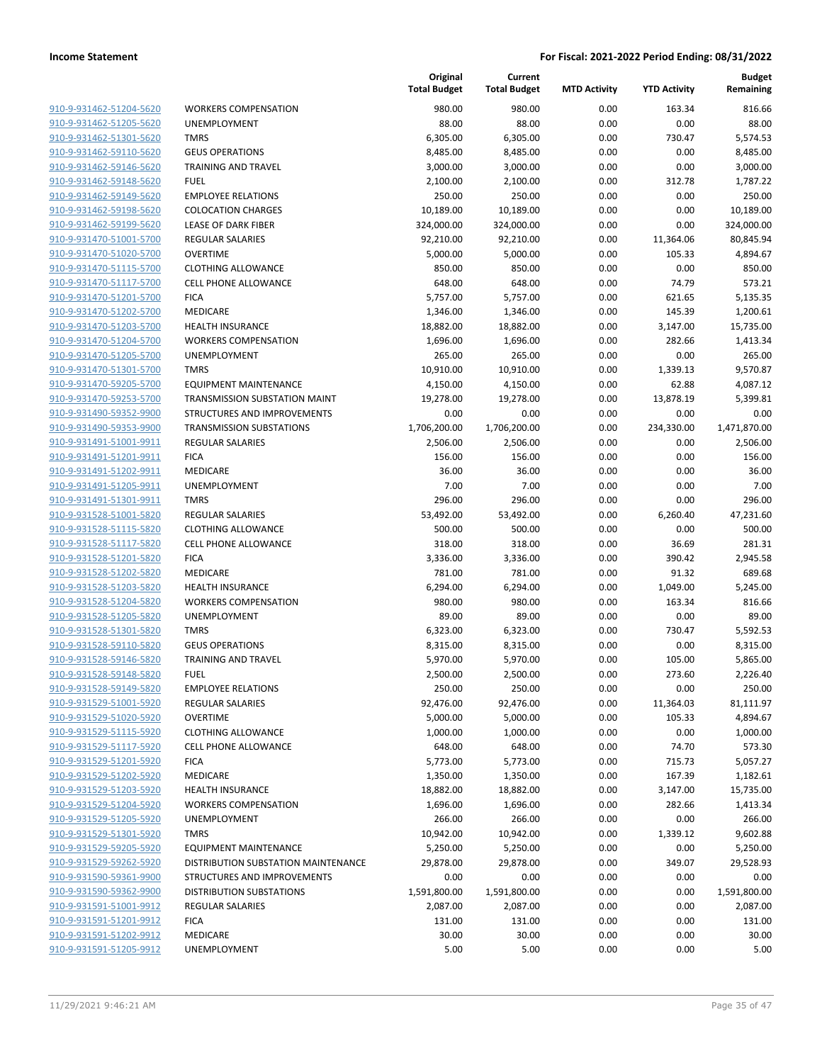| 910-9-931462-51204-5620                            | ٧      |
|----------------------------------------------------|--------|
| 910-9-931462-51205-5620                            | U      |
| 910-9-931462-51301-5620                            | т      |
| 910-9-931462-59110-5620                            | G      |
| 910-9-931462-59146-5620                            | т      |
| 910-9-931462-59148-5620                            | F      |
| 910-9-931462-59149-5620                            | Ε      |
| 910-9-931462-59198-5620                            | C      |
| <u>910-9-931462-59199-5620</u>                     | Ц      |
| 910-9-931470-51001-5700                            | R      |
| 910-9-931470-51020-5700                            | O      |
| 910-9-931470-51115-5700                            | C      |
| 910-9-931470-51117-5700                            | C      |
| 910-9-931470-51201-5700                            | F      |
| <u>910-9-931470-51202-5700</u>                     | N      |
| 910-9-931470-51203-5700                            | н      |
| 910-9-931470-51204-5700                            | V      |
| 910-9-931470-51205-5700                            | U      |
| 910-9-931470-51301-5700                            | т      |
| 910-9-931470-59205-5700                            | Е      |
| 910-9-931470-59253-5700                            | т      |
| 910-9-931490-59352-9900                            | S.     |
| 910-9-931490-59353-9900                            | т      |
| <u>910-9-931491-51001-9911</u>                     | R      |
| 910-9-931491-51201-9911                            | F      |
| 910-9-931491-51202-9911                            | N      |
| 910-9-931491-51205-9911                            | U      |
| 910-9-931491-51301-9911                            | т      |
| 910-9-931528-51001-5820                            | R      |
| 910-9-931528-51115-5820                            | C      |
| 910-9-931528-51117-5820                            | С      |
| 910-9-931528-51201-5820                            | F      |
| 910-9-931528-51202-5820                            | N      |
| 910-9-931528-51203-5820                            | н      |
| 910-9-931528-51204-5820                            | V      |
| 910-9-931528-51205-5820                            | U      |
| 910-9-931528-51301-5820                            | т      |
| 910-9-931528-59110-5820                            | G      |
| 910-9-931528-59146-5820                            | Т      |
| 910-9-931528-59148-5820                            | F      |
| 910-9-931528-59149-5820                            | E      |
| 910-9-931529-51001-5920                            | R      |
| 910-9-931529-51020-5920                            | O      |
| 910-9-931529-51115-5920                            | С      |
| 910-9-931529-51117-5920                            | С      |
| 910-9-931529-51201-5920                            | F      |
| 910-9-931529-51202-5920<br>910-9-931529-51203-5920 | N      |
| 910-9-931529-51204-5920                            | н<br>N |
| 910-9-931529-51205-5920                            | U      |
| 910-9-931529-51301-5920                            | т      |
| 910-9-931529-59205-5920                            | E      |
| 910-9-931529-59262-5920                            | D      |
| <u>910-9-931590-59361-9900</u>                     | S      |
| <u>910-9-931590-59362-9900</u>                     | D      |
| 910-9-931591-51001-9912                            | R      |
| 910-9-931591-51201-9912                            | F      |
| 910-9-931591-51202-9912                            | N      |
| 910-9-931591-51205-9912                            | U      |
|                                                    |        |

|                         |                                     | Original<br><b>Total Budget</b> | Current<br><b>Total Budget</b> | <b>MTD Activity</b> | <b>YTD Activity</b> | <b>Budget</b><br>Remaining |
|-------------------------|-------------------------------------|---------------------------------|--------------------------------|---------------------|---------------------|----------------------------|
| 910-9-931462-51204-5620 | <b>WORKERS COMPENSATION</b>         | 980.00                          | 980.00                         | 0.00                | 163.34              | 816.66                     |
| 910-9-931462-51205-5620 | UNEMPLOYMENT                        | 88.00                           | 88.00                          | 0.00                | 0.00                | 88.00                      |
| 910-9-931462-51301-5620 | <b>TMRS</b>                         | 6,305.00                        | 6,305.00                       | 0.00                | 730.47              | 5,574.53                   |
| 910-9-931462-59110-5620 | <b>GEUS OPERATIONS</b>              | 8,485.00                        | 8,485.00                       | 0.00                | 0.00                | 8,485.00                   |
| 910-9-931462-59146-5620 | TRAINING AND TRAVEL                 | 3,000.00                        | 3,000.00                       | 0.00                | 0.00                | 3,000.00                   |
| 910-9-931462-59148-5620 | <b>FUEL</b>                         | 2,100.00                        | 2,100.00                       | 0.00                | 312.78              | 1,787.22                   |
| 910-9-931462-59149-5620 | <b>EMPLOYEE RELATIONS</b>           | 250.00                          | 250.00                         | 0.00                | 0.00                | 250.00                     |
| 910-9-931462-59198-5620 | <b>COLOCATION CHARGES</b>           | 10,189.00                       | 10,189.00                      | 0.00                | 0.00                | 10,189.00                  |
| 910-9-931462-59199-5620 | <b>LEASE OF DARK FIBER</b>          | 324,000.00                      | 324,000.00                     | 0.00                | 0.00                | 324,000.00                 |
| 910-9-931470-51001-5700 | REGULAR SALARIES                    | 92,210.00                       | 92,210.00                      | 0.00                | 11,364.06           | 80,845.94                  |
| 910-9-931470-51020-5700 | <b>OVERTIME</b>                     | 5,000.00                        | 5,000.00                       | 0.00                | 105.33              | 4,894.67                   |
| 910-9-931470-51115-5700 | <b>CLOTHING ALLOWANCE</b>           | 850.00                          | 850.00                         | 0.00                | 0.00                | 850.00                     |
| 910-9-931470-51117-5700 | <b>CELL PHONE ALLOWANCE</b>         | 648.00                          | 648.00                         | 0.00                | 74.79               | 573.21                     |
| 910-9-931470-51201-5700 | <b>FICA</b>                         | 5,757.00                        | 5,757.00                       | 0.00                | 621.65              | 5,135.35                   |
| 910-9-931470-51202-5700 | MEDICARE                            | 1,346.00                        | 1,346.00                       | 0.00                | 145.39              | 1,200.61                   |
| 910-9-931470-51203-5700 | <b>HEALTH INSURANCE</b>             | 18,882.00                       | 18,882.00                      | 0.00                | 3,147.00            | 15,735.00                  |
| 910-9-931470-51204-5700 | <b>WORKERS COMPENSATION</b>         | 1,696.00                        | 1,696.00                       | 0.00                | 282.66              | 1,413.34                   |
| 910-9-931470-51205-5700 | UNEMPLOYMENT                        | 265.00                          | 265.00                         | 0.00                | 0.00                | 265.00                     |
| 910-9-931470-51301-5700 | <b>TMRS</b>                         | 10,910.00                       | 10,910.00                      | 0.00                | 1,339.13            | 9,570.87                   |
| 910-9-931470-59205-5700 | EQUIPMENT MAINTENANCE               | 4,150.00                        | 4,150.00                       | 0.00                | 62.88               | 4,087.12                   |
| 910-9-931470-59253-5700 | TRANSMISSION SUBSTATION MAINT       | 19,278.00                       | 19,278.00                      | 0.00                | 13,878.19           | 5,399.81                   |
| 910-9-931490-59352-9900 | STRUCTURES AND IMPROVEMENTS         | 0.00                            | 0.00                           | 0.00                | 0.00                | 0.00                       |
| 910-9-931490-59353-9900 | <b>TRANSMISSION SUBSTATIONS</b>     | 1,706,200.00                    | 1,706,200.00                   | 0.00                | 234,330.00          | 1,471,870.00               |
| 910-9-931491-51001-9911 | <b>REGULAR SALARIES</b>             | 2,506.00                        | 2,506.00                       | 0.00                | 0.00                | 2,506.00                   |
| 910-9-931491-51201-9911 | <b>FICA</b>                         | 156.00                          | 156.00                         | 0.00                | 0.00                | 156.00                     |
| 910-9-931491-51202-9911 | MEDICARE                            | 36.00                           | 36.00                          | 0.00                | 0.00                | 36.00                      |
| 910-9-931491-51205-9911 | UNEMPLOYMENT                        | 7.00                            | 7.00                           | 0.00                | 0.00                | 7.00                       |
| 910-9-931491-51301-9911 | <b>TMRS</b>                         | 296.00                          | 296.00                         | 0.00                | 0.00                | 296.00                     |
| 910-9-931528-51001-5820 | <b>REGULAR SALARIES</b>             | 53,492.00                       | 53,492.00                      | 0.00                | 6,260.40            | 47,231.60                  |
| 910-9-931528-51115-5820 | <b>CLOTHING ALLOWANCE</b>           | 500.00                          | 500.00                         | 0.00                | 0.00                | 500.00                     |
| 910-9-931528-51117-5820 | <b>CELL PHONE ALLOWANCE</b>         | 318.00                          | 318.00                         | 0.00                | 36.69               | 281.31                     |
| 910-9-931528-51201-5820 | <b>FICA</b>                         | 3,336.00                        | 3,336.00                       | 0.00                | 390.42              | 2,945.58                   |
| 910-9-931528-51202-5820 | MEDICARE                            | 781.00                          | 781.00                         | 0.00                | 91.32               | 689.68                     |
| 910-9-931528-51203-5820 | <b>HEALTH INSURANCE</b>             | 6,294.00                        | 6,294.00                       | 0.00                | 1,049.00            | 5,245.00                   |
| 910-9-931528-51204-5820 | <b>WORKERS COMPENSATION</b>         | 980.00                          | 980.00                         | 0.00                | 163.34              | 816.66                     |
| 910-9-931528-51205-5820 | UNEMPLOYMENT                        | 89.00                           | 89.00                          | 0.00                | 0.00                | 89.00                      |
| 910-9-931528-51301-5820 | <b>TMRS</b>                         | 6,323.00                        | 6,323.00                       | 0.00                | 730.47              | 5,592.53                   |
| 910-9-931528-59110-5820 | <b>GEUS OPERATIONS</b>              | 8,315.00                        | 8,315.00                       | 0.00                | 0.00                | 8,315.00                   |
| 910-9-931528-59146-5820 | <b>TRAINING AND TRAVEL</b>          | 5,970.00                        | 5,970.00                       | 0.00                | 105.00              | 5,865.00                   |
| 910-9-931528-59148-5820 | FUEL                                | 2,500.00                        | 2,500.00                       | 0.00                | 273.60              | 2,226.40                   |
| 910-9-931528-59149-5820 | <b>EMPLOYEE RELATIONS</b>           | 250.00                          | 250.00                         | 0.00                | 0.00                | 250.00                     |
| 910-9-931529-51001-5920 | <b>REGULAR SALARIES</b>             | 92,476.00                       | 92,476.00                      | 0.00                | 11,364.03           | 81,111.97                  |
| 910-9-931529-51020-5920 | <b>OVERTIME</b>                     | 5,000.00                        | 5,000.00                       | 0.00                | 105.33              | 4,894.67                   |
| 910-9-931529-51115-5920 | <b>CLOTHING ALLOWANCE</b>           | 1,000.00                        | 1,000.00                       | 0.00                | 0.00                | 1,000.00                   |
| 910-9-931529-51117-5920 | <b>CELL PHONE ALLOWANCE</b>         | 648.00                          | 648.00                         | 0.00                | 74.70               | 573.30                     |
| 910-9-931529-51201-5920 | <b>FICA</b>                         | 5,773.00                        | 5,773.00                       | 0.00                | 715.73              | 5,057.27                   |
| 910-9-931529-51202-5920 | MEDICARE                            | 1,350.00                        | 1,350.00                       | 0.00                | 167.39              | 1,182.61                   |
| 910-9-931529-51203-5920 | <b>HEALTH INSURANCE</b>             | 18,882.00                       | 18,882.00                      | 0.00                | 3,147.00            | 15,735.00                  |
| 910-9-931529-51204-5920 | <b>WORKERS COMPENSATION</b>         | 1,696.00                        | 1,696.00                       | 0.00                | 282.66              | 1,413.34                   |
| 910-9-931529-51205-5920 | UNEMPLOYMENT                        | 266.00                          | 266.00                         | 0.00                | 0.00                | 266.00                     |
| 910-9-931529-51301-5920 | <b>TMRS</b>                         | 10,942.00                       | 10,942.00                      | 0.00                | 1,339.12            | 9,602.88                   |
| 910-9-931529-59205-5920 | <b>EQUIPMENT MAINTENANCE</b>        | 5,250.00                        | 5,250.00                       | 0.00                | 0.00                | 5,250.00                   |
| 910-9-931529-59262-5920 | DISTRIBUTION SUBSTATION MAINTENANCE | 29,878.00                       | 29,878.00                      | 0.00                | 349.07              | 29,528.93                  |
| 910-9-931590-59361-9900 | STRUCTURES AND IMPROVEMENTS         | 0.00                            | 0.00                           | 0.00                | 0.00                | 0.00                       |
| 910-9-931590-59362-9900 | <b>DISTRIBUTION SUBSTATIONS</b>     | 1,591,800.00                    | 1,591,800.00                   | 0.00                | 0.00                | 1,591,800.00               |
| 910-9-931591-51001-9912 | <b>REGULAR SALARIES</b>             | 2,087.00                        | 2,087.00                       | 0.00                | 0.00                | 2,087.00                   |
| 910-9-931591-51201-9912 | <b>FICA</b>                         | 131.00                          | 131.00                         | 0.00                | 0.00                | 131.00                     |
| 910-9-931591-51202-9912 | MEDICARE                            | 30.00                           | 30.00                          | 0.00                | 0.00                | 30.00                      |
| 910-9-931591-51205-9912 | UNEMPLOYMENT                        | 5.00                            | 5.00                           | 0.00                | 0.00                | 5.00                       |
|                         |                                     |                                 |                                |                     |                     |                            |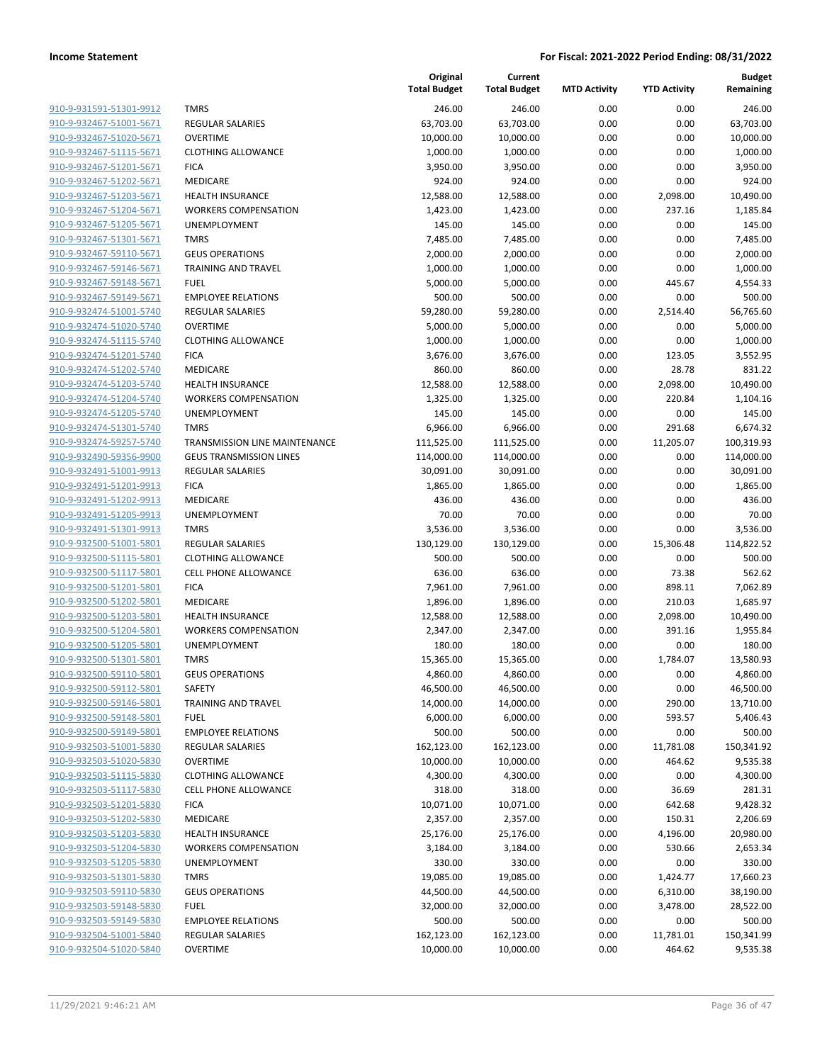| 910-9-931591-51301-9912                                   |
|-----------------------------------------------------------|
| 910-9-932467-51001-5671                                   |
| 910-9-932467-51020-5671                                   |
| 910-9-932467-51115-5671                                   |
| 910-9-932467-51201-5671                                   |
| <u>910-9-932467-51202-5671</u>                            |
| 910-9-932467-51203-5671                                   |
| 910-9-932467-51204-5671                                   |
| 910-9-932467-51205-5671                                   |
| 910-9-932467-51301-5671                                   |
| <u>910-9-932467-59110-5671</u>                            |
| <u>910-9-932467-59146-5671</u>                            |
| 910-9-932467-59148-5671                                   |
| 910-9-932467-59149-5671                                   |
| 910-9-932474-51001-5740                                   |
| <u>910-9-932474-51020-5740</u>                            |
| 910-9-932474-51115-5740                                   |
|                                                           |
| 910-9-932474-51201-5740<br>910-9-932474-51202-5740        |
|                                                           |
| 910-9-932474-51203-5740                                   |
| 910-9-932474-51204-5740                                   |
| 910-9-932474-51205-5740                                   |
| 910-9-932474-51301-5740                                   |
| 910-9-932474-59257-5740                                   |
| 910-9-932490-59356-9900                                   |
| <u>910-9-932491-51001-9913</u>                            |
| 910-9-932491-51201-9913                                   |
| 910-9-932491-51202-9913                                   |
| 910-9-932491-51205-9913                                   |
| 910-9-932491-51301-9913                                   |
| 910-9-932500-51001-5801                                   |
| 910-9-932500-51115-5801                                   |
| 910-9-932500-51117-5801                                   |
| 910-9-932500-51201-5801                                   |
| 910-9-932500-51202-5801                                   |
| <u>910-9-932500-51203-5801</u>                            |
| 910-9-932500-51204-5801                                   |
| 910-9-932500-51205-5801                                   |
| 910-9-932500-51301-5801                                   |
| 910-9-932500-59110-5801                                   |
| 910-9-932500-59112-5801                                   |
| 910-9-932500-59146-5801                                   |
| 910-9-932500-59148-5801                                   |
| 910-9-932500-59149-5801                                   |
| 910-9-932503-51001-5830                                   |
| 910-9-932503-51020-5830                                   |
| 910-9-932503-51115-5830                                   |
| 910-9-932503-51117-5830                                   |
| 910-9-932503-51201-5830                                   |
|                                                           |
| <u>910-9-932503-51202-5830</u>                            |
| <u>910-9-932503-51203-5830</u><br>910-9-932503-51204-5830 |
|                                                           |
| 910-9-932503-51205-5830                                   |
| 910-9-932503-51301-5830                                   |
| 910-9-932503-59110-5830                                   |
| 910-9-932503-59148-5830                                   |
| 910-9-932503-59149-5830                                   |
| 910-9-932504-51001-5840                                   |
| 910-9-932504-51020-5840                                   |
|                                                           |

|                                                    |                                | Original<br><b>Total Budget</b> | Current<br><b>Total Budget</b> | <b>MTD Activity</b> | <b>YTD Activity</b> | <b>Budget</b><br>Remaining |
|----------------------------------------------------|--------------------------------|---------------------------------|--------------------------------|---------------------|---------------------|----------------------------|
| 910-9-931591-51301-9912                            | <b>TMRS</b>                    | 246.00                          | 246.00                         | 0.00                | 0.00                | 246.00                     |
| 910-9-932467-51001-5671                            | <b>REGULAR SALARIES</b>        | 63,703.00                       | 63,703.00                      | 0.00                | 0.00                | 63,703.00                  |
| 910-9-932467-51020-5671                            | <b>OVERTIME</b>                | 10,000.00                       | 10,000.00                      | 0.00                | 0.00                | 10,000.00                  |
| 910-9-932467-51115-5671                            | <b>CLOTHING ALLOWANCE</b>      | 1,000.00                        | 1,000.00                       | 0.00                | 0.00                | 1,000.00                   |
| 910-9-932467-51201-5671                            | <b>FICA</b>                    | 3,950.00                        | 3,950.00                       | 0.00                | 0.00                | 3,950.00                   |
| 910-9-932467-51202-5671                            | MEDICARE                       | 924.00                          | 924.00                         | 0.00                | 0.00                | 924.00                     |
| 910-9-932467-51203-5671                            | HEALTH INSURANCE               | 12,588.00                       | 12,588.00                      | 0.00                | 2,098.00            | 10,490.00                  |
| 910-9-932467-51204-5671                            | <b>WORKERS COMPENSATION</b>    | 1,423.00                        | 1,423.00                       | 0.00                | 237.16              | 1,185.84                   |
| 910-9-932467-51205-5671                            | <b>UNEMPLOYMENT</b>            | 145.00                          | 145.00                         | 0.00                | 0.00                | 145.00                     |
| 910-9-932467-51301-5671                            | <b>TMRS</b>                    | 7,485.00                        | 7,485.00                       | 0.00                | 0.00                | 7,485.00                   |
| 910-9-932467-59110-5671                            | <b>GEUS OPERATIONS</b>         | 2,000.00                        | 2,000.00                       | 0.00                | 0.00                | 2,000.00                   |
| 910-9-932467-59146-5671                            | TRAINING AND TRAVEL            | 1,000.00                        | 1,000.00                       | 0.00                | 0.00                | 1,000.00                   |
| 910-9-932467-59148-5671                            | <b>FUEL</b>                    | 5,000.00                        | 5,000.00                       | 0.00                | 445.67              | 4,554.33                   |
| 910-9-932467-59149-5671                            | <b>EMPLOYEE RELATIONS</b>      | 500.00                          | 500.00                         | 0.00                | 0.00                | 500.00                     |
| 910-9-932474-51001-5740                            | <b>REGULAR SALARIES</b>        | 59,280.00                       | 59,280.00                      | 0.00                | 2,514.40            | 56,765.60                  |
| 910-9-932474-51020-5740                            | <b>OVERTIME</b>                | 5,000.00                        | 5,000.00                       | 0.00                | 0.00                | 5,000.00                   |
| 910-9-932474-51115-5740                            | <b>CLOTHING ALLOWANCE</b>      | 1,000.00                        | 1,000.00                       | 0.00                | 0.00                | 1,000.00                   |
| 910-9-932474-51201-5740                            | <b>FICA</b>                    | 3,676.00                        | 3,676.00                       | 0.00                | 123.05              | 3,552.95                   |
| 910-9-932474-51202-5740                            | MEDICARE                       | 860.00                          | 860.00                         | 0.00                | 28.78               | 831.22                     |
| 910-9-932474-51203-5740                            | <b>HEALTH INSURANCE</b>        | 12,588.00                       | 12,588.00                      | 0.00                | 2,098.00            | 10,490.00                  |
| 910-9-932474-51204-5740                            | <b>WORKERS COMPENSATION</b>    | 1,325.00                        | 1,325.00                       | 0.00                | 220.84              | 1,104.16                   |
| 910-9-932474-51205-5740                            | UNEMPLOYMENT                   | 145.00                          | 145.00                         | 0.00                | 0.00                | 145.00                     |
| 910-9-932474-51301-5740                            | <b>TMRS</b>                    | 6,966.00                        | 6,966.00                       | 0.00                | 291.68              | 6,674.32                   |
| 910-9-932474-59257-5740                            | TRANSMISSION LINE MAINTENANCE  | 111,525.00                      | 111,525.00                     | 0.00                | 11,205.07           | 100,319.93                 |
| 910-9-932490-59356-9900                            | <b>GEUS TRANSMISSION LINES</b> | 114,000.00                      | 114,000.00                     | 0.00                | 0.00                | 114,000.00                 |
| 910-9-932491-51001-9913                            | <b>REGULAR SALARIES</b>        | 30,091.00                       | 30,091.00                      | 0.00                | 0.00                | 30,091.00                  |
| 910-9-932491-51201-9913                            | <b>FICA</b>                    | 1,865.00                        | 1,865.00                       | 0.00                | 0.00                | 1,865.00                   |
| 910-9-932491-51202-9913                            | MEDICARE                       | 436.00                          | 436.00                         | 0.00                | 0.00                | 436.00                     |
| 910-9-932491-51205-9913                            | <b>UNEMPLOYMENT</b>            | 70.00                           | 70.00                          | 0.00                | 0.00                | 70.00                      |
| 910-9-932491-51301-9913                            | <b>TMRS</b>                    | 3,536.00                        | 3,536.00                       | 0.00                | 0.00                | 3,536.00                   |
| 910-9-932500-51001-5801                            | <b>REGULAR SALARIES</b>        | 130,129.00                      | 130,129.00                     | 0.00                | 15,306.48           | 114,822.52                 |
| 910-9-932500-51115-5801                            | <b>CLOTHING ALLOWANCE</b>      | 500.00                          | 500.00                         | 0.00                | 0.00                | 500.00                     |
| 910-9-932500-51117-5801                            | <b>CELL PHONE ALLOWANCE</b>    | 636.00                          | 636.00                         | 0.00                | 73.38               | 562.62                     |
| 910-9-932500-51201-5801                            | <b>FICA</b>                    | 7,961.00                        | 7,961.00                       | 0.00                | 898.11              | 7,062.89                   |
| 910-9-932500-51202-5801                            | <b>MEDICARE</b>                | 1,896.00                        | 1,896.00                       | 0.00                | 210.03              | 1,685.97                   |
| 910-9-932500-51203-5801                            | <b>HEALTH INSURANCE</b>        | 12,588.00                       | 12,588.00                      | 0.00                | 2,098.00            | 10,490.00                  |
| 910-9-932500-51204-5801                            | <b>WORKERS COMPENSATION</b>    | 2,347.00                        | 2,347.00                       | 0.00                | 391.16              | 1,955.84                   |
| 910-9-932500-51205-5801                            | UNEMPLOYMENT<br><b>TMRS</b>    | 180.00                          | 180.00                         | 0.00                | 0.00                | 180.00                     |
| 910-9-932500-51301-5801<br>910-9-932500-59110-5801 | <b>GEUS OPERATIONS</b>         | 15,365.00                       | 15,365.00                      | 0.00                | 1,784.07            | 13,580.93                  |
|                                                    |                                | 4,860.00                        | 4,860.00<br>46,500.00          | 0.00                | 0.00                | 4,860.00                   |
| 910-9-932500-59112-5801<br>910-9-932500-59146-5801 | SAFETY<br>TRAINING AND TRAVEL  | 46,500.00<br>14,000.00          | 14,000.00                      | 0.00<br>0.00        | 0.00<br>290.00      | 46,500.00<br>13,710.00     |
| 910-9-932500-59148-5801                            | <b>FUEL</b>                    | 6,000.00                        | 6,000.00                       | 0.00                | 593.57              | 5,406.43                   |
| 910-9-932500-59149-5801                            | <b>EMPLOYEE RELATIONS</b>      | 500.00                          | 500.00                         | 0.00                | 0.00                | 500.00                     |
| 910-9-932503-51001-5830                            | <b>REGULAR SALARIES</b>        | 162,123.00                      | 162,123.00                     | 0.00                | 11,781.08           | 150,341.92                 |
| 910-9-932503-51020-5830                            | <b>OVERTIME</b>                | 10,000.00                       | 10,000.00                      | 0.00                | 464.62              | 9,535.38                   |
| 910-9-932503-51115-5830                            | <b>CLOTHING ALLOWANCE</b>      | 4,300.00                        | 4,300.00                       | 0.00                | 0.00                | 4,300.00                   |
| 910-9-932503-51117-5830                            | <b>CELL PHONE ALLOWANCE</b>    | 318.00                          | 318.00                         | 0.00                | 36.69               | 281.31                     |
| 910-9-932503-51201-5830                            | <b>FICA</b>                    | 10,071.00                       | 10,071.00                      | 0.00                | 642.68              | 9,428.32                   |
| 910-9-932503-51202-5830                            | <b>MEDICARE</b>                | 2,357.00                        | 2,357.00                       | 0.00                | 150.31              | 2,206.69                   |
| 910-9-932503-51203-5830                            | <b>HEALTH INSURANCE</b>        | 25,176.00                       | 25,176.00                      | 0.00                | 4,196.00            | 20,980.00                  |
| 910-9-932503-51204-5830                            | <b>WORKERS COMPENSATION</b>    | 3,184.00                        | 3,184.00                       | 0.00                | 530.66              | 2,653.34                   |
| 910-9-932503-51205-5830                            | UNEMPLOYMENT                   | 330.00                          | 330.00                         | 0.00                | 0.00                | 330.00                     |
| 910-9-932503-51301-5830                            | <b>TMRS</b>                    | 19,085.00                       | 19,085.00                      | 0.00                | 1,424.77            | 17,660.23                  |
| 910-9-932503-59110-5830                            | <b>GEUS OPERATIONS</b>         | 44,500.00                       | 44,500.00                      | 0.00                | 6,310.00            | 38,190.00                  |
| 910-9-932503-59148-5830                            | <b>FUEL</b>                    | 32,000.00                       | 32,000.00                      | 0.00                | 3,478.00            | 28,522.00                  |
| 910-9-932503-59149-5830                            | <b>EMPLOYEE RELATIONS</b>      | 500.00                          | 500.00                         | 0.00                | 0.00                | 500.00                     |
| 910-9-932504-51001-5840                            | <b>REGULAR SALARIES</b>        | 162,123.00                      | 162,123.00                     | 0.00                | 11,781.01           | 150,341.99                 |
| 910-9-932504-51020-5840                            | <b>OVERTIME</b>                | 10,000.00                       | 10,000.00                      | 0.00                | 464.62              | 9,535.38                   |
|                                                    |                                |                                 |                                |                     |                     |                            |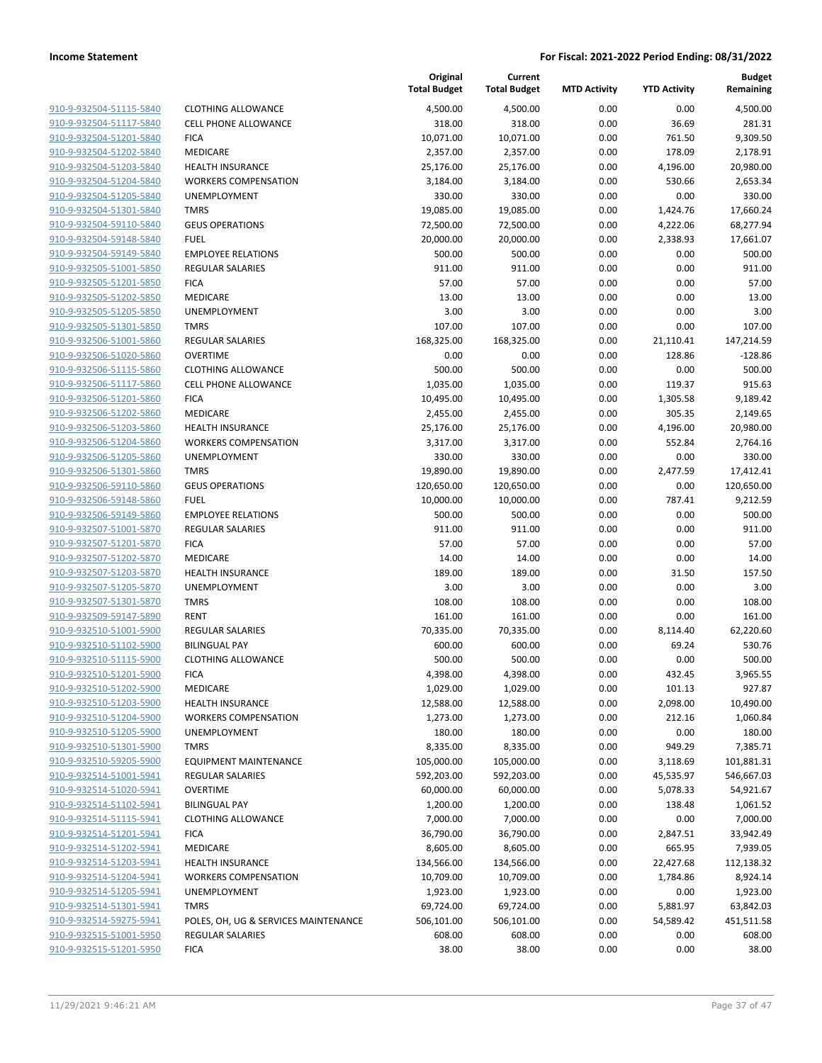| 910-9-932504-51115-5840                            |
|----------------------------------------------------|
| 910-9-932504-51117-5840                            |
| 910-9-932504-51201-5840                            |
| 910-9-932504-51202-5840                            |
| 910-9-932504-51203-5840                            |
| 910-9-932504-51204-5840                            |
| 910-9-932504-51205-5840                            |
| 910-9-932504-51301-5840                            |
| 910-9-932504-59110-5840                            |
| 910-9-932504-59148-5840                            |
| 910-9-932504-59149-5840                            |
| 910-9-932505-51001-5850                            |
| 910-9-932505-51201-5850                            |
| 910-9-932505-51202-5850                            |
| 910-9-932505-51205-5850                            |
| 910-9-932505-51301-5850                            |
| 910-9-932506-51001-5860                            |
| 910-9-932506-51020-5860                            |
| 910-9-932506-51115-5860                            |
| 910-9-932506-51117-5860                            |
| 910-9-932506-51201-5860                            |
| 910-9-932506-51202-5860                            |
| 910-9-932506-51203-5860                            |
| 910-9-932506-51204-5860                            |
| 910-9-932506-51205-5860                            |
| 910-9-932506-51301-5860                            |
| 910-9-932506-59110-5860                            |
| 910-9-932506-59148-5860                            |
| 910-9-932506-59149-5860                            |
| 910-9-932507-51001-5870                            |
| 910-9-932507-51201-5870                            |
| 910-9-932507-51202-5870                            |
| 910-9-932507-51203-5870                            |
| 910-9-932507-51205-5870                            |
| 910-9-932507-51301-5870                            |
| 910-9-932509-59147-5890                            |
| 910-9-932510-51001-5900                            |
| 910-9-932510-51102-5900                            |
| 910-9-932510-51115-5900                            |
| 910-9-932510-51201-5900                            |
| 910-9-932510-51202-5900                            |
| 910-9-932510-51203-5900                            |
| 910-9-932510-51204-5900                            |
| 910-9-932510-51205-5900                            |
| 910-9-932510-51301-5900                            |
| 910-9-932510-59205-5900                            |
| 910-9-932514-51001-5941                            |
| 910-9-932514-51020-5941                            |
| 910-9-932514-51102-5941                            |
| 910-9-932514-51115-5941                            |
| 910-9-932514-51201-5941                            |
| 910-9-932514-51202-5941                            |
| 910-9-932514-51203-5941                            |
| 910-9-932514-51204-5941                            |
| 910-9-932514-51205-5941                            |
| 910-9-932514-51301-5941                            |
|                                                    |
| 910-9-932514-59275-5941                            |
| 910-9-932515-51001-5950<br>910-9-932515-51201-5950 |
|                                                    |

|                         |                                      | Original<br><b>Total Budget</b> | Current<br><b>Total Budget</b> | <b>MTD Activity</b> | <b>YTD Activity</b> | <b>Budget</b><br>Remaining |
|-------------------------|--------------------------------------|---------------------------------|--------------------------------|---------------------|---------------------|----------------------------|
| 910-9-932504-51115-5840 | <b>CLOTHING ALLOWANCE</b>            | 4,500.00                        | 4,500.00                       | 0.00                | 0.00                | 4,500.00                   |
| 910-9-932504-51117-5840 | <b>CELL PHONE ALLOWANCE</b>          | 318.00                          | 318.00                         | 0.00                | 36.69               | 281.31                     |
| 910-9-932504-51201-5840 | <b>FICA</b>                          | 10,071.00                       | 10,071.00                      | 0.00                | 761.50              | 9,309.50                   |
| 910-9-932504-51202-5840 | MEDICARE                             | 2,357.00                        | 2,357.00                       | 0.00                | 178.09              | 2,178.91                   |
| 910-9-932504-51203-5840 | HEALTH INSURANCE                     | 25,176.00                       | 25,176.00                      | 0.00                | 4,196.00            | 20,980.00                  |
| 910-9-932504-51204-5840 | <b>WORKERS COMPENSATION</b>          | 3,184.00                        | 3,184.00                       | 0.00                | 530.66              | 2,653.34                   |
| 910-9-932504-51205-5840 | UNEMPLOYMENT                         | 330.00                          | 330.00                         | 0.00                | 0.00                | 330.00                     |
| 910-9-932504-51301-5840 | <b>TMRS</b>                          | 19,085.00                       | 19,085.00                      | 0.00                | 1,424.76            | 17,660.24                  |
| 910-9-932504-59110-5840 | <b>GEUS OPERATIONS</b>               | 72,500.00                       | 72,500.00                      | 0.00                | 4,222.06            | 68,277.94                  |
| 910-9-932504-59148-5840 | <b>FUEL</b>                          | 20,000.00                       | 20,000.00                      | 0.00                | 2,338.93            | 17,661.07                  |
| 910-9-932504-59149-5840 | <b>EMPLOYEE RELATIONS</b>            | 500.00                          | 500.00                         | 0.00                | 0.00                | 500.00                     |
| 910-9-932505-51001-5850 | <b>REGULAR SALARIES</b>              | 911.00                          | 911.00                         | 0.00                | 0.00                | 911.00                     |
| 910-9-932505-51201-5850 | <b>FICA</b>                          | 57.00                           | 57.00                          | 0.00                | 0.00                | 57.00                      |
| 910-9-932505-51202-5850 | MEDICARE                             | 13.00                           | 13.00                          | 0.00                | 0.00                | 13.00                      |
| 910-9-932505-51205-5850 | UNEMPLOYMENT                         | 3.00                            | 3.00                           | 0.00                | 0.00                | 3.00                       |
| 910-9-932505-51301-5850 | <b>TMRS</b>                          | 107.00                          | 107.00                         | 0.00                | 0.00                | 107.00                     |
| 910-9-932506-51001-5860 | REGULAR SALARIES                     | 168,325.00                      | 168,325.00                     | 0.00                | 21,110.41           | 147,214.59                 |
| 910-9-932506-51020-5860 | <b>OVERTIME</b>                      | 0.00                            | 0.00                           | 0.00                | 128.86              | $-128.86$                  |
| 910-9-932506-51115-5860 | <b>CLOTHING ALLOWANCE</b>            | 500.00                          | 500.00                         | 0.00                | 0.00                | 500.00                     |
| 910-9-932506-51117-5860 | <b>CELL PHONE ALLOWANCE</b>          | 1,035.00                        | 1,035.00                       | 0.00                | 119.37              | 915.63                     |
| 910-9-932506-51201-5860 | <b>FICA</b>                          | 10,495.00                       | 10,495.00                      | 0.00                | 1,305.58            | 9,189.42                   |
| 910-9-932506-51202-5860 | <b>MEDICARE</b>                      | 2,455.00                        | 2,455.00                       | 0.00                | 305.35              | 2,149.65                   |
| 910-9-932506-51203-5860 | HEALTH INSURANCE                     | 25,176.00                       | 25,176.00                      | 0.00                | 4,196.00            | 20,980.00                  |
| 910-9-932506-51204-5860 | <b>WORKERS COMPENSATION</b>          | 3,317.00                        | 3,317.00                       | 0.00                | 552.84              | 2,764.16                   |
| 910-9-932506-51205-5860 | UNEMPLOYMENT                         | 330.00                          | 330.00                         | 0.00                | 0.00                | 330.00                     |
| 910-9-932506-51301-5860 | <b>TMRS</b>                          | 19,890.00                       | 19,890.00                      | 0.00                | 2,477.59            | 17,412.41                  |
| 910-9-932506-59110-5860 | <b>GEUS OPERATIONS</b>               | 120,650.00                      | 120,650.00                     | 0.00                | 0.00                | 120,650.00                 |
| 910-9-932506-59148-5860 | <b>FUEL</b>                          | 10,000.00                       | 10,000.00                      | 0.00                | 787.41              | 9,212.59                   |
| 910-9-932506-59149-5860 | <b>EMPLOYEE RELATIONS</b>            | 500.00                          | 500.00                         | 0.00                | 0.00                | 500.00                     |
| 910-9-932507-51001-5870 | REGULAR SALARIES                     | 911.00                          | 911.00                         | 0.00                | 0.00                | 911.00                     |
| 910-9-932507-51201-5870 | <b>FICA</b>                          | 57.00                           | 57.00                          | 0.00                | 0.00                | 57.00                      |
| 910-9-932507-51202-5870 | MEDICARE                             | 14.00                           | 14.00                          | 0.00                | 0.00                | 14.00                      |
| 910-9-932507-51203-5870 | HEALTH INSURANCE                     | 189.00                          | 189.00                         | 0.00                | 31.50               | 157.50                     |
| 910-9-932507-51205-5870 | UNEMPLOYMENT                         | 3.00                            | 3.00                           | 0.00                | 0.00                | 3.00                       |
| 910-9-932507-51301-5870 | <b>TMRS</b>                          | 108.00                          | 108.00                         | 0.00                | 0.00                | 108.00                     |
| 910-9-932509-59147-5890 | <b>RENT</b>                          | 161.00                          | 161.00                         | 0.00                | 0.00                | 161.00                     |
| 910-9-932510-51001-5900 | <b>REGULAR SALARIES</b>              | 70,335.00                       | 70,335.00                      | 0.00                | 8,114.40            | 62,220.60                  |
| 910-9-932510-51102-5900 | <b>BILINGUAL PAY</b>                 | 600.00                          | 600.00                         | 0.00                | 69.24               | 530.76                     |
| 910-9-932510-51115-5900 | <b>CLOTHING ALLOWANCE</b>            | 500.00                          | 500.00                         | 0.00                | 0.00                | 500.00                     |
| 910-9-932510-51201-5900 | <b>FICA</b>                          | 4,398.00                        | 4,398.00                       | 0.00                | 432.45              | 3,965.55                   |
| 910-9-932510-51202-5900 | MEDICARE                             | 1,029.00                        | 1,029.00                       | 0.00                | 101.13              | 927.87                     |
| 910-9-932510-51203-5900 | <b>HEALTH INSURANCE</b>              | 12,588.00                       | 12,588.00                      | 0.00                | 2,098.00            | 10,490.00                  |
| 910-9-932510-51204-5900 | <b>WORKERS COMPENSATION</b>          | 1,273.00                        | 1,273.00                       | 0.00                | 212.16              | 1,060.84                   |
| 910-9-932510-51205-5900 | UNEMPLOYMENT                         | 180.00                          | 180.00                         | 0.00                | 0.00                | 180.00                     |
| 910-9-932510-51301-5900 | <b>TMRS</b>                          | 8,335.00                        | 8,335.00                       | 0.00                | 949.29              | 7,385.71                   |
| 910-9-932510-59205-5900 | EQUIPMENT MAINTENANCE                | 105,000.00                      | 105,000.00                     | 0.00                | 3,118.69            | 101,881.31                 |
| 910-9-932514-51001-5941 | REGULAR SALARIES                     | 592,203.00                      | 592,203.00                     | 0.00                | 45,535.97           | 546,667.03                 |
| 910-9-932514-51020-5941 | <b>OVERTIME</b>                      | 60,000.00                       | 60,000.00                      | 0.00                | 5,078.33            | 54,921.67                  |
| 910-9-932514-51102-5941 | <b>BILINGUAL PAY</b>                 | 1,200.00                        | 1,200.00                       | 0.00                | 138.48              | 1,061.52                   |
| 910-9-932514-51115-5941 | <b>CLOTHING ALLOWANCE</b>            | 7,000.00                        | 7,000.00                       | 0.00                | 0.00                | 7,000.00                   |
| 910-9-932514-51201-5941 | <b>FICA</b>                          | 36,790.00                       | 36,790.00                      | 0.00                | 2,847.51            | 33,942.49                  |
| 910-9-932514-51202-5941 | MEDICARE                             | 8,605.00                        | 8,605.00                       | 0.00                | 665.95              | 7,939.05                   |
| 910-9-932514-51203-5941 | HEALTH INSURANCE                     | 134,566.00                      | 134,566.00                     | 0.00                | 22,427.68           | 112,138.32                 |
| 910-9-932514-51204-5941 | <b>WORKERS COMPENSATION</b>          | 10,709.00                       | 10,709.00                      | 0.00                | 1,784.86            | 8,924.14                   |
| 910-9-932514-51205-5941 | UNEMPLOYMENT                         | 1,923.00                        | 1,923.00                       | 0.00                | 0.00                | 1,923.00                   |
| 910-9-932514-51301-5941 | <b>TMRS</b>                          | 69,724.00                       | 69,724.00                      | 0.00                | 5,881.97            | 63,842.03                  |
| 910-9-932514-59275-5941 | POLES, OH, UG & SERVICES MAINTENANCE | 506,101.00                      | 506,101.00                     | 0.00                | 54,589.42           | 451,511.58                 |
| 910-9-932515-51001-5950 | REGULAR SALARIES                     | 608.00                          | 608.00                         | 0.00                | 0.00                | 608.00                     |
| 910-9-932515-51201-5950 | <b>FICA</b>                          | 38.00                           | 38.00                          | 0.00                | 0.00                | 38.00                      |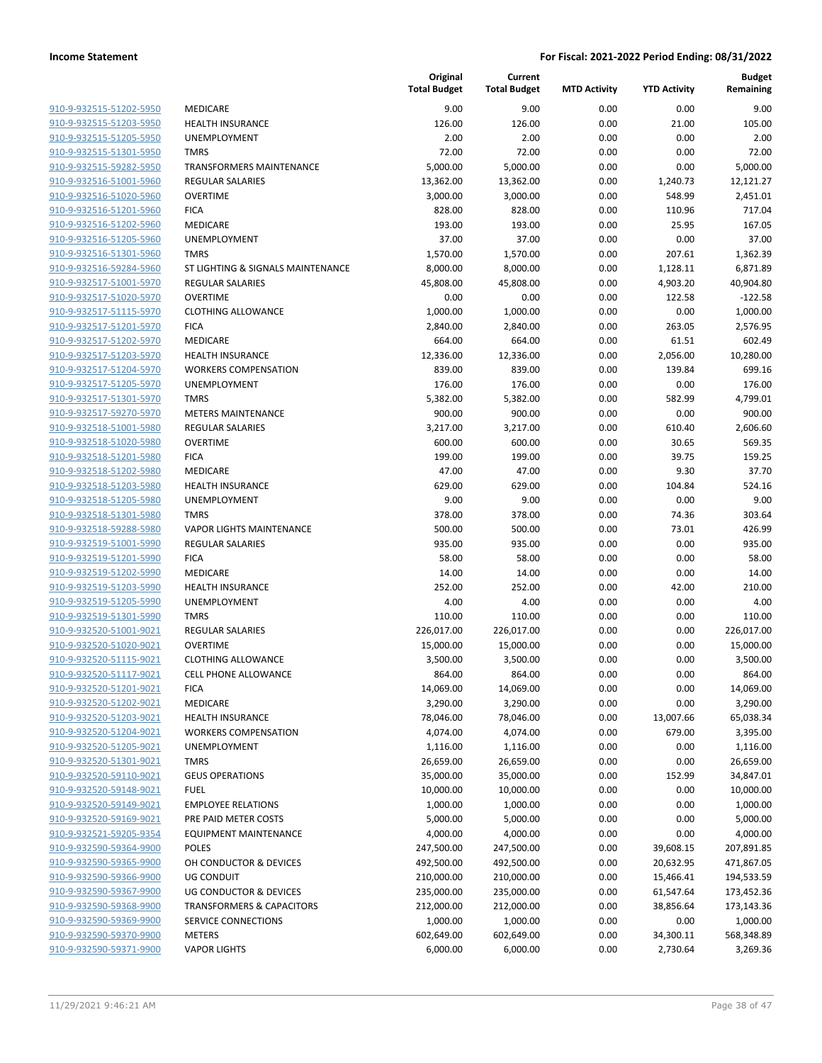| 910-9-932515-51202-5950        |
|--------------------------------|
| 910-9-932515-51203-5950        |
| 910-9-932515-51205-5950        |
| 910-9-932515-51301-5950        |
| 910-9-932515-59282-5950        |
| 910-9-932516-51001-5960        |
| <u>910-9-932516-51020-5960</u> |
| <u>910-9-932516-51201-5960</u> |
| 910-9-932516-51202-5960        |
| 910-9-932516-51205-5960        |
| 910-9-932516-51301-5960        |
|                                |
| 910-9-932516-59284-5960        |
| 910-9-932517-51001-5970        |
| 910-9-932517-51020-5970        |
| 910-9-932517-51115-5970        |
| 910-9-932517-51201-5970        |
| 910-9-932517-51202-5970        |
| <u>910-9-932517-51203-5970</u> |
| 910-9-932517-51204-5970        |
| 910-9-932517-51205-5970        |
| 910-9-932517-51301-5970        |
| 910-9-932517-59270-5970        |
| 910-9-932518-51001-5980        |
| 910-9-932518-51020-5980        |
| 910-9-932518-51201-5980        |
| 910-9-932518-51202-5980        |
| <u>910-9-932518-51203-5980</u> |
| 910-9-932518-51205-5980        |
| 910-9-932518-51301-5980        |
|                                |
| 910-9-932518-59288-5980        |
| 910-9-932519-51001-5990        |
| 910-9-932519-51201-5990        |
| 910-9-932519-51202-5990        |
| 910-9-932519-51203-5990        |
| 910-9-932519-51205-5990        |
| 910-9-932519-51301-5990        |
| 910-9-932520-51001-9021        |
| 910-9-932520-51020-9021        |
| 910-9-932520-51115-9021        |
| 910-9-932520-51117-9021        |
| 910-9-932520-51201-902<br>1    |
| 910-9-932520-51202-9021        |
| 910-9-932520-51203-9021        |
| 910-9-932520-51204-9021        |
| 910-9-932520-51205-9021        |
| 910-9-932520-51301-9021        |
|                                |
| 910-9-932520-59110-9021        |
| 910-9-932520-59148-9021        |
| 910-9-932520-59149-9021        |
| 910-9-932520-59169-9021        |
| 910-9-932521-59205-9354        |
| 910-9-932590-59364-9900        |
| 910-9-932590-59365-9900        |
| 910-9-932590-59366-9900        |
| 910-9-932590-59367-9900        |
| <u>910-9-932590-59368-9900</u> |
| 910-9-932590-59369-9900        |
| 910-9-932590-59370-9900        |
| 910-9-932590-59371-9900        |
|                                |

|                                                    |                                         | Original<br><b>Total Budget</b> | Current<br><b>Total Budget</b> | <b>MTD Activity</b> | <b>YTD Activity</b> | <b>Budget</b><br>Remaining |
|----------------------------------------------------|-----------------------------------------|---------------------------------|--------------------------------|---------------------|---------------------|----------------------------|
| 910-9-932515-51202-5950                            | MEDICARE                                | 9.00                            | 9.00                           | 0.00                | 0.00                | 9.00                       |
| 910-9-932515-51203-5950                            | <b>HEALTH INSURANCE</b>                 | 126.00                          | 126.00                         | 0.00                | 21.00               | 105.00                     |
| 910-9-932515-51205-5950                            | UNEMPLOYMENT                            | 2.00                            | 2.00                           | 0.00                | 0.00                | 2.00                       |
| 910-9-932515-51301-5950                            | <b>TMRS</b>                             | 72.00                           | 72.00                          | 0.00                | 0.00                | 72.00                      |
| 910-9-932515-59282-5950                            | <b>TRANSFORMERS MAINTENANCE</b>         | 5,000.00                        | 5,000.00                       | 0.00                | 0.00                | 5.000.00                   |
| 910-9-932516-51001-5960                            | <b>REGULAR SALARIES</b>                 | 13,362.00                       | 13,362.00                      | 0.00                | 1,240.73            | 12,121.27                  |
| 910-9-932516-51020-5960                            | <b>OVERTIME</b>                         | 3,000.00                        | 3,000.00                       | 0.00                | 548.99              | 2,451.01                   |
| 910-9-932516-51201-5960                            | <b>FICA</b>                             | 828.00                          | 828.00                         | 0.00                | 110.96              | 717.04                     |
| 910-9-932516-51202-5960                            | MEDICARE                                | 193.00                          | 193.00                         | 0.00                | 25.95               | 167.05                     |
| 910-9-932516-51205-5960                            | <b>UNEMPLOYMENT</b>                     | 37.00                           | 37.00                          | 0.00                | 0.00                | 37.00                      |
| 910-9-932516-51301-5960                            | <b>TMRS</b>                             | 1,570.00                        | 1,570.00                       | 0.00                | 207.61              | 1,362.39                   |
| 910-9-932516-59284-5960                            | ST LIGHTING & SIGNALS MAINTENANCE       | 8,000.00                        | 8,000.00                       | 0.00                | 1,128.11            | 6,871.89                   |
| 910-9-932517-51001-5970                            | <b>REGULAR SALARIES</b>                 | 45,808.00                       | 45,808.00                      | 0.00                | 4,903.20            | 40,904.80                  |
| 910-9-932517-51020-5970                            | <b>OVERTIME</b>                         | 0.00                            | 0.00                           | 0.00                | 122.58              | $-122.58$                  |
| 910-9-932517-51115-5970                            | <b>CLOTHING ALLOWANCE</b>               | 1,000.00                        | 1,000.00                       | 0.00                | 0.00                | 1,000.00                   |
| 910-9-932517-51201-5970                            | <b>FICA</b>                             | 2,840.00                        | 2,840.00                       | 0.00                | 263.05              | 2,576.95                   |
| 910-9-932517-51202-5970                            | MEDICARE                                | 664.00                          | 664.00                         | 0.00                | 61.51               | 602.49                     |
| 910-9-932517-51203-5970                            | <b>HEALTH INSURANCE</b>                 | 12,336.00                       | 12,336.00                      | 0.00                | 2,056.00            | 10,280.00                  |
| 910-9-932517-51204-5970                            | <b>WORKERS COMPENSATION</b>             | 839.00                          | 839.00                         | 0.00                | 139.84              | 699.16                     |
| 910-9-932517-51205-5970                            | UNEMPLOYMENT                            | 176.00                          | 176.00                         | 0.00                | 0.00                | 176.00                     |
| 910-9-932517-51301-5970                            | <b>TMRS</b>                             | 5,382.00                        | 5,382.00                       | 0.00                | 582.99              | 4,799.01                   |
| 910-9-932517-59270-5970                            | <b>METERS MAINTENANCE</b>               | 900.00                          | 900.00                         | 0.00                | 0.00                | 900.00                     |
| 910-9-932518-51001-5980                            | <b>REGULAR SALARIES</b>                 | 3,217.00                        | 3,217.00                       | 0.00                | 610.40              | 2,606.60                   |
| 910-9-932518-51020-5980                            | <b>OVERTIME</b>                         | 600.00                          | 600.00                         | 0.00                | 30.65               | 569.35                     |
| 910-9-932518-51201-5980                            | <b>FICA</b>                             | 199.00                          | 199.00                         | 0.00                | 39.75               | 159.25                     |
| 910-9-932518-51202-5980                            | MEDICARE                                | 47.00                           | 47.00                          | 0.00                | 9.30                | 37.70                      |
| 910-9-932518-51203-5980                            | HEALTH INSURANCE                        | 629.00                          | 629.00                         | 0.00                | 104.84              | 524.16                     |
| 910-9-932518-51205-5980                            | UNEMPLOYMENT                            | 9.00                            | 9.00                           | 0.00                | 0.00                | 9.00                       |
| 910-9-932518-51301-5980                            | <b>TMRS</b>                             | 378.00                          | 378.00                         | 0.00                | 74.36               | 303.64                     |
| 910-9-932518-59288-5980                            | <b>VAPOR LIGHTS MAINTENANCE</b>         | 500.00                          | 500.00                         | 0.00                | 73.01               | 426.99                     |
| 910-9-932519-51001-5990                            | <b>REGULAR SALARIES</b>                 | 935.00                          | 935.00                         | 0.00                | 0.00                | 935.00                     |
| 910-9-932519-51201-5990                            | <b>FICA</b>                             | 58.00                           | 58.00                          | 0.00                | 0.00                | 58.00                      |
| 910-9-932519-51202-5990                            | MEDICARE                                | 14.00                           | 14.00                          | 0.00                | 0.00                | 14.00                      |
| 910-9-932519-51203-5990<br>910-9-932519-51205-5990 | <b>HEALTH INSURANCE</b><br>UNEMPLOYMENT | 252.00<br>4.00                  | 252.00<br>4.00                 | 0.00<br>0.00        | 42.00<br>0.00       | 210.00<br>4.00             |
| 910-9-932519-51301-5990                            | <b>TMRS</b>                             | 110.00                          | 110.00                         | 0.00                | 0.00                | 110.00                     |
| 910-9-932520-51001-9021                            | <b>REGULAR SALARIES</b>                 | 226,017.00                      | 226,017.00                     | 0.00                | 0.00                | 226,017.00                 |
| 910-9-932520-51020-9021                            | <b>OVERTIME</b>                         | 15,000.00                       | 15,000.00                      | 0.00                | 0.00                | 15,000.00                  |
| 910-9-932520-51115-9021                            | <b>CLOTHING ALLOWANCE</b>               | 3,500.00                        | 3,500.00                       | 0.00                | 0.00                | 3,500.00                   |
| 910-9-932520-51117-9021                            | CELL PHONE ALLOWANCE                    | 864.00                          | 864.00                         | 0.00                | 0.00                | 864.00                     |
| 910-9-932520-51201-9021                            | <b>FICA</b>                             | 14,069.00                       | 14,069.00                      | 0.00                | 0.00                | 14,069.00                  |
| 910-9-932520-51202-9021                            | MEDICARE                                | 3,290.00                        | 3,290.00                       | 0.00                | 0.00                | 3,290.00                   |
| 910-9-932520-51203-9021                            | <b>HEALTH INSURANCE</b>                 | 78,046.00                       | 78,046.00                      | 0.00                | 13,007.66           | 65,038.34                  |
| 910-9-932520-51204-9021                            | <b>WORKERS COMPENSATION</b>             | 4,074.00                        | 4,074.00                       | 0.00                | 679.00              | 3,395.00                   |
| 910-9-932520-51205-9021                            | <b>UNEMPLOYMENT</b>                     | 1,116.00                        | 1,116.00                       | 0.00                | 0.00                | 1,116.00                   |
| 910-9-932520-51301-9021                            | <b>TMRS</b>                             | 26,659.00                       | 26,659.00                      | 0.00                | 0.00                | 26,659.00                  |
| 910-9-932520-59110-9021                            | <b>GEUS OPERATIONS</b>                  | 35,000.00                       | 35,000.00                      | 0.00                | 152.99              | 34,847.01                  |
| 910-9-932520-59148-9021                            | <b>FUEL</b>                             | 10,000.00                       | 10,000.00                      | 0.00                | 0.00                | 10,000.00                  |
| 910-9-932520-59149-9021                            | <b>EMPLOYEE RELATIONS</b>               | 1,000.00                        | 1,000.00                       | 0.00                | 0.00                | 1,000.00                   |
| 910-9-932520-59169-9021                            | PRE PAID METER COSTS                    | 5,000.00                        | 5,000.00                       | 0.00                | 0.00                | 5,000.00                   |
| 910-9-932521-59205-9354                            | <b>EQUIPMENT MAINTENANCE</b>            | 4,000.00                        | 4,000.00                       | 0.00                | 0.00                | 4,000.00                   |
| 910-9-932590-59364-9900                            | <b>POLES</b>                            | 247,500.00                      | 247,500.00                     | 0.00                | 39,608.15           | 207,891.85                 |
| 910-9-932590-59365-9900                            | OH CONDUCTOR & DEVICES                  | 492,500.00                      | 492,500.00                     | 0.00                | 20,632.95           | 471,867.05                 |
| 910-9-932590-59366-9900                            | UG CONDUIT                              | 210,000.00                      | 210,000.00                     | 0.00                | 15,466.41           | 194,533.59                 |
| 910-9-932590-59367-9900                            | UG CONDUCTOR & DEVICES                  | 235,000.00                      | 235,000.00                     | 0.00                | 61,547.64           | 173,452.36                 |
| 910-9-932590-59368-9900                            | <b>TRANSFORMERS &amp; CAPACITORS</b>    | 212,000.00                      | 212,000.00                     | 0.00                | 38,856.64           | 173,143.36                 |
| 910-9-932590-59369-9900                            | SERVICE CONNECTIONS                     | 1,000.00                        | 1,000.00                       | 0.00                | 0.00                | 1,000.00                   |
| 910-9-932590-59370-9900                            | METERS                                  | 602,649.00                      | 602,649.00                     | 0.00                | 34,300.11           | 568,348.89                 |
| 910-9-932590-59371-9900                            | <b>VAPOR LIGHTS</b>                     | 6,000.00                        | 6,000.00                       | 0.00                | 2,730.64            | 3,269.36                   |
|                                                    |                                         |                                 |                                |                     |                     |                            |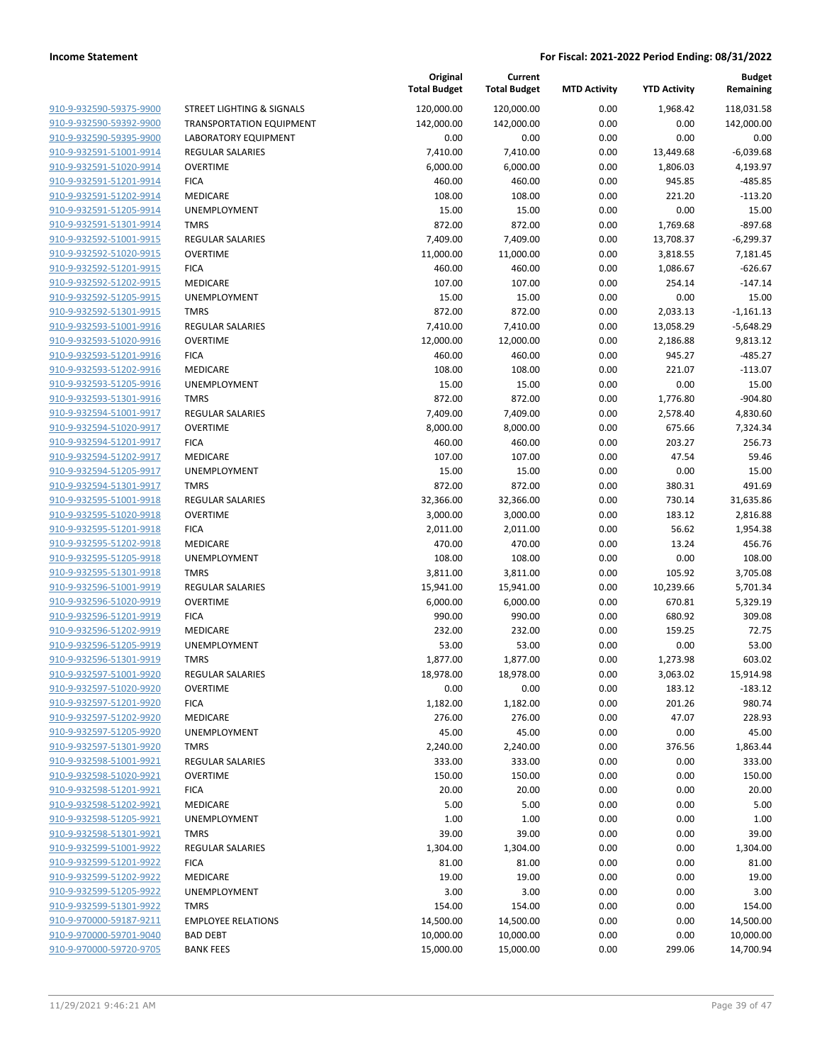|                         |                                 | Original<br><b>Total Budget</b> | Current<br><b>Total Budget</b> | <b>MTD Activity</b> | <b>YTD Activity</b> | <b>Budget</b><br>Remaining |
|-------------------------|---------------------------------|---------------------------------|--------------------------------|---------------------|---------------------|----------------------------|
| 910-9-932590-59375-9900 | STREET LIGHTING & SIGNALS       | 120,000.00                      | 120,000.00                     | 0.00                | 1,968.42            | 118,031.58                 |
| 910-9-932590-59392-9900 | <b>TRANSPORTATION EQUIPMENT</b> | 142,000.00                      | 142,000.00                     | 0.00                | 0.00                | 142,000.00                 |
| 910-9-932590-59395-9900 | <b>LABORATORY EQUIPMENT</b>     | 0.00                            | 0.00                           | 0.00                | 0.00                | 0.00                       |
| 910-9-932591-51001-9914 | <b>REGULAR SALARIES</b>         | 7,410.00                        | 7,410.00                       | 0.00                | 13,449.68           | $-6,039.68$                |
| 910-9-932591-51020-9914 | <b>OVERTIME</b>                 | 6,000.00                        | 6,000.00                       | 0.00                | 1,806.03            | 4,193.97                   |
| 910-9-932591-51201-9914 | <b>FICA</b>                     | 460.00                          | 460.00                         | 0.00                | 945.85              | $-485.85$                  |
| 910-9-932591-51202-9914 | MEDICARE                        | 108.00                          | 108.00                         | 0.00                | 221.20              | $-113.20$                  |
| 910-9-932591-51205-9914 | UNEMPLOYMENT                    | 15.00                           | 15.00                          | 0.00                | 0.00                | 15.00                      |
| 910-9-932591-51301-9914 | <b>TMRS</b>                     | 872.00                          | 872.00                         | 0.00                | 1,769.68            | $-897.68$                  |
| 910-9-932592-51001-9915 | <b>REGULAR SALARIES</b>         | 7,409.00                        | 7,409.00                       | 0.00                | 13,708.37           | $-6,299.37$                |
| 910-9-932592-51020-9915 | <b>OVERTIME</b>                 | 11,000.00                       | 11,000.00                      | 0.00                | 3,818.55            | 7,181.45                   |
| 910-9-932592-51201-9915 | <b>FICA</b>                     | 460.00                          | 460.00                         | 0.00                | 1,086.67            | $-626.67$                  |
| 910-9-932592-51202-9915 | MEDICARE                        | 107.00                          | 107.00                         | 0.00                | 254.14              | $-147.14$                  |
| 910-9-932592-51205-9915 | UNEMPLOYMENT                    | 15.00                           | 15.00                          | 0.00                | 0.00                | 15.00                      |
| 910-9-932592-51301-9915 | <b>TMRS</b>                     | 872.00                          | 872.00                         | 0.00                | 2,033.13            | $-1,161.13$                |
| 910-9-932593-51001-9916 | REGULAR SALARIES                | 7,410.00                        | 7,410.00                       | 0.00                | 13,058.29           | $-5,648.29$                |
| 910-9-932593-51020-9916 | <b>OVERTIME</b>                 | 12,000.00                       | 12,000.00                      | 0.00                | 2,186.88            | 9,813.12                   |
| 910-9-932593-51201-9916 | <b>FICA</b>                     | 460.00                          | 460.00                         | 0.00                | 945.27              | $-485.27$                  |
| 910-9-932593-51202-9916 | MEDICARE                        | 108.00                          | 108.00                         | 0.00                | 221.07              | $-113.07$                  |
| 910-9-932593-51205-9916 | UNEMPLOYMENT                    | 15.00                           | 15.00                          | 0.00                | 0.00                | 15.00                      |
| 910-9-932593-51301-9916 | <b>TMRS</b>                     | 872.00                          | 872.00                         | 0.00                | 1,776.80            | $-904.80$                  |
| 910-9-932594-51001-9917 | REGULAR SALARIES                | 7,409.00                        | 7,409.00                       | 0.00                | 2,578.40            | 4,830.60                   |
| 910-9-932594-51020-9917 | <b>OVERTIME</b>                 | 8,000.00                        | 8,000.00                       | 0.00                | 675.66              | 7,324.34                   |
| 910-9-932594-51201-9917 | <b>FICA</b>                     | 460.00                          | 460.00                         | 0.00                | 203.27              | 256.73                     |
| 910-9-932594-51202-9917 | MEDICARE                        | 107.00                          | 107.00                         | 0.00                | 47.54               | 59.46                      |
| 910-9-932594-51205-9917 | UNEMPLOYMENT                    | 15.00                           | 15.00                          | 0.00                | 0.00                | 15.00                      |
| 910-9-932594-51301-9917 | <b>TMRS</b>                     | 872.00                          | 872.00                         | 0.00                | 380.31              | 491.69                     |
| 910-9-932595-51001-9918 | <b>REGULAR SALARIES</b>         | 32,366.00                       | 32,366.00                      | 0.00                | 730.14              | 31,635.86                  |
| 910-9-932595-51020-9918 | <b>OVERTIME</b>                 | 3,000.00                        | 3,000.00                       | 0.00                | 183.12              | 2,816.88                   |
| 910-9-932595-51201-9918 | <b>FICA</b>                     | 2,011.00                        | 2,011.00                       | 0.00                | 56.62               | 1,954.38                   |
| 910-9-932595-51202-9918 | MEDICARE                        | 470.00                          | 470.00                         | 0.00                | 13.24               | 456.76                     |
| 910-9-932595-51205-9918 | UNEMPLOYMENT                    | 108.00                          | 108.00                         | 0.00                | 0.00                | 108.00                     |
| 910-9-932595-51301-9918 | <b>TMRS</b>                     | 3,811.00                        | 3,811.00                       | 0.00                | 105.92              | 3,705.08                   |
| 910-9-932596-51001-9919 | <b>REGULAR SALARIES</b>         | 15,941.00                       | 15,941.00                      | 0.00                | 10,239.66           | 5,701.34                   |
| 910-9-932596-51020-9919 | <b>OVERTIME</b>                 | 6,000.00                        | 6,000.00                       | 0.00                | 670.81              | 5,329.19                   |
| 910-9-932596-51201-9919 | <b>FICA</b>                     | 990.00                          | 990.00                         | 0.00                | 680.92              | 309.08                     |
| 910-9-932596-51202-9919 | MEDICARE                        | 232.00                          | 232.00                         | 0.00                | 159.25              | 72.75                      |
| 910-9-932596-51205-9919 | UNEMPLOYMENT                    | 53.00                           | 53.00                          | 0.00                | 0.00                | 53.00                      |
| 910-9-932596-51301-9919 | <b>TMRS</b>                     | 1,877.00                        | 1,877.00                       | 0.00                | 1,273.98            | 603.02                     |
| 910-9-932597-51001-9920 | <b>REGULAR SALARIES</b>         | 18,978.00                       | 18,978.00                      | 0.00                | 3,063.02            | 15,914.98                  |
| 910-9-932597-51020-9920 | <b>OVERTIME</b>                 | 0.00                            | 0.00                           | 0.00                | 183.12              | $-183.12$                  |
| 910-9-932597-51201-9920 | <b>FICA</b>                     | 1,182.00                        | 1,182.00                       | 0.00                | 201.26              | 980.74                     |
| 910-9-932597-51202-9920 | MEDICARE                        | 276.00                          | 276.00                         | 0.00                | 47.07               | 228.93                     |
| 910-9-932597-51205-9920 | UNEMPLOYMENT                    | 45.00                           | 45.00                          | 0.00                | 0.00                | 45.00                      |
| 910-9-932597-51301-9920 | <b>TMRS</b>                     | 2,240.00                        | 2,240.00                       | 0.00                | 376.56              | 1,863.44                   |
| 910-9-932598-51001-9921 | <b>REGULAR SALARIES</b>         | 333.00                          | 333.00                         | 0.00                | 0.00                | 333.00                     |
| 910-9-932598-51020-9921 | <b>OVERTIME</b>                 | 150.00                          | 150.00                         | 0.00                | 0.00                | 150.00                     |
| 910-9-932598-51201-9921 | <b>FICA</b>                     | 20.00                           | 20.00                          | 0.00                | 0.00                | 20.00                      |
| 910-9-932598-51202-9921 | MEDICARE                        | 5.00                            | 5.00                           | 0.00                | 0.00                | 5.00                       |
| 910-9-932598-51205-9921 | <b>UNEMPLOYMENT</b>             | 1.00                            | 1.00                           | 0.00                | 0.00                | 1.00                       |
| 910-9-932598-51301-9921 | TMRS                            | 39.00                           | 39.00                          | 0.00                | 0.00                | 39.00                      |
| 910-9-932599-51001-9922 | REGULAR SALARIES                | 1,304.00                        | 1,304.00                       | 0.00                | 0.00                | 1,304.00                   |
| 910-9-932599-51201-9922 | <b>FICA</b>                     | 81.00                           | 81.00                          | 0.00                | 0.00                | 81.00                      |
| 910-9-932599-51202-9922 | MEDICARE                        | 19.00                           | 19.00                          | 0.00                | 0.00                | 19.00                      |
| 910-9-932599-51205-9922 | UNEMPLOYMENT                    | 3.00                            | 3.00                           | 0.00                | 0.00                | 3.00                       |
| 910-9-932599-51301-9922 | <b>TMRS</b>                     | 154.00                          | 154.00                         | 0.00                | 0.00                | 154.00                     |
| 910-9-970000-59187-9211 | <b>EMPLOYEE RELATIONS</b>       | 14,500.00                       | 14,500.00                      | 0.00                | 0.00                | 14,500.00                  |
| 910-9-970000-59701-9040 | <b>BAD DEBT</b>                 | 10,000.00                       | 10,000.00                      | 0.00                | 0.00                | 10,000.00                  |
| 910-9-970000-59720-9705 | <b>BANK FEES</b>                | 15,000.00                       | 15,000.00                      | 0.00                | 299.06              | 14,700.94                  |
|                         |                                 |                                 |                                |                     |                     |                            |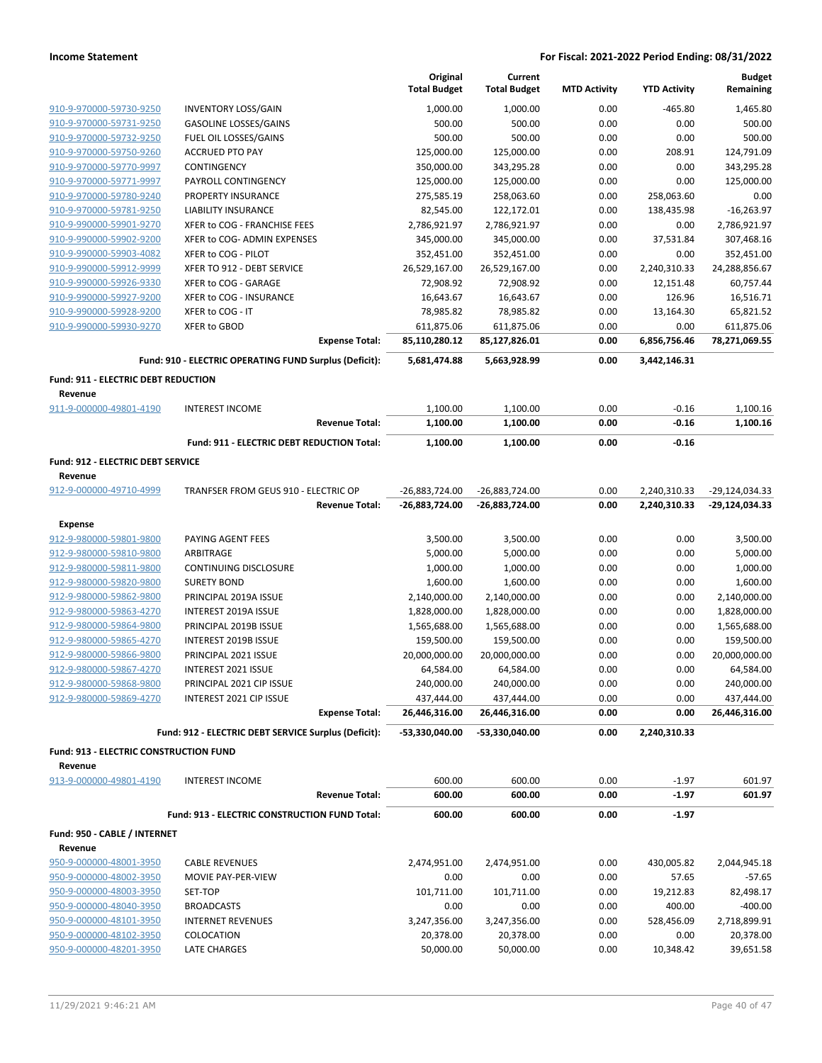|                                                       |                                                        |                       | Original<br><b>Total Budget</b> | Current<br><b>Total Budget</b> | <b>MTD Activity</b> | <b>YTD Activity</b>  | <b>Budget</b><br>Remaining  |
|-------------------------------------------------------|--------------------------------------------------------|-----------------------|---------------------------------|--------------------------------|---------------------|----------------------|-----------------------------|
| 910-9-970000-59730-9250                               | <b>INVENTORY LOSS/GAIN</b>                             |                       | 1,000.00                        | 1,000.00                       | 0.00                | $-465.80$            | 1,465.80                    |
| 910-9-970000-59731-9250                               | <b>GASOLINE LOSSES/GAINS</b>                           |                       | 500.00                          | 500.00                         | 0.00                | 0.00                 | 500.00                      |
| 910-9-970000-59732-9250                               | FUEL OIL LOSSES/GAINS                                  |                       | 500.00                          | 500.00                         | 0.00                | 0.00                 | 500.00                      |
| 910-9-970000-59750-9260                               | <b>ACCRUED PTO PAY</b>                                 |                       | 125,000.00                      | 125,000.00                     | 0.00                | 208.91               | 124,791.09                  |
| 910-9-970000-59770-9997                               | CONTINGENCY                                            |                       | 350,000.00                      | 343,295.28                     | 0.00                | 0.00                 | 343,295.28                  |
| 910-9-970000-59771-9997                               | PAYROLL CONTINGENCY                                    |                       | 125,000.00                      | 125,000.00                     | 0.00                | 0.00                 | 125,000.00                  |
| 910-9-970000-59780-9240                               | PROPERTY INSURANCE                                     |                       | 275,585.19                      | 258,063.60                     | 0.00                | 258,063.60           | 0.00                        |
| 910-9-970000-59781-9250                               | <b>LIABILITY INSURANCE</b>                             |                       | 82,545.00                       | 122,172.01                     | 0.00                | 138,435.98           | $-16,263.97$                |
| 910-9-990000-59901-9270                               | XFER to COG - FRANCHISE FEES                           |                       | 2,786,921.97                    | 2,786,921.97                   | 0.00                | 0.00                 | 2,786,921.97                |
| 910-9-990000-59902-9200                               | XFER to COG- ADMIN EXPENSES                            |                       | 345,000.00                      | 345,000.00                     | 0.00                | 37,531.84            | 307,468.16                  |
| 910-9-990000-59903-4082                               | XFER to COG - PILOT                                    |                       | 352,451.00                      | 352,451.00                     | 0.00                | 0.00                 | 352,451.00                  |
| 910-9-990000-59912-9999                               | XFER TO 912 - DEBT SERVICE                             |                       | 26,529,167.00                   | 26,529,167.00                  | 0.00                | 2,240,310.33         | 24,288,856.67               |
| 910-9-990000-59926-9330                               | XFER to COG - GARAGE                                   |                       | 72,908.92                       | 72,908.92                      | 0.00                | 12,151.48            | 60,757.44                   |
| 910-9-990000-59927-9200                               | XFER to COG - INSURANCE                                |                       | 16,643.67                       | 16,643.67                      | 0.00                | 126.96               | 16,516.71                   |
| 910-9-990000-59928-9200                               | XFER to COG - IT                                       |                       | 78,985.82                       | 78,985.82                      | 0.00                | 13,164.30            | 65,821.52                   |
| 910-9-990000-59930-9270                               | XFER to GBOD                                           | <b>Expense Total:</b> | 611,875.06<br>85,110,280.12     | 611,875.06<br>85,127,826.01    | 0.00<br>0.00        | 0.00<br>6,856,756.46 | 611,875.06<br>78,271,069.55 |
|                                                       |                                                        |                       |                                 |                                |                     |                      |                             |
|                                                       | Fund: 910 - ELECTRIC OPERATING FUND Surplus (Deficit): |                       | 5,681,474.88                    | 5,663,928.99                   | 0.00                | 3,442,146.31         |                             |
| <b>Fund: 911 - ELECTRIC DEBT REDUCTION</b><br>Revenue |                                                        |                       |                                 |                                |                     |                      |                             |
| 911-9-000000-49801-4190                               | <b>INTEREST INCOME</b>                                 |                       | 1,100.00                        | 1,100.00                       | 0.00                | $-0.16$              | 1,100.16                    |
|                                                       |                                                        | <b>Revenue Total:</b> | 1,100.00                        | 1,100.00                       | 0.00                | $-0.16$              | 1,100.16                    |
|                                                       | Fund: 911 - ELECTRIC DEBT REDUCTION Total:             |                       | 1,100.00                        | 1,100.00                       | 0.00                | $-0.16$              |                             |
|                                                       |                                                        |                       |                                 |                                |                     |                      |                             |
| Fund: 912 - ELECTRIC DEBT SERVICE<br>Revenue          |                                                        |                       |                                 |                                |                     |                      |                             |
| 912-9-000000-49710-4999                               | TRANFSER FROM GEUS 910 - ELECTRIC OP                   |                       | -26,883,724.00                  | -26,883,724.00                 | 0.00                | 2,240,310.33         | -29,124,034.33              |
|                                                       |                                                        | <b>Revenue Total:</b> | -26,883,724.00                  | -26,883,724.00                 | 0.00                | 2,240,310.33         | -29,124,034.33              |
| Expense                                               |                                                        |                       |                                 |                                |                     |                      |                             |
| 912-9-980000-59801-9800                               | PAYING AGENT FEES                                      |                       | 3,500.00                        | 3,500.00                       | 0.00                | 0.00                 | 3,500.00                    |
| 912-9-980000-59810-9800                               | ARBITRAGE                                              |                       | 5,000.00                        | 5,000.00                       | 0.00                | 0.00                 | 5,000.00                    |
| 912-9-980000-59811-9800                               | CONTINUING DISCLOSURE                                  |                       | 1,000.00                        | 1,000.00                       | 0.00                | 0.00                 | 1,000.00                    |
| 912-9-980000-59820-9800                               | <b>SURETY BOND</b>                                     |                       | 1,600.00                        | 1,600.00                       | 0.00                | 0.00                 | 1,600.00                    |
| 912-9-980000-59862-9800                               | PRINCIPAL 2019A ISSUE                                  |                       | 2,140,000.00                    | 2,140,000.00                   | 0.00                | 0.00                 | 2,140,000.00                |
| 912-9-980000-59863-4270                               | INTEREST 2019A ISSUE                                   |                       | 1,828,000.00                    | 1,828,000.00                   | 0.00                | 0.00                 | 1,828,000.00                |
| 912-9-980000-59864-9800                               | PRINCIPAL 2019B ISSUE                                  |                       | 1,565,688.00                    | 1,565,688.00                   | 0.00                | 0.00                 | 1,565,688.00                |
| 912-9-980000-59865-4270                               | INTEREST 2019B ISSUE                                   |                       | 159,500.00                      | 159,500.00                     | 0.00                | 0.00                 | 159,500.00                  |
| 912-9-980000-59866-9800                               | PRINCIPAL 2021 ISSUE                                   |                       | 20,000,000.00                   | 20,000,000.00                  | 0.00                | 0.00                 | 20,000,000.00               |
| 912-9-980000-59867-4270                               | INTEREST 2021 ISSUE                                    |                       | 64,584.00                       | 64,584.00                      | 0.00                | 0.00                 | 64,584.00                   |
| 912-9-980000-59868-9800                               | PRINCIPAL 2021 CIP ISSUE                               |                       | 240,000.00                      | 240,000.00                     | 0.00                | 0.00                 | 240,000.00                  |
| 912-9-980000-59869-4270                               | INTEREST 2021 CIP ISSUE                                |                       | 437,444.00                      | 437,444.00                     | 0.00                | 0.00<br>0.00         | 437,444.00                  |
|                                                       |                                                        | <b>Expense Total:</b> | 26,446,316.00                   | 26,446,316.00                  | 0.00                |                      | 26,446,316.00               |
|                                                       | Fund: 912 - ELECTRIC DEBT SERVICE Surplus (Deficit):   |                       | -53,330,040.00                  | -53,330,040.00                 | 0.00                | 2,240,310.33         |                             |
| <b>Fund: 913 - ELECTRIC CONSTRUCTION FUND</b>         |                                                        |                       |                                 |                                |                     |                      |                             |
| Revenue<br>913-9-000000-49801-4190                    | <b>INTEREST INCOME</b>                                 |                       | 600.00                          | 600.00                         | 0.00                | $-1.97$              | 601.97                      |
|                                                       |                                                        | <b>Revenue Total:</b> | 600.00                          | 600.00                         | 0.00                | $-1.97$              | 601.97                      |
|                                                       |                                                        |                       |                                 |                                |                     |                      |                             |
|                                                       | Fund: 913 - ELECTRIC CONSTRUCTION FUND Total:          |                       | 600.00                          | 600.00                         | 0.00                | $-1.97$              |                             |
| Fund: 950 - CABLE / INTERNET<br>Revenue               |                                                        |                       |                                 |                                |                     |                      |                             |
| 950-9-000000-48001-3950                               | <b>CABLE REVENUES</b>                                  |                       | 2,474,951.00                    | 2,474,951.00                   | 0.00                | 430,005.82           | 2,044,945.18                |
| 950-9-000000-48002-3950                               | MOVIE PAY-PER-VIEW                                     |                       | 0.00                            | 0.00                           | 0.00                | 57.65                | $-57.65$                    |
| 950-9-000000-48003-3950                               | SET-TOP                                                |                       | 101,711.00                      | 101,711.00                     | 0.00                | 19,212.83            | 82,498.17                   |
| 950-9-000000-48040-3950                               | <b>BROADCASTS</b>                                      |                       | 0.00                            | 0.00                           | 0.00                | 400.00               | $-400.00$                   |
| 950-9-000000-48101-3950                               | <b>INTERNET REVENUES</b>                               |                       | 3,247,356.00                    | 3,247,356.00                   | 0.00                | 528,456.09           | 2,718,899.91                |
| 950-9-000000-48102-3950                               | COLOCATION                                             |                       | 20,378.00                       | 20,378.00                      | 0.00                | 0.00                 | 20,378.00                   |
| 950-9-000000-48201-3950                               | LATE CHARGES                                           |                       | 50,000.00                       | 50,000.00                      | 0.00                | 10,348.42            | 39,651.58                   |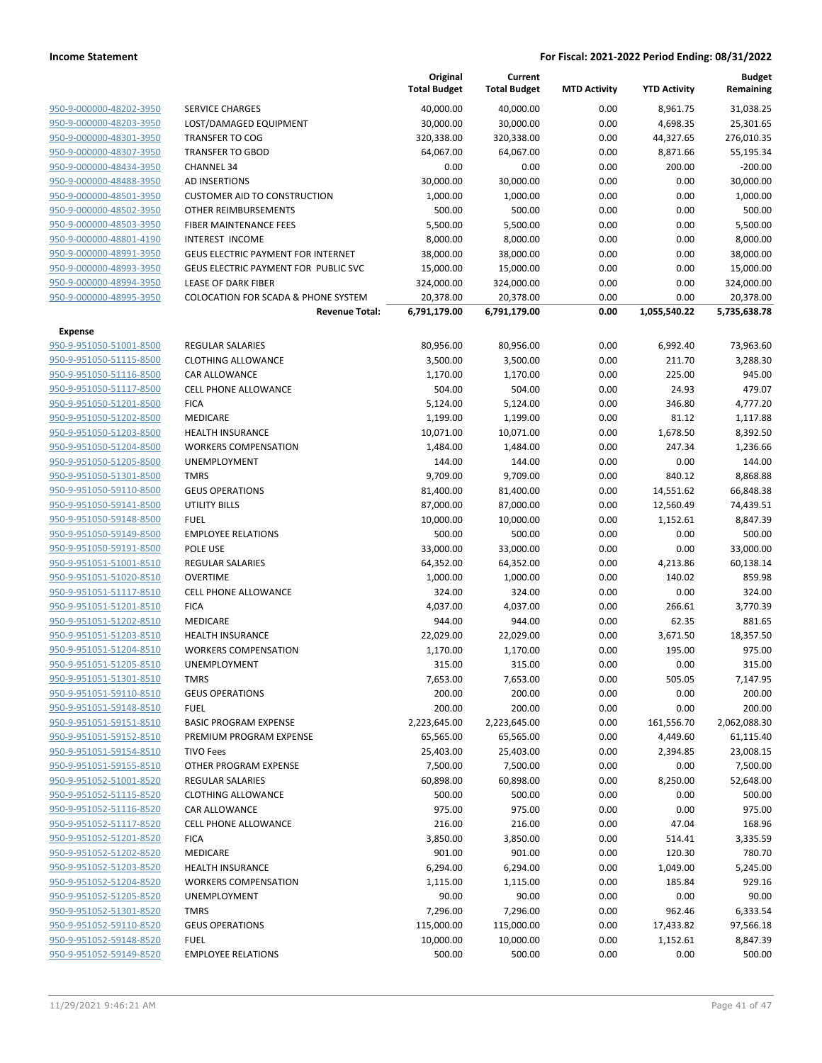|                                                    |                                                | Original<br><b>Total Budget</b> | Current<br><b>Total Budget</b> | <b>MTD Activity</b> | <b>YTD Activity</b> | <b>Budget</b><br>Remaining |
|----------------------------------------------------|------------------------------------------------|---------------------------------|--------------------------------|---------------------|---------------------|----------------------------|
| 950-9-000000-48202-3950                            | <b>SERVICE CHARGES</b>                         | 40,000.00                       | 40,000.00                      | 0.00                | 8,961.75            | 31,038.25                  |
| 950-9-000000-48203-3950                            | LOST/DAMAGED EQUIPMENT                         | 30,000.00                       | 30,000.00                      | 0.00                | 4,698.35            | 25,301.65                  |
| 950-9-000000-48301-3950                            | <b>TRANSFER TO COG</b>                         | 320,338.00                      | 320,338.00                     | 0.00                | 44,327.65           | 276,010.35                 |
| 950-9-000000-48307-3950                            | <b>TRANSFER TO GBOD</b>                        | 64,067.00                       | 64,067.00                      | 0.00                | 8,871.66            | 55,195.34                  |
| 950-9-000000-48434-3950                            | <b>CHANNEL 34</b>                              | 0.00                            | 0.00                           | 0.00                | 200.00              | $-200.00$                  |
| 950-9-000000-48488-3950                            | AD INSERTIONS                                  | 30,000.00                       | 30,000.00                      | 0.00                | 0.00                | 30,000.00                  |
| 950-9-000000-48501-3950                            | <b>CUSTOMER AID TO CONSTRUCTION</b>            | 1,000.00                        | 1,000.00                       | 0.00                | 0.00                | 1,000.00                   |
| 950-9-000000-48502-3950                            | OTHER REIMBURSEMENTS                           | 500.00                          | 500.00                         | 0.00                | 0.00                | 500.00                     |
| 950-9-000000-48503-3950                            | FIBER MAINTENANCE FEES                         | 5,500.00                        | 5,500.00                       | 0.00                | 0.00                | 5,500.00                   |
| 950-9-000000-48801-4190                            | <b>INTEREST INCOME</b>                         | 8,000.00                        | 8,000.00                       | 0.00                | 0.00                | 8,000.00                   |
| 950-9-000000-48991-3950                            | <b>GEUS ELECTRIC PAYMENT FOR INTERNET</b>      | 38,000.00                       | 38,000.00                      | 0.00                | 0.00                | 38,000.00                  |
| 950-9-000000-48993-3950                            | GEUS ELECTRIC PAYMENT FOR PUBLIC SVC           | 15,000.00                       | 15,000.00                      | 0.00                | 0.00                | 15,000.00                  |
| 950-9-000000-48994-3950                            | <b>LEASE OF DARK FIBER</b>                     | 324,000.00                      | 324,000.00                     | 0.00                | 0.00                | 324,000.00                 |
| 950-9-000000-48995-3950                            | <b>COLOCATION FOR SCADA &amp; PHONE SYSTEM</b> | 20,378.00                       | 20,378.00                      | 0.00                | 0.00                | 20,378.00                  |
|                                                    | <b>Revenue Total:</b>                          | 6,791,179.00                    | 6,791,179.00                   | 0.00                | 1,055,540.22        | 5,735,638.78               |
| <b>Expense</b>                                     |                                                |                                 |                                |                     |                     |                            |
| 950-9-951050-51001-8500                            | <b>REGULAR SALARIES</b>                        | 80,956.00                       | 80,956.00                      | 0.00                | 6,992.40            | 73,963.60                  |
| 950-9-951050-51115-8500                            | <b>CLOTHING ALLOWANCE</b>                      | 3,500.00                        | 3,500.00                       | 0.00                | 211.70              | 3,288.30                   |
| 950-9-951050-51116-8500                            | CAR ALLOWANCE                                  | 1,170.00                        | 1,170.00                       | 0.00                | 225.00              | 945.00                     |
| 950-9-951050-51117-8500                            | <b>CELL PHONE ALLOWANCE</b>                    | 504.00                          | 504.00                         | 0.00                | 24.93               | 479.07                     |
| 950-9-951050-51201-8500                            | <b>FICA</b>                                    | 5,124.00                        | 5,124.00                       | 0.00                | 346.80              | 4,777.20                   |
| 950-9-951050-51202-8500                            | MEDICARE                                       | 1,199.00                        | 1,199.00                       | 0.00                | 81.12               | 1,117.88                   |
| 950-9-951050-51203-8500<br>950-9-951050-51204-8500 | <b>HEALTH INSURANCE</b>                        | 10,071.00                       | 10,071.00                      | 0.00                | 1,678.50<br>247.34  | 8,392.50                   |
| 950-9-951050-51205-8500                            | <b>WORKERS COMPENSATION</b><br>UNEMPLOYMENT    | 1,484.00                        | 1,484.00                       | 0.00                | 0.00                | 1,236.66<br>144.00         |
| 950-9-951050-51301-8500                            | <b>TMRS</b>                                    | 144.00<br>9,709.00              | 144.00<br>9,709.00             | 0.00<br>0.00        | 840.12              | 8,868.88                   |
| 950-9-951050-59110-8500                            | <b>GEUS OPERATIONS</b>                         | 81,400.00                       | 81,400.00                      | 0.00                | 14,551.62           | 66,848.38                  |
| 950-9-951050-59141-8500                            | <b>UTILITY BILLS</b>                           | 87,000.00                       | 87,000.00                      | 0.00                | 12,560.49           | 74,439.51                  |
| 950-9-951050-59148-8500                            | <b>FUEL</b>                                    | 10,000.00                       | 10,000.00                      | 0.00                | 1,152.61            | 8,847.39                   |
| 950-9-951050-59149-8500                            | <b>EMPLOYEE RELATIONS</b>                      | 500.00                          | 500.00                         | 0.00                | 0.00                | 500.00                     |
| 950-9-951050-59191-8500                            | POLE USE                                       | 33,000.00                       | 33,000.00                      | 0.00                | 0.00                | 33,000.00                  |
| 950-9-951051-51001-8510                            | REGULAR SALARIES                               | 64,352.00                       | 64,352.00                      | 0.00                | 4,213.86            | 60,138.14                  |
| 950-9-951051-51020-8510                            | <b>OVERTIME</b>                                | 1,000.00                        | 1,000.00                       | 0.00                | 140.02              | 859.98                     |
| 950-9-951051-51117-8510                            | <b>CELL PHONE ALLOWANCE</b>                    | 324.00                          | 324.00                         | 0.00                | 0.00                | 324.00                     |
| 950-9-951051-51201-8510                            | <b>FICA</b>                                    | 4,037.00                        | 4,037.00                       | 0.00                | 266.61              | 3,770.39                   |
| 950-9-951051-51202-8510                            | MEDICARE                                       | 944.00                          | 944.00                         | 0.00                | 62.35               | 881.65                     |
| 950-9-951051-51203-8510                            | <b>HEALTH INSURANCE</b>                        | 22,029.00                       | 22,029.00                      | 0.00                | 3,671.50            | 18,357.50                  |
| 950-9-951051-51204-8510                            | <b>WORKERS COMPENSATION</b>                    | 1,170.00                        | 1,170.00                       | 0.00                | 195.00              | 975.00                     |
| 950-9-951051-51205-8510                            | UNEMPLOYMENT                                   | 315.00                          | 315.00                         | 0.00                | 0.00                | 315.00                     |
| 950-9-951051-51301-8510                            | <b>TMRS</b>                                    | 7,653.00                        | 7,653.00                       | 0.00                | 505.05              | 7,147.95                   |
| 950-9-951051-59110-8510                            | <b>GEUS OPERATIONS</b>                         | 200.00                          | 200.00                         | 0.00                | 0.00                | 200.00                     |
| 950-9-951051-59148-8510                            | <b>FUEL</b>                                    | 200.00                          | 200.00                         | 0.00                | 0.00                | 200.00                     |
| 950-9-951051-59151-8510                            | <b>BASIC PROGRAM EXPENSE</b>                   | 2,223,645.00                    | 2,223,645.00                   | 0.00                | 161,556.70          | 2,062,088.30               |
| 950-9-951051-59152-8510                            | PREMIUM PROGRAM EXPENSE                        | 65,565.00                       | 65,565.00                      | 0.00                | 4,449.60            | 61,115.40                  |
| 950-9-951051-59154-8510                            | <b>TIVO Fees</b>                               | 25,403.00                       | 25,403.00                      | 0.00                | 2,394.85            | 23,008.15                  |
| 950-9-951051-59155-8510                            | OTHER PROGRAM EXPENSE                          | 7,500.00                        | 7,500.00                       | 0.00                | 0.00                | 7,500.00                   |
| 950-9-951052-51001-8520                            | <b>REGULAR SALARIES</b>                        | 60,898.00                       | 60,898.00                      | 0.00                | 8,250.00            | 52,648.00                  |
| 950-9-951052-51115-8520                            | <b>CLOTHING ALLOWANCE</b>                      | 500.00                          | 500.00                         | 0.00                | 0.00                | 500.00                     |
| 950-9-951052-51116-8520                            | CAR ALLOWANCE                                  | 975.00                          | 975.00                         | 0.00                | 0.00                | 975.00                     |
| 950-9-951052-51117-8520                            | <b>CELL PHONE ALLOWANCE</b>                    | 216.00                          | 216.00                         | 0.00                | 47.04               | 168.96                     |
| 950-9-951052-51201-8520                            | <b>FICA</b>                                    | 3,850.00                        | 3,850.00                       | 0.00                | 514.41              | 3,335.59                   |
| 950-9-951052-51202-8520                            | MEDICARE                                       | 901.00                          | 901.00                         | 0.00                | 120.30              | 780.70                     |
| 950-9-951052-51203-8520                            | <b>HEALTH INSURANCE</b>                        | 6,294.00                        | 6,294.00                       | 0.00                | 1,049.00            | 5,245.00                   |
| 950-9-951052-51204-8520                            | <b>WORKERS COMPENSATION</b>                    | 1,115.00                        | 1,115.00                       | 0.00                | 185.84              | 929.16                     |
| 950-9-951052-51205-8520                            | UNEMPLOYMENT                                   | 90.00                           | 90.00                          | 0.00                | 0.00                | 90.00                      |
| 950-9-951052-51301-8520                            | <b>TMRS</b>                                    | 7,296.00                        | 7,296.00                       | 0.00                | 962.46              | 6,333.54                   |
| 950-9-951052-59110-8520                            | <b>GEUS OPERATIONS</b>                         | 115,000.00                      | 115,000.00                     | 0.00                | 17,433.82           | 97,566.18                  |
| 950-9-951052-59148-8520                            | <b>FUEL</b>                                    | 10,000.00                       | 10,000.00                      | 0.00                | 1,152.61            | 8,847.39                   |
| 950-9-951052-59149-8520                            | <b>EMPLOYEE RELATIONS</b>                      | 500.00                          | 500.00                         | 0.00                | 0.00                | 500.00                     |
|                                                    |                                                |                                 |                                |                     |                     |                            |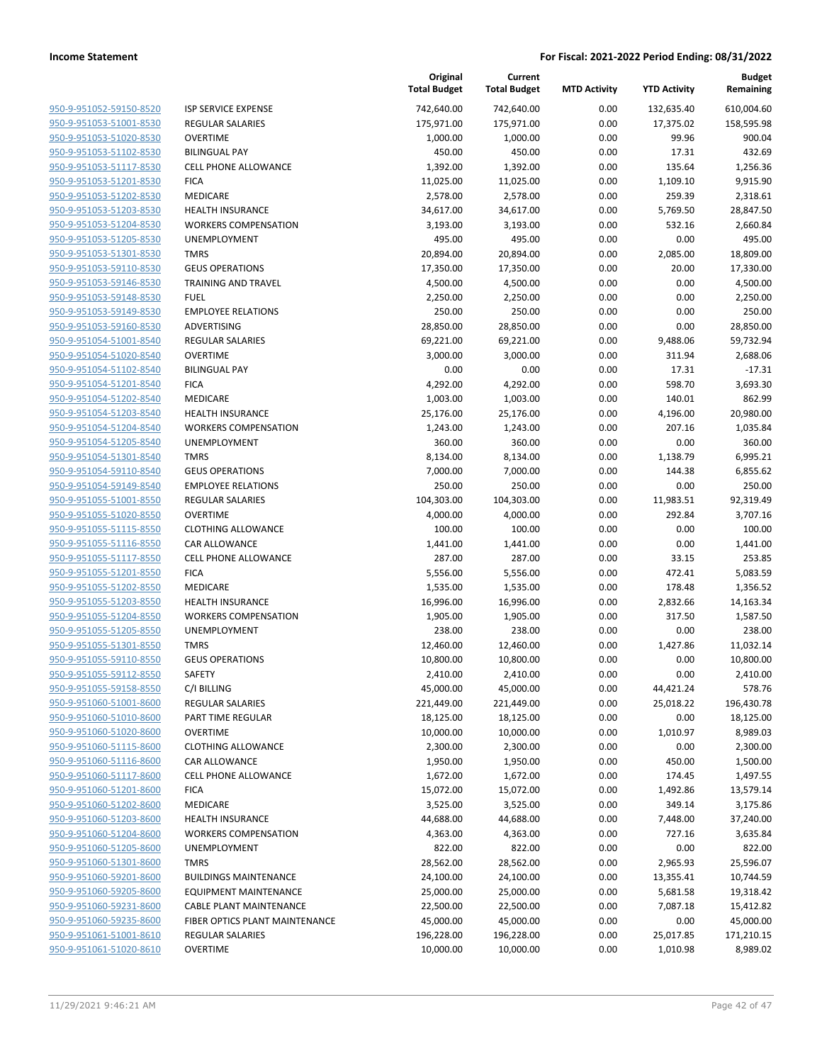| <u>950-9-951052-59150-8520</u>                     |
|----------------------------------------------------|
| 950-9-951053-51001-8530                            |
| 950-9-951053-51020-8530                            |
| <u>950-9-951053-51102-8530</u>                     |
| <u>950-9-951053-51117-8530</u>                     |
| 950-9-951053-51201-8530                            |
| 950-9-951053-51202-8530                            |
| <u>950-9-951053-51203-8530</u>                     |
| <u>950-9-951053-51204-8530</u>                     |
| <u>950-9-951053-51205-8530</u>                     |
| 950-9-951053-51301-8530                            |
| <u>950-9-951053-59110-8530</u>                     |
| 950-9-951053-59146-8530                            |
| <u>950-9-951053-59148-8530</u>                     |
| <u>950-9-951053-59149-8530</u>                     |
| <u>950-9-951053-59160-8530</u>                     |
| 950-9-951054-51001-8540                            |
| 950-9-951054-51020-8540                            |
|                                                    |
| 950-9-951054-51102-8540                            |
| <u>950-9-951054-51201-8540</u>                     |
| <u>950-9-951054-51202-8540</u>                     |
| 950-9-951054-51203-8540                            |
| 950-9-951054-51204-8540                            |
| <u>950-9-951054-51205-8540</u>                     |
| <u>950-9-951054-51301-8540</u>                     |
| <u>950-9-951054-59110-8540</u>                     |
| 950-9-951054-59149-8540                            |
| 950-9-951055-51001-8550                            |
| 950-9-951055-51020-8550                            |
| <u>950-9-951055-51115-8550</u>                     |
| <u>950-9-951055-51116-8550</u>                     |
| 950-9-951055-51117-8550                            |
| 950-9-951055-51201-8550                            |
| <u>950-9-951055-51202-8550</u>                     |
| <u>950-9-951055-51203-8550</u>                     |
| <u>950-9-951055-51204-8550</u>                     |
| 950-9-951055-51205-8550                            |
| 950-9-951055-51301-8550                            |
| 950-9-951055-59110-8550                            |
| 950-9-951055-59112-8550                            |
| 950-9-951055-59158-8550                            |
| 950-9-951060-51001-8600                            |
| 950-9-951060-51010-8600                            |
| 950-9-951060-51020-8600                            |
| <u>950-9-951060-51115-8600</u>                     |
| 950-9-951060-51116-8600                            |
| 950-9-951060-51117-8600                            |
|                                                    |
|                                                    |
| 950-9-951060-51201-8600                            |
| 950-9-951060-51202-8600                            |
| <u>950-9-951060-51203-8600</u>                     |
| 950-9-951060-51204-8600                            |
| 950-9-951060-51205-8600                            |
| 950-9-951060-51301-8600                            |
| 950-9-951060-59201-8600                            |
| <u>950-9-951060-59205-8600</u>                     |
| 950-9-951060-59231-8600                            |
| 950-9-951060-59235-8600                            |
| 950-9-951061-51001-8610<br>950-9-951061-51020-8610 |

|                                                    |                                       | Original<br><b>Total Budget</b> | Current<br><b>Total Budget</b> | <b>MTD Activity</b> | <b>YTD Activity</b> | <b>Budget</b><br>Remaining |
|----------------------------------------------------|---------------------------------------|---------------------------------|--------------------------------|---------------------|---------------------|----------------------------|
| 950-9-951052-59150-8520                            | <b>ISP SERVICE EXPENSE</b>            | 742,640.00                      | 742,640.00                     | 0.00                | 132,635.40          | 610,004.60                 |
| 950-9-951053-51001-8530                            | <b>REGULAR SALARIES</b>               | 175,971.00                      | 175,971.00                     | 0.00                | 17,375.02           | 158,595.98                 |
| 950-9-951053-51020-8530                            | <b>OVERTIME</b>                       | 1,000.00                        | 1,000.00                       | 0.00                | 99.96               | 900.04                     |
| 950-9-951053-51102-8530                            | <b>BILINGUAL PAY</b>                  | 450.00                          | 450.00                         | 0.00                | 17.31               | 432.69                     |
| 950-9-951053-51117-8530                            | <b>CELL PHONE ALLOWANCE</b>           | 1,392.00                        | 1,392.00                       | 0.00                | 135.64              | 1,256.36                   |
| 950-9-951053-51201-8530                            | <b>FICA</b>                           | 11,025.00                       | 11,025.00                      | 0.00                | 1,109.10            | 9,915.90                   |
| 950-9-951053-51202-8530                            | MEDICARE                              | 2,578.00                        | 2,578.00                       | 0.00                | 259.39              | 2,318.61                   |
| 950-9-951053-51203-8530                            | <b>HEALTH INSURANCE</b>               | 34,617.00                       | 34,617.00                      | 0.00                | 5,769.50            | 28,847.50                  |
| 950-9-951053-51204-8530                            | <b>WORKERS COMPENSATION</b>           | 3,193.00                        | 3,193.00                       | 0.00                | 532.16              | 2,660.84                   |
| 950-9-951053-51205-8530                            | UNEMPLOYMENT                          | 495.00                          | 495.00                         | 0.00                | 0.00                | 495.00                     |
| 950-9-951053-51301-8530                            | <b>TMRS</b>                           | 20,894.00                       | 20,894.00                      | 0.00                | 2,085.00            | 18,809.00                  |
| 950-9-951053-59110-8530                            | <b>GEUS OPERATIONS</b>                | 17,350.00                       | 17,350.00                      | 0.00                | 20.00               | 17,330.00                  |
| 950-9-951053-59146-8530                            | <b>TRAINING AND TRAVEL</b>            | 4,500.00                        | 4,500.00                       | 0.00                | 0.00                | 4,500.00                   |
| 950-9-951053-59148-8530                            | <b>FUEL</b>                           | 2,250.00                        | 2,250.00                       | 0.00                | 0.00                | 2,250.00                   |
| 950-9-951053-59149-8530                            | <b>EMPLOYEE RELATIONS</b>             | 250.00                          | 250.00                         | 0.00                | 0.00                | 250.00                     |
| 950-9-951053-59160-8530                            | ADVERTISING                           | 28,850.00                       | 28,850.00                      | 0.00                | 0.00                | 28,850.00                  |
| 950-9-951054-51001-8540                            | <b>REGULAR SALARIES</b>               | 69,221.00                       | 69,221.00                      | 0.00                | 9,488.06            | 59,732.94                  |
| 950-9-951054-51020-8540                            | <b>OVERTIME</b>                       | 3,000.00                        | 3,000.00                       | 0.00                | 311.94              | 2,688.06                   |
| 950-9-951054-51102-8540                            | <b>BILINGUAL PAY</b>                  | 0.00                            | 0.00                           | 0.00                | 17.31               | $-17.31$                   |
| 950-9-951054-51201-8540                            | <b>FICA</b>                           | 4,292.00                        | 4,292.00                       | 0.00                | 598.70              | 3,693.30                   |
| 950-9-951054-51202-8540                            | MEDICARE                              | 1,003.00                        | 1,003.00                       | 0.00                | 140.01              | 862.99                     |
| 950-9-951054-51203-8540                            | <b>HEALTH INSURANCE</b>               | 25,176.00                       | 25,176.00                      | 0.00                | 4,196.00            | 20,980.00                  |
| 950-9-951054-51204-8540                            | <b>WORKERS COMPENSATION</b>           | 1,243.00                        | 1,243.00                       | 0.00                | 207.16              | 1,035.84                   |
| 950-9-951054-51205-8540                            | <b>UNEMPLOYMENT</b>                   | 360.00                          | 360.00                         | 0.00                | 0.00                | 360.00                     |
| 950-9-951054-51301-8540<br>950-9-951054-59110-8540 | <b>TMRS</b><br><b>GEUS OPERATIONS</b> | 8,134.00                        | 8,134.00                       | 0.00<br>0.00        | 1,138.79            | 6,995.21<br>6,855.62       |
| 950-9-951054-59149-8540                            | <b>EMPLOYEE RELATIONS</b>             | 7,000.00<br>250.00              | 7,000.00<br>250.00             | 0.00                | 144.38<br>0.00      | 250.00                     |
| 950-9-951055-51001-8550                            | <b>REGULAR SALARIES</b>               | 104,303.00                      | 104,303.00                     | 0.00                | 11,983.51           | 92,319.49                  |
| 950-9-951055-51020-8550                            | <b>OVERTIME</b>                       | 4,000.00                        | 4,000.00                       | 0.00                | 292.84              | 3,707.16                   |
| 950-9-951055-51115-8550                            | <b>CLOTHING ALLOWANCE</b>             | 100.00                          | 100.00                         | 0.00                | 0.00                | 100.00                     |
| 950-9-951055-51116-8550                            | CAR ALLOWANCE                         | 1,441.00                        | 1,441.00                       | 0.00                | 0.00                | 1,441.00                   |
| 950-9-951055-51117-8550                            | <b>CELL PHONE ALLOWANCE</b>           | 287.00                          | 287.00                         | 0.00                | 33.15               | 253.85                     |
| 950-9-951055-51201-8550                            | <b>FICA</b>                           | 5,556.00                        | 5,556.00                       | 0.00                | 472.41              | 5,083.59                   |
| 950-9-951055-51202-8550                            | MEDICARE                              | 1,535.00                        | 1,535.00                       | 0.00                | 178.48              | 1,356.52                   |
| 950-9-951055-51203-8550                            | <b>HEALTH INSURANCE</b>               | 16,996.00                       | 16,996.00                      | 0.00                | 2,832.66            | 14,163.34                  |
| 950-9-951055-51204-8550                            | <b>WORKERS COMPENSATION</b>           | 1,905.00                        | 1,905.00                       | 0.00                | 317.50              | 1,587.50                   |
| 950-9-951055-51205-8550                            | UNEMPLOYMENT                          | 238.00                          | 238.00                         | 0.00                | 0.00                | 238.00                     |
| 950-9-951055-51301-8550                            | <b>TMRS</b>                           | 12,460.00                       | 12,460.00                      | 0.00                | 1,427.86            | 11,032.14                  |
| 950-9-951055-59110-8550                            | <b>GEUS OPERATIONS</b>                | 10,800.00                       | 10,800.00                      | 0.00                | 0.00                | 10,800.00                  |
| 950-9-951055-59112-8550                            | SAFETY                                | 2,410.00                        | 2,410.00                       | 0.00                | 0.00                | 2,410.00                   |
| 950-9-951055-59158-8550                            | C/I BILLING                           | 45,000.00                       | 45,000.00                      | 0.00                | 44,421.24           | 578.76                     |
| 950-9-951060-51001-8600                            | <b>REGULAR SALARIES</b>               | 221,449.00                      | 221,449.00                     | 0.00                | 25,018.22           | 196,430.78                 |
| 950-9-951060-51010-8600                            | PART TIME REGULAR                     | 18,125.00                       | 18,125.00                      | 0.00                | 0.00                | 18,125.00                  |
| 950-9-951060-51020-8600                            | <b>OVERTIME</b>                       | 10,000.00                       | 10,000.00                      | 0.00                | 1,010.97            | 8,989.03                   |
| 950-9-951060-51115-8600                            | <b>CLOTHING ALLOWANCE</b>             | 2,300.00                        | 2,300.00                       | 0.00                | 0.00                | 2,300.00                   |
| 950-9-951060-51116-8600                            | CAR ALLOWANCE                         | 1,950.00                        | 1,950.00                       | 0.00                | 450.00              | 1,500.00                   |
| 950-9-951060-51117-8600                            | CELL PHONE ALLOWANCE                  | 1,672.00                        | 1,672.00                       | 0.00                | 174.45              | 1,497.55                   |
| 950-9-951060-51201-8600                            | <b>FICA</b>                           | 15,072.00                       | 15,072.00                      | 0.00                | 1,492.86            | 13,579.14                  |
| 950-9-951060-51202-8600                            | MEDICARE                              | 3,525.00                        | 3,525.00                       | 0.00                | 349.14              | 3,175.86                   |
| 950-9-951060-51203-8600                            | HEALTH INSURANCE                      | 44,688.00                       | 44,688.00                      | 0.00                | 7,448.00            | 37,240.00                  |
| 950-9-951060-51204-8600                            | <b>WORKERS COMPENSATION</b>           | 4,363.00                        | 4,363.00                       | 0.00                | 727.16              | 3,635.84                   |
| 950-9-951060-51205-8600                            | UNEMPLOYMENT                          | 822.00                          | 822.00                         | 0.00                | 0.00                | 822.00                     |
| 950-9-951060-51301-8600                            | <b>TMRS</b>                           | 28,562.00                       | 28,562.00                      | 0.00                | 2,965.93            | 25,596.07                  |
| 950-9-951060-59201-8600                            | <b>BUILDINGS MAINTENANCE</b>          | 24,100.00                       | 24,100.00                      | 0.00                | 13,355.41           | 10,744.59                  |
| 950-9-951060-59205-8600                            | <b>EQUIPMENT MAINTENANCE</b>          | 25,000.00                       | 25,000.00                      | 0.00                | 5,681.58            | 19,318.42                  |
| 950-9-951060-59231-8600                            | CABLE PLANT MAINTENANCE               | 22,500.00                       | 22,500.00                      | 0.00                | 7,087.18            | 15,412.82                  |
| 950-9-951060-59235-8600                            | FIBER OPTICS PLANT MAINTENANCE        | 45,000.00                       | 45,000.00                      | 0.00                | 0.00                | 45,000.00                  |
| 950-9-951061-51001-8610                            | <b>REGULAR SALARIES</b>               | 196,228.00                      | 196,228.00                     | 0.00                | 25,017.85           | 171,210.15                 |
| 950-9-951061-51020-8610                            | OVERTIME                              | 10,000.00                       | 10,000.00                      | 0.00                | 1,010.98            | 8,989.02                   |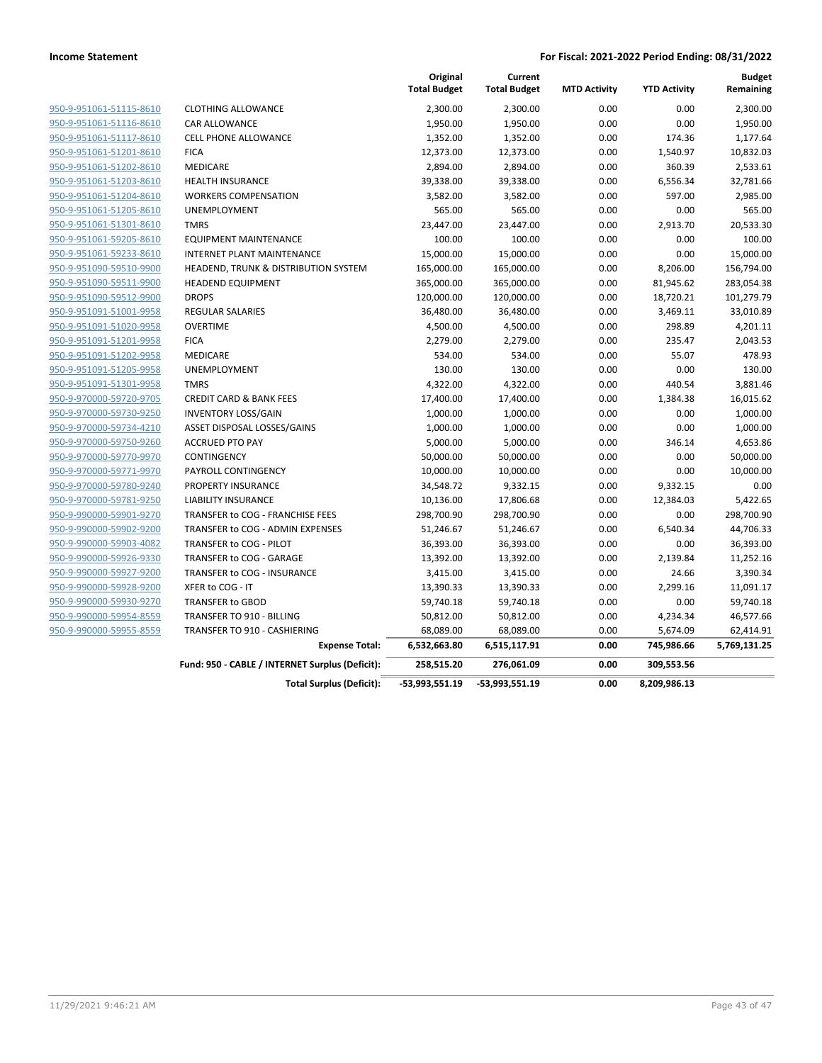|                         |                                                 | Original<br><b>Total Budget</b> | Current<br><b>Total Budget</b> | <b>MTD Activity</b> | <b>YTD Activity</b> | <b>Budget</b><br>Remaining |
|-------------------------|-------------------------------------------------|---------------------------------|--------------------------------|---------------------|---------------------|----------------------------|
| 950-9-951061-51115-8610 | <b>CLOTHING ALLOWANCE</b>                       | 2,300.00                        | 2,300.00                       | 0.00                | 0.00                | 2,300.00                   |
| 950-9-951061-51116-8610 | CAR ALLOWANCE                                   | 1,950.00                        | 1,950.00                       | 0.00                | 0.00                | 1,950.00                   |
| 950-9-951061-51117-8610 | <b>CELL PHONE ALLOWANCE</b>                     | 1,352.00                        | 1,352.00                       | 0.00                | 174.36              | 1,177.64                   |
| 950-9-951061-51201-8610 | <b>FICA</b>                                     | 12,373.00                       | 12,373.00                      | 0.00                | 1,540.97            | 10,832.03                  |
| 950-9-951061-51202-8610 | <b>MEDICARE</b>                                 | 2,894.00                        | 2,894.00                       | 0.00                | 360.39              | 2,533.61                   |
| 950-9-951061-51203-8610 | <b>HEALTH INSURANCE</b>                         | 39,338.00                       | 39,338.00                      | 0.00                | 6,556.34            | 32,781.66                  |
| 950-9-951061-51204-8610 | <b>WORKERS COMPENSATION</b>                     | 3,582.00                        | 3,582.00                       | 0.00                | 597.00              | 2,985.00                   |
| 950-9-951061-51205-8610 | UNEMPLOYMENT                                    | 565.00                          | 565.00                         | 0.00                | 0.00                | 565.00                     |
| 950-9-951061-51301-8610 | <b>TMRS</b>                                     | 23,447.00                       | 23,447.00                      | 0.00                | 2,913.70            | 20,533.30                  |
| 950-9-951061-59205-8610 | <b>EQUIPMENT MAINTENANCE</b>                    | 100.00                          | 100.00                         | 0.00                | 0.00                | 100.00                     |
| 950-9-951061-59233-8610 | <b>INTERNET PLANT MAINTENANCE</b>               | 15,000.00                       | 15,000.00                      | 0.00                | 0.00                | 15,000.00                  |
| 950-9-951090-59510-9900 | HEADEND, TRUNK & DISTRIBUTION SYSTEM            | 165,000.00                      | 165,000.00                     | 0.00                | 8,206.00            | 156,794.00                 |
| 950-9-951090-59511-9900 | <b>HEADEND EQUIPMENT</b>                        | 365,000.00                      | 365,000.00                     | 0.00                | 81,945.62           | 283,054.38                 |
| 950-9-951090-59512-9900 | <b>DROPS</b>                                    | 120,000.00                      | 120,000.00                     | 0.00                | 18,720.21           | 101,279.79                 |
| 950-9-951091-51001-9958 | <b>REGULAR SALARIES</b>                         | 36,480.00                       | 36,480.00                      | 0.00                | 3,469.11            | 33,010.89                  |
| 950-9-951091-51020-9958 | <b>OVERTIME</b>                                 | 4,500.00                        | 4,500.00                       | 0.00                | 298.89              | 4,201.11                   |
| 950-9-951091-51201-9958 | <b>FICA</b>                                     | 2,279.00                        | 2,279.00                       | 0.00                | 235.47              | 2,043.53                   |
| 950-9-951091-51202-9958 | MEDICARE                                        | 534.00                          | 534.00                         | 0.00                | 55.07               | 478.93                     |
| 950-9-951091-51205-9958 | UNEMPLOYMENT                                    | 130.00                          | 130.00                         | 0.00                | 0.00                | 130.00                     |
| 950-9-951091-51301-9958 | <b>TMRS</b>                                     | 4,322.00                        | 4,322.00                       | 0.00                | 440.54              | 3,881.46                   |
| 950-9-970000-59720-9705 | <b>CREDIT CARD &amp; BANK FEES</b>              | 17,400.00                       | 17,400.00                      | 0.00                | 1,384.38            | 16,015.62                  |
| 950-9-970000-59730-9250 | <b>INVENTORY LOSS/GAIN</b>                      | 1,000.00                        | 1,000.00                       | 0.00                | 0.00                | 1,000.00                   |
| 950-9-970000-59734-4210 | ASSET DISPOSAL LOSSES/GAINS                     | 1,000.00                        | 1,000.00                       | 0.00                | 0.00                | 1,000.00                   |
| 950-9-970000-59750-9260 | <b>ACCRUED PTO PAY</b>                          | 5,000.00                        | 5,000.00                       | 0.00                | 346.14              | 4,653.86                   |
| 950-9-970000-59770-9970 | CONTINGENCY                                     | 50,000.00                       | 50,000.00                      | 0.00                | 0.00                | 50,000.00                  |
| 950-9-970000-59771-9970 | PAYROLL CONTINGENCY                             | 10,000.00                       | 10,000.00                      | 0.00                | 0.00                | 10,000.00                  |
| 950-9-970000-59780-9240 | <b>PROPERTY INSURANCE</b>                       | 34,548.72                       | 9,332.15                       | 0.00                | 9,332.15            | 0.00                       |
| 950-9-970000-59781-9250 | <b>LIABILITY INSURANCE</b>                      | 10,136.00                       | 17,806.68                      | 0.00                | 12,384.03           | 5,422.65                   |
| 950-9-990000-59901-9270 | TRANSFER to COG - FRANCHISE FEES                | 298,700.90                      | 298,700.90                     | 0.00                | 0.00                | 298,700.90                 |
| 950-9-990000-59902-9200 | TRANSFER to COG - ADMIN EXPENSES                | 51,246.67                       | 51,246.67                      | 0.00                | 6,540.34            | 44,706.33                  |
| 950-9-990000-59903-4082 | TRANSFER to COG - PILOT                         | 36,393.00                       | 36,393.00                      | 0.00                | 0.00                | 36,393.00                  |
| 950-9-990000-59926-9330 | TRANSFER to COG - GARAGE                        | 13,392.00                       | 13,392.00                      | 0.00                | 2,139.84            | 11,252.16                  |
| 950-9-990000-59927-9200 | TRANSFER to COG - INSURANCE                     | 3,415.00                        | 3,415.00                       | 0.00                | 24.66               | 3,390.34                   |
| 950-9-990000-59928-9200 | XFER to COG - IT                                | 13,390.33                       | 13,390.33                      | 0.00                | 2,299.16            | 11,091.17                  |
| 950-9-990000-59930-9270 | <b>TRANSFER to GBOD</b>                         | 59,740.18                       | 59,740.18                      | 0.00                | 0.00                | 59,740.18                  |
| 950-9-990000-59954-8559 | <b>TRANSFER TO 910 - BILLING</b>                | 50,812.00                       | 50,812.00                      | 0.00                | 4,234.34            | 46,577.66                  |
| 950-9-990000-59955-8559 | TRANSFER TO 910 - CASHIERING                    | 68,089.00                       | 68,089.00                      | 0.00                | 5,674.09            | 62,414.91                  |
|                         | <b>Expense Total:</b>                           | 6,532,663.80                    | 6,515,117.91                   | 0.00                | 745,986.66          | 5,769,131.25               |
|                         | Fund: 950 - CABLE / INTERNET Surplus (Deficit): | 258,515.20                      | 276,061.09                     | 0.00                | 309,553.56          |                            |
|                         | <b>Total Surplus (Deficit):</b>                 | -53,993,551.19                  | -53,993,551.19                 | 0.00                | 8,209,986.13        |                            |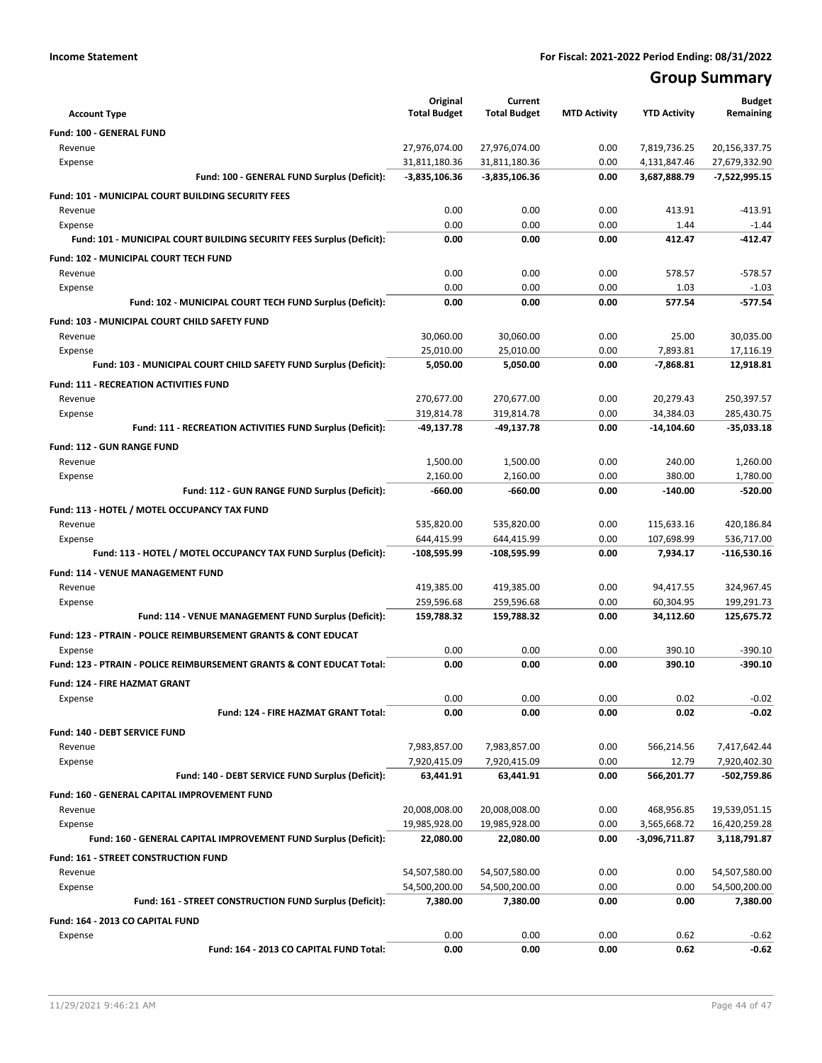# **Group Summary**

| <b>Account Type</b>                                                       | Original<br><b>Total Budget</b> | Current<br><b>Total Budget</b> | <b>MTD Activity</b> | <b>YTD Activity</b> | <b>Budget</b><br>Remaining     |
|---------------------------------------------------------------------------|---------------------------------|--------------------------------|---------------------|---------------------|--------------------------------|
| <b>Fund: 100 - GENERAL FUND</b>                                           |                                 |                                |                     |                     |                                |
| Revenue                                                                   | 27,976,074.00                   | 27,976,074.00                  | 0.00                | 7,819,736.25        | 20,156,337.75                  |
| Expense                                                                   | 31,811,180.36                   | 31,811,180.36                  | 0.00                | 4,131,847.46        | 27,679,332.90                  |
| Fund: 100 - GENERAL FUND Surplus (Deficit):                               | -3,835,106.36                   | $-3,835,106.36$                | 0.00                | 3,687,888.79        | $-7,522,995.15$                |
| Fund: 101 - MUNICIPAL COURT BUILDING SECURITY FEES                        |                                 |                                |                     |                     |                                |
| Revenue                                                                   | 0.00                            | 0.00                           | 0.00                | 413.91              | $-413.91$                      |
| Expense                                                                   | 0.00                            | 0.00                           | 0.00                | 1.44                | $-1.44$                        |
| Fund: 101 - MUNICIPAL COURT BUILDING SECURITY FEES Surplus (Deficit):     | 0.00                            | 0.00                           | 0.00                | 412.47              | $-412.47$                      |
| Fund: 102 - MUNICIPAL COURT TECH FUND                                     |                                 |                                |                     |                     |                                |
| Revenue                                                                   | 0.00                            | 0.00                           | 0.00                | 578.57              | $-578.57$                      |
| Expense                                                                   | 0.00                            | 0.00                           | 0.00                | 1.03                | $-1.03$                        |
| Fund: 102 - MUNICIPAL COURT TECH FUND Surplus (Deficit):                  | 0.00                            | 0.00                           | 0.00                | 577.54              | $-577.54$                      |
|                                                                           |                                 |                                |                     |                     |                                |
| Fund: 103 - MUNICIPAL COURT CHILD SAFETY FUND                             |                                 |                                |                     |                     |                                |
| Revenue<br>Expense                                                        | 30,060.00<br>25,010.00          | 30,060.00<br>25,010.00         | 0.00<br>0.00        | 25.00<br>7,893.81   | 30,035.00<br>17,116.19         |
| Fund: 103 - MUNICIPAL COURT CHILD SAFETY FUND Surplus (Deficit):          | 5,050.00                        | 5,050.00                       | 0.00                | $-7,868.81$         | 12,918.81                      |
|                                                                           |                                 |                                |                     |                     |                                |
| <b>Fund: 111 - RECREATION ACTIVITIES FUND</b>                             |                                 |                                |                     |                     |                                |
| Revenue                                                                   | 270,677.00                      | 270,677.00                     | 0.00                | 20,279.43           | 250,397.57                     |
| Expense                                                                   | 319,814.78                      | 319,814.78                     | 0.00                | 34,384.03           | 285,430.75                     |
| Fund: 111 - RECREATION ACTIVITIES FUND Surplus (Deficit):                 | $-49,137.78$                    | -49,137.78                     | 0.00                | -14,104.60          | -35,033.18                     |
| <b>Fund: 112 - GUN RANGE FUND</b>                                         |                                 |                                |                     |                     |                                |
| Revenue                                                                   | 1,500.00                        | 1,500.00                       | 0.00                | 240.00              | 1,260.00                       |
| Expense                                                                   | 2,160.00                        | 2,160.00                       | 0.00                | 380.00              | 1,780.00                       |
| Fund: 112 - GUN RANGE FUND Surplus (Deficit):                             | $-660.00$                       | $-660.00$                      | 0.00                | $-140.00$           | $-520.00$                      |
| Fund: 113 - HOTEL / MOTEL OCCUPANCY TAX FUND                              |                                 |                                |                     |                     |                                |
| Revenue                                                                   | 535,820.00                      | 535,820.00                     | 0.00                | 115,633.16          | 420,186.84                     |
| Expense                                                                   | 644,415.99                      | 644,415.99                     | 0.00                | 107,698.99          | 536,717.00                     |
| Fund: 113 - HOTEL / MOTEL OCCUPANCY TAX FUND Surplus (Deficit):           | -108,595.99                     | -108,595.99                    | 0.00                | 7,934.17            | -116,530.16                    |
| Fund: 114 - VENUE MANAGEMENT FUND                                         |                                 |                                |                     |                     |                                |
| Revenue                                                                   | 419,385.00                      | 419,385.00                     | 0.00                | 94,417.55           | 324,967.45                     |
| Expense                                                                   | 259,596.68                      | 259,596.68                     | 0.00                | 60,304.95           | 199,291.73                     |
| Fund: 114 - VENUE MANAGEMENT FUND Surplus (Deficit):                      | 159,788.32                      | 159,788.32                     | 0.00                | 34,112.60           | 125,675.72                     |
| <b>Fund: 123 - PTRAIN - POLICE REIMBURSEMENT GRANTS &amp; CONT EDUCAT</b> |                                 |                                |                     |                     |                                |
| Expense                                                                   | 0.00                            | 0.00                           | 0.00                | 390.10              | $-390.10$                      |
| Fund: 123 - PTRAIN - POLICE REIMBURSEMENT GRANTS & CONT EDUCAT Total:     | 0.00                            | 0.00                           | 0.00                | 390.10              | $-390.10$                      |
| <b>Fund: 124 - FIRE HAZMAT GRANT</b>                                      |                                 |                                |                     |                     |                                |
| Expense                                                                   | 0.00                            | 0.00                           | 0.00                | 0.02                | $-0.02$                        |
| Fund: 124 - FIRE HAZMAT GRANT Total:                                      | 0.00                            | 0.00                           | 0.00                | 0.02                | $-0.02$                        |
| Fund: 140 - DEBT SERVICE FUND                                             |                                 |                                |                     |                     |                                |
| Revenue                                                                   | 7,983,857.00                    | 7,983,857.00                   | 0.00                | 566,214.56          | 7,417,642.44                   |
| Expense                                                                   | 7,920,415.09                    | 7,920,415.09                   | 0.00                | 12.79               | 7,920,402.30                   |
| Fund: 140 - DEBT SERVICE FUND Surplus (Deficit):                          | 63,441.91                       | 63,441.91                      | 0.00                | 566,201.77          | -502,759.86                    |
| Fund: 160 - GENERAL CAPITAL IMPROVEMENT FUND                              |                                 |                                |                     |                     |                                |
| Revenue                                                                   | 20,008,008.00                   | 20,008,008.00                  | 0.00                | 468,956.85          | 19,539,051.15                  |
| Expense                                                                   | 19,985,928.00                   | 19,985,928.00                  | 0.00                | 3,565,668.72        | 16,420,259.28                  |
| Fund: 160 - GENERAL CAPITAL IMPROVEMENT FUND Surplus (Deficit):           | 22,080.00                       | 22,080.00                      | 0.00                | -3,096,711.87       | 3,118,791.87                   |
| <b>Fund: 161 - STREET CONSTRUCTION FUND</b>                               |                                 |                                |                     |                     |                                |
| Revenue                                                                   | 54,507,580.00                   |                                | 0.00                |                     |                                |
| Expense                                                                   | 54,500,200.00                   | 54,507,580.00<br>54,500,200.00 | 0.00                | 0.00<br>0.00        | 54,507,580.00<br>54,500,200.00 |
| Fund: 161 - STREET CONSTRUCTION FUND Surplus (Deficit):                   | 7,380.00                        | 7,380.00                       | 0.00                | 0.00                | 7,380.00                       |
|                                                                           |                                 |                                |                     |                     |                                |
| Fund: 164 - 2013 CO CAPITAL FUND                                          |                                 |                                |                     |                     |                                |
| Expense                                                                   | 0.00                            | 0.00                           | 0.00                | 0.62                | $-0.62$                        |
| Fund: 164 - 2013 CO CAPITAL FUND Total:                                   | 0.00                            | 0.00                           | 0.00                | 0.62                | -0.62                          |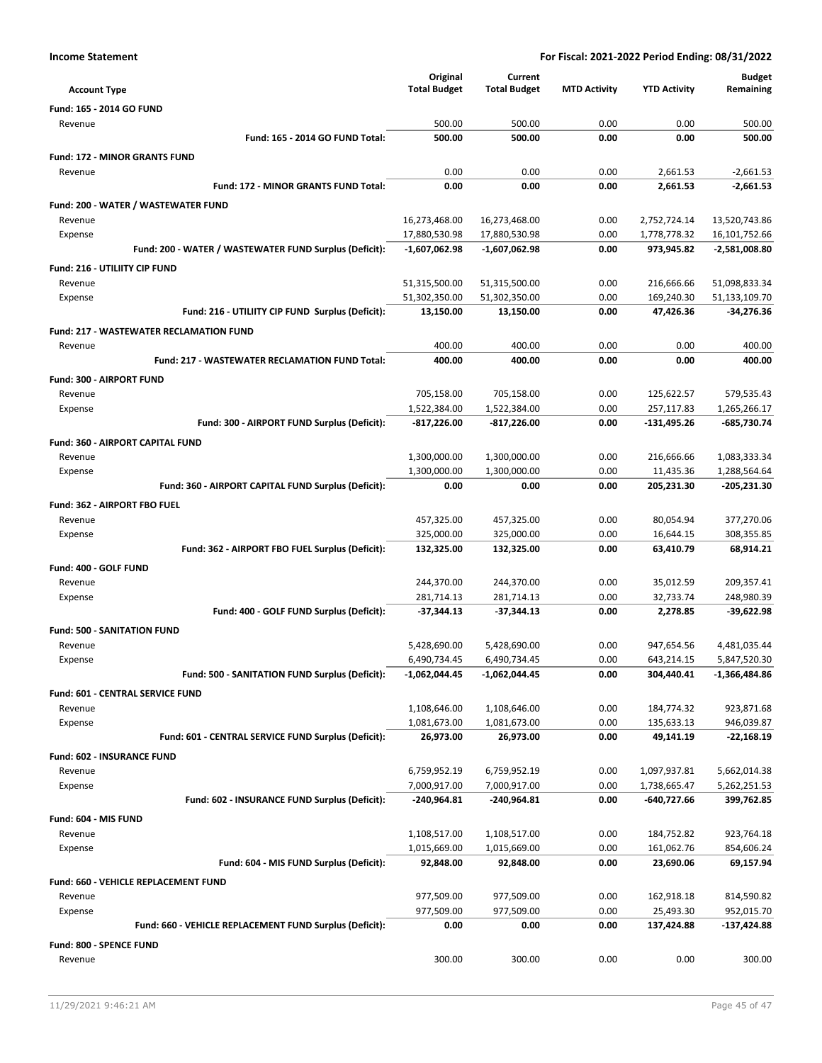| <b>Income Statement</b> |              | For Fiscal: 2021-2022 Period Ending: 08/31/2022 |                     |                     |               |  |
|-------------------------|--------------|-------------------------------------------------|---------------------|---------------------|---------------|--|
|                         | Original     | Current                                         |                     |                     | <b>Budget</b> |  |
| Account Type            | Total Budget | <b>Total Rudget</b>                             | <b>MTD Activity</b> | <b>VTD Activity</b> | Remaining     |  |

|                                                             | Original            | Current             |                     |                     | <b>Budget</b> |
|-------------------------------------------------------------|---------------------|---------------------|---------------------|---------------------|---------------|
| <b>Account Type</b>                                         | <b>Total Budget</b> | <b>Total Budget</b> | <b>MTD Activity</b> | <b>YTD Activity</b> | Remaining     |
| Fund: 165 - 2014 GO FUND                                    |                     |                     |                     |                     |               |
| Revenue                                                     | 500.00              | 500.00              | 0.00                | 0.00                | 500.00        |
| Fund: 165 - 2014 GO FUND Total:                             | 500.00              | 500.00              | 0.00                | 0.00                | 500.00        |
|                                                             |                     |                     |                     |                     |               |
| <b>Fund: 172 - MINOR GRANTS FUND</b>                        |                     |                     |                     |                     |               |
| Revenue                                                     | 0.00                | 0.00                | 0.00                | 2,661.53            | $-2,661.53$   |
| Fund: 172 - MINOR GRANTS FUND Total:                        | 0.00                | 0.00                | 0.00                | 2,661.53            | $-2,661.53$   |
| Fund: 200 - WATER / WASTEWATER FUND                         |                     |                     |                     |                     |               |
| Revenue                                                     | 16,273,468.00       | 16,273,468.00       | 0.00                | 2,752,724.14        | 13,520,743.86 |
| Expense                                                     | 17,880,530.98       | 17,880,530.98       | 0.00                | 1,778,778.32        | 16,101,752.66 |
| Fund: 200 - WATER / WASTEWATER FUND Surplus (Deficit):      | $-1,607,062.98$     | $-1,607,062.98$     | 0.00                | 973,945.82          | -2,581,008.80 |
| Fund: 216 - UTILIITY CIP FUND                               |                     |                     |                     |                     |               |
| Revenue                                                     | 51,315,500.00       | 51,315,500.00       | 0.00                | 216,666.66          | 51,098,833.34 |
|                                                             | 51,302,350.00       | 51,302,350.00       | 0.00                | 169,240.30          | 51,133,109.70 |
| Expense<br>Fund: 216 - UTILIITY CIP FUND Surplus (Deficit): | 13,150.00           | 13,150.00           | 0.00                | 47,426.36           | $-34,276.36$  |
|                                                             |                     |                     |                     |                     |               |
| <b>Fund: 217 - WASTEWATER RECLAMATION FUND</b>              |                     |                     |                     |                     |               |
| Revenue                                                     | 400.00              | 400.00              | 0.00                | 0.00                | 400.00        |
| <b>Fund: 217 - WASTEWATER RECLAMATION FUND Total:</b>       | 400.00              | 400.00              | 0.00                | 0.00                | 400.00        |
| Fund: 300 - AIRPORT FUND                                    |                     |                     |                     |                     |               |
| Revenue                                                     | 705,158.00          | 705,158.00          | 0.00                | 125,622.57          | 579,535.43    |
| Expense                                                     | 1,522,384.00        | 1,522,384.00        | 0.00                | 257,117.83          | 1,265,266.17  |
| Fund: 300 - AIRPORT FUND Surplus (Deficit):                 | -817,226.00         | -817,226.00         | 0.00                | $-131,495.26$       | -685,730.74   |
|                                                             |                     |                     |                     |                     |               |
| <b>Fund: 360 - AIRPORT CAPITAL FUND</b>                     |                     |                     |                     |                     |               |
| Revenue                                                     | 1,300,000.00        | 1,300,000.00        | 0.00                | 216,666.66          | 1,083,333.34  |
| Expense                                                     | 1,300,000.00        | 1,300,000.00        | 0.00                | 11,435.36           | 1,288,564.64  |
| Fund: 360 - AIRPORT CAPITAL FUND Surplus (Deficit):         | 0.00                | 0.00                | 0.00                | 205,231.30          | $-205,231.30$ |
| Fund: 362 - AIRPORT FBO FUEL                                |                     |                     |                     |                     |               |
| Revenue                                                     | 457,325.00          | 457,325.00          | 0.00                | 80,054.94           | 377,270.06    |
| Expense                                                     | 325,000.00          | 325,000.00          | 0.00                | 16,644.15           | 308,355.85    |
| Fund: 362 - AIRPORT FBO FUEL Surplus (Deficit):             | 132,325.00          | 132,325.00          | 0.00                | 63,410.79           | 68,914.21     |
| Fund: 400 - GOLF FUND                                       |                     |                     |                     |                     |               |
| Revenue                                                     | 244,370.00          | 244,370.00          | 0.00                | 35,012.59           | 209,357.41    |
| Expense                                                     | 281,714.13          | 281,714.13          | 0.00                | 32,733.74           | 248,980.39    |
| Fund: 400 - GOLF FUND Surplus (Deficit):                    | -37,344.13          | $-37,344.13$        | 0.00                | 2,278.85            | $-39,622.98$  |
|                                                             |                     |                     |                     |                     |               |
| <b>Fund: 500 - SANITATION FUND</b>                          |                     |                     |                     |                     |               |
| Revenue                                                     | 5,428,690.00        | 5,428,690.00        | 0.00                | 947,654.56          | 4,481,035.44  |
| Expense                                                     | 6,490,734.45        | 6,490,734.45        | 0.00                | 643,214.15          | 5,847,520.30  |
| Fund: 500 - SANITATION FUND Surplus (Deficit):              | -1,062,044.45       | -1,062,044.45       | 0.00                | 304,440.41          | -1,366,484.86 |
| Fund: 601 - CENTRAL SERVICE FUND                            |                     |                     |                     |                     |               |
| Revenue                                                     | 1,108,646.00        | 1,108,646.00        | 0.00                | 184,774.32          | 923,871.68    |
| Expense                                                     | 1,081,673.00        | 1,081,673.00        | 0.00                | 135,633.13          | 946,039.87    |
| Fund: 601 - CENTRAL SERVICE FUND Surplus (Deficit):         | 26,973.00           | 26,973.00           | 0.00                | 49,141.19           | $-22,168.19$  |
|                                                             |                     |                     |                     |                     |               |
| Fund: 602 - INSURANCE FUND                                  |                     |                     |                     |                     |               |
| Revenue                                                     | 6,759,952.19        | 6,759,952.19        | 0.00                | 1,097,937.81        | 5,662,014.38  |
| Expense                                                     | 7,000,917.00        | 7,000,917.00        | 0.00                | 1,738,665.47        | 5,262,251.53  |
| Fund: 602 - INSURANCE FUND Surplus (Deficit):               | $-240,964.81$       | -240,964.81         | 0.00                | -640,727.66         | 399,762.85    |
| Fund: 604 - MIS FUND                                        |                     |                     |                     |                     |               |
| Revenue                                                     | 1,108,517.00        | 1,108,517.00        | 0.00                | 184,752.82          | 923,764.18    |
| Expense                                                     | 1,015,669.00        | 1,015,669.00        | 0.00                | 161,062.76          | 854,606.24    |
| Fund: 604 - MIS FUND Surplus (Deficit):                     | 92,848.00           | 92,848.00           | 0.00                | 23,690.06           | 69,157.94     |
| <b>Fund: 660 - VEHICLE REPLACEMENT FUND</b>                 |                     |                     |                     |                     |               |
| Revenue                                                     | 977,509.00          | 977,509.00          | 0.00                | 162,918.18          | 814,590.82    |
| Expense                                                     | 977,509.00          | 977,509.00          | 0.00                | 25,493.30           | 952,015.70    |
| Fund: 660 - VEHICLE REPLACEMENT FUND Surplus (Deficit):     | 0.00                | 0.00                | 0.00                | 137,424.88          | $-137,424.88$ |
|                                                             |                     |                     |                     |                     |               |
| Fund: 800 - SPENCE FUND                                     |                     |                     |                     |                     |               |
| Revenue                                                     | 300.00              | 300.00              | 0.00                | 0.00                | 300.00        |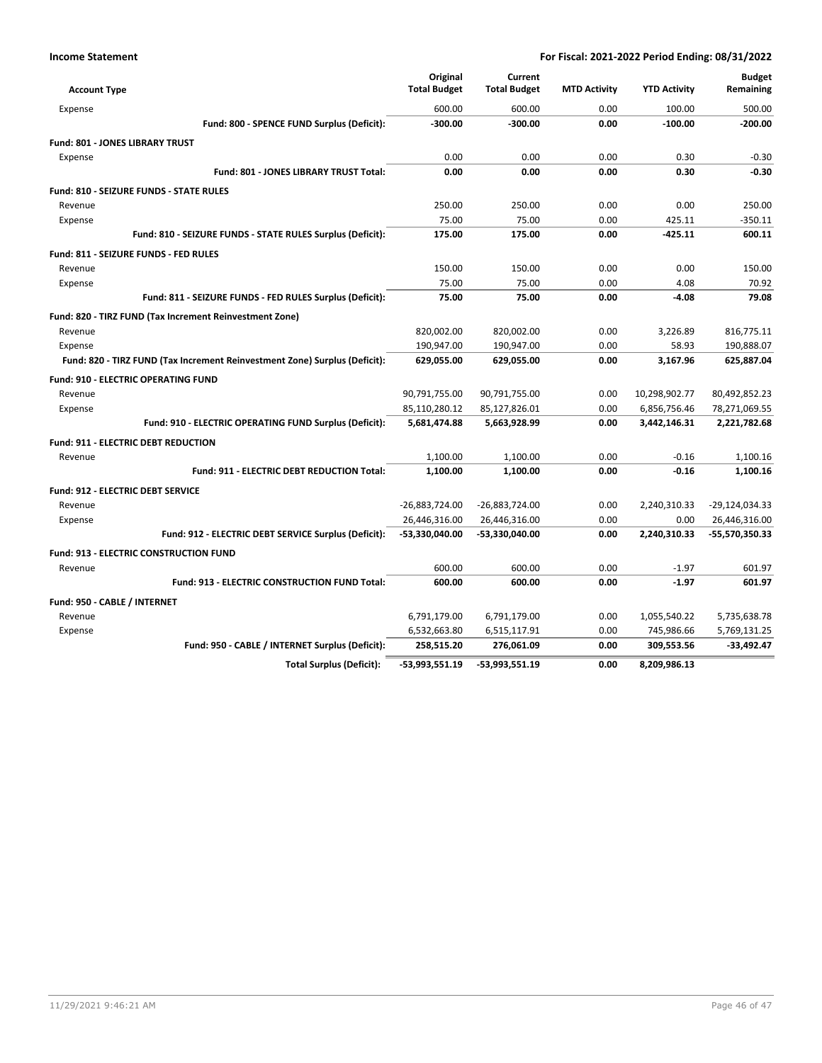| <b>Account Type</b>          |                                                                            | Original<br><b>Total Budget</b> | Current<br><b>Total Budget</b> | <b>MTD Activity</b> | <b>YTD Activity</b> | <b>Budget</b><br>Remaining |
|------------------------------|----------------------------------------------------------------------------|---------------------------------|--------------------------------|---------------------|---------------------|----------------------------|
| Expense                      |                                                                            | 600.00                          | 600.00                         | 0.00                | 100.00              | 500.00                     |
|                              | Fund: 800 - SPENCE FUND Surplus (Deficit):                                 | $-300.00$                       | $-300.00$                      | 0.00                | $-100.00$           | $-200.00$                  |
|                              | <b>Fund: 801 - JONES LIBRARY TRUST</b>                                     |                                 |                                |                     |                     |                            |
| Expense                      |                                                                            | 0.00                            | 0.00                           | 0.00                | 0.30                | $-0.30$                    |
|                              | Fund: 801 - JONES LIBRARY TRUST Total:                                     | 0.00                            | 0.00                           | 0.00                | 0.30                | $-0.30$                    |
|                              | Fund: 810 - SEIZURE FUNDS - STATE RULES                                    |                                 |                                |                     |                     |                            |
| Revenue                      |                                                                            | 250.00                          | 250.00                         | 0.00                | 0.00                | 250.00                     |
| Expense                      |                                                                            | 75.00                           | 75.00                          | 0.00                | 425.11              | $-350.11$                  |
|                              | Fund: 810 - SEIZURE FUNDS - STATE RULES Surplus (Deficit):                 | 175.00                          | 175.00                         | 0.00                | $-425.11$           | 600.11                     |
|                              | Fund: 811 - SEIZURE FUNDS - FED RULES                                      |                                 |                                |                     |                     |                            |
| Revenue                      |                                                                            | 150.00                          | 150.00                         | 0.00                | 0.00                | 150.00                     |
| Expense                      |                                                                            | 75.00                           | 75.00                          | 0.00                | 4.08                | 70.92                      |
|                              | Fund: 811 - SEIZURE FUNDS - FED RULES Surplus (Deficit):                   | 75.00                           | 75.00                          | 0.00                | $-4.08$             | 79.08                      |
|                              | Fund: 820 - TIRZ FUND (Tax Increment Reinvestment Zone)                    |                                 |                                |                     |                     |                            |
| Revenue                      |                                                                            | 820,002.00                      | 820,002.00                     | 0.00                | 3,226.89            | 816,775.11                 |
| Expense                      |                                                                            | 190,947.00                      | 190,947.00                     | 0.00                | 58.93               | 190,888.07                 |
|                              | Fund: 820 - TIRZ FUND (Tax Increment Reinvestment Zone) Surplus (Deficit): | 629,055.00                      | 629,055.00                     | 0.00                | 3.167.96            | 625,887.04                 |
|                              | <b>Fund: 910 - ELECTRIC OPERATING FUND</b>                                 |                                 |                                |                     |                     |                            |
| Revenue                      |                                                                            | 90,791,755.00                   | 90,791,755.00                  | 0.00                | 10,298,902.77       | 80,492,852.23              |
| Expense                      |                                                                            | 85,110,280.12                   | 85,127,826.01                  | 0.00                | 6,856,756.46        | 78,271,069.55              |
|                              | Fund: 910 - ELECTRIC OPERATING FUND Surplus (Deficit):                     | 5,681,474.88                    | 5,663,928.99                   | 0.00                | 3,442,146.31        | 2,221,782.68               |
|                              | <b>Fund: 911 - ELECTRIC DEBT REDUCTION</b>                                 |                                 |                                |                     |                     |                            |
| Revenue                      |                                                                            | 1,100.00                        | 1,100.00                       | 0.00                | $-0.16$             | 1.100.16                   |
|                              | Fund: 911 - ELECTRIC DEBT REDUCTION Total:                                 | 1,100.00                        | 1,100.00                       | 0.00                | $-0.16$             | 1,100.16                   |
|                              | <b>Fund: 912 - ELECTRIC DEBT SERVICE</b>                                   |                                 |                                |                     |                     |                            |
| Revenue                      |                                                                            | -26,883,724.00                  | -26,883,724.00                 | 0.00                | 2,240,310.33        | -29,124,034.33             |
| Expense                      |                                                                            | 26,446,316.00                   | 26,446,316.00                  | 0.00                | 0.00                | 26,446,316.00              |
|                              | Fund: 912 - ELECTRIC DEBT SERVICE Surplus (Deficit):                       | -53,330,040.00                  | -53,330,040.00                 | 0.00                | 2,240,310.33        | -55,570,350.33             |
|                              | <b>Fund: 913 - ELECTRIC CONSTRUCTION FUND</b>                              |                                 |                                |                     |                     |                            |
| Revenue                      |                                                                            | 600.00                          | 600.00                         | 0.00                | $-1.97$             | 601.97                     |
|                              | <b>Fund: 913 - ELECTRIC CONSTRUCTION FUND Total:</b>                       | 600.00                          | 600.00                         | 0.00                | $-1.97$             | 601.97                     |
| Fund: 950 - CABLE / INTERNET |                                                                            |                                 |                                |                     |                     |                            |
| Revenue                      |                                                                            | 6,791,179.00                    | 6,791,179.00                   | 0.00                | 1,055,540.22        | 5,735,638.78               |
| Expense                      |                                                                            | 6,532,663.80                    | 6,515,117.91                   | 0.00                | 745,986.66          | 5,769,131.25               |
|                              | Fund: 950 - CABLE / INTERNET Surplus (Deficit):                            | 258,515.20                      | 276,061.09                     | 0.00                | 309,553.56          | $-33,492.47$               |
|                              | <b>Total Surplus (Deficit):</b>                                            | -53,993,551.19                  | $-53,993,551.19$               | 0.00                | 8,209,986.13        |                            |